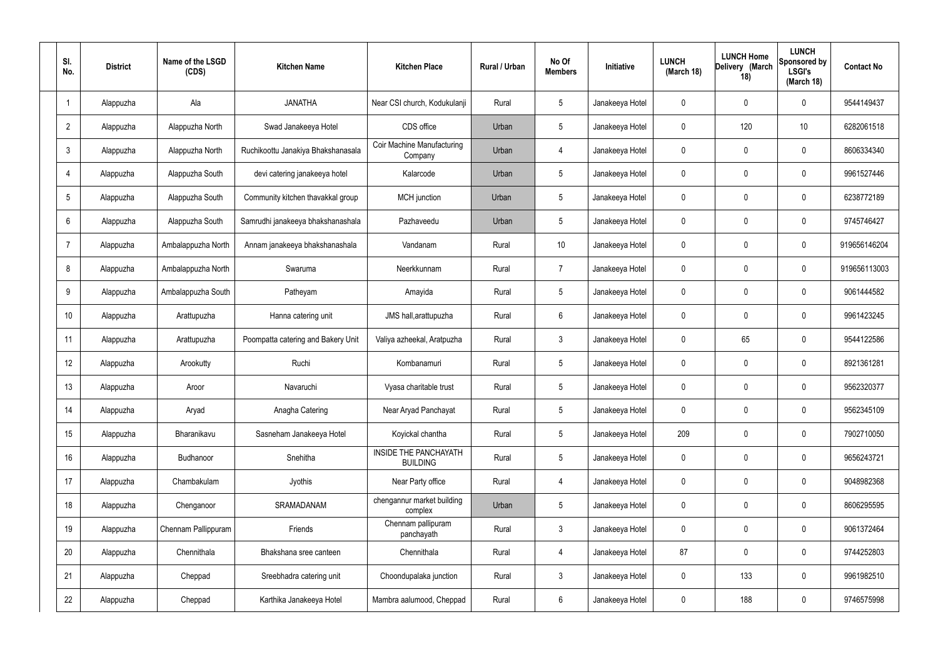| SI.<br>No.      | <b>District</b> | Name of the LSGD<br>(CDS) | <b>Kitchen Name</b>                | <b>Kitchen Place</b>                            | Rural / Urban | No Of<br><b>Members</b> | <b>Initiative</b> | <b>LUNCH</b><br>(March 18) | <b>LUNCH Home</b><br>Delivery (March<br>18) | <b>LUNCH</b><br>Sponsored by<br><b>LSGI's</b><br>(March 18) | <b>Contact No</b> |
|-----------------|-----------------|---------------------------|------------------------------------|-------------------------------------------------|---------------|-------------------------|-------------------|----------------------------|---------------------------------------------|-------------------------------------------------------------|-------------------|
|                 | Alappuzha       | Ala                       | <b>JANATHA</b>                     | Near CSI church, Kodukulanji                    | Rural         | $5\phantom{.0}$         | Janakeeya Hotel   | 0                          | 0                                           | $\mathbf 0$                                                 | 9544149437        |
| $\overline{2}$  | Alappuzha       | Alappuzha North           | Swad Janakeeya Hotel               | CDS office                                      | Urban         | $5\phantom{.0}$         | Janakeeya Hotel   | $\mathbf 0$                | 120                                         | 10                                                          | 6282061518        |
| $\mathbf{3}$    | Alappuzha       | Alappuzha North           | Ruchikoottu Janakiya Bhakshanasala | <b>Coir Machine Manufacturing</b><br>Company    | Urban         | 4                       | Janakeeya Hotel   | $\mathbf 0$                | 0                                           | $\mathbf 0$                                                 | 8606334340        |
| $\overline{4}$  | Alappuzha       | Alappuzha South           | devi catering janakeeya hotel      | Kalarcode                                       | Urban         | $5\phantom{.0}$         | Janakeeya Hotel   | $\mathbf 0$                | 0                                           | $\mathbf 0$                                                 | 9961527446        |
| $5\overline{)}$ | Alappuzha       | Alappuzha South           | Community kitchen thavakkal group  | MCH junction                                    | Urban         | $5\phantom{.0}$         | Janakeeya Hotel   | $\mathbf 0$                | 0                                           | $\mathbf 0$                                                 | 6238772189        |
| 6               | Alappuzha       | Alappuzha South           | Samrudhi janakeeya bhakshanashala  | Pazhaveedu                                      | Urban         | $5\phantom{.0}$         | Janakeeya Hotel   | $\mathbf 0$                | 0                                           | $\mathbf 0$                                                 | 9745746427        |
| $\overline{7}$  | Alappuzha       | Ambalappuzha North        | Annam janakeeya bhakshanashala     | Vandanam                                        | Rural         | 10 <sup>°</sup>         | Janakeeya Hotel   | $\mathbf 0$                | 0                                           | $\mathbf 0$                                                 | 919656146204      |
| 8               | Alappuzha       | Ambalappuzha North        | Swaruma                            | Neerkkunnam                                     | Rural         | $\overline{7}$          | Janakeeya Hotel   | $\mathbf 0$                | 0                                           | $\mathbf 0$                                                 | 919656113003      |
| 9               | Alappuzha       | Ambalappuzha South        | Patheyam                           | Amayida                                         | Rural         | $5\phantom{.0}$         | Janakeeya Hotel   | $\mathbf 0$                | 0                                           | $\mathbf 0$                                                 | 9061444582        |
| 10              | Alappuzha       | Arattupuzha               | Hanna catering unit                | JMS hall, arattupuzha                           | Rural         | $6\phantom{.}6$         | Janakeeya Hotel   | $\mathbf 0$                | 0                                           | $\mathbf 0$                                                 | 9961423245        |
| 11              | Alappuzha       | Arattupuzha               | Poompatta catering and Bakery Unit | Valiya azheekal, Aratpuzha                      | Rural         | $\mathbf{3}$            | Janakeeya Hotel   | $\mathbf 0$                | 65                                          | $\mathbf 0$                                                 | 9544122586        |
| 12              | Alappuzha       | Arookutty                 | Ruchi                              | Kombanamuri                                     | Rural         | $5\phantom{.0}$         | Janakeeya Hotel   | $\mathbf 0$                | 0                                           | $\mathbf 0$                                                 | 8921361281        |
| 13              | Alappuzha       | Aroor                     | Navaruchi                          | Vyasa charitable trust                          | Rural         | $5\phantom{.0}$         | Janakeeya Hotel   | $\mathbf 0$                | 0                                           | 0                                                           | 9562320377        |
| 14              | Alappuzha       | Aryad                     | Anagha Catering                    | Near Aryad Panchayat                            | Rural         | $5\phantom{.0}$         | Janakeeya Hotel   | $\mathbf 0$                | $\mathbf 0$                                 | $\mathbf 0$                                                 | 9562345109        |
| 15              | Alappuzha       | Bharanikavu               | Sasneham Janakeeya Hotel           | Koyickal chantha                                | Rural         | $5\phantom{.0}$         | Janakeeya Hotel   | 209                        | $\mathbf 0$                                 | $\mathbf 0$                                                 | 7902710050        |
| 16              | Alappuzha       | <b>Budhanoor</b>          | Snehitha                           | <b>INSIDE THE PANCHAYATH</b><br><b>BUILDING</b> | Rural         | $5\phantom{.0}$         | Janakeeya Hotel   | $\mathbf 0$                | $\mathbf 0$                                 | $\mathbf 0$                                                 | 9656243721        |
| 17              | Alappuzha       | Chambakulam               | Jyothis                            | Near Party office                               | Rural         | $\overline{4}$          | Janakeeya Hotel   | $\mathbf 0$                | $\mathbf 0$                                 | $\mathbf 0$                                                 | 9048982368        |
| 18              | Alappuzha       | Chenganoor                | SRAMADANAM                         | chengannur market building<br>complex           | Urban         | $5\phantom{.0}$         | Janakeeya Hotel   | $\mathbf 0$                | $\mathbf 0$                                 | $\mathbf 0$                                                 | 8606295595        |
| 19              | Alappuzha       | Chennam Pallippuram       | Friends                            | Chennam pallipuram<br>panchayath                | Rural         | $\mathbf{3}$            | Janakeeya Hotel   | $\mathbf 0$                | 0                                           | $\mathbf 0$                                                 | 9061372464        |
| 20              | Alappuzha       | Chennithala               | Bhakshana sree canteen             | Chennithala                                     | Rural         | $\overline{4}$          | Janakeeya Hotel   | 87                         | 0                                           | $\mathbf 0$                                                 | 9744252803        |
| 21              | Alappuzha       | Cheppad                   | Sreebhadra catering unit           | Choondupalaka junction                          | Rural         | $\mathbf{3}$            | Janakeeya Hotel   | $\mathbf 0$                | 133                                         | $\mathbf 0$                                                 | 9961982510        |
| 22              | Alappuzha       | Cheppad                   | Karthika Janakeeya Hotel           | Mambra aalumood, Cheppad                        | Rural         | $6\overline{6}$         | Janakeeya Hotel   | 0                          | 188                                         | $\mathbf 0$                                                 | 9746575998        |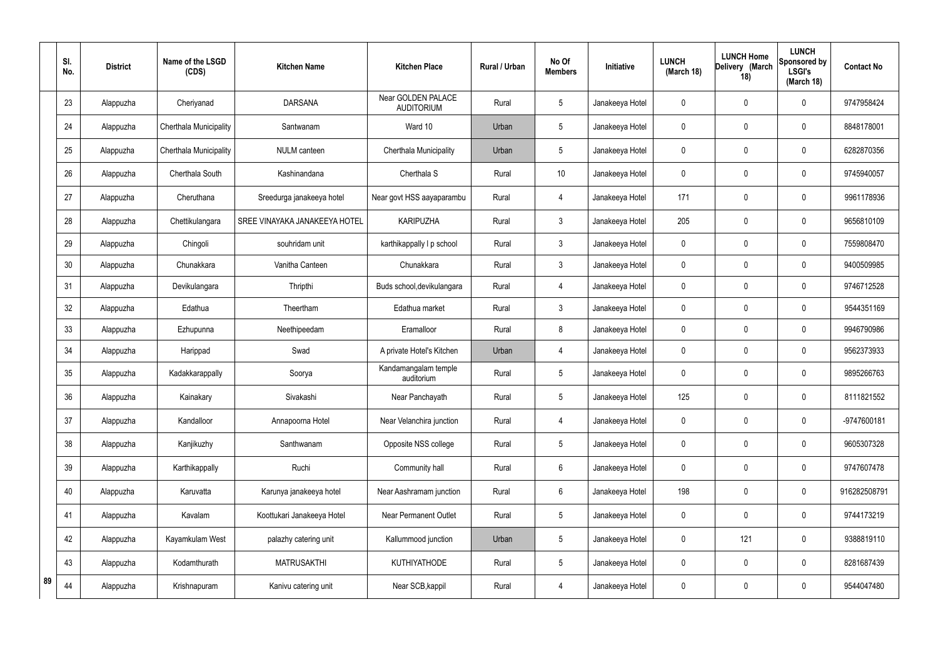|    | SI.<br>No. | <b>District</b> | Name of the LSGD<br>(CDS) | <b>Kitchen Name</b>           | <b>Kitchen Place</b>                    | <b>Rural / Urban</b> | No Of<br><b>Members</b> | Initiative      | <b>LUNCH</b><br>(March 18) | <b>LUNCH Home</b><br>Delivery (March<br>18) | <b>LUNCH</b><br>Sponsored by<br><b>LSGI's</b><br>(March 18) | <b>Contact No</b> |
|----|------------|-----------------|---------------------------|-------------------------------|-----------------------------------------|----------------------|-------------------------|-----------------|----------------------------|---------------------------------------------|-------------------------------------------------------------|-------------------|
|    | 23         | Alappuzha       | Cheriyanad                | <b>DARSANA</b>                | Near GOLDEN PALACE<br><b>AUDITORIUM</b> | Rural                | 5                       | Janakeeya Hotel | 0                          | $\mathbf 0$                                 | $\mathbf 0$                                                 | 9747958424        |
|    | 24         | Alappuzha       | Cherthala Municipality    | Santwanam                     | Ward 10                                 | Urban                | 5                       | Janakeeya Hotel | $\mathbf 0$                | $\mathbf 0$                                 | $\mathbf 0$                                                 | 8848178001        |
|    | 25         | Alappuzha       | Cherthala Municipality    | <b>NULM</b> canteen           | Cherthala Municipality                  | Urban                | 5                       | Janakeeya Hotel | 0                          | $\mathbf 0$                                 | $\mathbf 0$                                                 | 6282870356        |
|    | 26         | Alappuzha       | Cherthala South           | Kashinandana                  | Cherthala S                             | Rural                | 10                      | Janakeeya Hotel | 0                          | $\mathbf 0$                                 | $\pmb{0}$                                                   | 9745940057        |
|    | 27         | Alappuzha       | Cheruthana                | Sreedurga janakeeya hotel     | Near govt HSS aayaparambu               | Rural                | $\overline{4}$          | Janakeeya Hotel | 171                        | $\mathbf 0$                                 | $\mathbf 0$                                                 | 9961178936        |
|    | 28         | Alappuzha       | Chettikulangara           | SREE VINAYAKA JANAKEEYA HOTEL | <b>KARIPUZHA</b>                        | Rural                | $\mathbf{3}$            | Janakeeya Hotel | 205                        | $\mathbf 0$                                 | $\pmb{0}$                                                   | 9656810109        |
|    | 29         | Alappuzha       | Chingoli                  | souhridam unit                | karthikappally I p school               | Rural                | $\mathbf{3}$            | Janakeeya Hotel | $\mathbf 0$                | $\pmb{0}$                                   | $\mathbf 0$                                                 | 7559808470        |
|    | 30         | Alappuzha       | Chunakkara                | Vanitha Canteen               | Chunakkara                              | Rural                | $\mathbf{3}$            | Janakeeya Hotel | 0                          | $\mathbf 0$                                 | $\boldsymbol{0}$                                            | 9400509985        |
|    | 31         | Alappuzha       | Devikulangara             | Thripthi                      | Buds school, devikulangara              | Rural                | $\overline{4}$          | Janakeeya Hotel | 0                          | $\mathbf 0$                                 | $\pmb{0}$                                                   | 9746712528        |
|    | 32         | Alappuzha       | Edathua                   | Theertham                     | Edathua market                          | Rural                | 3                       | Janakeeya Hotel | 0                          | $\boldsymbol{0}$                            | $\boldsymbol{0}$                                            | 9544351169        |
|    | 33         | Alappuzha       | Ezhupunna                 | Neethipeedam                  | Eramalloor                              | Rural                | 8                       | Janakeeya Hotel | $\mathbf 0$                | 0                                           | $\mathbf 0$                                                 | 9946790986        |
|    | 34         | Alappuzha       | Harippad                  | Swad                          | A private Hotel's Kitchen               | Urban                | $\overline{4}$          | Janakeeya Hotel | 0                          | $\pmb{0}$                                   | $\boldsymbol{0}$                                            | 9562373933        |
|    | 35         | Alappuzha       | Kadakkarappally           | Soorya                        | Kandamangalam temple<br>auditorium      | Rural                | 5                       | Janakeeya Hotel | $\mathbf 0$                | $\mathbf 0$                                 | $\mathbf 0$                                                 | 9895266763        |
|    | 36         | Alappuzha       | Kainakary                 | Sivakashi                     | Near Panchayath                         | Rural                | 5                       | Janakeeya Hotel | 125                        | $\mathbf 0$                                 | $\boldsymbol{0}$                                            | 8111821552        |
|    | 37         | Alappuzha       | Kandalloor                | Annapoorna Hotel              | Near Velanchira junction                | Rural                | $\overline{4}$          | Janakeeya Hotel | 0                          | $\pmb{0}$                                   | $\mathsf{0}$                                                | -9747600181       |
|    | 38         | Alappuzha       | Kanjikuzhy                | Santhwanam                    | Opposite NSS college                    | Rural                | $5\phantom{.0}$         | Janakeeya Hotel | 0                          | $\pmb{0}$                                   | $\pmb{0}$                                                   | 9605307328        |
|    | 39         | Alappuzha       | Karthikappally            | Ruchi                         | Community hall                          | Rural                | 6                       | Janakeeya Hotel | 0                          | $\pmb{0}$                                   | $\pmb{0}$                                                   | 9747607478        |
|    | 40         | Alappuzha       | Karuvatta                 | Karunya janakeeya hotel       | Near Aashramam junction                 | Rural                | $6\phantom{.}6$         | Janakeeya Hotel | 198                        | $\mathbf 0$                                 | $\mathsf{0}$                                                | 916282508791      |
|    | 41         | Alappuzha       | Kavalam                   | Koottukari Janakeeya Hotel    | Near Permanent Outlet                   | Rural                | 5                       | Janakeeya Hotel | 0                          | $\pmb{0}$                                   | $\pmb{0}$                                                   | 9744173219        |
|    | 42         | Alappuzha       | Kayamkulam West           | palazhy catering unit         | Kallummood junction                     | Urban                | $\mathbf 5$             | Janakeeya Hotel | 0                          | 121                                         | $\pmb{0}$                                                   | 9388819110        |
|    | 43         | Alappuzha       | Kodamthurath              | <b>MATRUSAKTHI</b>            | KUTHIYATHODE                            | Rural                | 5                       | Janakeeya Hotel | 0                          | $\pmb{0}$                                   | $\pmb{0}$                                                   | 8281687439        |
| 89 | 44         | Alappuzha       | Krishnapuram              | Kanivu catering unit          | Near SCB, kappil                        | Rural                | $\overline{4}$          | Janakeeya Hotel | 0                          | $\pmb{0}$                                   | $\pmb{0}$                                                   | 9544047480        |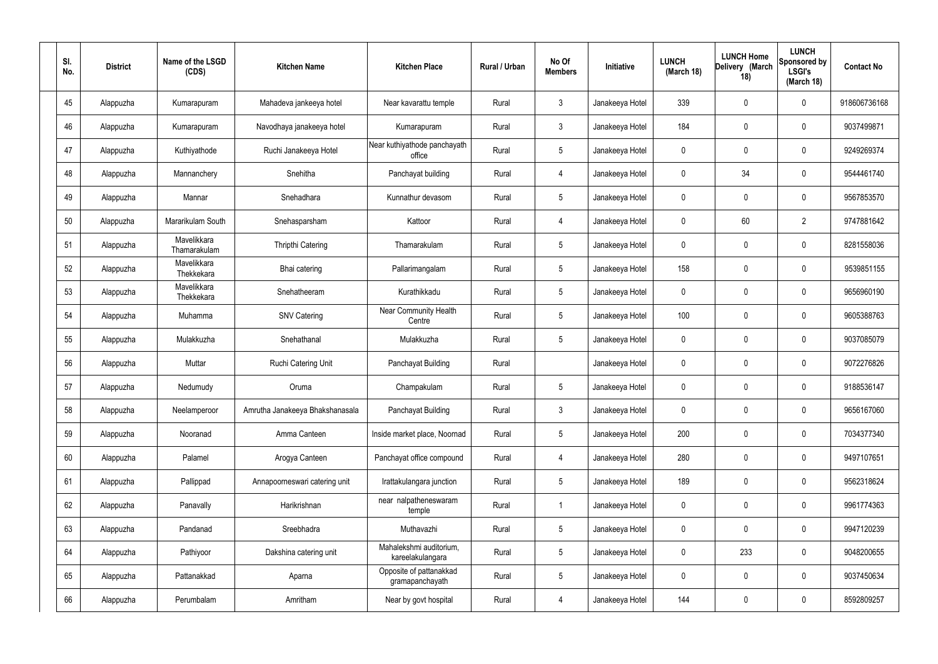| SI.<br>No. | <b>District</b> | Name of the LSGD<br>(CDS)   | <b>Kitchen Name</b>             | <b>Kitchen Place</b>                        | Rural / Urban | No Of<br><b>Members</b> | Initiative      | <b>LUNCH</b><br>(March 18) | <b>LUNCH Home</b><br>Delivery (March<br>18) | <b>LUNCH</b><br>Sponsored by<br><b>LSGI's</b><br>(March 18) | <b>Contact No</b> |
|------------|-----------------|-----------------------------|---------------------------------|---------------------------------------------|---------------|-------------------------|-----------------|----------------------------|---------------------------------------------|-------------------------------------------------------------|-------------------|
| 45         | Alappuzha       | Kumarapuram                 | Mahadeva jankeeya hotel         | Near kavarattu temple                       | Rural         | $\mathfrak{Z}$          | Janakeeya Hotel | 339                        | 0                                           | $\mathbf 0$                                                 | 918606736168      |
| 46         | Alappuzha       | Kumarapuram                 | Navodhaya janakeeya hotel       | Kumarapuram                                 | Rural         | $\mathbf{3}$            | Janakeeya Hotel | 184                        | 0                                           | $\mathbf 0$                                                 | 9037499871        |
| 47         | Alappuzha       | Kuthiyathode                | Ruchi Janakeeya Hotel           | Near kuthiyathode panchayath<br>office      | Rural         | $5\phantom{.0}$         | Janakeeya Hotel | 0                          | 0                                           | $\mathbf 0$                                                 | 9249269374        |
| 48         | Alappuzha       | Mannanchery                 | Snehitha                        | Panchayat building                          | Rural         | $\overline{4}$          | Janakeeya Hotel | $\mathbf 0$                | 34                                          | $\mathbf 0$                                                 | 9544461740        |
| 49         | Alappuzha       | Mannar                      | Snehadhara                      | Kunnathur devasom                           | Rural         | $5\phantom{.0}$         | Janakeeya Hotel | 0                          | 0                                           | $\mathbf 0$                                                 | 9567853570        |
| 50         | Alappuzha       | Mararikulam South           | Snehasparsham                   | Kattoor                                     | Rural         | 4                       | Janakeeya Hotel | $\mathbf 0$                | 60                                          | $\overline{2}$                                              | 9747881642        |
| 51         | Alappuzha       | Mavelikkara<br>Thamarakulam | Thripthi Catering               | Thamarakulam                                | Rural         | $5\phantom{.0}$         | Janakeeya Hotel | 0                          | $\boldsymbol{0}$                            | $\mathbf 0$                                                 | 8281558036        |
| 52         | Alappuzha       | Mavelikkara<br>Thekkekara   | Bhai catering                   | Pallarimangalam                             | Rural         | $5\phantom{.0}$         | Janakeeya Hotel | 158                        | 0                                           | $\mathbf 0$                                                 | 9539851155        |
| 53         | Alappuzha       | Mavelikkara<br>Thekkekara   | Snehatheeram                    | Kurathikkadu                                | Rural         | $5\phantom{.0}$         | Janakeeya Hotel | 0                          | $\boldsymbol{0}$                            | $\mathbf 0$                                                 | 9656960190        |
| 54         | Alappuzha       | Muhamma                     | <b>SNV Catering</b>             | <b>Near Community Health</b><br>Centre      | Rural         | $5\phantom{.0}$         | Janakeeya Hotel | 100                        | 0                                           | $\boldsymbol{0}$                                            | 9605388763        |
| 55         | Alappuzha       | Mulakkuzha                  | Snehathanal                     | Mulakkuzha                                  | Rural         | $5\phantom{.0}$         | Janakeeya Hotel | 0                          | 0                                           | $\boldsymbol{0}$                                            | 9037085079        |
| 56         | Alappuzha       | Muttar                      | Ruchi Catering Unit             | Panchayat Building                          | Rural         |                         | Janakeeya Hotel | 0                          | 0                                           | $\boldsymbol{0}$                                            | 9072276826        |
| 57         | Alappuzha       | Nedumudy                    | Oruma                           | Champakulam                                 | Rural         | $5\phantom{.0}$         | Janakeeya Hotel | 0                          | 0                                           | 0                                                           | 9188536147        |
| 58         | Alappuzha       | Neelamperoor                | Amrutha Janakeeya Bhakshanasala | Panchayat Building                          | Rural         | $\mathbf{3}$            | Janakeeya Hotel | $\mathbf 0$                | $\mathbf 0$                                 | $\mathbf 0$                                                 | 9656167060        |
| 59         | Alappuzha       | Nooranad                    | Amma Canteen                    | Inside market place, Noornad                | Rural         | $5\phantom{.0}$         | Janakeeya Hotel | 200                        | $\mathbf 0$                                 | $\mathbf 0$                                                 | 7034377340        |
| 60         | Alappuzha       | Palamel                     | Arogya Canteen                  | Panchayat office compound                   | Rural         | 4                       | Janakeeya Hotel | 280                        | $\mathbf 0$                                 | $\mathbf 0$                                                 | 9497107651        |
| 61         | Alappuzha       | Pallippad                   | Annapoorneswari catering unit   | Irattakulangara junction                    | Rural         | $5\phantom{.0}$         | Janakeeya Hotel | 189                        | $\mathbf 0$                                 | $\mathbf 0$                                                 | 9562318624        |
| 62         | Alappuzha       | Panavally                   | Harikrishnan                    | near nalpatheneswaram<br>temple             | Rural         | $\overline{1}$          | Janakeeya Hotel | $\mathbf 0$                | 0                                           | $\mathbf 0$                                                 | 9961774363        |
| 63         | Alappuzha       | Pandanad                    | Sreebhadra                      | Muthavazhi                                  | Rural         | $5\phantom{.0}$         | Janakeeya Hotel | $\mathbf 0$                | $\mathbf 0$                                 | $\mathbf 0$                                                 | 9947120239        |
| 64         | Alappuzha       | Pathiyoor                   | Dakshina catering unit          | Mahalekshmi auditorium,<br>kareelakulangara | Rural         | $5\phantom{.0}$         | Janakeeya Hotel | $\mathbf 0$                | 233                                         | $\mathbf 0$                                                 | 9048200655        |
| 65         | Alappuzha       | Pattanakkad                 | Aparna                          | Opposite of pattanakkad<br>gramapanchayath  | Rural         | $5\phantom{.0}$         | Janakeeya Hotel | $\mathbf 0$                | 0                                           | $\mathbf 0$                                                 | 9037450634        |
| 66         | Alappuzha       | Perumbalam                  | Amritham                        | Near by govt hospital                       | Rural         | 4                       | Janakeeya Hotel | 144                        | $\pmb{0}$                                   | $\boldsymbol{0}$                                            | 8592809257        |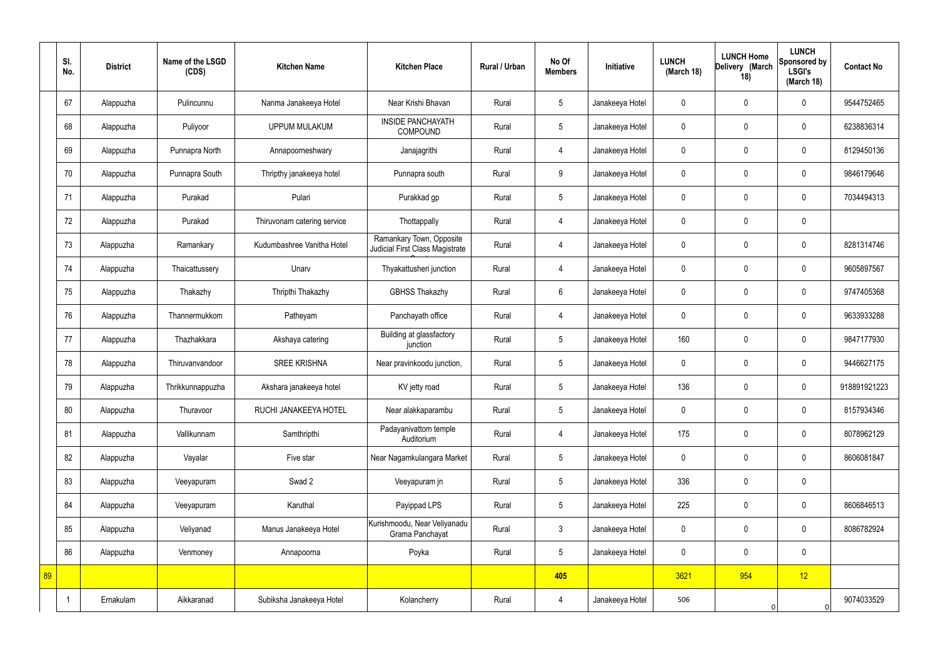|    | SI.<br>No. | <b>District</b> | Name of the LSGD<br>(CDS) | <b>Kitchen Name</b>         | <b>Kitchen Place</b>                                        | Rural / Urban | No Of<br><b>Members</b> | Initiative      | <b>LUNCH</b><br>(March 18) | <b>LUNCH Home</b><br>Delivery (March<br>18) | <b>LUNCH</b><br>Sponsored by<br><b>LSGI's</b><br>(March 18) | <b>Contact No</b> |
|----|------------|-----------------|---------------------------|-----------------------------|-------------------------------------------------------------|---------------|-------------------------|-----------------|----------------------------|---------------------------------------------|-------------------------------------------------------------|-------------------|
|    | 67         | Alappuzha       | Pulincunnu                | Nanma Janakeeya Hotel       | Near Krishi Bhavan                                          | Rural         | 5                       | Janakeeya Hotel | $\mathbf 0$                | $\mathbf 0$                                 | $\mathbf 0$                                                 | 9544752465        |
|    | 68         | Alappuzha       | Puliyoor                  | <b>UPPUM MULAKUM</b>        | <b>INSIDE PANCHAYATH</b><br><b>COMPOUND</b>                 | Rural         | $5\overline{)}$         | Janakeeya Hotel | $\mathbf 0$                | $\mathbf 0$                                 | $\mathbf 0$                                                 | 6238836314        |
|    | 69         | Alappuzha       | Punnapra North            | Annapoorneshwary            | Janajagrithi                                                | Rural         | $\overline{4}$          | Janakeeya Hotel | $\mathbf 0$                | $\mathbf 0$                                 | $\mathbf 0$                                                 | 8129450136        |
|    | 70         | Alappuzha       | Punnapra South            | Thripthy janakeeya hotel    | Punnapra south                                              | Rural         | 9                       | Janakeeya Hotel | $\mathbf 0$                | $\mathbf 0$                                 | $\mathbf 0$                                                 | 9846179646        |
|    | 71         | Alappuzha       | Purakad                   | Pulari                      | Purakkad gp                                                 | Rural         | $5\phantom{.0}$         | Janakeeya Hotel | $\mathbf 0$                | $\mathbf 0$                                 | $\mathbf 0$                                                 | 7034494313        |
|    | 72         | Alappuzha       | Purakad                   | Thiruvonam catering service | Thottappally                                                | Rural         | $\overline{4}$          | Janakeeya Hotel | $\mathbf 0$                | $\mathbf 0$                                 | $\mathbf 0$                                                 |                   |
|    | 73         | Alappuzha       | Ramankary                 | Kudumbashree Vanitha Hotel  | Ramankary Town, Opposite<br>Judicial First Class Magistrate | Rural         | $\overline{4}$          | Janakeeya Hotel | $\mathbf 0$                | $\mathbf 0$                                 | $\mathbf 0$                                                 | 8281314746        |
|    | 74         | Alappuzha       | Thaicattussery            | Unarv                       | Thyakattusheri junction                                     | Rural         | 4                       | Janakeeya Hotel | $\mathbf 0$                | $\mathbf 0$                                 | $\mathbf 0$                                                 | 9605897567        |
|    | 75         | Alappuzha       | Thakazhy                  | Thripthi Thakazhy           | <b>GBHSS Thakazhy</b>                                       | Rural         | $6\overline{6}$         | Janakeeya Hotel | $\mathbf 0$                | $\mathbf 0$                                 | $\mathbf 0$                                                 | 9747405368        |
|    | 76         | Alappuzha       | Thannermukkom             | Patheyam                    | Panchayath office                                           | Rural         | $\overline{4}$          | Janakeeya Hotel | $\mathbf 0$                | $\mathbf 0$                                 | $\mathbf 0$                                                 | 9633933288        |
|    | 77         | Alappuzha       | Thazhakkara               | Akshaya catering            | Building at glassfactory<br>junction                        | Rural         | $5\phantom{.0}$         | Janakeeya Hotel | 160                        | $\mathbf 0$                                 | $\mathbf 0$                                                 | 9847177930        |
|    | 78         | Alappuzha       | Thiruvanvandoor           | <b>SREE KRISHNA</b>         | Near pravinkoodu junction,                                  | Rural         | $5\overline{)}$         | Janakeeya Hotel | $\mathbf 0$                | $\mathbf 0$                                 | $\mathbf 0$                                                 | 9446627175        |
|    | 79         | Alappuzha       | Thrikkunnappuzha          | Akshara janakeeya hotel     | KV jetty road                                               | Rural         | $5\overline{)}$         | Janakeeya Hotel | 136                        | $\mathbf 0$                                 | $\mathbf 0$                                                 | 918891921223      |
|    | 80         | Alappuzha       | Thuravoor                 | RUCHI JANAKEEYA HOTEL       | Near alakkaparambu                                          | Rural         | $5\phantom{.0}$         | Janakeeya Hotel | $\mathbf 0$                | $\mathbf 0$                                 | $\mathbf 0$                                                 | 8157934346        |
|    | 81         | Alappuzha       | Vallikunnam               | Samthripthi                 | Padayanivattom temple<br>Auditorium                         | Rural         | $\overline{4}$          | Janakeeya Hotel | 175                        | $\mathbf 0$                                 | $\mathbf 0$                                                 | 8078962129        |
|    | 82         | Alappuzha       | Vayalar                   | Five star                   | Near Nagamkulangara Market                                  | Rural         | $5\overline{)}$         | Janakeeya Hotel | $\pmb{0}$                  | $\mathbf 0$                                 | $\mathbf 0$                                                 | 8606081847        |
|    | 83         | Alappuzha       | Veeyapuram                | Swad 2                      | Veeyapuram jn                                               | Rural         | $5\overline{)}$         | Janakeeya Hotel | 336                        | $\pmb{0}$                                   | $\mathbf 0$                                                 |                   |
|    | 84         | Alappuzha       | Veeyapuram                | Karuthal                    | Payippad LPS                                                | Rural         | $5\phantom{.0}$         | Janakeeya Hotel | 225                        | $\pmb{0}$                                   | $\mathbf 0$                                                 | 8606846513        |
|    | 85         | Alappuzha       | Veliyanad                 | Manus Janakeeya Hotel       | Kurishmoodu, Near Veliyanadu<br>Grama Panchayat             | Rural         | $\mathbf{3}$            | Janakeeya Hotel | $\pmb{0}$                  | $\mathbf 0$                                 | $\mathbf 0$                                                 | 8086782924        |
|    | 86         | Alappuzha       | Venmoney                  | Annapoorna                  | Poyka                                                       | Rural         | $5\overline{)}$         | Janakeeya Hotel | $\pmb{0}$                  | $\mathbf 0$                                 | $\mathbf 0$                                                 |                   |
| 89 |            |                 |                           |                             |                                                             |               | 405                     |                 | 3621                       | 954                                         | 12                                                          |                   |
|    |            | Ernakulam       | Aikkaranad                | Subiksha Janakeeya Hotel    | Kolancherry                                                 | Rural         | 4                       | Janakeeya Hotel | 506                        |                                             | $\overline{0}$                                              | 9074033529        |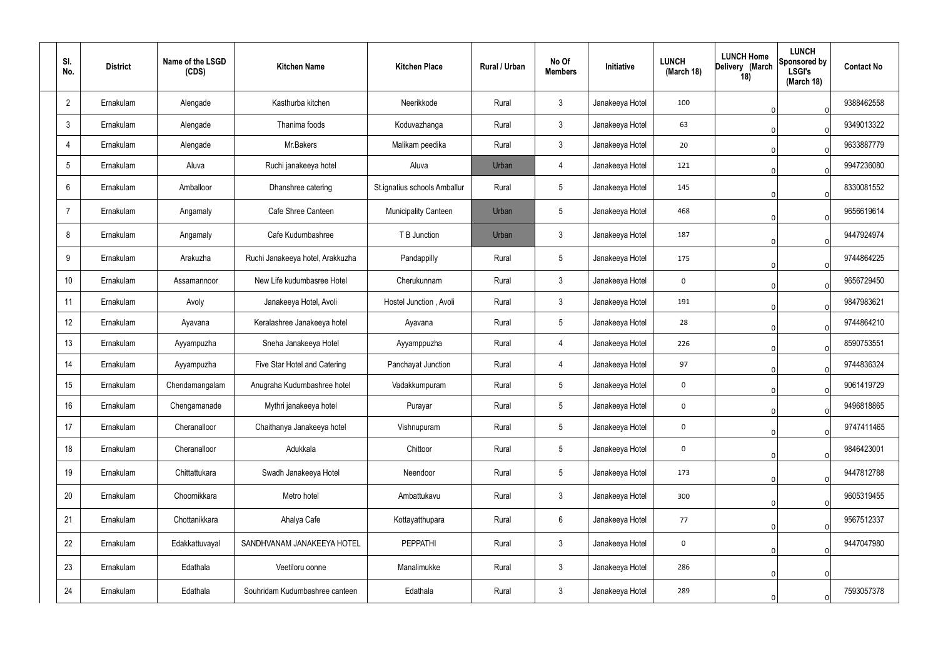| SI.<br>No.     | <b>District</b> | Name of the LSGD<br>(CDS) | <b>Kitchen Name</b>              | <b>Kitchen Place</b>         | Rural / Urban | No Of<br><b>Members</b> | Initiative      | <b>LUNCH</b><br>(March 18) | <b>LUNCH Home</b><br>Delivery (March<br>18) | <b>LUNCH</b><br>Sponsored by<br><b>LSGI's</b><br>(March 18) | <b>Contact No</b> |
|----------------|-----------------|---------------------------|----------------------------------|------------------------------|---------------|-------------------------|-----------------|----------------------------|---------------------------------------------|-------------------------------------------------------------|-------------------|
| $\overline{2}$ | Ernakulam       | Alengade                  | Kasthurba kitchen                | Neerikkode                   | Rural         | 3                       | Janakeeya Hotel | 100                        |                                             | $\overline{0}$                                              | 9388462558        |
| $\mathbf{3}$   | Ernakulam       | Alengade                  | Thanima foods                    | Koduvazhanga                 | Rural         | $\mathbf{3}$            | Janakeeya Hotel | 63                         |                                             | $\Omega$                                                    | 9349013322        |
| 4              | Ernakulam       | Alengade                  | Mr.Bakers                        | Malikam peedika              | Rural         | 3                       | Janakeeya Hotel | 20                         |                                             | $\Omega$                                                    | 9633887779        |
| 5              | Ernakulam       | Aluva                     | Ruchi janakeeya hotel            | Aluva                        | Urban         | 4                       | Janakeeya Hotel | 121                        |                                             | $\Omega$                                                    | 9947236080        |
| 6              | Ernakulam       | Amballoor                 | Dhanshree catering               | St.ignatius schools Amballur | Rural         | 5                       | Janakeeya Hotel | 145                        |                                             | 0                                                           | 8330081552        |
| -7             | Ernakulam       | Angamaly                  | Cafe Shree Canteen               | <b>Municipality Canteen</b>  | Urban         | 5                       | Janakeeya Hotel | 468                        |                                             | $\Omega$                                                    | 9656619614        |
| 8              | Ernakulam       | Angamaly                  | Cafe Kudumbashree                | T B Junction                 | Urban         | 3                       | Janakeeya Hotel | 187                        |                                             | $\Omega$                                                    | 9447924974        |
| 9              | Ernakulam       | Arakuzha                  | Ruchi Janakeeya hotel, Arakkuzha | Pandappilly                  | Rural         | 5                       | Janakeeya Hotel | 175                        |                                             | $\Omega$                                                    | 9744864225        |
| 10             | Ernakulam       | Assamannoor               | New Life kudumbasree Hotel       | Cherukunnam                  | Rural         | 3                       | Janakeeya Hotel | 0                          |                                             | $\Omega$                                                    | 9656729450        |
| 11             | Ernakulam       | Avoly                     | Janakeeya Hotel, Avoli           | Hostel Junction, Avoli       | Rural         | 3                       | Janakeeya Hotel | 191                        |                                             | $\overline{0}$                                              | 9847983621        |
| 12             | Ernakulam       | Ayavana                   | Keralashree Janakeeya hotel      | Ayavana                      | Rural         | 5                       | Janakeeya Hotel | 28                         |                                             | $\Omega$                                                    | 9744864210        |
| 13             | Ernakulam       | Ayyampuzha                | Sneha Janakeeya Hotel            | Ayyamppuzha                  | Rural         | 4                       | Janakeeya Hotel | 226                        |                                             | $\Omega$                                                    | 8590753551        |
| 14             | Ernakulam       | Ayyampuzha                | Five Star Hotel and Catering     | Panchayat Junction           | Rural         | 4                       | Janakeeya Hotel | 97                         |                                             | $\Omega$                                                    | 9744836324        |
| 15             | Ernakulam       | Chendamangalam            | Anugraha Kudumbashree hotel      | Vadakkumpuram                | Rural         | 5                       | Janakeeya Hotel | 0                          |                                             | 0                                                           | 9061419729        |
| 16             | Ernakulam       | Chengamanade              | Mythri janakeeya hotel           | Purayar                      | Rural         | 5                       | Janakeeya Hotel | $\mathbf 0$                |                                             | $\overline{0}$                                              | 9496818865        |
| 17             | Ernakulam       | Cheranalloor              | Chaithanya Janakeeya hotel       | Vishnupuram                  | Rural         | $5\overline{)}$         | Janakeeya Hotel | $\mathbf 0$                |                                             | $\overline{0}$                                              | 9747411465        |
| 18             | Ernakulam       | Cheranalloor              | Adukkala                         | Chittoor                     | Rural         | $5\phantom{.0}$         | Janakeeya Hotel | $\mathbf 0$                |                                             | $\mathbf 0$                                                 | 9846423001        |
| 19             | Ernakulam       | Chittattukara             | Swadh Janakeeya Hotel            | Neendoor                     | Rural         | $\overline{5}$          | Janakeeya Hotel | 173                        |                                             | $\mathbf 0$                                                 | 9447812788        |
| 20             | Ernakulam       | Choornikkara              | Metro hotel                      | Ambattukavu                  | Rural         | $\mathbf{3}$            | Janakeeya Hotel | 300                        |                                             | $\mathbf 0$                                                 | 9605319455        |
| 21             | Ernakulam       | Chottanikkara             | Ahalya Cafe                      | Kottayatthupara              | Rural         | 6                       | Janakeeya Hotel | 77                         |                                             | $\mathbf 0$                                                 | 9567512337        |
| 22             | Ernakulam       | Edakkattuvayal            | SANDHVANAM JANAKEEYA HOTEL       | <b>PEPPATHI</b>              | Rural         | $\mathbf{3}$            | Janakeeya Hotel | $\mathbf 0$                |                                             | $\mathbf 0$                                                 | 9447047980        |
| 23             | Ernakulam       | Edathala                  | Veetiloru oonne                  | Manalimukke                  | Rural         | $\mathfrak{Z}$          | Janakeeya Hotel | 286                        |                                             | 0                                                           |                   |
| 24             | Ernakulam       | Edathala                  | Souhridam Kudumbashree canteen   | Edathala                     | Rural         | $\mathfrak{Z}$          | Janakeeya Hotel | 289                        |                                             | 0                                                           | 7593057378        |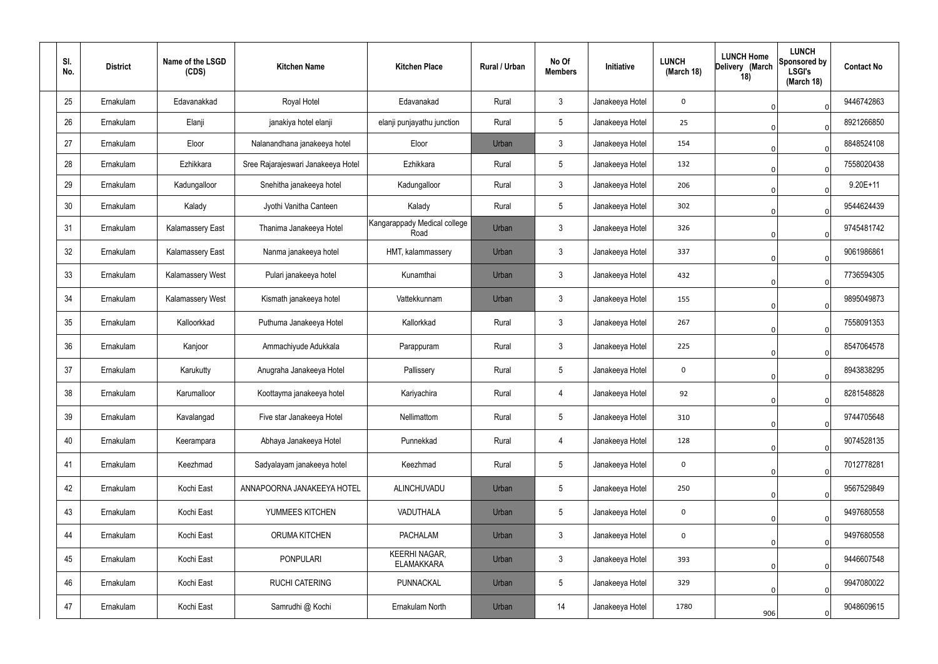| SI.<br>No. | <b>District</b> | Name of the LSGD<br>(CDS) | <b>Kitchen Name</b>                | <b>Kitchen Place</b>                      | Rural / Urban | No Of<br><b>Members</b> | Initiative      | <b>LUNCH</b><br>(March 18) | <b>LUNCH Home</b><br>Delivery (March<br>18) | <b>LUNCH</b><br>Sponsored by<br><b>LSGI's</b><br>(March 18) | <b>Contact No</b> |
|------------|-----------------|---------------------------|------------------------------------|-------------------------------------------|---------------|-------------------------|-----------------|----------------------------|---------------------------------------------|-------------------------------------------------------------|-------------------|
| 25         | Ernakulam       | Edavanakkad               | Royal Hotel                        | Edavanakad                                | Rural         | $\mathfrak{Z}$          | Janakeeya Hotel | 0                          |                                             | $\mathbf 0$                                                 | 9446742863        |
| 26         | Ernakulam       | Elanji                    | janakiya hotel elanji              | elanji punjayathu junction                | Rural         | $5\overline{)}$         | Janakeeya Hotel | 25                         |                                             | $\mathbf 0$                                                 | 8921266850        |
| 27         | Ernakulam       | Eloor                     | Nalanandhana janakeeya hotel       | Eloor                                     | Urban         | $\mathbf{3}$            | Janakeeya Hotel | 154                        |                                             | $\mathbf 0$                                                 | 8848524108        |
| 28         | Ernakulam       | Ezhikkara                 | Sree Rajarajeswari Janakeeya Hotel | Ezhikkara                                 | Rural         | $5\phantom{.0}$         | Janakeeya Hotel | 132                        |                                             | $\mathbf 0$                                                 | 7558020438        |
| 29         | Ernakulam       | Kadungalloor              | Snehitha janakeeya hotel           | Kadungalloor                              | Rural         | $\mathbf{3}$            | Janakeeya Hotel | 206                        |                                             | $\Omega$                                                    | 9.20E+11          |
| 30         | Ernakulam       | Kalady                    | Jyothi Vanitha Canteen             | Kalady                                    | Rural         | $5\phantom{.0}$         | Janakeeya Hotel | 302                        |                                             | $\Omega$                                                    | 9544624439        |
| 31         | Ernakulam       | <b>Kalamassery East</b>   | Thanima Janakeeya Hotel            | Kangarappady Medical college<br>Road      | Urban         | $\mathbf{3}$            | Janakeeya Hotel | 326                        |                                             | $\overline{0}$                                              | 9745481742        |
| 32         | Ernakulam       | <b>Kalamassery East</b>   | Nanma janakeeya hotel              | HMT, kalammassery                         | Urban         | $\mathbf{3}$            | Janakeeya Hotel | 337                        |                                             | $\overline{0}$                                              | 9061986861        |
| 33         | Ernakulam       | <b>Kalamassery West</b>   | Pulari janakeeya hotel             | Kunamthai                                 | Urban         | $\mathfrak{Z}$          | Janakeeya Hotel | 432                        |                                             | $\Omega$                                                    | 7736594305        |
| 34         | Ernakulam       | <b>Kalamassery West</b>   | Kismath janakeeya hotel            | Vattekkunnam                              | Urban         | $\mathbf{3}$            | Janakeeya Hotel | 155                        |                                             | $\overline{0}$                                              | 9895049873        |
| 35         | Ernakulam       | Kalloorkkad               | Puthuma Janakeeya Hotel            | Kallorkkad                                | Rural         | $\mathbf{3}$            | Janakeeya Hotel | 267                        |                                             | $\Omega$                                                    | 7558091353        |
| 36         | Ernakulam       | Kanjoor                   | Ammachiyude Adukkala               | Parappuram                                | Rural         | $\mathbf{3}$            | Janakeeya Hotel | 225                        |                                             | $\overline{0}$                                              | 8547064578        |
| 37         | Ernakulam       | Karukutty                 | Anugraha Janakeeya Hotel           | Pallissery                                | Rural         | $5\phantom{.0}$         | Janakeeya Hotel | 0                          |                                             | $\Omega$                                                    | 8943838295        |
| 38         | Ernakulam       | Karumalloor               | Koottayma janakeeya hotel          | Kariyachira                               | Rural         |                         | Janakeeya Hotel | 92                         |                                             | $\overline{0}$                                              | 8281548828        |
| 39         | Ernakulam       | Kavalangad                | Five star Janakeeya Hotel          | Nellimattom                               | Rural         | $5\overline{)}$         | Janakeeya Hotel | 310                        |                                             | $\overline{0}$                                              | 9744705648        |
| 40         | Ernakulam       | Keerampara                | Abhaya Janakeeya Hotel             | Punnekkad                                 | Rural         | 4                       | Janakeeya Hotel | 128                        |                                             | $\overline{0}$                                              | 9074528135        |
| 41         | Ernakulam       | Keezhmad                  | Sadyalayam janakeeya hotel         | Keezhmad                                  | Rural         | $5\phantom{.0}$         | Janakeeya Hotel | $\mathbf 0$                |                                             | $\overline{0}$                                              | 7012778281        |
| 42         | Ernakulam       | Kochi East                | ANNAPOORNA JANAKEEYA HOTEL         | ALINCHUVADU                               | Urban         | $5\overline{)}$         | Janakeeya Hotel | 250                        |                                             | $\overline{0}$                                              | 9567529849        |
| 43         | Ernakulam       | Kochi East                | YUMMEES KITCHEN                    | VADUTHALA                                 | Urban         | $5\phantom{.0}$         | Janakeeya Hotel | $\mathbf 0$                |                                             | $\overline{0}$                                              | 9497680558        |
| 44         | Ernakulam       | Kochi East                | <b>ORUMA KITCHEN</b>               | <b>PACHALAM</b>                           | Urban         | 3 <sup>1</sup>          | Janakeeya Hotel | $\mathbf 0$                |                                             | $\overline{0}$                                              | 9497680558        |
| 45         | Ernakulam       | Kochi East                | <b>PONPULARI</b>                   | <b>KEERHI NAGAR,</b><br><b>ELAMAKKARA</b> | Urban         | $\mathbf{3}$            | Janakeeya Hotel | 393                        |                                             | $\overline{0}$                                              | 9446607548        |
| 46         | Ernakulam       | Kochi East                | <b>RUCHI CATERING</b>              | PUNNACKAL                                 | Urban         | $5\phantom{.0}$         | Janakeeya Hotel | 329                        |                                             | $\overline{0}$                                              | 9947080022        |
| 47         | Ernakulam       | Kochi East                | Samrudhi @ Kochi                   | Ernakulam North                           | Urban         | 14                      | Janakeeya Hotel | 1780                       | 906                                         | $\overline{0}$                                              | 9048609615        |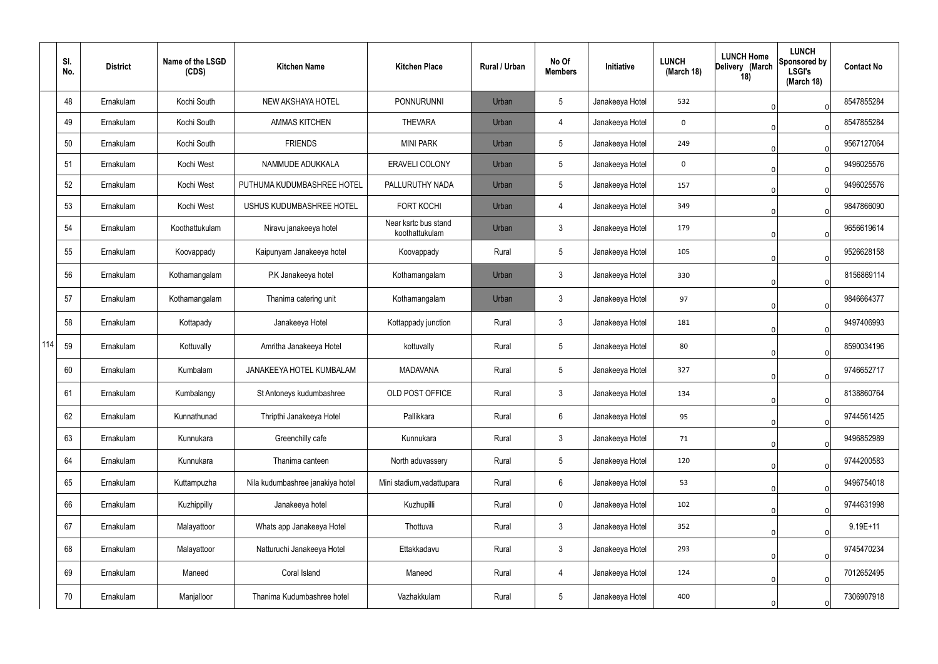|     | SI.<br>No. | <b>District</b> | Name of the LSGD<br>(CDS) | <b>Kitchen Name</b>              | <b>Kitchen Place</b>                   | <b>Rural / Urban</b> | No Of<br><b>Members</b> | Initiative      | <b>LUNCH</b><br>(March 18) | <b>LUNCH Home</b><br>Delivery (March<br>18) | <b>LUNCH</b><br><b>Sponsored by</b><br><b>LSGI's</b><br>(March 18) | <b>Contact No</b> |
|-----|------------|-----------------|---------------------------|----------------------------------|----------------------------------------|----------------------|-------------------------|-----------------|----------------------------|---------------------------------------------|--------------------------------------------------------------------|-------------------|
|     | 48         | Ernakulam       | Kochi South               | NEW AKSHAYA HOTEL                | PONNURUNNI                             | Urban                | $5\phantom{.0}$         | Janakeeya Hotel | 532                        |                                             | $\Omega$                                                           | 8547855284        |
|     | 49         | Ernakulam       | Kochi South               | <b>AMMAS KITCHEN</b>             | <b>THEVARA</b>                         | Urban                | $\overline{4}$          | Janakeeya Hotel | 0                          |                                             | $\Omega$                                                           | 8547855284        |
|     | 50         | Ernakulam       | Kochi South               | <b>FRIENDS</b>                   | <b>MINI PARK</b>                       | Urban                | $5\phantom{.0}$         | Janakeeya Hotel | 249                        |                                             | $\Omega$                                                           | 9567127064        |
|     | 51         | Ernakulam       | Kochi West                | NAMMUDE ADUKKALA                 | <b>ERAVELI COLONY</b>                  | Urban                | $5\phantom{.0}$         | Janakeeya Hotel | 0                          |                                             | $\Omega$                                                           | 9496025576        |
|     | 52         | Ernakulam       | Kochi West                | PUTHUMA KUDUMBASHREE HOTEL       | PALLURUTHY NADA                        | Urban                | $5\phantom{.0}$         | Janakeeya Hotel | 157                        |                                             | $\Omega$                                                           | 9496025576        |
|     | 53         | Ernakulam       | Kochi West                | USHUS KUDUMBASHREE HOTEL         | <b>FORT KOCHI</b>                      | Urban                | $\overline{4}$          | Janakeeya Hotel | 349                        |                                             | $\Omega$                                                           | 9847866090        |
|     | 54         | Ernakulam       | Koothattukulam            | Niravu janakeeya hotel           | Near ksrtc bus stand<br>koothattukulam | Urban                | $\mathbf{3}$            | Janakeeya Hotel | 179                        |                                             | $\Omega$                                                           | 9656619614        |
|     | 55         | Ernakulam       | Koovappady                | Kaipunyam Janakeeya hotel        | Koovappady                             | Rural                | $5\phantom{.0}$         | Janakeeya Hotel | 105                        |                                             | $\Omega$                                                           | 9526628158        |
|     | 56         | Ernakulam       | Kothamangalam             | P.K Janakeeya hotel              | Kothamangalam                          | Urban                | $\mathbf{3}$            | Janakeeya Hotel | 330                        |                                             | $\Omega$                                                           | 8156869114        |
|     | 57         | Ernakulam       | Kothamangalam             | Thanima catering unit            | Kothamangalam                          | Urban                | $\mathbf{3}$            | Janakeeya Hotel | 97                         |                                             | $\Omega$                                                           | 9846664377        |
|     | 58         | Ernakulam       | Kottapady                 | Janakeeya Hotel                  | Kottappady junction                    | Rural                | $\mathbf{3}$            | Janakeeya Hotel | 181                        |                                             | $\Omega$                                                           | 9497406993        |
| 114 | 59         | Ernakulam       | Kottuvally                | Amritha Janakeeya Hotel          | kottuvally                             | Rural                | $5\phantom{.0}$         | Janakeeya Hotel | 80                         |                                             | $\Omega$                                                           | 8590034196        |
|     | 60         | Ernakulam       | Kumbalam                  | JANAKEEYA HOTEL KUMBALAM         | <b>MADAVANA</b>                        | Rural                | $5\phantom{.0}$         | Janakeeya Hotel | 327                        |                                             | $\Omega$                                                           | 9746652717        |
|     | 61         | Ernakulam       | Kumbalangy                | St Antoneys kudumbashree         | OLD POST OFFICE                        | Rural                | 3                       | Janakeeya Hotel | 134                        |                                             | 0                                                                  | 8138860764        |
|     | 62         | Ernakulam       | Kunnathunad               | Thripthi Janakeeya Hotel         | Pallikkara                             | Rural                | 6                       | Janakeeya Hotel | 95                         |                                             | $\Omega$                                                           | 9744561425        |
|     | 63         | Ernakulam       | Kunnukara                 | Greenchilly cafe                 | Kunnukara                              | Rural                | 3 <sup>1</sup>          | Janakeeya Hotel | 71                         |                                             | 0                                                                  | 9496852989        |
|     | 64         | Ernakulam       | Kunnukara                 | Thanima canteen                  | North aduvassery                       | Rural                | $5\phantom{.0}$         | Janakeeya Hotel | 120                        |                                             | $\Omega$                                                           | 9744200583        |
|     | 65         | Ernakulam       | Kuttampuzha               | Nila kudumbashree janakiya hotel | Mini stadium, vadattupara              | Rural                | $6\phantom{.}6$         | Janakeeya Hotel | 53                         |                                             | $\Omega$                                                           | 9496754018        |
|     | 66         | Ernakulam       | Kuzhippilly               | Janakeeya hotel                  | Kuzhupilli                             | Rural                | $\mathbf 0$             | Janakeeya Hotel | 102                        |                                             | 0                                                                  | 9744631998        |
|     | 67         | Ernakulam       | Malayattoor               | Whats app Janakeeya Hotel        | Thottuva                               | Rural                | $\mathbf{3}$            | Janakeeya Hotel | 352                        |                                             | 0                                                                  | $9.19E + 11$      |
|     | 68         | Ernakulam       | Malayattoor               | Natturuchi Janakeeya Hotel       | Ettakkadavu                            | Rural                | $\mathbf{3}$            | Janakeeya Hotel | 293                        |                                             | 0                                                                  | 9745470234        |
|     | 69         | Ernakulam       | Maneed                    | Coral Island                     | Maneed                                 | Rural                | 4                       | Janakeeya Hotel | 124                        |                                             | $\Omega$                                                           | 7012652495        |
|     | 70         | Ernakulam       | Manjalloor                | Thanima Kudumbashree hotel       | Vazhakkulam                            | Rural                | $\sqrt{5}$              | Janakeeya Hotel | 400                        |                                             | $\Omega$                                                           | 7306907918        |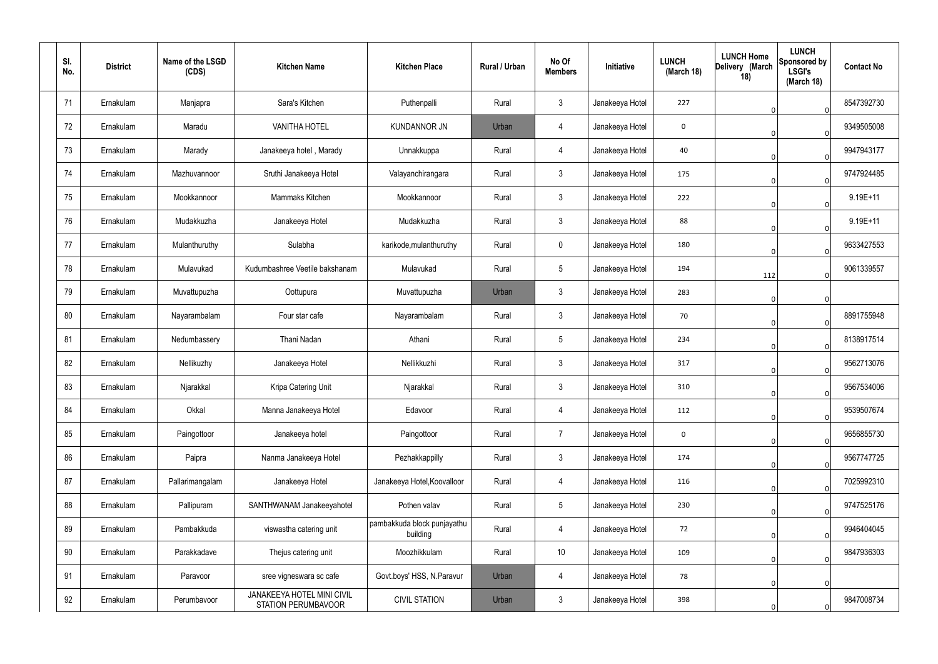| SI.<br>No. | <b>District</b> | Name of the LSGD<br>(CDS) | <b>Kitchen Name</b>                                      | <b>Kitchen Place</b>                    | Rural / Urban | No Of<br><b>Members</b> | Initiative      | <b>LUNCH</b><br>(March 18) | <b>LUNCH Home</b><br>Delivery (March<br>18) | <b>LUNCH</b><br>Sponsored by<br><b>LSGI's</b><br>(March 18) | <b>Contact No</b> |
|------------|-----------------|---------------------------|----------------------------------------------------------|-----------------------------------------|---------------|-------------------------|-----------------|----------------------------|---------------------------------------------|-------------------------------------------------------------|-------------------|
| 71         | Ernakulam       | Manjapra                  | Sara's Kitchen                                           | Puthenpalli                             | Rural         | $\mathbf{3}$            | Janakeeya Hotel | 227                        |                                             | $\overline{0}$                                              | 8547392730        |
| 72         | Ernakulam       | Maradu                    | <b>VANITHA HOTEL</b>                                     | <b>KUNDANNOR JN</b>                     | Urban         | $\overline{4}$          | Janakeeya Hotel | 0                          |                                             | $\overline{0}$                                              | 9349505008        |
| 73         | Ernakulam       | Marady                    | Janakeeya hotel, Marady                                  | Unnakkuppa                              | Rural         | $\overline{4}$          | Janakeeya Hotel | 40                         |                                             | $\overline{0}$                                              | 9947943177        |
| 74         | Ernakulam       | Mazhuvannoor              | Sruthi Janakeeya Hotel                                   | Valayanchirangara                       | Rural         | $\mathbf{3}$            | Janakeeya Hotel | 175                        |                                             | $\overline{0}$                                              | 9747924485        |
| 75         | Ernakulam       | Mookkannoor               | Mammaks Kitchen                                          | Mookkannoor                             | Rural         | $\mathbf{3}$            | Janakeeya Hotel | 222                        |                                             | $\overline{0}$                                              | 9.19E+11          |
| 76         | Ernakulam       | Mudakkuzha                | Janakeeya Hotel                                          | Mudakkuzha                              | Rural         | $\mathbf{3}$            | Janakeeya Hotel | 88                         |                                             | $\overline{0}$                                              | 9.19E+11          |
| 77         | Ernakulam       | Mulanthuruthy             | Sulabha                                                  | karikode, mulanthuruthy                 | Rural         | $\mathbf 0$             | Janakeeya Hotel | 180                        |                                             | $\overline{0}$                                              | 9633427553        |
| 78         | Ernakulam       | Mulavukad                 | Kudumbashree Veetile bakshanam                           | Mulavukad                               | Rural         | $5\phantom{.0}$         | Janakeeya Hotel | 194                        | 112                                         | $\overline{0}$                                              | 9061339557        |
| 79         | Ernakulam       | Muvattupuzha              | Oottupura                                                | Muvattupuzha                            | Urban         | $\mathbf{3}$            | Janakeeya Hotel | 283                        |                                             | $\overline{0}$                                              |                   |
| 80         | Ernakulam       | Nayarambalam              | Four star cafe                                           | Nayarambalam                            | Rural         | $\mathfrak{Z}$          | Janakeeya Hotel | 70                         |                                             | $\overline{0}$                                              | 8891755948        |
| 81         | Ernakulam       | Nedumbassery              | Thani Nadan                                              | Athani                                  | Rural         | $\sqrt{5}$              | Janakeeya Hotel | 234                        |                                             | $\overline{0}$                                              | 8138917514        |
| 82         | Ernakulam       | Nellikuzhy                | Janakeeya Hotel                                          | Nellikkuzhi                             | Rural         | $\mathfrak{Z}$          | Janakeeya Hotel | 317                        |                                             | $\Omega$                                                    | 9562713076        |
| 83         | Ernakulam       | Njarakkal                 | Kripa Catering Unit                                      | Njarakkal                               | Rural         | $\mathfrak{Z}$          | Janakeeya Hotel | 310                        |                                             | 0                                                           | 9567534006        |
| 84         | Ernakulam       | Okkal                     | Manna Janakeeya Hotel                                    | Edavoor                                 | Rural         | $\overline{4}$          | Janakeeya Hotel | 112                        |                                             | $\overline{0}$                                              | 9539507674        |
| 85         | Ernakulam       | Paingottoor               | Janakeeya hotel                                          | Paingottoor                             | Rural         | $\overline{7}$          | Janakeeya Hotel | $\mathbf 0$                |                                             | $\overline{0}$                                              | 9656855730        |
| 86         | Ernakulam       | Paipra                    | Nanma Janakeeya Hotel                                    | Pezhakkappilly                          | Rural         | $\mathbf{3}$            | Janakeeya Hotel | 174                        |                                             | $\overline{0}$                                              | 9567747725        |
| 87         | Ernakulam       | Pallarimangalam           | Janakeeya Hotel                                          | Janakeeya Hotel, Koovalloor             | Rural         | 4                       | Janakeeya Hotel | 116                        |                                             | $\overline{0}$                                              | 7025992310        |
| 88         | Ernakulam       | Pallipuram                | SANTHWANAM Janakeeyahotel                                | Pothen valav                            | Rural         | $\sqrt{5}$              | Janakeeya Hotel | 230                        |                                             | $\overline{0}$                                              | 9747525176        |
| 89         | Ernakulam       | Pambakkuda                | viswastha catering unit                                  | pambakkuda block punjayathu<br>building | Rural         | 4                       | Janakeeya Hotel | 72                         |                                             | $\overline{0}$                                              | 9946404045        |
| 90         | Ernakulam       | Parakkadave               | Thejus catering unit                                     | Moozhikkulam                            | Rural         | 10                      | Janakeeya Hotel | 109                        |                                             | $\overline{0}$                                              | 9847936303        |
| 91         | Ernakulam       | Paravoor                  | sree vigneswara sc cafe                                  | Govt.boys' HSS, N.Paravur               | Urban         | 4                       | Janakeeya Hotel | 78                         |                                             | $\overline{0}$                                              |                   |
| 92         | Ernakulam       | Perumbavoor               | JANAKEEYA HOTEL MINI CIVIL<br><b>STATION PERUMBAVOOR</b> | <b>CIVIL STATION</b>                    | Urban         | $\mathbf{3}$            | Janakeeya Hotel | 398                        |                                             | $\boldsymbol{0}$                                            | 9847008734        |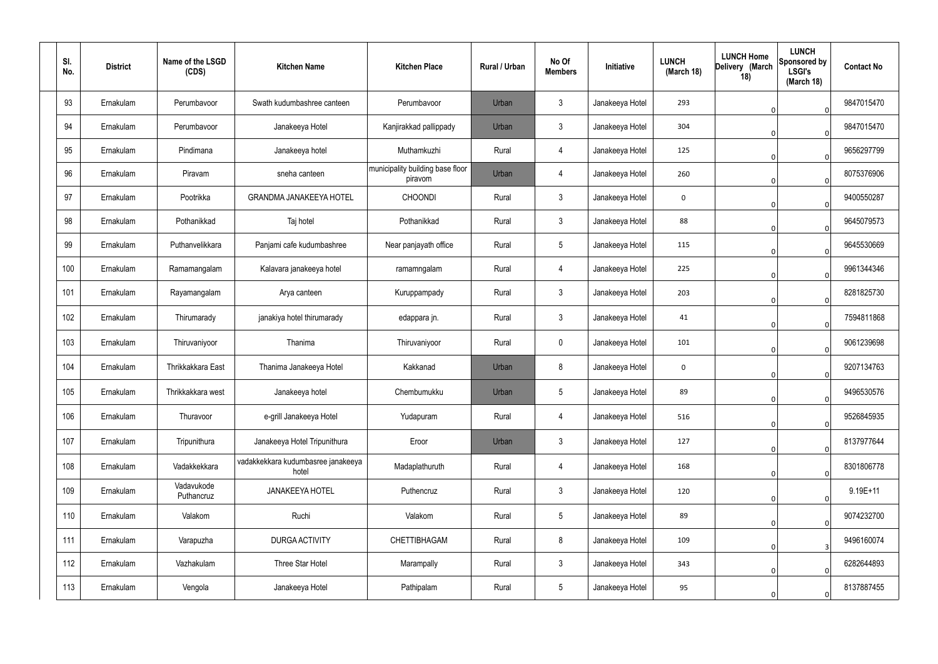| SI.<br>No. | <b>District</b> | Name of the LSGD<br>(CDS) | <b>Kitchen Name</b>                         | <b>Kitchen Place</b>                        | Rural / Urban | No Of<br><b>Members</b> | Initiative      | <b>LUNCH</b><br>(March 18) | <b>LUNCH Home</b><br>Delivery (March<br>18) | <b>LUNCH</b><br>Sponsored by<br><b>LSGI's</b><br>(March 18) | <b>Contact No</b> |
|------------|-----------------|---------------------------|---------------------------------------------|---------------------------------------------|---------------|-------------------------|-----------------|----------------------------|---------------------------------------------|-------------------------------------------------------------|-------------------|
| 93         | Ernakulam       | Perumbavoor               | Swath kudumbashree canteen                  | Perumbavoor                                 | Urban         | $\mathbf{3}$            | Janakeeya Hotel | 293                        |                                             | $\overline{0}$                                              | 9847015470        |
| 94         | Ernakulam       | Perumbavoor               | Janakeeya Hotel                             | Kanjirakkad pallippady                      | Urban         | $\mathbf{3}$            | Janakeeya Hotel | 304                        |                                             | $\overline{0}$                                              | 9847015470        |
| 95         | Ernakulam       | Pindimana                 | Janakeeya hotel                             | Muthamkuzhi                                 | Rural         | 4                       | Janakeeya Hotel | 125                        |                                             | $\overline{0}$                                              | 9656297799        |
| 96         | Ernakulam       | Piravam                   | sneha canteen                               | municipality building base floor<br>piravom | Urban         | 4                       | Janakeeya Hotel | 260                        |                                             | $\overline{0}$                                              | 8075376906        |
| 97         | Ernakulam       | Pootrikka                 | <b>GRANDMA JANAKEEYA HOTEL</b>              | <b>CHOONDI</b>                              | Rural         | $\mathbf{3}$            | Janakeeya Hotel | $\mathbf 0$                |                                             | $\overline{0}$                                              | 9400550287        |
| 98         | Ernakulam       | Pothanikkad               | Taj hotel                                   | Pothanikkad                                 | Rural         | $\mathbf{3}$            | Janakeeya Hotel | 88                         |                                             | $\Omega$                                                    | 9645079573        |
| 99         | Ernakulam       | Puthanvelikkara           | Panjami cafe kudumbashree                   | Near panjayath office                       | Rural         | $5\phantom{.0}$         | Janakeeya Hotel | 115                        |                                             | $\overline{0}$                                              | 9645530669        |
| 100        | Ernakulam       | Ramamangalam              | Kalavara janakeeya hotel                    | ramamngalam                                 | Rural         | 4                       | Janakeeya Hotel | 225                        |                                             | $\Omega$                                                    | 9961344346        |
| 101        | Ernakulam       | Rayamangalam              | Arya canteen                                | Kuruppampady                                | Rural         | $\mathbf{3}$            | Janakeeya Hotel | 203                        |                                             | $\overline{0}$                                              | 8281825730        |
| 102        | Ernakulam       | Thirumarady               | janakiya hotel thirumarady                  | edappara jn.                                | Rural         | $\mathbf{3}$            | Janakeeya Hotel | 41                         |                                             | $\overline{0}$                                              | 7594811868        |
| 103        | Ernakulam       | Thiruvaniyoor             | Thanima                                     | Thiruvaniyoor                               | Rural         | $\mathbf 0$             | Janakeeya Hotel | 101                        | 0                                           | $\overline{0}$                                              | 9061239698        |
| 104        | Ernakulam       | Thrikkakkara East         | Thanima Janakeeya Hotel                     | Kakkanad                                    | Urban         | 8                       | Janakeeya Hotel | $\mathbf 0$                |                                             | $\Omega$                                                    | 9207134763        |
| 105        | Ernakulam       | Thrikkakkara west         | Janakeeya hotel                             | Chembumukku                                 | Urban         | 5                       | Janakeeya Hotel | 89                         | 0                                           | 0                                                           | 9496530576        |
| 106        | Ernakulam       | Thuravoor                 | e-grill Janakeeya Hotel                     | Yudapuram                                   | Rural         | $\overline{4}$          | Janakeeya Hotel | 516                        |                                             | $\mathbf 0$                                                 | 9526845935        |
| 107        | Ernakulam       | Tripunithura              | Janakeeya Hotel Tripunithura                | Eroor                                       | Urban         | $\mathbf{3}$            | Janakeeya Hotel | 127                        |                                             | $\mathbf 0$                                                 | 8137977644        |
| 108        | Ernakulam       | Vadakkekkara              | vadakkekkara kudumbasree janakeeya<br>hotel | Madaplathuruth                              | Rural         | $\overline{4}$          | Janakeeya Hotel | 168                        |                                             | $\mathbf{0}$                                                | 8301806778        |
| 109        | Ernakulam       | Vadavukode<br>Puthancruz  | <b>JANAKEEYA HOTEL</b>                      | Puthencruz                                  | Rural         | $\mathbf{3}$            | Janakeeya Hotel | 120                        |                                             | $\overline{0}$                                              | $9.19E+11$        |
| 110        | Ernakulam       | Valakom                   | Ruchi                                       | Valakom                                     | Rural         | $5\overline{)}$         | Janakeeya Hotel | 89                         |                                             | $\mathbf 0$                                                 | 9074232700        |
| 111        | Ernakulam       | Varapuzha                 | <b>DURGA ACTIVITY</b>                       | CHETTIBHAGAM                                | Rural         | 8                       | Janakeeya Hotel | 109                        |                                             | 3                                                           | 9496160074        |
| 112        | Ernakulam       | Vazhakulam                | Three Star Hotel                            | Marampally                                  | Rural         | $\mathbf{3}$            | Janakeeya Hotel | 343                        |                                             | $\overline{0}$                                              | 6282644893        |
| 113        | Ernakulam       | Vengola                   | Janakeeya Hotel                             | Pathipalam                                  | Rural         | $5\phantom{.0}$         | Janakeeya Hotel | 95                         | 0                                           | 0                                                           | 8137887455        |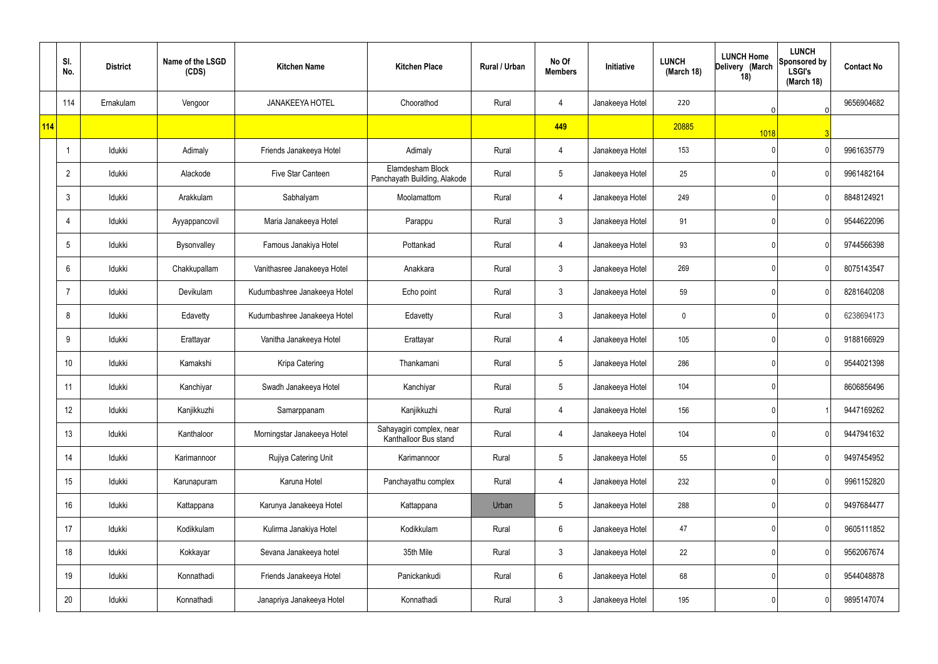|     | SI.<br>No.     | <b>District</b> | Name of the LSGD<br>(CDS) | <b>Kitchen Name</b>          | <b>Kitchen Place</b>                              | Rural / Urban | No Of<br><b>Members</b> | Initiative      | <b>LUNCH</b><br>(March 18) | <b>LUNCH Home</b><br>Delivery (March<br>18) | <b>LUNCH</b><br>Sponsored by<br><b>LSGI's</b><br>(March 18) | <b>Contact No</b> |
|-----|----------------|-----------------|---------------------------|------------------------------|---------------------------------------------------|---------------|-------------------------|-----------------|----------------------------|---------------------------------------------|-------------------------------------------------------------|-------------------|
|     | 114            | Ernakulam       | Vengoor                   | <b>JANAKEEYA HOTEL</b>       | Choorathod                                        | Rural         | 4                       | Janakeeya Hotel | 220                        | $\Omega$                                    | $\overline{0}$                                              | 9656904682        |
| 114 |                |                 |                           |                              |                                                   |               | 449                     |                 | 20885                      | 1018                                        |                                                             |                   |
|     |                | Idukki          | Adimaly                   | Friends Janakeeya Hotel      | Adimaly                                           | Rural         | 4                       | Janakeeya Hotel | 153                        |                                             | $\Omega$                                                    | 9961635779        |
|     | $\overline{2}$ | Idukki          | Alackode                  | Five Star Canteen            | Elamdesham Block<br>Panchayath Building, Alakode  | Rural         | $5\overline{)}$         | Janakeeya Hotel | 25                         |                                             |                                                             | 9961482164        |
|     | 3              | Idukki          | Arakkulam                 | Sabhalyam                    | Moolamattom                                       | Rural         | 4                       | Janakeeya Hotel | 249                        |                                             | $\Omega$                                                    | 8848124921        |
|     | 4              | Idukki          | Ayyappancovil             | Maria Janakeeya Hotel        | Parappu                                           | Rural         | $\mathbf{3}$            | Janakeeya Hotel | 91                         |                                             |                                                             | 9544622096        |
|     | 5              | Idukki          | Bysonvalley               | Famous Janakiya Hotel        | Pottankad                                         | Rural         | 4                       | Janakeeya Hotel | 93                         |                                             | $\Omega$                                                    | 9744566398        |
|     | 6              | Idukki          | Chakkupallam              | Vanithasree Janakeeya Hotel  | Anakkara                                          | Rural         | $\mathbf{3}$            | Janakeeya Hotel | 269                        |                                             | $\Omega$                                                    | 8075143547        |
|     | 7              | Idukki          | Devikulam                 | Kudumbashree Janakeeya Hotel | Echo point                                        | Rural         | $\mathbf{3}$            | Janakeeya Hotel | 59                         |                                             | $\Omega$                                                    | 8281640208        |
|     | 8              | Idukki          | Edavetty                  | Kudumbashree Janakeeya Hotel | Edavetty                                          | Rural         | $\mathbf{3}$            | Janakeeya Hotel | $\mathbf 0$                |                                             | $\Omega$                                                    | 6238694173        |
|     | 9              | Idukki          | Erattayar                 | Vanitha Janakeeya Hotel      | Erattayar                                         | Rural         | 4                       | Janakeeya Hotel | 105                        |                                             | $\Omega$                                                    | 9188166929        |
|     | 10             | Idukki          | Kamakshi                  | Kripa Catering               | Thankamani                                        | Rural         | $5\overline{)}$         | Janakeeya Hotel | 286                        | ∩                                           | $\mathsf{O}$                                                | 9544021398        |
|     | 11             | Idukki          | Kanchiyar                 | Swadh Janakeeya Hotel        | Kanchiyar                                         | Rural         | $5\phantom{.0}$         | Janakeeya Hotel | 104                        |                                             |                                                             | 8606856496        |
|     | 12             | Idukki          | Kanjikkuzhi               | Samarppanam                  | Kanjikkuzhi                                       | Rural         | $\overline{4}$          | Janakeeya Hotel | 156                        |                                             |                                                             | 9447169262        |
|     | 13             | Idukki          | Kanthaloor                | Morningstar Janakeeya Hotel  | Sahayagiri complex, near<br>Kanthalloor Bus stand | Rural         | $\overline{4}$          | Janakeeya Hotel | 104                        |                                             | $\Omega$                                                    | 9447941632        |
|     | 14             | Idukki          | Karimannoor               | Rujiya Catering Unit         | Karimannoor                                       | Rural         | $5\overline{)}$         | Janakeeya Hotel | 55                         |                                             | $\Omega$                                                    | 9497454952        |
|     | 15             | Idukki          | Karunapuram               | Karuna Hotel                 | Panchayathu complex                               | Rural         | $\overline{4}$          | Janakeeya Hotel | 232                        |                                             | $\Omega$                                                    | 9961152820        |
|     | 16             | Idukki          | Kattappana                | Karunya Janakeeya Hotel      | Kattappana                                        | Urban         | $5\phantom{.0}$         | Janakeeya Hotel | 288                        |                                             | $\Omega$                                                    | 9497684477        |
|     | 17             | Idukki          | Kodikkulam                | Kulirma Janakiya Hotel       | Kodikkulam                                        | Rural         | $6\overline{6}$         | Janakeeya Hotel | 47                         |                                             | $\Omega$                                                    | 9605111852        |
|     | 18             | Idukki          | Kokkayar                  | Sevana Janakeeya hotel       | 35th Mile                                         | Rural         | $\mathbf{3}$            | Janakeeya Hotel | 22                         |                                             | $\Omega$                                                    | 9562067674        |
|     | 19             | Idukki          | Konnathadi                | Friends Janakeeya Hotel      | Panickankudi                                      | Rural         | $6\phantom{.}6$         | Janakeeya Hotel | 68                         |                                             | $\Omega$                                                    | 9544048878        |
|     | 20             | Idukki          | Konnathadi                | Janapriya Janakeeya Hotel    | Konnathadi                                        | Rural         | $\mathbf{3}$            | Janakeeya Hotel | 195                        | N                                           | $\mathbf{0}$                                                | 9895147074        |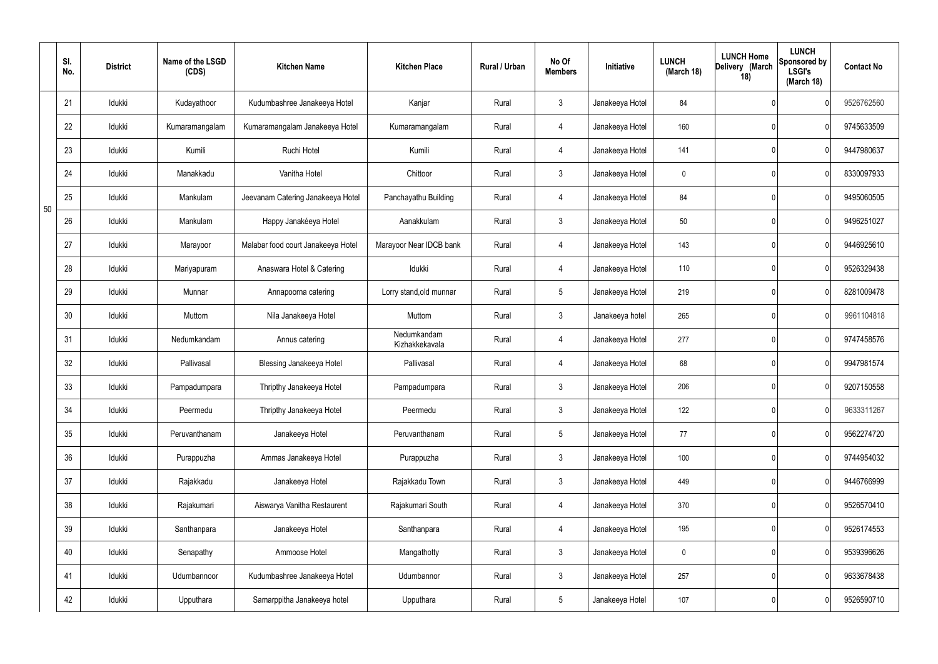|    | SI.<br>No. | <b>District</b> | Name of the LSGD<br>(CDS) | <b>Kitchen Name</b>                | <b>Kitchen Place</b>          | <b>Rural / Urban</b> | No Of<br><b>Members</b> | Initiative      | <b>LUNCH</b><br>(March 18) | <b>LUNCH Home</b><br>Delivery (March<br>18) | <b>LUNCH</b><br>Sponsored by<br><b>LSGI's</b><br>(March 18) | <b>Contact No</b> |
|----|------------|-----------------|---------------------------|------------------------------------|-------------------------------|----------------------|-------------------------|-----------------|----------------------------|---------------------------------------------|-------------------------------------------------------------|-------------------|
|    | 21         | Idukki          | Kudayathoor               | Kudumbashree Janakeeya Hotel       | Kanjar                        | Rural                | $\mathbf{3}$            | Janakeeya Hotel | 84                         |                                             |                                                             | 9526762560        |
|    | 22         | Idukki          | Kumaramangalam            | Kumaramangalam Janakeeya Hotel     | Kumaramangalam                | Rural                | $\overline{4}$          | Janakeeya Hotel | 160                        |                                             |                                                             | 9745633509        |
|    | 23         | Idukki          | Kumili                    | Ruchi Hotel                        | Kumili                        | Rural                | $\overline{4}$          | Janakeeya Hotel | 141                        |                                             | $\Omega$                                                    | 9447980637        |
|    | 24         | Idukki          | Manakkadu                 | Vanitha Hotel                      | Chittoor                      | Rural                | $\mathbf{3}$            | Janakeeya Hotel | 0                          |                                             |                                                             | 8330097933        |
| 50 | 25         | Idukki          | Mankulam                  | Jeevanam Catering Janakeeya Hotel  | Panchayathu Building          | Rural                | $\overline{4}$          | Janakeeya Hotel | 84                         |                                             | $\Omega$                                                    | 9495060505        |
|    | 26         | Idukki          | Mankulam                  | Happy Janakéeya Hotel              | Aanakkulam                    | Rural                | $\mathfrak{Z}$          | Janakeeya Hotel | 50                         |                                             | $\Omega$                                                    | 9496251027        |
|    | 27         | Idukki          | Marayoor                  | Malabar food court Janakeeya Hotel | Marayoor Near IDCB bank       | Rural                | $\overline{4}$          | Janakeeya Hotel | 143                        |                                             | $\Omega$                                                    | 9446925610        |
|    | 28         | Idukki          | Mariyapuram               | Anaswara Hotel & Catering          | Idukki                        | Rural                | $\overline{4}$          | Janakeeya Hotel | 110                        |                                             | $\Omega$                                                    | 9526329438        |
|    | 29         | Idukki          | Munnar                    | Annapoorna catering                | Lorry stand, old munnar       | Rural                | 5                       | Janakeeya Hotel | 219                        |                                             | $\Omega$                                                    | 8281009478        |
|    | 30         | Idukki          | Muttom                    | Nila Janakeeya Hotel               | Muttom                        | Rural                | $\mathbf{3}$            | Janakeeya hotel | 265                        |                                             | $\Omega$                                                    | 9961104818        |
|    | 31         | Idukki          | Nedumkandam               | Annus catering                     | Nedumkandam<br>Kizhakkekavala | Rural                | 4                       | Janakeeya Hotel | 277                        |                                             | $\Omega$                                                    | 9747458576        |
|    | 32         | Idukki          | Pallivasal                | Blessing Janakeeya Hotel           | Pallivasal                    | Rural                | 4                       | Janakeeya Hotel | 68                         |                                             | $\mathsf{O}$                                                | 9947981574        |
|    | 33         | Idukki          | Pampadumpara              | Thripthy Janakeeya Hotel           | Pampadumpara                  | Rural                | $\mathbf{3}$            | Janakeeya Hotel | 206                        |                                             | $\Omega$                                                    | 9207150558        |
|    | 34         | Idukki          | Peermedu                  | Thripthy Janakeeya Hotel           | Peermedu                      | Rural                | $\mathbf{3}$            | Janakeeya Hotel | 122                        |                                             | $\mathbf 0$                                                 | 9633311267        |
|    | 35         | Idukki          | Peruvanthanam             | Janakeeya Hotel                    | Peruvanthanam                 | Rural                | $5\phantom{.0}$         | Janakeeya Hotel | 77                         |                                             | 0                                                           | 9562274720        |
|    | 36         | Idukki          | Purappuzha                | Ammas Janakeeya Hotel              | Purappuzha                    | Rural                | $\mathbf{3}$            | Janakeeya Hotel | 100                        |                                             | $\mathbf{0}$                                                | 9744954032        |
|    | 37         | Idukki          | Rajakkadu                 | Janakeeya Hotel                    | Rajakkadu Town                | Rural                | $\mathbf{3}$            | Janakeeya Hotel | 449                        |                                             | 0                                                           | 9446766999        |
|    | 38         | Idukki          | Rajakumari                | Aiswarya Vanitha Restaurent        | Rajakumari South              | Rural                | $\overline{4}$          | Janakeeya Hotel | 370                        |                                             | $\mathbf 0$                                                 | 9526570410        |
|    | 39         | Idukki          | Santhanpara               | Janakeeya Hotel                    | Santhanpara                   | Rural                | $\overline{4}$          | Janakeeya Hotel | 195                        |                                             | $\mathbf{0}$                                                | 9526174553        |
|    | 40         | Idukki          | Senapathy                 | Ammoose Hotel                      | Mangathotty                   | Rural                | $\mathbf{3}$            | Janakeeya Hotel | $\mathbf 0$                |                                             | $\mathbf{0}$                                                | 9539396626        |
|    | 41         | Idukki          | Udumbannoor               | Kudumbashree Janakeeya Hotel       | Udumbannor                    | Rural                | $\mathbf{3}$            | Janakeeya Hotel | 257                        |                                             | $\mathbf{0}$                                                | 9633678438        |
|    | 42         | Idukki          | Upputhara                 | Samarppitha Janakeeya hotel        | Upputhara                     | Rural                | $5\phantom{.0}$         | Janakeeya Hotel | 107                        |                                             | $\Omega$                                                    | 9526590710        |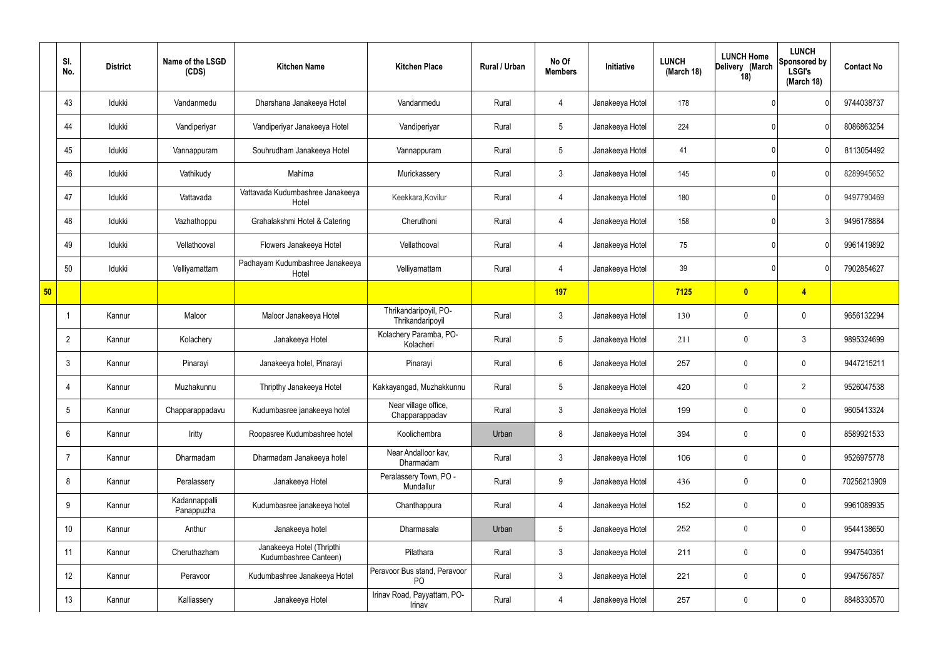|    | SI.<br>No.      | <b>District</b> | Name of the LSGD<br>(CDS)   | <b>Kitchen Name</b>                                | <b>Kitchen Place</b>                           | Rural / Urban | No Of<br><b>Members</b> | Initiative      | <b>LUNCH</b><br>(March 18) | <b>LUNCH Home</b><br>Delivery (March<br>18) | <b>LUNCH</b><br>Sponsored by<br><b>LSGI's</b><br>(March 18) | <b>Contact No</b> |
|----|-----------------|-----------------|-----------------------------|----------------------------------------------------|------------------------------------------------|---------------|-------------------------|-----------------|----------------------------|---------------------------------------------|-------------------------------------------------------------|-------------------|
|    | 43              | Idukki          | Vandanmedu                  | Dharshana Janakeeya Hotel                          | Vandanmedu                                     | Rural         | 4                       | Janakeeya Hotel | 178                        |                                             |                                                             | 9744038737        |
|    | 44              | Idukki          | Vandiperiyar                | Vandiperiyar Janakeeya Hotel                       | Vandiperiyar                                   | Rural         | $5\overline{)}$         | Janakeeya Hotel | 224                        |                                             |                                                             | 8086863254        |
|    | 45              | Idukki          | Vannappuram                 | Souhrudham Janakeeya Hotel                         | Vannappuram                                    | Rural         | $5\overline{)}$         | Janakeeya Hotel | 41                         |                                             | $\Omega$                                                    | 8113054492        |
|    | 46              | Idukki          | Vathikudy                   | Mahima                                             | Murickassery                                   | Rural         | $\mathbf{3}$            | Janakeeya Hotel | 145                        |                                             | $\mathsf{O}$                                                | 8289945652        |
|    | 47              | Idukki          | Vattavada                   | Vattavada Kudumbashree Janakeeya<br>Hotel          | Keekkara, Kovilur                              | Rural         | $\overline{4}$          | Janakeeya Hotel | 180                        |                                             | $\Omega$                                                    | 9497790469        |
|    | 48              | Idukki          | Vazhathoppu                 | Grahalakshmi Hotel & Catering                      | Cheruthoni                                     | Rural         | $\overline{4}$          | Janakeeya Hotel | 158                        |                                             | 3                                                           | 9496178884        |
|    | 49              | Idukki          | Vellathooval                | Flowers Janakeeya Hotel                            | Vellathooval                                   | Rural         | $\overline{4}$          | Janakeeya Hotel | 75                         |                                             | $\Omega$                                                    | 9961419892        |
|    | 50              | Idukki          | Velliyamattam               | Padhayam Kudumbashree Janakeeya<br>Hotel           | Velliyamattam                                  | Rural         | $\overline{4}$          | Janakeeya Hotel | 39                         |                                             | $\Omega$                                                    | 7902854627        |
| 50 |                 |                 |                             |                                                    |                                                |               | 197                     |                 | 7125                       | $\mathbf{0}$                                | $\overline{\mathbf{4}}$                                     |                   |
|    |                 | Kannur          | Maloor                      | Maloor Janakeeya Hotel                             | Thrikandaripoyil, PO-<br>Thrikandaripoyil      | Rural         | $\mathbf{3}$            | Janakeeya Hotel | 130                        | 0                                           | $\mathbf 0$                                                 | 9656132294        |
|    | $\overline{2}$  | Kannur          | Kolachery                   | Janakeeya Hotel                                    | Kolachery Paramba, PO-<br>Kolacheri            | Rural         | $5\phantom{.0}$         | Janakeeya Hotel | 211                        | $\mathbf 0$                                 | $\mathfrak{Z}$                                              | 9895324699        |
|    | 3               | Kannur          | Pinarayi                    | Janakeeya hotel, Pinarayi                          | Pinarayi                                       | Rural         | $6\overline{6}$         | Janakeeya Hotel | 257                        | 0                                           | $\boldsymbol{0}$                                            | 9447215211        |
|    | 4               | Kannur          | Muzhakunnu                  | Thripthy Janakeeya Hotel                           | Kakkayangad, Muzhakkunnu                       | Rural         | $5\phantom{.0}$         | Janakeeya Hotel | 420                        | 0                                           | $\overline{2}$                                              | 9526047538        |
|    | $5\overline{)}$ | Kannur          | Chapparappadavu             | Kudumbasree janakeeya hotel                        | Near village office,<br>Chapparappadav         | Rural         | $\mathbf{3}$            | Janakeeya Hotel | 199                        | 0                                           | $\mathbf 0$                                                 | 9605413324        |
|    | 6               | Kannur          | Iritty                      | Roopasree Kudumbashree hotel                       | Koolichembra                                   | Urban         | 8                       | Janakeeya Hotel | 394                        | 0                                           | $\mathbf 0$                                                 | 8589921533        |
|    | 7               | Kannur          | Dharmadam                   | Dharmadam Janakeeya hotel                          | Near Andalloor kav,<br><b>Dharmadam</b>        | Rural         | $\mathbf{3}$            | Janakeeya Hotel | 106                        | 0                                           | $\mathbf 0$                                                 | 9526975778        |
|    | 8               | Kannur          | Peralassery                 | Janakeeya Hotel                                    | Peralassery Town, PO -<br>Mundallur            | Rural         | 9                       | Janakeeya Hotel | 436                        | $\mathbf 0$                                 | $\mathbf 0$                                                 | 70256213909       |
|    | 9               | Kannur          | Kadannappalli<br>Panappuzha | Kudumbasree janakeeya hotel                        | Chanthappura                                   | Rural         | $\overline{4}$          | Janakeeya Hotel | 152                        | $\boldsymbol{0}$                            | $\mathbf 0$                                                 | 9961089935        |
|    | 10              | Kannur          | Anthur                      | Janakeeya hotel                                    | Dharmasala                                     | Urban         | $5\phantom{.0}$         | Janakeeya Hotel | 252                        | 0                                           | $\mathbf 0$                                                 | 9544138650        |
|    | 11              | Kannur          | Cheruthazham                | Janakeeya Hotel (Thripthi<br>Kudumbashree Canteen) | Pilathara                                      | Rural         | $\mathbf{3}$            | Janakeeya Hotel | 211                        | 0                                           | $\mathbf 0$                                                 | 9947540361        |
|    | 12              | Kannur          | Peravoor                    | Kudumbashree Janakeeya Hotel                       | Peravoor Bus stand, Peravoor<br>P <sub>O</sub> | Rural         | $\mathbf{3}$            | Janakeeya Hotel | 221                        | $\boldsymbol{0}$                            | $\mathbf 0$                                                 | 9947567857        |
|    | 13              | Kannur          | Kalliassery                 | Janakeeya Hotel                                    | Irinav Road, Payyattam, PO-<br>Irinav          | Rural         | 4                       | Janakeeya Hotel | 257                        | $\bf{0}$                                    | $\mathbf 0$                                                 | 8848330570        |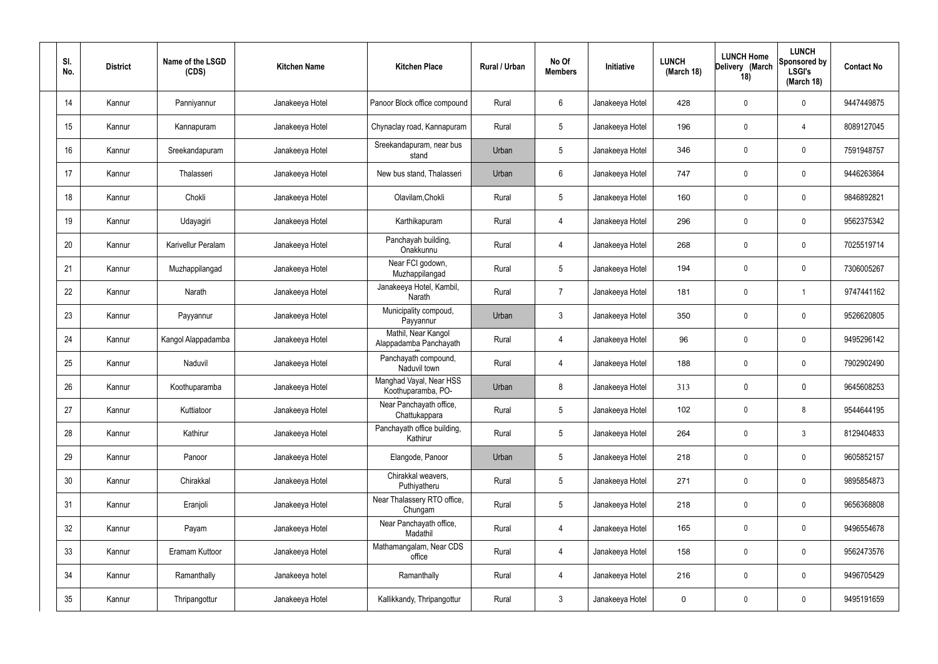| SI.<br>No. | <b>District</b> | Name of the LSGD<br>(CDS) | <b>Kitchen Name</b> | <b>Kitchen Place</b>                          | <b>Rural / Urban</b> | No Of<br><b>Members</b> | Initiative      | <b>LUNCH</b><br>(March 18) | <b>LUNCH Home</b><br>Delivery (March<br>18) | <b>LUNCH</b><br>Sponsored by<br><b>LSGI's</b><br>(March 18) | <b>Contact No</b> |
|------------|-----------------|---------------------------|---------------------|-----------------------------------------------|----------------------|-------------------------|-----------------|----------------------------|---------------------------------------------|-------------------------------------------------------------|-------------------|
| 14         | Kannur          | Panniyannur               | Janakeeya Hotel     | Panoor Block office compound                  | Rural                | 6                       | Janakeeya Hotel | 428                        | $\boldsymbol{0}$                            | $\mathbf 0$                                                 | 9447449875        |
| 15         | Kannur          | Kannapuram                | Janakeeya Hotel     | Chynaclay road, Kannapuram                    | Rural                | 5                       | Janakeeya Hotel | 196                        | $\boldsymbol{0}$                            | $\overline{4}$                                              | 8089127045        |
| 16         | Kannur          | Sreekandapuram            | Janakeeya Hotel     | Sreekandapuram, near bus<br>stand             | Urban                | 5                       | Janakeeya Hotel | 346                        | $\boldsymbol{0}$                            | $\mathbf 0$                                                 | 7591948757        |
| 17         | Kannur          | Thalasseri                | Janakeeya Hotel     | New bus stand, Thalasseri                     | Urban                | $6\overline{6}$         | Janakeeya Hotel | 747                        | $\boldsymbol{0}$                            | $\mathbf 0$                                                 | 9446263864        |
| 18         | Kannur          | Chokli                    | Janakeeya Hotel     | Olavilam, Chokli                              | Rural                | 5                       | Janakeeya Hotel | 160                        | $\boldsymbol{0}$                            | $\mathbf 0$                                                 | 9846892821        |
| 19         | Kannur          | Udayagiri                 | Janakeeya Hotel     | Karthikapuram                                 | Rural                | $\overline{4}$          | Janakeeya Hotel | 296                        | $\boldsymbol{0}$                            | $\mathbf 0$                                                 | 9562375342        |
| 20         | Kannur          | Karivellur Peralam        | Janakeeya Hotel     | Panchayah building,<br>Onakkunnu              | Rural                | $\overline{4}$          | Janakeeya Hotel | 268                        | $\boldsymbol{0}$                            | $\mathbf 0$                                                 | 7025519714        |
| 21         | Kannur          | Muzhappilangad            | Janakeeya Hotel     | Near FCI godown,<br>Muzhappilangad            | Rural                | 5                       | Janakeeya Hotel | 194                        | $\mathbf 0$                                 | $\mathbf 0$                                                 | 7306005267        |
| 22         | Kannur          | Narath                    | Janakeeya Hotel     | Janakeeya Hotel, Kambil,<br>Narath            | Rural                | $\overline{7}$          | Janakeeya Hotel | 181                        | $\boldsymbol{0}$                            |                                                             | 9747441162        |
| 23         | Kannur          | Payyannur                 | Janakeeya Hotel     | Municipality compoud,<br>Payyannur            | Urban                | 3                       | Janakeeya Hotel | 350                        | $\boldsymbol{0}$                            | $\mathbf 0$                                                 | 9526620805        |
| 24         | Kannur          | Kangol Alappadamba        | Janakeeya Hotel     | Mathil, Near Kangol<br>Alappadamba Panchayath | Rural                | $\overline{4}$          | Janakeeya Hotel | 96                         | $\boldsymbol{0}$                            | $\mathbf 0$                                                 | 9495296142        |
| 25         | Kannur          | Naduvil                   | Janakeeya Hotel     | Panchayath compound,<br>Naduvil town          | Rural                | $\overline{4}$          | Janakeeya Hotel | 188                        | $\boldsymbol{0}$                            | $\mathbf 0$                                                 | 7902902490        |
| 26         | Kannur          | Koothuparamba             | Janakeeya Hotel     | Manghad Vayal, Near HSS<br>Koothuparamba, PO- | Urban                | 8                       | Janakeeya Hotel | 313                        | $\mathbf 0$                                 | $\mathbf 0$                                                 | 9645608253        |
| 27         | Kannur          | Kuttiatoor                | Janakeeya Hotel     | Near Panchayath office,<br>Chattukappara      | Rural                | 5                       | Janakeeya Hotel | 102                        | $\mathbf 0$                                 | 8                                                           | 9544644195        |
| 28         | Kannur          | Kathirur                  | Janakeeya Hotel     | Panchayath office building,<br>Kathirur       | Rural                | 5 <sup>5</sup>          | Janakeeya Hotel | 264                        | $\overline{0}$                              | $\mathbf{3}$                                                | 8129404833        |
| 29         | Kannur          | Panoor                    | Janakeeya Hotel     | Elangode, Panoor                              | Urban                | $5\overline{)}$         | Janakeeya Hotel | 218                        | $\mathbf 0$                                 | $\mathbf 0$                                                 | 9605852157        |
| 30         | Kannur          | Chirakkal                 | Janakeeya Hotel     | Chirakkal weavers,<br>Puthiyatheru            | Rural                | 5                       | Janakeeya Hotel | 271                        | $\overline{0}$                              | $\boldsymbol{0}$                                            | 9895854873        |
| 31         | Kannur          | Eranjoli                  | Janakeeya Hotel     | Near Thalassery RTO office,<br>Chungam        | Rural                | 5                       | Janakeeya Hotel | 218                        | $\boldsymbol{0}$                            | $\boldsymbol{0}$                                            | 9656368808        |
| 32         | Kannur          | Payam                     | Janakeeya Hotel     | Near Panchayath office,<br>Madathil           | Rural                | $\overline{4}$          | Janakeeya Hotel | 165                        | $\overline{0}$                              | $\boldsymbol{0}$                                            | 9496554678        |
| 33         | Kannur          | Eramam Kuttoor            | Janakeeya Hotel     | Mathamangalam, Near CDS<br>office             | Rural                | $\overline{4}$          | Janakeeya Hotel | 158                        | $\mathbf 0$                                 | $\boldsymbol{0}$                                            | 9562473576        |
| 34         | Kannur          | Ramanthally               | Janakeeya hotel     | Ramanthally                                   | Rural                | $\overline{4}$          | Janakeeya Hotel | 216                        | $\overline{0}$                              | $\boldsymbol{0}$                                            | 9496705429        |
| $35\,$     | Kannur          | Thripangottur             | Janakeeya Hotel     | Kallikkandy, Thripangottur                    | Rural                | $\mathbf{3}$            | Janakeeya Hotel | 0                          | $\mathbf 0$                                 | $\mathbf 0$                                                 | 9495191659        |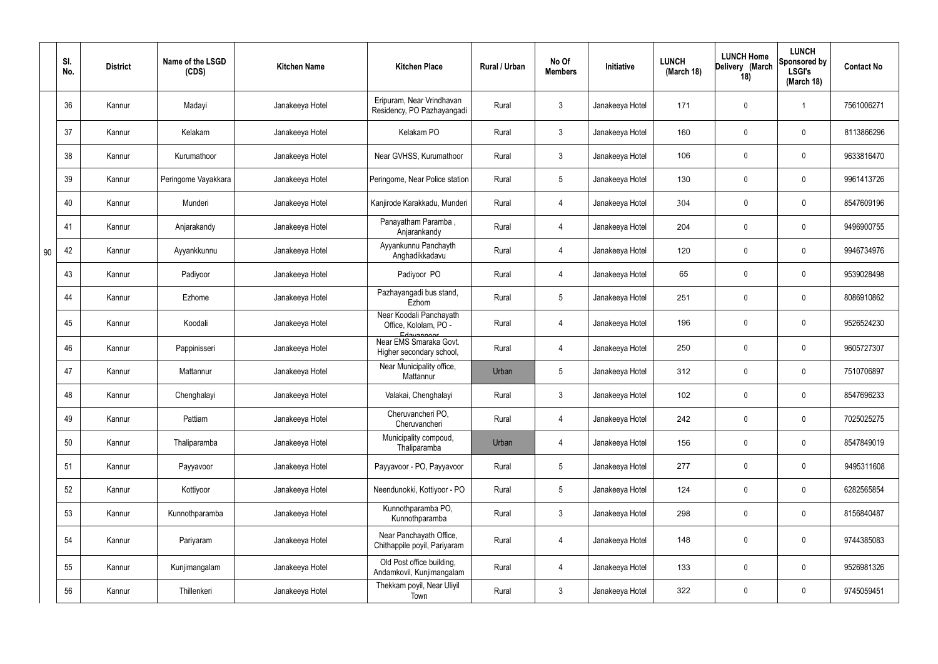|    | SI.<br>No. | <b>District</b> | Name of the LSGD<br>(CDS) | <b>Kitchen Name</b> | <b>Kitchen Place</b>                                           | Rural / Urban | No Of<br><b>Members</b> | Initiative      | <b>LUNCH</b><br>(March 18) | <b>LUNCH Home</b><br>Delivery (March<br>18) | <b>LUNCH</b><br>Sponsored by<br><b>LSGI's</b><br>(March 18) | <b>Contact No</b> |
|----|------------|-----------------|---------------------------|---------------------|----------------------------------------------------------------|---------------|-------------------------|-----------------|----------------------------|---------------------------------------------|-------------------------------------------------------------|-------------------|
|    | 36         | Kannur          | Madayi                    | Janakeeya Hotel     | Eripuram, Near Vrindhavan<br>Residency, PO Pazhayangadi        | Rural         | $\mathbf{3}$            | Janakeeya Hotel | 171                        | 0                                           | -1                                                          | 7561006271        |
|    | 37         | Kannur          | Kelakam                   | Janakeeya Hotel     | Kelakam PO                                                     | Rural         | $\mathbf{3}$            | Janakeeya Hotel | 160                        | 0                                           | $\mathbf 0$                                                 | 8113866296        |
|    | 38         | Kannur          | Kurumathoor               | Janakeeya Hotel     | Near GVHSS, Kurumathoor                                        | Rural         | $\mathbf{3}$            | Janakeeya Hotel | 106                        | 0                                           | $\boldsymbol{0}$                                            | 9633816470        |
|    | 39         | Kannur          | Peringome Vayakkara       | Janakeeya Hotel     | Peringome, Near Police station                                 | Rural         | $5\phantom{.0}$         | Janakeeya Hotel | 130                        | 0                                           | $\mathbf 0$                                                 | 9961413726        |
|    | 40         | Kannur          | Munderi                   | Janakeeya Hotel     | Kanjirode Karakkadu, Munderi                                   | Rural         | 4                       | Janakeeya Hotel | 304                        | 0                                           | $\mathbf 0$                                                 | 8547609196        |
|    | 41         | Kannur          | Anjarakandy               | Janakeeya Hotel     | Panayatham Paramba,<br>Anjarankandy                            | Rural         | 4                       | Janakeeya Hotel | 204                        | $\boldsymbol{0}$                            | $\mathbf 0$                                                 | 9496900755        |
| 90 | 42         | Kannur          | Ayyankkunnu               | Janakeeya Hotel     | Ayyankunnu Panchayth<br>Anghadikkadavu                         | Rural         | 4                       | Janakeeya Hotel | 120                        | $\mathbf 0$                                 | $\boldsymbol{0}$                                            | 9946734976        |
|    | 43         | Kannur          | Padiyoor                  | Janakeeya Hotel     | Padiyoor PO                                                    | Rural         | 4                       | Janakeeya Hotel | 65                         | $\boldsymbol{0}$                            | $\boldsymbol{0}$                                            | 9539028498        |
|    | 44         | Kannur          | Ezhome                    | Janakeeya Hotel     | Pazhayangadi bus stand,<br>Ezhom                               | Rural         | $5\phantom{.0}$         | Janakeeya Hotel | 251                        | $\boldsymbol{0}$                            | $\boldsymbol{0}$                                            | 8086910862        |
|    | 45         | Kannur          | Koodali                   | Janakeeya Hotel     | Near Koodali Panchayath<br>Office, Kololam, PO -<br>Edavannoor | Rural         | 4                       | Janakeeya Hotel | 196                        | 0                                           | $\boldsymbol{0}$                                            | 9526524230        |
|    | 46         | Kannur          | Pappinisseri              | Janakeeya Hotel     | Near EMS Smaraka Govt.<br>Higher secondary school,             | Rural         | 4                       | Janakeeya Hotel | 250                        | $\boldsymbol{0}$                            | $\mathbf 0$                                                 | 9605727307        |
|    | 47         | Kannur          | Mattannur                 | Janakeeya Hotel     | Near Municipality office,<br>Mattannur                         | Urban         | $\sqrt{5}$              | Janakeeya Hotel | 312                        | $\boldsymbol{0}$                            | $\mathbf 0$                                                 | 7510706897        |
|    | 48         | Kannur          | Chenghalayi               | Janakeeya Hotel     | Valakai, Chenghalayi                                           | Rural         | $\mathbf{3}$            | Janakeeya Hotel | 102                        | $\mathbf 0$                                 | $\boldsymbol{0}$                                            | 8547696233        |
|    | 49         | Kannur          | Pattiam                   | Janakeeya Hotel     | Cheruvancheri PO,<br>Cheruvancheri                             | Rural         | $\overline{4}$          | Janakeeya Hotel | 242                        | $\pmb{0}$                                   | $\mathbf 0$                                                 | 7025025275        |
|    | 50         | Kannur          | Thaliparamba              | Janakeeya Hotel     | Municipality compoud,<br>Thaliparamba                          | Urban         | $\overline{4}$          | Janakeeya Hotel | 156                        | $\pmb{0}$                                   | $\mathbf 0$                                                 | 8547849019        |
|    | 51         | Kannur          | Payyavoor                 | Janakeeya Hotel     | Payyavoor - PO, Payyavoor                                      | Rural         | $5\phantom{.0}$         | Janakeeya Hotel | 277                        | 0                                           | $\mathbf 0$                                                 | 9495311608        |
|    | 52         | Kannur          | Kottiyoor                 | Janakeeya Hotel     | Neendunokki, Kottiyoor - PO                                    | Rural         | $5\overline{)}$         | Janakeeya Hotel | 124                        | 0                                           | $\mathbf 0$                                                 | 6282565854        |
|    | 53         | Kannur          | Kunnothparamba            | Janakeeya Hotel     | Kunnothparamba PO,<br>Kunnothparamba                           | Rural         | $\mathbf{3}$            | Janakeeya Hotel | 298                        | 0                                           | $\mathbf 0$                                                 | 8156840487        |
|    | 54         | Kannur          | Pariyaram                 | Janakeeya Hotel     | Near Panchayath Office,<br>Chithappile poyil, Pariyaram        | Rural         | $\overline{4}$          | Janakeeya Hotel | 148                        | $\boldsymbol{0}$                            | $\pmb{0}$                                                   | 9744385083        |
|    | 55         | Kannur          | Kunjimangalam             | Janakeeya Hotel     | Old Post office building,<br>Andamkovil, Kunjimangalam         | Rural         | $\overline{4}$          | Janakeeya Hotel | 133                        | $\pmb{0}$                                   | $\mathbf 0$                                                 | 9526981326        |
|    | 56         | Kannur          | Thillenkeri               | Janakeeya Hotel     | Thekkam poyil, Near Uliyil<br>Town                             | Rural         | $\mathbf{3}$            | Janakeeya Hotel | 322                        | 0                                           | $\mathbf 0$                                                 | 9745059451        |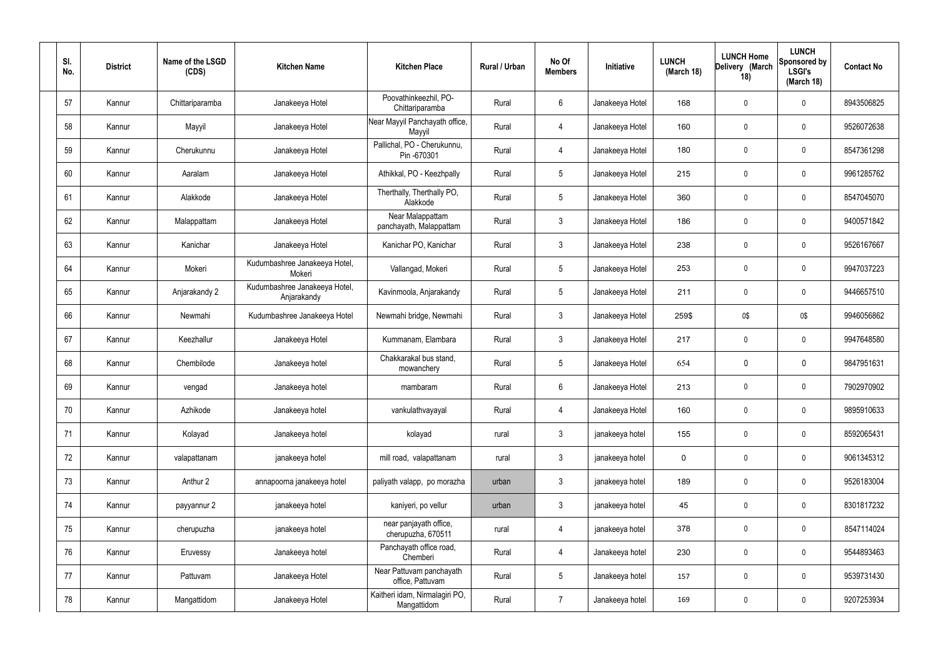| SI.<br>No. | <b>District</b> | Name of the LSGD<br>(CDS) | <b>Kitchen Name</b>                          | <b>Kitchen Place</b>                          | Rural / Urban | No Of<br><b>Members</b> | Initiative      | <b>LUNCH</b><br>(March 18) | <b>LUNCH Home</b><br>Delivery (March<br>18) | <b>LUNCH</b><br>Sponsored by<br><b>LSGI's</b><br>(March 18) | <b>Contact No</b> |
|------------|-----------------|---------------------------|----------------------------------------------|-----------------------------------------------|---------------|-------------------------|-----------------|----------------------------|---------------------------------------------|-------------------------------------------------------------|-------------------|
| 57         | Kannur          | Chittariparamba           | Janakeeya Hotel                              | Poovathinkeezhil, PO-<br>Chittariparamba      | Rural         | $6\phantom{.}6$         | Janakeeya Hotel | 168                        | 0                                           | $\mathbf 0$                                                 | 8943506825        |
| 58         | Kannur          | Mayyil                    | Janakeeya Hotel                              | Near Mayyil Panchayath office,<br>Mayyil      | Rural         | 4                       | Janakeeya Hotel | 160                        | 0                                           | $\mathbf 0$                                                 | 9526072638        |
| 59         | Kannur          | Cherukunnu                | Janakeeya Hotel                              | Pallichal, PO - Cherukunnu,<br>Pin -670301    | Rural         | $\overline{4}$          | Janakeeya Hotel | 180                        | 0                                           | $\mathbf 0$                                                 | 8547361298        |
| 60         | Kannur          | Aaralam                   | Janakeeya Hotel                              | Athikkal, PO - Keezhpally                     | Rural         | $5\phantom{.0}$         | Janakeeya Hotel | 215                        | 0                                           | $\mathbf 0$                                                 | 9961285762        |
| 61         | Kannur          | Alakkode                  | Janakeeya Hotel                              | Therthally, Therthally PO,<br>Alakkode        | Rural         | $5\overline{)}$         | Janakeeya Hotel | 360                        | 0                                           | $\mathbf 0$                                                 | 8547045070        |
| 62         | Kannur          | Malappattam               | Janakeeya Hotel                              | Near Malappattam<br>panchayath, Malappattam   | Rural         | $\mathbf{3}$            | Janakeeya Hotel | 186                        | 0                                           | $\mathbf 0$                                                 | 9400571842        |
| 63         | Kannur          | Kanichar                  | Janakeeya Hotel                              | Kanichar PO, Kanichar                         | Rural         | $\mathbf{3}$            | Janakeeya Hotel | 238                        | 0                                           | $\mathbf 0$                                                 | 9526167667        |
| 64         | Kannur          | Mokeri                    | Kudumbashree Janakeeya Hotel,<br>Mokeri      | Vallangad, Mokeri                             | Rural         | $5\overline{)}$         | Janakeeya Hotel | 253                        | 0                                           | $\mathbf 0$                                                 | 9947037223        |
| 65         | Kannur          | Anjarakandy 2             | Kudumbashree Janakeeya Hotel,<br>Anjarakandy | Kavinmoola, Anjarakandy                       | Rural         | $5\overline{)}$         | Janakeeya Hotel | 211                        | 0                                           | $\mathbf 0$                                                 | 9446657510        |
| 66         | Kannur          | Newmahi                   | Kudumbashree Janakeeya Hotel                 | Newmahi bridge, Newmahi                       | Rural         | $\mathbf{3}$            | Janakeeya Hotel | 259\$                      | 0\$                                         | 0\$                                                         | 9946056862        |
| 67         | Kannur          | Keezhallur                | Janakeeya Hotel                              | Kummanam, Elambara                            | Rural         | $\mathbf{3}$            | Janakeeya Hotel | 217                        | $\boldsymbol{0}$                            | $\mathbf 0$                                                 | 9947648580        |
| 68         | Kannur          | Chembilode                | Janakeeya hotel                              | Chakkarakal bus stand,<br>mowanchery          | Rural         | $5\overline{)}$         | Janakeeya Hotel | 654                        | $\mathbf 0$                                 | $\mathbf 0$                                                 | 9847951631        |
| 69         | Kannur          | vengad                    | Janakeeya hotel                              | mambaram                                      | Rural         | 6                       | Janakeeya Hotel | 213                        | 0                                           | $\mathbf 0$                                                 | 7902970902        |
| 70         | Kannur          | Azhikode                  | Janakeeya hotel                              | vankulathvayayal                              | Rural         | 4                       | Janakeeya Hotel | 160                        | $\boldsymbol{0}$                            | $\mathbf 0$                                                 | 9895910633        |
| 71         | Kannur          | Kolayad                   | Janakeeya hotel                              | kolayad                                       | rural         | $\mathbf{3}$            | janakeeya hotel | 155                        | $\pmb{0}$                                   | $\mathbf 0$                                                 | 8592065431        |
| 72         | Kannur          | valapattanam              | janakeeya hotel                              | mill road, valapattanam                       | rural         | $\mathbf{3}$            | janakeeya hotel | $\pmb{0}$                  | $\pmb{0}$                                   | $\mathbf 0$                                                 | 9061345312        |
| 73         | Kannur          | Anthur 2                  | annapoorna janakeeya hotel                   | paliyath valapp, po morazha                   | urban         | $\mathbf{3}$            | janakeeya hotel | 189                        | $\pmb{0}$                                   | $\mathbf 0$                                                 | 9526183004        |
| 74         | Kannur          | payyannur 2               | janakeeya hotel                              | kaniyeri, po vellur                           | urban         | $\mathfrak{Z}$          | janakeeya hotel | 45                         | $\pmb{0}$                                   | $\mathbf 0$                                                 | 8301817232        |
| 75         | Kannur          | cherupuzha                | janakeeya hotel                              | near panjayath office,<br>cherupuzha, 670511  | rural         | $\overline{4}$          | janakeeya hotel | 378                        | $\pmb{0}$                                   | $\mathbf 0$                                                 | 8547114024        |
| 76         | Kannur          | Eruvessy                  | Janakeeya hotel                              | Panchayath office road,<br>Chemberi           | Rural         | $\overline{4}$          | Janakeeya hotel | 230                        | $\pmb{0}$                                   | $\mathbf 0$                                                 | 9544893463        |
| 77         | Kannur          | Pattuvam                  | Janakeeya Hotel                              | Near Pattuvam panchayath<br>office, Pattuvam  | Rural         | $5\overline{)}$         | Janakeeya hotel | 157                        | $\pmb{0}$                                   | $\mathbf 0$                                                 | 9539731430        |
| 78         | Kannur          | Mangattidom               | Janakeeya Hotel                              | Kaitheri idam, Nirmalagiri PO,<br>Mangattidom | Rural         | $\overline{7}$          | Janakeeya hotel | 169                        | $\pmb{0}$                                   | $\overline{0}$                                              | 9207253934        |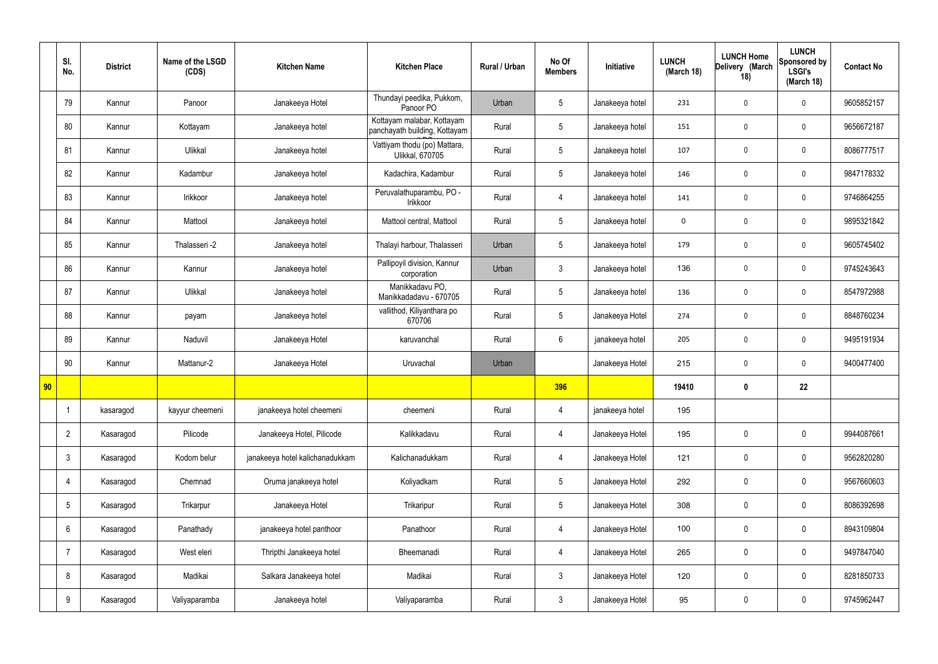|    | SI.<br>No.      | <b>District</b> | Name of the LSGD<br>(CDS) | <b>Kitchen Name</b>             | <b>Kitchen Place</b>                                        | Rural / Urban | No Of<br><b>Members</b> | Initiative      | <b>LUNCH</b><br>(March 18) | <b>LUNCH Home</b><br>Delivery (March<br>18) | <b>LUNCH</b><br>Sponsored by<br><b>LSGI's</b><br>(March 18) | <b>Contact No</b> |
|----|-----------------|-----------------|---------------------------|---------------------------------|-------------------------------------------------------------|---------------|-------------------------|-----------------|----------------------------|---------------------------------------------|-------------------------------------------------------------|-------------------|
|    | 79              | Kannur          | Panoor                    | Janakeeya Hotel                 | Thundayi peedika, Pukkom,<br>Panoor PO                      | Urban         | $5\phantom{.0}$         | Janakeeya hotel | 231                        | $\mathbf 0$                                 | $\mathbf 0$                                                 | 9605852157        |
|    | 80              | Kannur          | Kottayam                  | Janakeeya hotel                 | Kottayam malabar, Kottayam<br>panchayath building, Kottayam | Rural         | $5\phantom{.0}$         | Janakeeya hotel | 151                        | $\mathbf 0$                                 | $\mathbf 0$                                                 | 9656672187        |
|    | 81              | Kannur          | Ulikkal                   | Janakeeya hotel                 | Vattiyam thodu (po) Mattara,<br><b>Ulikkal, 670705</b>      | Rural         | $5\phantom{.0}$         | Janakeeya hotel | 107                        | $\mathbf 0$                                 | $\mathbf 0$                                                 | 8086777517        |
|    | 82              | Kannur          | Kadambur                  | Janakeeya hotel                 | Kadachira, Kadambur                                         | Rural         | $5\overline{)}$         | Janakeeya hotel | 146                        | $\mathbf 0$                                 | $\mathbf 0$                                                 | 9847178332        |
|    | 83              | Kannur          | Irikkoor                  | Janakeeya hotel                 | Peruvalathuparambu, PO -<br>Irikkoor                        | Rural         | $\overline{4}$          | Janakeeya hotel | 141                        | $\mathbf 0$                                 | $\mathbf 0$                                                 | 9746864255        |
|    | 84              | Kannur          | Mattool                   | Janakeeya hotel                 | Mattool central, Mattool                                    | Rural         | $5\phantom{.0}$         | Janakeeya hotel | $\mathbf 0$                | $\mathbf 0$                                 | $\mathbf 0$                                                 | 9895321842        |
|    | 85              | Kannur          | Thalasseri -2             | Janakeeya hotel                 | Thalayi harbour, Thalasseri                                 | Urban         | $5\phantom{.0}$         | Janakeeya hotel | 179                        | $\mathbf 0$                                 | $\mathbf 0$                                                 | 9605745402        |
|    | 86              | Kannur          | Kannur                    | Janakeeya hotel                 | Pallipoyil division, Kannur<br>corporation                  | Urban         | $\mathbf{3}$            | Janakeeya hotel | 136                        | $\mathbf 0$                                 | $\mathbf 0$                                                 | 9745243643        |
|    | 87              | Kannur          | Ulikkal                   | Janakeeya hotel                 | Manikkadavu PO,<br>Manikkadadavu - 670705                   | Rural         | $5\phantom{.0}$         | Janakeeya hotel | 136                        | $\mathbf 0$                                 | $\mathbf 0$                                                 | 8547972988        |
|    | 88              | Kannur          | payam                     | Janakeeya hotel                 | vallithod, Kiliyanthara po<br>670706                        | Rural         | $5\phantom{.0}$         | Janakeeya Hotel | 274                        | $\mathbf 0$                                 | $\mathbf 0$                                                 | 8848760234        |
|    | 89              | Kannur          | Naduvil                   | Janakeeya Hotel                 | karuvanchal                                                 | Rural         | $6\overline{6}$         | janakeeya hotel | 205                        | $\mathbf 0$                                 | $\mathbf 0$                                                 | 9495191934        |
|    | 90              | Kannur          | Mattanur-2                | Janakeeya Hotel                 | Uruvachal                                                   | Urban         |                         | Janakeeya Hotel | 215                        | $\mathbf 0$                                 | $\mathbf 0$                                                 | 9400477400        |
| 90 |                 |                 |                           |                                 |                                                             |               | 396                     |                 | 19410                      | $\mathbf 0$                                 | 22                                                          |                   |
|    |                 | kasaragod       | kayyur cheemeni           | janakeeya hotel cheemeni        | cheemeni                                                    | Rural         | 4                       | janakeeya hotel | 195                        |                                             |                                                             |                   |
|    | $\overline{2}$  | Kasaragod       | Pilicode                  | Janakeeya Hotel, Pilicode       | Kalikkadavu                                                 | Rural         | 4                       | Janakeeya Hotel | 195                        | $\pmb{0}$                                   | $\mathbf 0$                                                 | 9944087661        |
|    | $\mathfrak{Z}$  | Kasaragod       | Kodom belur               | janakeeya hotel kalichanadukkam | Kalichanadukkam                                             | Rural         | $\overline{4}$          | Janakeeya Hotel | 121                        | $\pmb{0}$                                   | $\mathbf 0$                                                 | 9562820280        |
|    | $\overline{4}$  | Kasaragod       | Chemnad                   | Oruma janakeeya hotel           | Koliyadkam                                                  | Rural         | $5\phantom{.0}$         | Janakeeya Hotel | 292                        | $\pmb{0}$                                   | $\mathbf 0$                                                 | 9567660603        |
|    | $5\phantom{.0}$ | Kasaragod       | Trikarpur                 | Janakeeya Hotel                 | Trikaripur                                                  | Rural         | $5\phantom{.0}$         | Janakeeya Hotel | 308                        | $\pmb{0}$                                   | $\mathbf 0$                                                 | 8086392698        |
|    | 6               | Kasaragod       | Panathady                 | janakeeya hotel panthoor        | Panathoor                                                   | Rural         | $\overline{4}$          | Janakeeya Hotel | 100                        | $\pmb{0}$                                   | $\mathbf 0$                                                 | 8943109804        |
|    | $\overline{7}$  | Kasaragod       | West eleri                | Thripthi Janakeeya hotel        | Bheemanadi                                                  | Rural         | 4                       | Janakeeya Hotel | 265                        | $\pmb{0}$                                   | $\mathbf 0$                                                 | 9497847040        |
|    | 8               | Kasaragod       | Madikai                   | Salkara Janakeeya hotel         | Madikai                                                     | Rural         | $\mathfrak{Z}$          | Janakeeya Hotel | 120                        | $\pmb{0}$                                   | $\mathbf 0$                                                 | 8281850733        |
|    | 9               | Kasaragod       | Valiyaparamba             | Janakeeya hotel                 | Valiyaparamba                                               | Rural         | $3\phantom{.0}$         | Janakeeya Hotel | 95                         | $\pmb{0}$                                   | $\boldsymbol{0}$                                            | 9745962447        |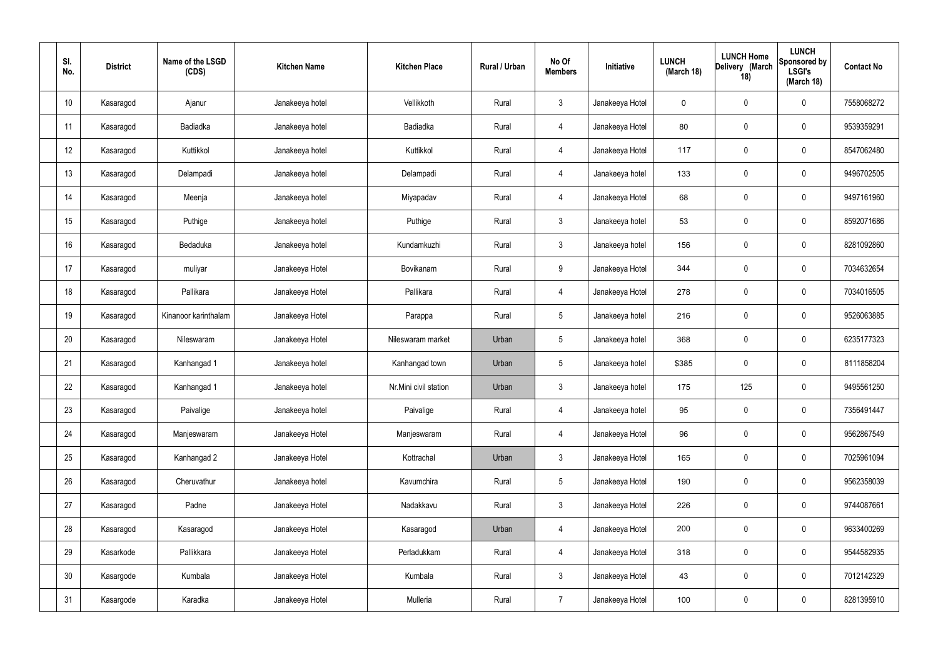| SI.<br>No.      | <b>District</b> | Name of the LSGD<br>(CDS) | <b>Kitchen Name</b> | <b>Kitchen Place</b>  | Rural / Urban | No Of<br><b>Members</b> | Initiative      | <b>LUNCH</b><br>(March 18) | <b>LUNCH Home</b><br>Delivery (March<br>18) | <b>LUNCH</b><br>Sponsored by<br><b>LSGI's</b><br>(March 18) | <b>Contact No</b> |
|-----------------|-----------------|---------------------------|---------------------|-----------------------|---------------|-------------------------|-----------------|----------------------------|---------------------------------------------|-------------------------------------------------------------|-------------------|
| 10              | Kasaragod       | Ajanur                    | Janakeeya hotel     | Vellikkoth            | Rural         | $\mathbf{3}$            | Janakeeya Hotel | $\mathbf 0$                | $\mathbf 0$                                 | $\mathbf 0$                                                 | 7558068272        |
| 11              | Kasaragod       | Badiadka                  | Janakeeya hotel     | Badiadka              | Rural         | $\overline{4}$          | Janakeeya Hotel | 80                         | $\pmb{0}$                                   | $\mathbf 0$                                                 | 9539359291        |
| 12              | Kasaragod       | Kuttikkol                 | Janakeeya hotel     | Kuttikkol             | Rural         | $\overline{4}$          | Janakeeya Hotel | 117                        | $\pmb{0}$                                   | $\mathbf 0$                                                 | 8547062480        |
| 13              | Kasaragod       | Delampadi                 | Janakeeya hotel     | Delampadi             | Rural         | $\overline{4}$          | Janakeeya hotel | 133                        | $\pmb{0}$                                   | $\mathbf 0$                                                 | 9496702505        |
| 14              | Kasaragod       | Meenja                    | Janakeeya hotel     | Miyapadav             | Rural         | $\overline{4}$          | Janakeeya Hotel | 68                         | $\pmb{0}$                                   | $\mathbf 0$                                                 | 9497161960        |
| 15              | Kasaragod       | Puthige                   | Janakeeya hotel     | Puthige               | Rural         | $\mathbf{3}$            | Janakeeya hotel | 53                         | $\pmb{0}$                                   | $\mathbf 0$                                                 | 8592071686        |
| 16              | Kasaragod       | Bedaduka                  | Janakeeya hotel     | Kundamkuzhi           | Rural         | $\mathbf{3}$            | Janakeeya hotel | 156                        | $\pmb{0}$                                   | $\mathbf 0$                                                 | 8281092860        |
| 17              | Kasaragod       | muliyar                   | Janakeeya Hotel     | Bovikanam             | Rural         | 9                       | Janakeeya Hotel | 344                        | $\pmb{0}$                                   | $\mathbf 0$                                                 | 7034632654        |
| 18              | Kasaragod       | Pallikara                 | Janakeeya Hotel     | Pallikara             | Rural         | $\overline{4}$          | Janakeeya Hotel | 278                        | $\pmb{0}$                                   | $\mathbf 0$                                                 | 7034016505        |
| 19              | Kasaragod       | Kinanoor karinthalam      | Janakeeya Hotel     | Parappa               | Rural         | $5\overline{)}$         | Janakeeya hotel | 216                        | $\pmb{0}$                                   | $\mathbf 0$                                                 | 9526063885        |
| 20              | Kasaragod       | Nileswaram                | Janakeeya Hotel     | Nileswaram market     | Urban         | $\overline{5}$          | Janakeeya hotel | 368                        | $\pmb{0}$                                   | $\mathbf 0$                                                 | 6235177323        |
| 21              | Kasaragod       | Kanhangad 1               | Janakeeya hotel     | Kanhangad town        | Urban         | $5\phantom{.0}$         | Janakeeya hotel | \$385                      | $\pmb{0}$                                   | $\mathbf 0$                                                 | 8111858204        |
| 22              | Kasaragod       | Kanhangad 1               | Janakeeya hotel     | Nr.Mini civil station | Urban         | $\mathfrak{Z}$          | Janakeeya hotel | 175                        | 125                                         | $\mathbf 0$                                                 | 9495561250        |
| 23              | Kasaragod       | Paivalige                 | Janakeeya hotel     | Paivalige             | Rural         | $\overline{4}$          | Janakeeya hotel | 95                         | $\pmb{0}$                                   | $\mathbf 0$                                                 | 7356491447        |
| 24              | Kasaragod       | Manjeswaram               | Janakeeya Hotel     | Manjeswaram           | Rural         | $\overline{4}$          | Janakeeya Hotel | 96                         | $\pmb{0}$                                   | $\mathbf 0$                                                 | 9562867549        |
| 25              | Kasaragod       | Kanhangad 2               | Janakeeya Hotel     | Kottrachal            | Urban         | $\mathbf{3}$            | Janakeeya Hotel | 165                        | $\pmb{0}$                                   | $\mathbf 0$                                                 | 7025961094        |
| 26              | Kasaragod       | Cheruvathur               | Janakeeya hotel     | Kavumchira            | Rural         | $5\phantom{.0}$         | Janakeeya Hotel | 190                        | $\pmb{0}$                                   | $\mathbf 0$                                                 | 9562358039        |
| 27              | Kasaragod       | Padne                     | Janakeeya Hotel     | Nadakkavu             | Rural         | $\mathbf{3}$            | Janakeeya Hotel | 226                        | $\pmb{0}$                                   | $\mathbf 0$                                                 | 9744087661        |
| 28              | Kasaragod       | Kasaragod                 | Janakeeya Hotel     | Kasaragod             | Urban         | $\overline{4}$          | Janakeeya Hotel | 200                        | $\pmb{0}$                                   | $\mathbf 0$                                                 | 9633400269        |
| 29              | Kasarkode       | Pallikkara                | Janakeeya Hotel     | Perladukkam           | Rural         | $\overline{4}$          | Janakeeya Hotel | 318                        | $\pmb{0}$                                   | $\mathbf 0$                                                 | 9544582935        |
| 30 <sup>°</sup> | Kasargode       | Kumbala                   | Janakeeya Hotel     | Kumbala               | Rural         | $\mathbf{3}$            | Janakeeya Hotel | 43                         | $\pmb{0}$                                   | $\mathbf 0$                                                 | 7012142329        |
| 31              | Kasargode       | Karadka                   | Janakeeya Hotel     | Mulleria              | Rural         | $\overline{7}$          | Janakeeya Hotel | 100                        | $\pmb{0}$                                   | $\boldsymbol{0}$                                            | 8281395910        |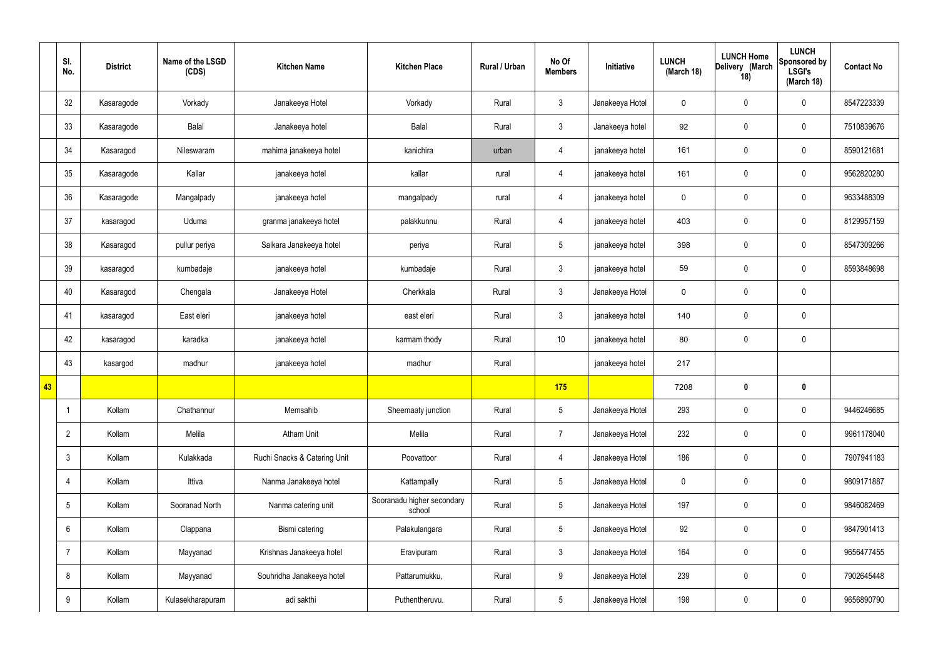|    | SI.<br>No.           | <b>District</b> | Name of the LSGD<br>(CDS) | <b>Kitchen Name</b>          | <b>Kitchen Place</b>                 | Rural / Urban | No Of<br><b>Members</b> | Initiative      | <b>LUNCH</b><br>(March 18) | <b>LUNCH Home</b><br>Delivery (March<br>18) | <b>LUNCH</b><br>Sponsored by<br><b>LSGI's</b><br>(March 18) | <b>Contact No</b> |
|----|----------------------|-----------------|---------------------------|------------------------------|--------------------------------------|---------------|-------------------------|-----------------|----------------------------|---------------------------------------------|-------------------------------------------------------------|-------------------|
|    | 32                   | Kasaragode      | Vorkady                   | Janakeeya Hotel              | Vorkady                              | Rural         | 3                       | Janakeeya Hotel | $\mathbf 0$                | $\pmb{0}$                                   | $\mathbf 0$                                                 | 8547223339        |
|    | 33                   | Kasaragode      | Balal                     | Janakeeya hotel              | Balal                                | Rural         | 3                       | Janakeeya hotel | 92                         | $\mathbf 0$                                 | $\mathbf 0$                                                 | 7510839676        |
|    | 34                   | Kasaragod       | Nileswaram                | mahima janakeeya hotel       | kanichira                            | urban         | 4                       | janakeeya hotel | 161                        | $\pmb{0}$                                   | $\mathbf 0$                                                 | 8590121681        |
|    | 35                   | Kasaragode      | Kallar                    | janakeeya hotel              | kallar                               | rural         | $\overline{4}$          | janakeeya hotel | 161                        | $\pmb{0}$                                   | $\mathbf 0$                                                 | 9562820280        |
|    | 36                   | Kasaragode      | Mangalpady                | janakeeya hotel              | mangalpady                           | rural         | 4                       | janakeeya hotel | 0                          | $\pmb{0}$                                   | $\mathbf 0$                                                 | 9633488309        |
|    | 37                   | kasaragod       | Uduma                     | granma janakeeya hotel       | palakkunnu                           | Rural         | $\overline{4}$          | janakeeya hotel | 403                        | $\pmb{0}$                                   | $\mathbf 0$                                                 | 8129957159        |
|    | 38                   | Kasaragod       | pullur periya             | Salkara Janakeeya hotel      | periya                               | Rural         | $5\overline{)}$         | janakeeya hotel | 398                        | $\pmb{0}$                                   | $\mathbf 0$                                                 | 8547309266        |
|    | 39                   | kasaragod       | kumbadaje                 | janakeeya hotel              | kumbadaje                            | Rural         | 3                       | janakeeya hotel | 59                         | $\pmb{0}$                                   | $\mathbf 0$                                                 | 8593848698        |
|    | 40                   | Kasaragod       | Chengala                  | Janakeeya Hotel              | Cherkkala                            | Rural         | 3                       | Janakeeya Hotel | $\mathbf 0$                | $\pmb{0}$                                   | $\mathbf 0$                                                 |                   |
|    | 41                   | kasaragod       | East eleri                | janakeeya hotel              | east eleri                           | Rural         | $3\phantom{a}$          | janakeeya hotel | 140                        | $\pmb{0}$                                   | $\mathbf 0$                                                 |                   |
|    | 42                   | kasaragod       | karadka                   | janakeeya hotel              | karmam thody                         | Rural         | 10                      | janakeeya hotel | 80                         | $\pmb{0}$                                   | $\mathbf 0$                                                 |                   |
|    | 43                   | kasargod        | madhur                    | janakeeya hotel              | madhur                               | Rural         |                         | janakeeya hotel | 217                        |                                             |                                                             |                   |
| 43 |                      |                 |                           |                              |                                      |               | 175                     |                 | 7208                       | $\bf{0}$                                    | $\boldsymbol{0}$                                            |                   |
|    | $\blacktriangleleft$ | Kollam          | Chathannur                | Memsahib                     | Sheemaaty junction                   | Rural         | 5 <sup>5</sup>          | Janakeeya Hotel | 293                        | $\mathbf 0$                                 | $\mathbf 0$                                                 | 9446246685        |
|    | $\overline{2}$       | Kollam          | Melila                    | <b>Atham Unit</b>            | Melila                               | Rural         | $\overline{7}$          | Janakeeya Hotel | 232                        | $\pmb{0}$                                   | $\mathbf 0$                                                 | 9961178040        |
|    | $\mathbf{3}$         | Kollam          | Kulakkada                 | Ruchi Snacks & Catering Unit | Poovattoor                           | Rural         | $\overline{4}$          | Janakeeya Hotel | 186                        | $\pmb{0}$                                   | $\mathbf 0$                                                 | 7907941183        |
|    | 4                    | Kollam          | Ittiva                    | Nanma Janakeeya hotel        | Kattampally                          | Rural         | $5\overline{)}$         | Janakeeya Hotel | $\mathbf 0$                | $\pmb{0}$                                   | $\mathbf 0$                                                 | 9809171887        |
|    | 5                    | Kollam          | Sooranad North            | Nanma catering unit          | Sooranadu higher secondary<br>school | Rural         | 5 <sub>5</sub>          | Janakeeya Hotel | 197                        | $\pmb{0}$                                   | $\mathbf 0$                                                 | 9846082469        |
|    | 6                    | Kollam          | Clappana                  | Bismi catering               | Palakulangara                        | Rural         | 5 <sup>5</sup>          | Janakeeya Hotel | 92                         | $\pmb{0}$                                   | $\mathbf 0$                                                 | 9847901413        |
|    | $\overline{7}$       | Kollam          | Mayyanad                  | Krishnas Janakeeya hotel     | Eravipuram                           | Rural         | $3\phantom{a}$          | Janakeeya Hotel | 164                        | $\pmb{0}$                                   | $\mathbf 0$                                                 | 9656477455        |
|    | 8                    | Kollam          | Mayyanad                  | Souhridha Janakeeya hotel    | Pattarumukku,                        | Rural         | 9                       | Janakeeya Hotel | 239                        | $\pmb{0}$                                   | $\mathbf 0$                                                 | 7902645448        |
|    | 9                    | Kollam          | Kulasekharapuram          | adi sakthi                   | Puthentheruvu.                       | Rural         | 5 <sub>5</sub>          | Janakeeya Hotel | 198                        | $\pmb{0}$                                   | $\boldsymbol{0}$                                            | 9656890790        |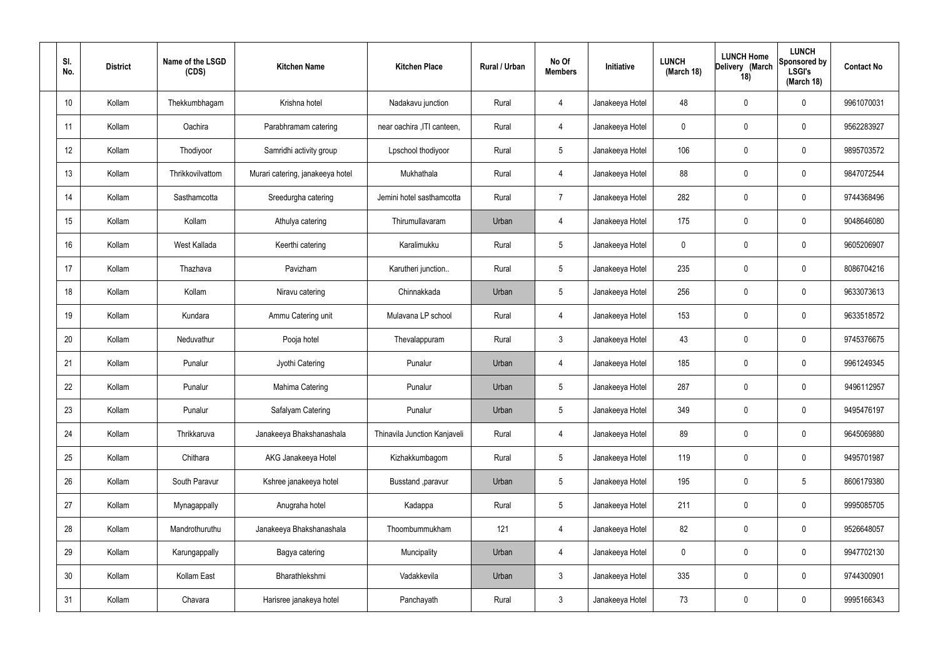| SI.<br>No. | <b>District</b> | Name of the LSGD<br>(CDS) | <b>Kitchen Name</b>              | <b>Kitchen Place</b>         | Rural / Urban | No Of<br><b>Members</b> | Initiative      | <b>LUNCH</b><br>(March 18) | <b>LUNCH Home</b><br>Delivery (March<br>18) | <b>LUNCH</b><br>Sponsored by<br><b>LSGI's</b><br>(March 18) | <b>Contact No</b> |
|------------|-----------------|---------------------------|----------------------------------|------------------------------|---------------|-------------------------|-----------------|----------------------------|---------------------------------------------|-------------------------------------------------------------|-------------------|
| 10         | Kollam          | Thekkumbhagam             | Krishna hotel                    | Nadakavu junction            | Rural         | 4                       | Janakeeya Hotel | 48                         | 0                                           | $\mathbf 0$                                                 | 9961070031        |
| 11         | Kollam          | Oachira                   | Parabhramam catering             | near oachira , ITI canteen,  | Rural         | $\overline{4}$          | Janakeeya Hotel | $\mathbf 0$                | $\mathbf 0$                                 | $\mathbf 0$                                                 | 9562283927        |
| 12         | Kollam          | Thodiyoor                 | Samridhi activity group          | Lpschool thodiyoor           | Rural         | $5\phantom{.0}$         | Janakeeya Hotel | 106                        | 0                                           | $\mathbf 0$                                                 | 9895703572        |
| 13         | Kollam          | Thrikkovilvattom          | Murari catering, janakeeya hotel | Mukhathala                   | Rural         | $\overline{4}$          | Janakeeya Hotel | 88                         | $\mathbf 0$                                 | $\mathbf 0$                                                 | 9847072544        |
| 14         | Kollam          | Sasthamcotta              | Sreedurgha catering              | Jemini hotel sasthamcotta    | Rural         | $\overline{7}$          | Janakeeya Hotel | 282                        | $\mathbf 0$                                 | $\mathbf 0$                                                 | 9744368496        |
| 15         | Kollam          | Kollam                    | Athulya catering                 | Thirumullavaram              | Urban         | $\overline{4}$          | Janakeeya Hotel | 175                        | $\mathbf 0$                                 | $\mathbf 0$                                                 | 9048646080        |
| 16         | Kollam          | West Kallada              | Keerthi catering                 | Karalimukku                  | Rural         | $5\overline{)}$         | Janakeeya Hotel | $\mathbf 0$                | $\mathbf 0$                                 | $\mathbf 0$                                                 | 9605206907        |
| 17         | Kollam          | Thazhava                  | Pavizham                         | Karutheri junction           | Rural         | $5\phantom{.0}$         | Janakeeya Hotel | 235                        | $\mathbf 0$                                 | $\mathbf 0$                                                 | 8086704216        |
| 18         | Kollam          | Kollam                    | Niravu catering                  | Chinnakkada                  | Urban         | $5\phantom{.0}$         | Janakeeya Hotel | 256                        | $\mathbf 0$                                 | $\mathbf 0$                                                 | 9633073613        |
| 19         | Kollam          | Kundara                   | Ammu Catering unit               | Mulavana LP school           | Rural         | 4                       | Janakeeya Hotel | 153                        | $\boldsymbol{0}$                            | $\mathbf 0$                                                 | 9633518572        |
| 20         | Kollam          | Neduvathur                | Pooja hotel                      | Thevalappuram                | Rural         | $\mathbf{3}$            | Janakeeya Hotel | 43                         | 0                                           | $\mathbf 0$                                                 | 9745376675        |
| 21         | Kollam          | Punalur                   | Jyothi Catering                  | Punalur                      | Urban         | 4                       | Janakeeya Hotel | 185                        | 0                                           | $\mathbf 0$                                                 | 9961249345        |
| 22         | Kollam          | Punalur                   | Mahima Catering                  | Punalur                      | Urban         | $5\phantom{.0}$         | Janakeeya Hotel | 287                        | 0                                           | $\mathbf 0$                                                 | 9496112957        |
| 23         | Kollam          | Punalur                   | Safalyam Catering                | Punalur                      | Urban         | $5\phantom{.0}$         | Janakeeya Hotel | 349                        | $\mathbf 0$                                 | $\mathbf 0$                                                 | 9495476197        |
| 24         | Kollam          | Thrikkaruva               | Janakeeya Bhakshanashala         | Thinavila Junction Kanjaveli | Rural         | $\overline{4}$          | Janakeeya Hotel | 89                         | $\mathbf 0$                                 | $\mathbf 0$                                                 | 9645069880        |
| 25         | Kollam          | Chithara                  | AKG Janakeeya Hotel              | Kizhakkumbagom               | Rural         | $5\phantom{.0}$         | Janakeeya Hotel | 119                        | 0                                           | $\mathbf 0$                                                 | 9495701987        |
| 26         | Kollam          | South Paravur             | Kshree janakeeya hotel           | Busstand , paravur           | Urban         | $5\phantom{.0}$         | Janakeeya Hotel | 195                        | 0                                           | $5\phantom{.0}$                                             | 8606179380        |
| 27         | Kollam          | Mynagappally              | Anugraha hotel                   | Kadappa                      | Rural         | $5\phantom{.0}$         | Janakeeya Hotel | 211                        | 0                                           | $\mathbf 0$                                                 | 9995085705        |
| 28         | Kollam          | Mandrothuruthu            | Janakeeya Bhakshanashala         | Thoombummukham               | 121           | $\overline{4}$          | Janakeeya Hotel | 82                         | 0                                           | $\mathbf 0$                                                 | 9526648057        |
| 29         | Kollam          | Karungappally             | Bagya catering                   | Muncipality                  | Urban         | 4                       | Janakeeya Hotel | $\pmb{0}$                  | 0                                           | $\mathbf 0$                                                 | 9947702130        |
| 30         | Kollam          | Kollam East               | Bharathlekshmi                   | Vadakkevila                  | Urban         | $\mathbf{3}$            | Janakeeya Hotel | 335                        | 0                                           | $\mathbf 0$                                                 | 9744300901        |
| 31         | Kollam          | Chavara                   | Harisree janakeya hotel          | Panchayath                   | Rural         | $\mathfrak{Z}$          | Janakeeya Hotel | 73                         | 0                                           | $\mathbf 0$                                                 | 9995166343        |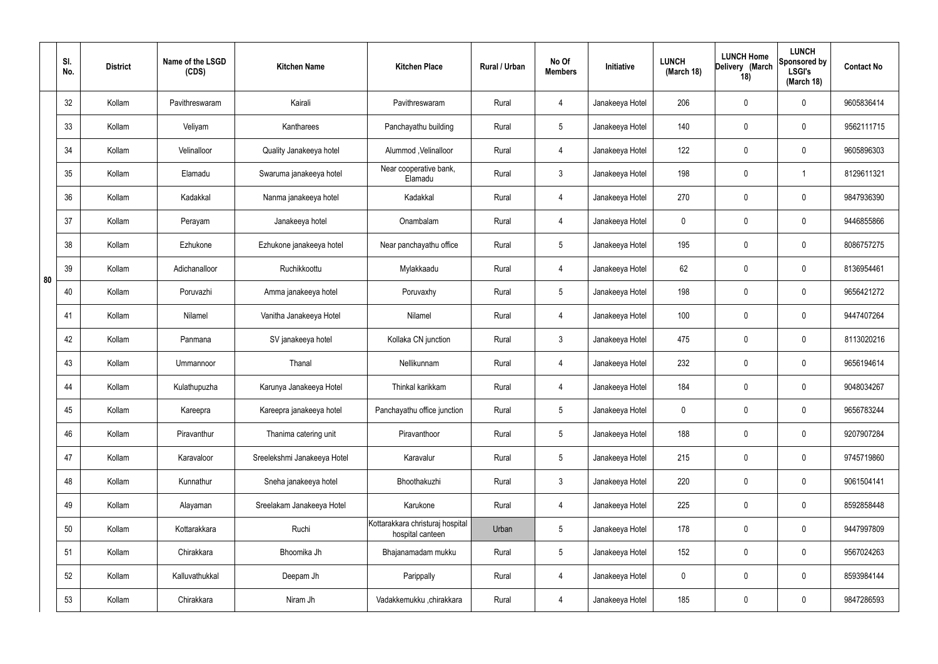|    | SI.<br>No. | <b>District</b> | Name of the LSGD<br>(CDS) | <b>Kitchen Name</b>         | <b>Kitchen Place</b>                                 | Rural / Urban | No Of<br><b>Members</b> | Initiative      | <b>LUNCH</b><br>(March 18) | <b>LUNCH Home</b><br>Delivery (March<br>18) | <b>LUNCH</b><br>Sponsored by<br><b>LSGI's</b><br>(March 18) | <b>Contact No</b> |
|----|------------|-----------------|---------------------------|-----------------------------|------------------------------------------------------|---------------|-------------------------|-----------------|----------------------------|---------------------------------------------|-------------------------------------------------------------|-------------------|
|    | 32         | Kollam          | Pavithreswaram            | Kairali                     | Pavithreswaram                                       | Rural         | 4                       | Janakeeya Hotel | 206                        | $\mathbf 0$                                 | $\mathbf 0$                                                 | 9605836414        |
|    | 33         | Kollam          | Veliyam                   | Kantharees                  | Panchayathu building                                 | Rural         | $5\overline{)}$         | Janakeeya Hotel | 140                        | $\mathbf 0$                                 | $\mathbf 0$                                                 | 9562111715        |
|    | 34         | Kollam          | Velinalloor               | Quality Janakeeya hotel     | Alummod, Velinalloor                                 | Rural         | $\overline{4}$          | Janakeeya Hotel | 122                        | $\mathbf 0$                                 | $\mathbf 0$                                                 | 9605896303        |
|    | 35         | Kollam          | Elamadu                   | Swaruma janakeeya hotel     | Near cooperative bank,<br>Elamadu                    | Rural         | $\mathbf{3}$            | Janakeeya Hotel | 198                        | $\mathbf 0$                                 | -1                                                          | 8129611321        |
|    | 36         | Kollam          | Kadakkal                  | Nanma janakeeya hotel       | Kadakkal                                             | Rural         | 4                       | Janakeeya Hotel | 270                        | $\mathbf 0$                                 | $\mathbf 0$                                                 | 9847936390        |
|    | 37         | Kollam          | Perayam                   | Janakeeya hotel             | Onambalam                                            | Rural         | 4                       | Janakeeya Hotel | $\mathbf 0$                | $\mathbf 0$                                 | $\mathbf 0$                                                 | 9446855866        |
|    | 38         | Kollam          | Ezhukone                  | Ezhukone janakeeya hotel    | Near panchayathu office                              | Rural         | $5\phantom{.0}$         | Janakeeya Hotel | 195                        | $\mathbf 0$                                 | $\mathbf 0$                                                 | 8086757275        |
| 80 | 39         | Kollam          | Adichanalloor             | Ruchikkoottu                | Mylakkaadu                                           | Rural         | 4                       | Janakeeya Hotel | 62                         | $\mathbf 0$                                 | $\mathbf 0$                                                 | 8136954461        |
|    | 40         | Kollam          | Poruvazhi                 | Amma janakeeya hotel        | Poruvaxhy                                            | Rural         | $5\phantom{.0}$         | Janakeeya Hotel | 198                        | 0                                           | $\mathbf 0$                                                 | 9656421272        |
|    | 41         | Kollam          | Nilamel                   | Vanitha Janakeeya Hotel     | Nilamel                                              | Rural         | 4                       | Janakeeya Hotel | 100                        | $\mathbf 0$                                 | $\mathbf 0$                                                 | 9447407264        |
|    | 42         | Kollam          | Panmana                   | SV janakeeya hotel          | Kollaka CN junction                                  | Rural         | $\mathbf{3}$            | Janakeeya Hotel | 475                        | 0                                           | $\mathbf 0$                                                 | 8113020216        |
|    | 43         | Kollam          | Ummannoor                 | Thanal                      | Nellikunnam                                          | Rural         | 4                       | Janakeeya Hotel | 232                        | $\mathbf 0$                                 | $\mathbf 0$                                                 | 9656194614        |
|    | 44         | Kollam          | Kulathupuzha              | Karunya Janakeeya Hotel     | Thinkal karikkam                                     | Rural         | 4                       | Janakeeya Hotel | 184                        | $\mathbf 0$                                 | $\mathbf 0$                                                 | 9048034267        |
|    | 45         | Kollam          | Kareepra                  | Kareepra janakeeya hotel    | Panchayathu office junction                          | Rural         | $5\phantom{.0}$         | Janakeeya Hotel | $\mathbf 0$                | $\pmb{0}$                                   | $\mathbf 0$                                                 | 9656783244        |
|    | 46         | Kollam          | Piravanthur               | Thanima catering unit       | Piravanthoor                                         | Rural         | $5\phantom{.0}$         | Janakeeya Hotel | 188                        | $\pmb{0}$                                   | $\mathbf 0$                                                 | 9207907284        |
|    | 47         | Kollam          | Karavaloor                | Sreelekshmi Janakeeya Hotel | Karavalur                                            | Rural         | $5\phantom{.0}$         | Janakeeya Hotel | 215                        | 0                                           | $\mathbf 0$                                                 | 9745719860        |
|    | 48         | Kollam          | Kunnathur                 | Sneha janakeeya hotel       | Bhoothakuzhi                                         | Rural         | $\mathbf{3}$            | Janakeeya Hotel | 220                        | $\pmb{0}$                                   | $\mathbf 0$                                                 | 9061504141        |
|    | 49         | Kollam          | Alayaman                  | Sreelakam Janakeeya Hotel   | Karukone                                             | Rural         | $\overline{4}$          | Janakeeya Hotel | 225                        | 0                                           | $\mathbf 0$                                                 | 8592858448        |
|    | 50         | Kollam          | Kottarakkara              | Ruchi                       | Kottarakkara christuraj hospital<br>hospital canteen | Urban         | $5\phantom{.0}$         | Janakeeya Hotel | 178                        | $\pmb{0}$                                   | $\mathbf 0$                                                 | 9447997809        |
|    | 51         | Kollam          | Chirakkara                | Bhoomika Jh                 | Bhajanamadam mukku                                   | Rural         | $5\phantom{.0}$         | Janakeeya Hotel | 152                        | 0                                           | $\mathbf 0$                                                 | 9567024263        |
|    | 52         | Kollam          | Kalluvathukkal            | Deepam Jh                   | Parippally                                           | Rural         | $\overline{4}$          | Janakeeya Hotel | $\mathbf 0$                | 0                                           | $\mathbf 0$                                                 | 8593984144        |
|    | 53         | Kollam          | Chirakkara                | Niram Jh                    | Vadakkemukku ,chirakkara                             | Rural         | $\overline{4}$          | Janakeeya Hotel | 185                        | $\pmb{0}$                                   | $\boldsymbol{0}$                                            | 9847286593        |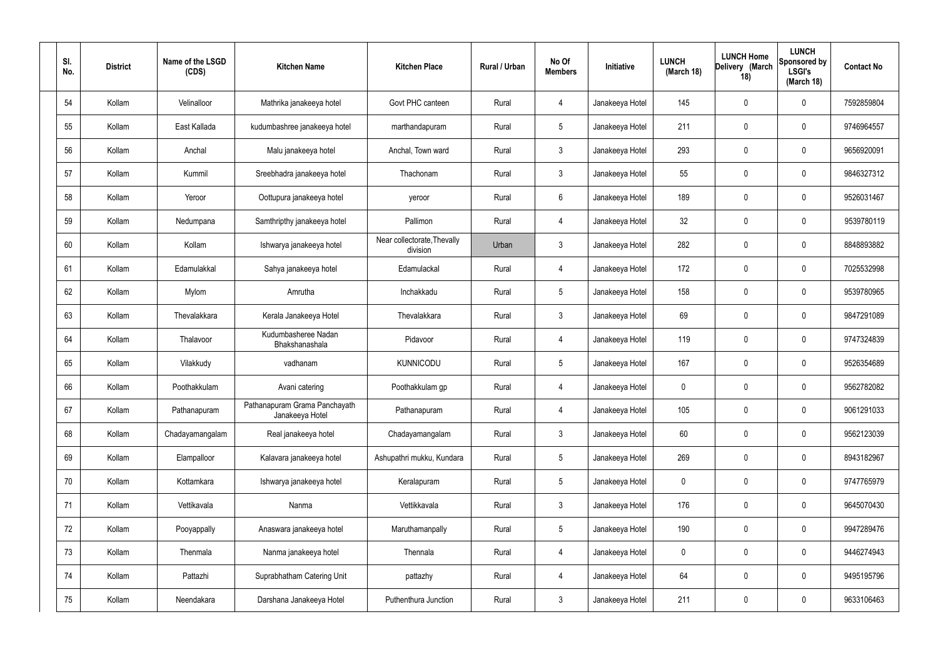| SI.<br>No. | <b>District</b> | Name of the LSGD<br>(CDS) | <b>Kitchen Name</b>                              | <b>Kitchen Place</b>                    | Rural / Urban | No Of<br><b>Members</b> | Initiative      | <b>LUNCH</b><br>(March 18) | <b>LUNCH Home</b><br>Delivery (March<br>18) | <b>LUNCH</b><br>Sponsored by<br><b>LSGI's</b><br>(March 18) | <b>Contact No</b> |
|------------|-----------------|---------------------------|--------------------------------------------------|-----------------------------------------|---------------|-------------------------|-----------------|----------------------------|---------------------------------------------|-------------------------------------------------------------|-------------------|
| 54         | Kollam          | Velinalloor               | Mathrika janakeeya hotel                         | Govt PHC canteen                        | Rural         | 4                       | Janakeeya Hotel | 145                        | $\mathbf 0$                                 | $\mathbf 0$                                                 | 7592859804        |
| 55         | Kollam          | East Kallada              | kudumbashree janakeeya hotel                     | marthandapuram                          | Rural         | $5\phantom{.0}$         | Janakeeya Hotel | 211                        | $\mathbf 0$                                 | $\mathbf 0$                                                 | 9746964557        |
| 56         | Kollam          | Anchal                    | Malu janakeeya hotel                             | Anchal, Town ward                       | Rural         | $\mathbf{3}$            | Janakeeya Hotel | 293                        | $\mathbf 0$                                 | $\mathbf 0$                                                 | 9656920091        |
| 57         | Kollam          | Kummil                    | Sreebhadra janakeeya hotel                       | Thachonam                               | Rural         | $\mathbf{3}$            | Janakeeya Hotel | 55                         | $\mathbf 0$                                 | $\mathbf 0$                                                 | 9846327312        |
| 58         | Kollam          | Yeroor                    | Oottupura janakeeya hotel                        | yeroor                                  | Rural         | $6\overline{6}$         | Janakeeya Hotel | 189                        | $\mathbf 0$                                 | $\mathbf 0$                                                 | 9526031467        |
| 59         | Kollam          | Nedumpana                 | Samthripthy janakeeya hotel                      | Pallimon                                | Rural         | 4                       | Janakeeya Hotel | 32 <sup>°</sup>            | $\mathbf 0$                                 | $\mathbf 0$                                                 | 9539780119        |
| 60         | Kollam          | Kollam                    | Ishwarya janakeeya hotel                         | Near collectorate, Thevally<br>division | Urban         | $\mathbf{3}$            | Janakeeya Hotel | 282                        | $\mathbf 0$                                 | $\mathbf 0$                                                 | 8848893882        |
| 61         | Kollam          | Edamulakkal               | Sahya janakeeya hotel                            | Edamulackal                             | Rural         | 4                       | Janakeeya Hotel | 172                        | $\mathbf 0$                                 | $\mathbf 0$                                                 | 7025532998        |
| 62         | Kollam          | Mylom                     | Amrutha                                          | Inchakkadu                              | Rural         | $5\overline{)}$         | Janakeeya Hotel | 158                        | $\mathbf 0$                                 | $\mathbf 0$                                                 | 9539780965        |
| 63         | Kollam          | Thevalakkara              | Kerala Janakeeya Hotel                           | Thevalakkara                            | Rural         | $\mathbf{3}$            | Janakeeya Hotel | 69                         | 0                                           | $\mathbf 0$                                                 | 9847291089        |
| 64         | Kollam          | Thalavoor                 | Kudumbasheree Nadan<br>Bhakshanashala            | Pidavoor                                | Rural         | 4                       | Janakeeya Hotel | 119                        | 0                                           | $\mathbf 0$                                                 | 9747324839        |
| 65         | Kollam          | Vilakkudy                 | vadhanam                                         | <b>KUNNICODU</b>                        | Rural         | $5\phantom{.0}$         | Janakeeya Hotel | 167                        | 0                                           | $\mathbf 0$                                                 | 9526354689        |
| 66         | Kollam          | Poothakkulam              | Avani catering                                   | Poothakkulam gp                         | Rural         | 4                       | Janakeeya Hotel | 0                          | 0                                           | $\mathbf 0$                                                 | 9562782082        |
| 67         | Kollam          | Pathanapuram              | Pathanapuram Grama Panchayath<br>Janakeeya Hotel | Pathanapuram                            | Rural         | $\overline{4}$          | Janakeeya Hotel | 105                        | $\mathbf 0$                                 | $\mathbf 0$                                                 | 9061291033        |
| 68         | Kollam          | Chadayamangalam           | Real janakeeya hotel                             | Chadayamangalam                         | Rural         | $\mathbf{3}$            | Janakeeya Hotel | 60                         | $\mathbf 0$                                 | $\mathbf 0$                                                 | 9562123039        |
| 69         | Kollam          | Elampalloor               | Kalavara janakeeya hotel                         | Ashupathri mukku, Kundara               | Rural         | $5\overline{)}$         | Janakeeya Hotel | 269                        | $\mathbf 0$                                 | $\mathbf 0$                                                 | 8943182967        |
| 70         | Kollam          | Kottamkara                | Ishwarya janakeeya hotel                         | Keralapuram                             | Rural         | $5\overline{)}$         | Janakeeya Hotel | $\mathbf 0$                | 0                                           | $\mathbf 0$                                                 | 9747765979        |
| 71         | Kollam          | Vettikavala               | Nanma                                            | Vettikkavala                            | Rural         | $\mathbf{3}$            | Janakeeya Hotel | 176                        | 0                                           | $\mathbf 0$                                                 | 9645070430        |
| 72         | Kollam          | Pooyappally               | Anaswara janakeeya hotel                         | Maruthamanpally                         | Rural         | $5\phantom{.0}$         | Janakeeya Hotel | 190                        | 0                                           | $\mathbf 0$                                                 | 9947289476        |
| 73         | Kollam          | Thenmala                  | Nanma janakeeya hotel                            | Thennala                                | Rural         | $\overline{4}$          | Janakeeya Hotel | 0                          | 0                                           | $\mathbf 0$                                                 | 9446274943        |
| 74         | Kollam          | Pattazhi                  | Suprabhatham Catering Unit                       | pattazhy                                | Rural         | $\overline{4}$          | Janakeeya Hotel | 64                         | 0                                           | $\mathbf 0$                                                 | 9495195796        |
| 75         | Kollam          | Neendakara                | Darshana Janakeeya Hotel                         | Puthenthura Junction                    | Rural         | $\mathbf{3}$            | Janakeeya Hotel | 211                        | 0                                           | $\overline{0}$                                              | 9633106463        |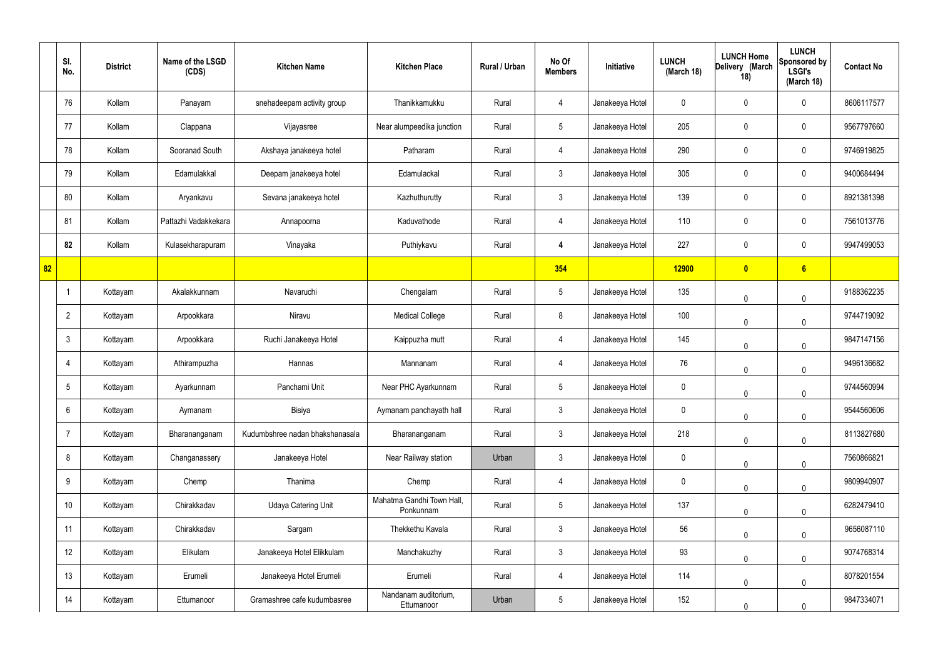|    | SI.<br>No.      | <b>District</b> | Name of the LSGD<br>(CDS) | <b>Kitchen Name</b>             | <b>Kitchen Place</b>                   | Rural / Urban | No Of<br><b>Members</b> | Initiative      | <b>LUNCH</b><br>(March 18) | <b>LUNCH Home</b><br>Delivery (March<br>18) | <b>LUNCH</b><br>Sponsored by<br><b>LSGI's</b><br>(March 18) | <b>Contact No</b> |
|----|-----------------|-----------------|---------------------------|---------------------------------|----------------------------------------|---------------|-------------------------|-----------------|----------------------------|---------------------------------------------|-------------------------------------------------------------|-------------------|
|    | 76              | Kollam          | Panayam                   | snehadeepam activity group      | Thanikkamukku                          | Rural         | 4                       | Janakeeya Hotel | 0                          | 0                                           | $\mathbf 0$                                                 | 8606117577        |
|    | 77              | Kollam          | Clappana                  | Vijayasree                      | Near alumpeedika junction              | Rural         | $5\phantom{.0}$         | Janakeeya Hotel | 205                        | $\mathbf 0$                                 | $\mathbf 0$                                                 | 9567797660        |
|    | 78              | Kollam          | Sooranad South            | Akshaya janakeeya hotel         | Patharam                               | Rural         | $\overline{4}$          | Janakeeya Hotel | 290                        | 0                                           | $\mathbf 0$                                                 | 9746919825        |
|    | 79              | Kollam          | Edamulakkal               | Deepam janakeeya hotel          | Edamulackal                            | Rural         | $\mathbf{3}$            | Janakeeya Hotel | 305                        | $\mathbf 0$                                 | $\mathbf 0$                                                 | 9400684494        |
|    | 80              | Kollam          | Aryankavu                 | Sevana janakeeya hotel          | Kazhuthurutty                          | Rural         | $\mathbf{3}$            | Janakeeya Hotel | 139                        | $\mathbf 0$                                 | $\mathbf 0$                                                 | 8921381398        |
|    | 81              | Kollam          | Pattazhi Vadakkekara      | Annapoorna                      | Kaduvathode                            | Rural         | $\overline{4}$          | Janakeeya Hotel | 110                        | $\mathbf 0$                                 | $\mathbf 0$                                                 | 7561013776        |
|    | 82              | Kollam          | Kulasekharapuram          | Vinayaka                        | Puthiykavu                             | Rural         | 4                       | Janakeeya Hotel | 227                        | $\mathbf 0$                                 | $\mathbf 0$                                                 | 9947499053        |
| 82 |                 |                 |                           |                                 |                                        |               | 354                     |                 | <b>12900</b>               | $\bullet$                                   | $6\phantom{a}$                                              |                   |
|    |                 | Kottayam        | Akalakkunnam              | Navaruchi                       | Chengalam                              | Rural         | $5\overline{)}$         | Janakeeya Hotel | 135                        | 0                                           | $\mathbf 0$                                                 | 9188362235        |
|    | $\overline{2}$  | Kottayam        | Arpookkara                | Niravu                          | <b>Medical College</b>                 | Rural         | 8                       | Janakeeya Hotel | 100                        | $\mathbf 0$                                 | $\mathbf 0$                                                 | 9744719092        |
|    | $\mathbf{3}$    | Kottayam        | Arpookkara                | Ruchi Janakeeya Hotel           | Kaippuzha mutt                         | Rural         | 4                       | Janakeeya Hotel | 145                        | 0                                           | $\mathbf 0$                                                 | 9847147156        |
|    | 4               | Kottayam        | Athirampuzha              | Hannas                          | Mannanam                               | Rural         | 4                       | Janakeeya Hotel | 76                         | 0                                           | $\mathbf 0$                                                 | 9496136682        |
|    | $5\overline{)}$ | Kottayam        | Ayarkunnam                | Panchami Unit                   | Near PHC Ayarkunnam                    | Rural         | $5\phantom{.0}$         | Janakeeya Hotel | 0                          | 0                                           | $\overline{0}$                                              | 9744560994        |
|    | 6               | Kottayam        | Aymanam                   | Bisiya                          | Aymanam panchayath hall                | Rural         | $\mathbf{3}$            | Janakeeya Hotel | 0                          | 0                                           | $\mathbf 0$                                                 | 9544560606        |
|    | $\overline{7}$  | Kottayam        | Bharananganam             | Kudumbshree nadan bhakshanasala | Bharananganam                          | Rural         | $\mathbf{3}$            | Janakeeya Hotel | 218                        | 0                                           | $\mathbf 0$                                                 | 8113827680        |
|    | 8               | Kottayam        | Changanassery             | Janakeeya Hotel                 | Near Railway station                   | Urban         | $\mathbf{3}$            | Janakeeya Hotel | 0                          | 0                                           | $\mathbf 0$                                                 | 7560866821        |
|    | 9               | Kottayam        | Chemp                     | Thanima                         | Chemp                                  | Rural         | $\overline{4}$          | Janakeeya Hotel | $\mathbf 0$                | 0                                           | $\mathbf 0$                                                 | 9809940907        |
|    | 10              | Kottayam        | Chirakkadav               | <b>Udaya Catering Unit</b>      | Mahatma Gandhi Town Hall,<br>Ponkunnam | Rural         | $5\overline{)}$         | Janakeeya Hotel | 137                        | 0                                           | $\mathbf 0$                                                 | 6282479410        |
|    | 11              | Kottayam        | Chirakkadav               | Sargam                          | Thekkethu Kavala                       | Rural         | $\mathbf{3}$            | Janakeeya Hotel | 56                         | $\mathbf 0$                                 | $\mathbf 0$                                                 | 9656087110        |
|    | 12              | Kottayam        | Elikulam                  | Janakeeya Hotel Elikkulam       | Manchakuzhy                            | Rural         | $\mathbf{3}$            | Janakeeya Hotel | 93                         | 0                                           | $\mathbf 0$                                                 | 9074768314        |
|    | 13              | Kottayam        | Erumeli                   | Janakeeya Hotel Erumeli         | Erumeli                                | Rural         | $\overline{4}$          | Janakeeya Hotel | 114                        | $\mathbf 0$                                 | $\mathbf 0$                                                 | 8078201554        |
|    | 14              | Kottayam        | Ettumanoor                | Gramashree cafe kudumbasree     | Nandanam auditorium,<br>Ettumanoor     | Urban         | $5\phantom{.0}$         | Janakeeya Hotel | 152                        | 0                                           | $\mathbf 0$                                                 | 9847334071        |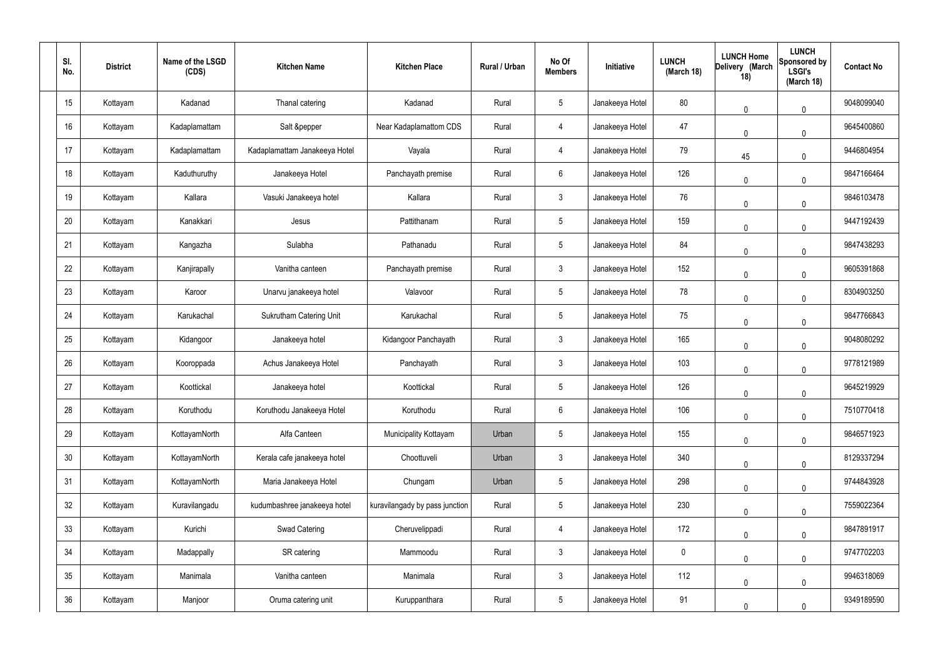| SI.<br>No. | <b>District</b> | Name of the LSGD<br>(CDS) | <b>Kitchen Name</b>            | <b>Kitchen Place</b>           | Rural / Urban | No Of<br><b>Members</b> | Initiative      | <b>LUNCH</b><br>(March 18) | <b>LUNCH Home</b><br>Delivery (March<br>18) | <b>LUNCH</b><br>Sponsored by<br><b>LSGI's</b><br>(March 18) | <b>Contact No</b> |
|------------|-----------------|---------------------------|--------------------------------|--------------------------------|---------------|-------------------------|-----------------|----------------------------|---------------------------------------------|-------------------------------------------------------------|-------------------|
| 15         | Kottayam        | Kadanad                   | Thanal catering                | Kadanad                        | Rural         | $5\phantom{.0}$         | Janakeeya Hotel | 80                         | $\mathbf{0}$                                | 0                                                           | 9048099040        |
| 16         | Kottayam        | Kadaplamattam             | Salt &pepper                   | Near Kadaplamattom CDS         | Rural         | $\overline{4}$          | Janakeeya Hotel | 47                         | $\mathbf 0$                                 | 0                                                           | 9645400860        |
| 17         | Kottayam        | Kadaplamattam             | Kadaplamattam Janakeeya Hotel  | Vayala                         | Rural         | 4                       | Janakeeya Hotel | 79                         | 45                                          | 0                                                           | 9446804954        |
| 18         | Kottayam        | Kaduthuruthy              | Janakeeya Hotel                | Panchayath premise             | Rural         | $6\phantom{.}6$         | Janakeeya Hotel | 126                        | $\mathbf 0$                                 | 0                                                           | 9847166464        |
| 19         | Kottayam        | Kallara                   | Vasuki Janakeeya hotel         | Kallara                        | Rural         | $\mathbf{3}$            | Janakeeya Hotel | 76                         | $\mathbf 0$                                 | 0                                                           | 9846103478        |
| 20         | Kottayam        | Kanakkari                 | Jesus                          | Pattithanam                    | Rural         | $5\phantom{.0}$         | Janakeeya Hotel | 159                        | $\mathbf 0$                                 | 0                                                           | 9447192439        |
| 21         | Kottayam        | Kangazha                  | Sulabha                        | Pathanadu                      | Rural         | $5\phantom{.0}$         | Janakeeya Hotel | 84                         | $\mathbf{0}$                                | 0                                                           | 9847438293        |
| 22         | Kottayam        | Kanjirapally              | Vanitha canteen                | Panchayath premise             | Rural         | $\mathbf{3}$            | Janakeeya Hotel | 152                        | $\overline{0}$                              | 0                                                           | 9605391868        |
| 23         | Kottayam        | Karoor                    | Unarvu janakeeya hotel         | Valavoor                       | Rural         | $5\phantom{.0}$         | Janakeeya Hotel | 78                         | $\mathbf 0$                                 | 0                                                           | 8304903250        |
| 24         | Kottayam        | Karukachal                | <b>Sukrutham Catering Unit</b> | Karukachal                     | Rural         | $5\phantom{.0}$         | Janakeeya Hotel | 75                         | $\mathbf 0$                                 | 0                                                           | 9847766843        |
| 25         | Kottayam        | Kidangoor                 | Janakeeya hotel                | Kidangoor Panchayath           | Rural         | $\mathbf{3}$            | Janakeeya Hotel | 165                        | $\mathbf 0$                                 | 0                                                           | 9048080292        |
| 26         | Kottayam        | Kooroppada                | Achus Janakeeya Hotel          | Panchayath                     | Rural         | $\mathbf{3}$            | Janakeeya Hotel | 103                        | $\mathbf 0$                                 | 0                                                           | 9778121989        |
| 27         | Kottayam        | Koottickal                | Janakeeya hotel                | Koottickal                     | Rural         | 5                       | Janakeeya Hotel | 126                        | $\pmb{0}$                                   | 0                                                           | 9645219929        |
| 28         | Kottayam        | Koruthodu                 | Koruthodu Janakeeya Hotel      | Koruthodu                      | Rural         | $6\phantom{.}6$         | Janakeeya Hotel | 106                        | $\mathbf 0$                                 | $\pmb{0}$                                                   | 7510770418        |
| 29         | Kottayam        | KottayamNorth             | Alfa Canteen                   | Municipality Kottayam          | Urban         | $5\phantom{.0}$         | Janakeeya Hotel | 155                        | $\mathbf 0$                                 | 0                                                           | 9846571923        |
| 30         | Kottayam        | KottayamNorth             | Kerala cafe janakeeya hotel    | Choottuveli                    | Urban         | $\mathbf{3}$            | Janakeeya Hotel | 340                        | $\mathbf 0$                                 | $\mathbf 0$                                                 | 8129337294        |
| 31         | Kottayam        | KottayamNorth             | Maria Janakeeya Hotel          | Chungam                        | Urban         | $5\phantom{.0}$         | Janakeeya Hotel | 298                        | $\mathbf 0$                                 | 0                                                           | 9744843928        |
| 32         | Kottayam        | Kuravilangadu             | kudumbashree janakeeya hotel   | kuravilangady by pass junction | Rural         | $5\phantom{.0}$         | Janakeeya Hotel | 230                        | $\mathbf 0$                                 | 0                                                           | 7559022364        |
| 33         | Kottayam        | Kurichi                   | Swad Catering                  | Cheruvelippadi                 | Rural         | $\overline{4}$          | Janakeeya Hotel | 172                        | $\mathbf 0$                                 | 0                                                           | 9847891917        |
| 34         | Kottayam        | Madappally                | SR catering                    | Mammoodu                       | Rural         | $\mathbf{3}$            | Janakeeya Hotel | $\mathbf 0$                | $\mathbf 0$                                 | 0                                                           | 9747702203        |
| 35         | Kottayam        | Manimala                  | Vanitha canteen                | Manimala                       | Rural         | $\mathbf{3}$            | Janakeeya Hotel | 112                        | $\mathbf 0$                                 | 0                                                           | 9946318069        |
| 36         | Kottayam        | Manjoor                   | Oruma catering unit            | Kuruppanthara                  | Rural         | $\overline{5}$          | Janakeeya Hotel | 91                         | $\mathbf 0$                                 | 0                                                           | 9349189590        |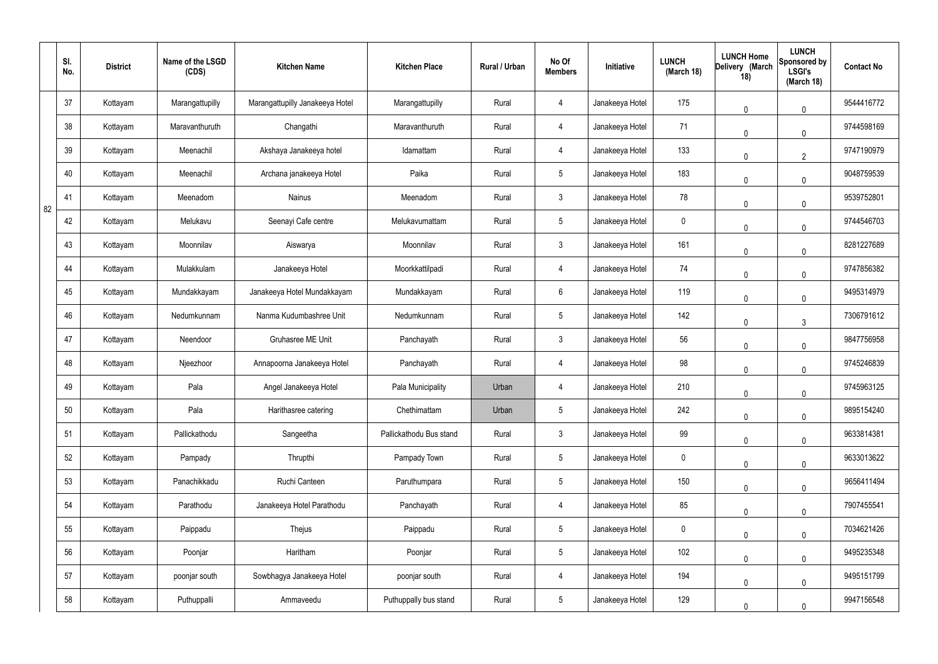|    | SI.<br>No. | <b>District</b> | Name of the LSGD<br>(CDS) | <b>Kitchen Name</b>             | <b>Kitchen Place</b>    | Rural / Urban | No Of<br><b>Members</b> | Initiative      | <b>LUNCH</b><br>(March 18) | <b>LUNCH Home</b><br>Delivery (March<br>18) | <b>LUNCH</b><br>Sponsored by<br><b>LSGI's</b><br>(March 18) | <b>Contact No</b> |
|----|------------|-----------------|---------------------------|---------------------------------|-------------------------|---------------|-------------------------|-----------------|----------------------------|---------------------------------------------|-------------------------------------------------------------|-------------------|
|    | 37         | Kottayam        | Marangattupilly           | Marangattupilly Janakeeya Hotel | Marangattupilly         | Rural         | 4                       | Janakeeya Hotel | 175                        | 0                                           | $\mathbf 0$                                                 | 9544416772        |
|    | 38         | Kottayam        | Maravanthuruth            | Changathi                       | Maravanthuruth          | Rural         | $\overline{4}$          | Janakeeya Hotel | 71                         | $\mathbf 0$                                 | $\mathbf 0$                                                 | 9744598169        |
|    | 39         | Kottayam        | Meenachil                 | Akshaya Janakeeya hotel         | Idamattam               | Rural         | $\overline{4}$          | Janakeeya Hotel | 133                        | $\mathbf{0}$                                | $\overline{2}$                                              | 9747190979        |
|    | 40         | Kottayam        | Meenachil                 | Archana janakeeya Hotel         | Paika                   | Rural         | $5\phantom{.0}$         | Janakeeya Hotel | 183                        | 0                                           | $\mathbf 0$                                                 | 9048759539        |
| 82 | 41         | Kottayam        | Meenadom                  | Nainus                          | Meenadom                | Rural         | 3 <sup>1</sup>          | Janakeeya Hotel | 78                         | $\mathbf{0}$                                | $\mathbf 0$                                                 | 9539752801        |
|    | 42         | Kottayam        | Melukavu                  | Seenayi Cafe centre             | Melukavumattam          | Rural         | $5\phantom{.0}$         | Janakeeya Hotel | $\mathbf 0$                | $\mathbf 0$                                 | $\mathbf 0$                                                 | 9744546703        |
|    | 43         | Kottayam        | Moonnilav                 | Aiswarya                        | Moonnilav               | Rural         | 3 <sup>1</sup>          | Janakeeya Hotel | 161                        | $\mathbf{0}$                                | $\mathbf 0$                                                 | 8281227689        |
|    | 44         | Kottayam        | Mulakkulam                | Janakeeya Hotel                 | Moorkkattilpadi         | Rural         | $\overline{4}$          | Janakeeya Hotel | 74                         | $\mathbf 0$                                 | $\mathbf 0$                                                 | 9747856382        |
|    | 45         | Kottayam        | Mundakkayam               | Janakeeya Hotel Mundakkayam     | Mundakkayam             | Rural         | $6\,$                   | Janakeeya Hotel | 119                        | 0                                           | $\mathbf 0$                                                 | 9495314979        |
|    | 46         | Kottayam        | Nedumkunnam               | Nanma Kudumbashree Unit         | Nedumkunnam             | Rural         | $5\phantom{.0}$         | Janakeeya Hotel | 142                        | 0                                           | $\mathbf{3}$                                                | 7306791612        |
|    | 47         | Kottayam        | Neendoor                  | Gruhasree ME Unit               | Panchayath              | Rural         | 3 <sup>1</sup>          | Janakeeya Hotel | 56                         | 0                                           | $\mathbf 0$                                                 | 9847756958        |
|    | 48         | Kottayam        | Njeezhoor                 | Annapoorna Janakeeya Hotel      | Panchayath              | Rural         | 4                       | Janakeeya Hotel | 98                         | 0                                           | $\mathbf 0$                                                 | 9745246839        |
|    | 49         | Kottayam        | Pala                      | Angel Janakeeya Hotel           | Pala Municipality       | Urban         | 4                       | Janakeeya Hotel | 210                        | 0                                           | 0                                                           | 9745963125        |
|    | 50         | Kottayam        | Pala                      | Harithasree catering            | Chethimattam            | Urban         | $5\phantom{.0}$         | Janakeeya Hotel | 242                        | 0                                           | $\mathbf 0$                                                 | 9895154240        |
|    | 51         | Kottayam        | Pallickathodu             | Sangeetha                       | Pallickathodu Bus stand | Rural         | $\mathbf{3}$            | Janakeeya Hotel | 99                         | $\mathbf 0$                                 | $\mathbf 0$                                                 | 9633814381        |
|    | 52         | Kottayam        | Pampady                   | Thrupthi                        | Pampady Town            | Rural         | $5\overline{)}$         | Janakeeya Hotel | $\pmb{0}$                  | 0                                           | $\mathbf 0$                                                 | 9633013622        |
|    | 53         | Kottayam        | Panachikkadu              | Ruchi Canteen                   | Paruthumpara            | Rural         | $5\overline{)}$         | Janakeeya Hotel | 150                        | $\mathbf 0$                                 | $\mathbf 0$                                                 | 9656411494        |
|    | 54         | Kottayam        | Parathodu                 | Janakeeya Hotel Parathodu       | Panchayath              | Rural         | $\overline{4}$          | Janakeeya Hotel | 85                         | $\mathbf 0$                                 | $\mathbf 0$                                                 | 7907455541        |
|    | 55         | Kottayam        | Paippadu                  | Thejus                          | Paippadu                | Rural         | $5\overline{)}$         | Janakeeya Hotel | $\pmb{0}$                  | $\mathbf 0$                                 | $\mathbf 0$                                                 | 7034621426        |
|    | 56         | Kottayam        | Poonjar                   | Haritham                        | Poonjar                 | Rural         | $5\overline{)}$         | Janakeeya Hotel | 102                        | 0                                           | $\mathbf 0$                                                 | 9495235348        |
|    | 57         | Kottayam        | poonjar south             | Sowbhagya Janakeeya Hotel       | poonjar south           | Rural         | $\overline{4}$          | Janakeeya Hotel | 194                        | $\mathbf 0$                                 | $\mathbf 0$                                                 | 9495151799        |
|    | 58         | Kottayam        | Puthuppalli               | Ammaveedu                       | Puthuppally bus stand   | Rural         | $5\phantom{.0}$         | Janakeeya Hotel | 129                        | $\mathbf 0$                                 | $\mathbf 0$                                                 | 9947156548        |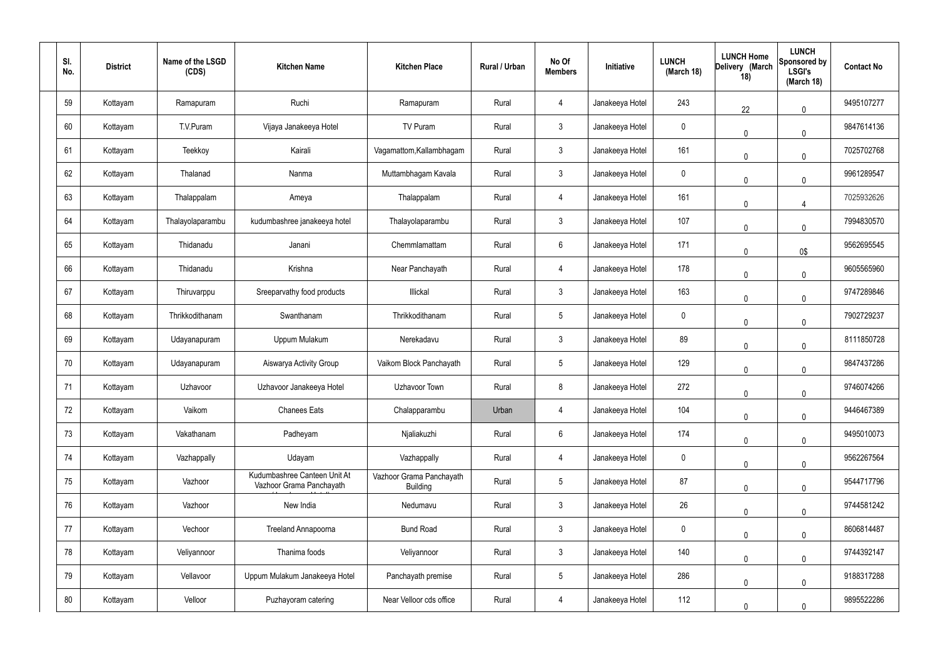| SI.<br>No. | <b>District</b> | Name of the LSGD<br>(CDS) | <b>Kitchen Name</b>                                      | <b>Kitchen Place</b>                        | Rural / Urban | No Of<br><b>Members</b> | Initiative      | <b>LUNCH</b><br>(March 18) | <b>LUNCH Home</b><br>Delivery (March<br>18) | <b>LUNCH</b><br>Sponsored by<br><b>LSGI's</b><br>(March 18) | <b>Contact No</b> |
|------------|-----------------|---------------------------|----------------------------------------------------------|---------------------------------------------|---------------|-------------------------|-----------------|----------------------------|---------------------------------------------|-------------------------------------------------------------|-------------------|
| 59         | Kottayam        | Ramapuram                 | Ruchi                                                    | Ramapuram                                   | Rural         | $\overline{4}$          | Janakeeya Hotel | 243                        | 22                                          | $\mathbf 0$                                                 | 9495107277        |
| 60         | Kottayam        | T.V.Puram                 | Vijaya Janakeeya Hotel                                   | TV Puram                                    | Rural         | $\mathbf{3}$            | Janakeeya Hotel | 0                          | $\mathbf{0}$                                | $\mathbf 0$                                                 | 9847614136        |
| 61         | Kottayam        | Teekkoy                   | Kairali                                                  | Vagamattom, Kallambhagam                    | Rural         | $\mathbf{3}$            | Janakeeya Hotel | 161                        | $\mathbf{0}$                                | $\mathbf 0$                                                 | 7025702768        |
| 62         | Kottayam        | Thalanad                  | Nanma                                                    | Muttambhagam Kavala                         | Rural         | $\mathbf{3}$            | Janakeeya Hotel | 0                          | $\mathbf{0}$                                | $\mathbf 0$                                                 | 9961289547        |
| 63         | Kottayam        | Thalappalam               | Ameya                                                    | Thalappalam                                 | Rural         | 4                       | Janakeeya Hotel | 161                        | $\mathbf{0}$                                | $\overline{4}$                                              | 7025932626        |
| 64         | Kottayam        | Thalayolaparambu          | kudumbashree janakeeya hotel                             | Thalayolaparambu                            | Rural         | $\mathbf{3}$            | Janakeeya Hotel | 107                        | $\mathbf{0}$                                | $\mathbf 0$                                                 | 7994830570        |
| 65         | Kottayam        | Thidanadu                 | Janani                                                   | Chemmlamattam                               | Rural         | $6\phantom{.0}$         | Janakeeya Hotel | 171                        | $\mathbf{0}$                                | 0\$                                                         | 9562695545        |
| 66         | Kottayam        | Thidanadu                 | Krishna                                                  | Near Panchayath                             | Rural         | 4                       | Janakeeya Hotel | 178                        | 0                                           | $\mathbf 0$                                                 | 9605565960        |
| 67         | Kottayam        | Thiruvarppu               | Sreeparvathy food products                               | Illickal                                    | Rural         | $\mathbf{3}$            | Janakeeya Hotel | 163                        | $\mathbf{0}$                                | $\mathbf 0$                                                 | 9747289846        |
| 68         | Kottayam        | Thrikkodithanam           | Swanthanam                                               | Thrikkodithanam                             | Rural         | $\sqrt{5}$              | Janakeeya Hotel | 0                          | $\mathbf{0}$                                | $\mathbf 0$                                                 | 7902729237        |
| 69         | Kottayam        | Udayanapuram              | Uppum Mulakum                                            | Nerekadavu                                  | Rural         | $\mathbf{3}$            | Janakeeya Hotel | 89                         | 0                                           | $\mathbf 0$                                                 | 8111850728        |
| 70         | Kottayam        | Udayanapuram              | Aiswarya Activity Group                                  | Vaikom Block Panchayath                     | Rural         | $\sqrt{5}$              | Janakeeya Hotel | 129                        | 0                                           | $\mathbf 0$                                                 | 9847437286        |
| 71         | Kottayam        | Uzhavoor                  | Uzhavoor Janakeeya Hotel                                 | Uzhavoor Town                               | Rural         | 8                       | Janakeeya Hotel | 272                        | 0                                           | $\pmb{0}$                                                   | 9746074266        |
| 72         | Kottayam        | Vaikom                    | <b>Chanees Eats</b>                                      | Chalapparambu                               | Urban         | 4                       | Janakeeya Hotel | 104                        | $\mathbf{0}$                                | $\pmb{0}$                                                   | 9446467389        |
| 73         | Kottayam        | Vakathanam                | Padheyam                                                 | Njaliakuzhi                                 | Rural         | $6\,$                   | Janakeeya Hotel | 174                        | 0                                           | $\pmb{0}$                                                   | 9495010073        |
| 74         | Kottayam        | Vazhappally               | Udayam                                                   | Vazhappally                                 | Rural         | 4                       | Janakeeya Hotel | $\mathbf 0$                | 0                                           | $\pmb{0}$                                                   | 9562267564        |
| 75         | Kottayam        | Vazhoor                   | Kudumbashree Canteen Unit At<br>Vazhoor Grama Panchayath | Vazhoor Grama Panchayath<br><b>Building</b> | Rural         | $5\phantom{.0}$         | Janakeeya Hotel | 87                         | 0                                           | $\pmb{0}$                                                   | 9544717796        |
| 76         | Kottayam        | Vazhoor                   | New India                                                | Nedumavu                                    | Rural         | $\mathbf{3}$            | Janakeeya Hotel | 26                         | 0                                           | $\pmb{0}$                                                   | 9744581242        |
| 77         | Kottayam        | Vechoor                   | Treeland Annapoorna                                      | <b>Bund Road</b>                            | Rural         | $\mathbf{3}$            | Janakeeya Hotel | $\mathbf 0$                | 0                                           | $\pmb{0}$                                                   | 8606814487        |
| 78         | Kottayam        | Veliyannoor               | Thanima foods                                            | Veliyannoor                                 | Rural         | $\mathbf{3}$            | Janakeeya Hotel | 140                        | 0                                           | $\pmb{0}$                                                   | 9744392147        |
| 79         | Kottayam        | Vellavoor                 | Uppum Mulakum Janakeeya Hotel                            | Panchayath premise                          | Rural         | $5\,$                   | Janakeeya Hotel | 286                        | $\mathbf{0}$                                | $\pmb{0}$                                                   | 9188317288        |
| 80         | Kottayam        | Velloor                   | Puzhayoram catering                                      | Near Velloor cds office                     | Rural         | 4                       | Janakeeya Hotel | 112                        | 0                                           | $\mathbf 0$                                                 | 9895522286        |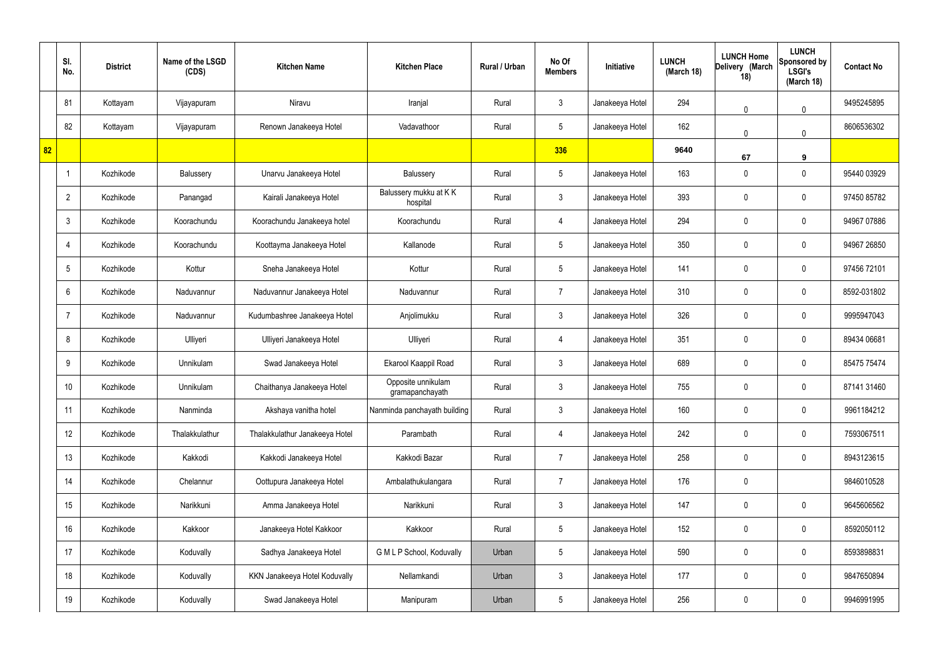|    | SI.<br>No.      | <b>District</b> | Name of the LSGD<br>(CDS) | <b>Kitchen Name</b>            | <b>Kitchen Place</b>                  | Rural / Urban | No Of<br><b>Members</b> | Initiative      | <b>LUNCH</b><br>(March 18) | <b>LUNCH Home</b><br>Delivery (March<br>18) | <b>LUNCH</b><br>Sponsored by<br><b>LSGI's</b><br>(March 18) | <b>Contact No</b> |
|----|-----------------|-----------------|---------------------------|--------------------------------|---------------------------------------|---------------|-------------------------|-----------------|----------------------------|---------------------------------------------|-------------------------------------------------------------|-------------------|
|    | 81              | Kottayam        | Vijayapuram               | Niravu                         | Iranjal                               | Rural         | $\mathbf{3}$            | Janakeeya Hotel | 294                        | 0                                           | $\mathbf 0$                                                 | 9495245895        |
|    | 82              | Kottayam        | Vijayapuram               | Renown Janakeeya Hotel         | Vadavathoor                           | Rural         | $5\overline{)}$         | Janakeeya Hotel | 162                        | 0                                           | $\mathbf 0$                                                 | 8606536302        |
| 82 |                 |                 |                           |                                |                                       |               | 336                     |                 | 9640                       | 67                                          | 9                                                           |                   |
|    |                 | Kozhikode       | Balussery                 | Unarvu Janakeeya Hotel         | Balussery                             | Rural         | $5\phantom{.0}$         | Janakeeya Hotel | 163                        | $\mathbf 0$                                 | $\mathbf 0$                                                 | 95440 03929       |
|    | $\overline{2}$  | Kozhikode       | Panangad                  | Kairali Janakeeya Hotel        | Balussery mukku at KK<br>hospital     | Rural         | $\mathbf{3}$            | Janakeeya Hotel | 393                        | $\mathbf 0$                                 | $\mathbf 0$                                                 | 97450 85782       |
|    | $\mathbf{3}$    | Kozhikode       | Koorachundu               | Koorachundu Janakeeya hotel    | Koorachundu                           | Rural         | $\overline{4}$          | Janakeeya Hotel | 294                        | $\mathbf 0$                                 | $\mathbf 0$                                                 | 94967 07886       |
|    | 4               | Kozhikode       | Koorachundu               | Koottayma Janakeeya Hotel      | Kallanode                             | Rural         | $5\overline{)}$         | Janakeeya Hotel | 350                        | $\mathbf 0$                                 | $\mathbf 0$                                                 | 94967 26850       |
|    | $5\phantom{.0}$ | Kozhikode       | Kottur                    | Sneha Janakeeya Hotel          | Kottur                                | Rural         | $5\phantom{.0}$         | Janakeeya Hotel | 141                        | $\mathbf 0$                                 | $\mathbf 0$                                                 | 97456 72101       |
|    | 6               | Kozhikode       | Naduvannur                | Naduvannur Janakeeya Hotel     | Naduvannur                            | Rural         | $\overline{7}$          | Janakeeya Hotel | 310                        | $\mathbf 0$                                 | $\mathbf 0$                                                 | 8592-031802       |
|    | $\overline{7}$  | Kozhikode       | Naduvannur                | Kudumbashree Janakeeya Hotel   | Anjolimukku                           | Rural         | $\mathbf{3}$            | Janakeeya Hotel | 326                        | $\mathbf 0$                                 | $\mathbf 0$                                                 | 9995947043        |
|    | 8               | Kozhikode       | Ulliyeri                  | Ulliyeri Janakeeya Hotel       | Ulliyeri                              | Rural         | 4                       | Janakeeya Hotel | 351                        | 0                                           | $\mathbf 0$                                                 | 89434 06681       |
|    | 9               | Kozhikode       | Unnikulam                 | Swad Janakeeya Hotel           | Ekarool Kaappil Road                  | Rural         | $\mathbf{3}$            | Janakeeya Hotel | 689                        | $\mathbf 0$                                 | $\mathbf 0$                                                 | 85475 75474       |
|    | 10              | Kozhikode       | Unnikulam                 | Chaithanya Janakeeya Hotel     | Opposite unnikulam<br>gramapanchayath | Rural         | $\mathbf{3}$            | Janakeeya Hotel | 755                        | 0                                           | $\mathbf 0$                                                 | 87141 31460       |
|    | 11              | Kozhikode       | Nanminda                  | Akshaya vanitha hotel          | Nanminda panchayath building          | Rural         | $\mathbf{3}$            | Janakeeya Hotel | 160                        | $\mathbf 0$                                 | $\mathbf 0$                                                 | 9961184212        |
|    | 12              | Kozhikode       | Thalakkulathur            | Thalakkulathur Janakeeya Hotel | Parambath                             | Rural         | $\overline{4}$          | Janakeeya Hotel | 242                        | 0                                           | $\mathbf 0$                                                 | 7593067511        |
|    | 13              | Kozhikode       | Kakkodi                   | Kakkodi Janakeeya Hotel        | Kakkodi Bazar                         | Rural         | $\overline{7}$          | Janakeeya Hotel | 258                        | 0                                           | $\mathbf 0$                                                 | 8943123615        |
|    | 14              | Kozhikode       | Chelannur                 | Oottupura Janakeeya Hotel      | Ambalathukulangara                    | Rural         | $\overline{7}$          | Janakeeya Hotel | 176                        | 0                                           |                                                             | 9846010528        |
|    | 15              | Kozhikode       | Narikkuni                 | Amma Janakeeya Hotel           | Narikkuni                             | Rural         | $\mathbf{3}$            | Janakeeya Hotel | 147                        | 0                                           | $\mathbf 0$                                                 | 9645606562        |
|    | 16              | Kozhikode       | Kakkoor                   | Janakeeya Hotel Kakkoor        | Kakkoor                               | Rural         | $5\phantom{.0}$         | Janakeeya Hotel | 152                        | 0                                           | $\mathbf 0$                                                 | 8592050112        |
|    | 17              | Kozhikode       | Koduvally                 | Sadhya Janakeeya Hotel         | G M L P School, Koduvally             | Urban         | $5\phantom{.0}$         | Janakeeya Hotel | 590                        | 0                                           | $\mathbf 0$                                                 | 8593898831        |
|    | 18              | Kozhikode       | Koduvally                 | KKN Janakeeya Hotel Koduvally  | Nellamkandi                           | Urban         | $\mathfrak{Z}$          | Janakeeya Hotel | 177                        | 0                                           | $\mathbf 0$                                                 | 9847650894        |
|    | 19              | Kozhikode       | Koduvally                 | Swad Janakeeya Hotel           | Manipuram                             | Urban         | $5\phantom{.0}$         | Janakeeya Hotel | 256                        | 0                                           | $\overline{0}$                                              | 9946991995        |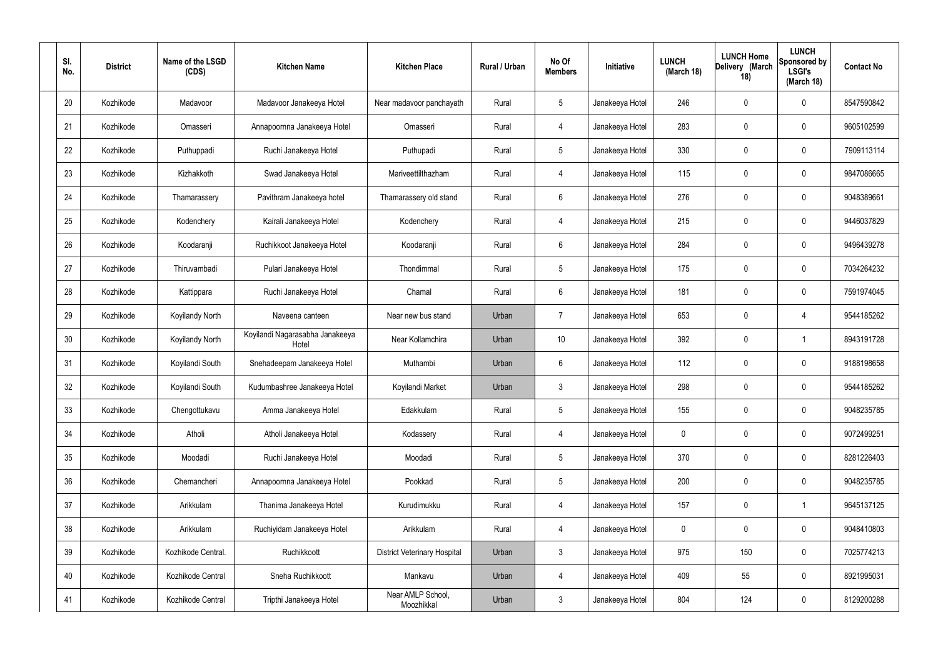| SI.<br>No. | <b>District</b> | Name of the LSGD<br>(CDS) | <b>Kitchen Name</b>                      | <b>Kitchen Place</b>                | Rural / Urban | No Of<br><b>Members</b> | Initiative      | <b>LUNCH</b><br>(March 18) | <b>LUNCH Home</b><br>Delivery (March<br>18) | <b>LUNCH</b><br>Sponsored by<br><b>LSGI's</b><br>(March 18) | <b>Contact No</b> |
|------------|-----------------|---------------------------|------------------------------------------|-------------------------------------|---------------|-------------------------|-----------------|----------------------------|---------------------------------------------|-------------------------------------------------------------|-------------------|
| 20         | Kozhikode       | Madavoor                  | Madavoor Janakeeya Hotel                 | Near madavoor panchayath            | Rural         | 5                       | Janakeeya Hotel | 246                        | $\mathbf 0$                                 | 0                                                           | 8547590842        |
| 21         | Kozhikode       | Omasseri                  | Annapoornna Janakeeya Hotel              | Omasseri                            | Rural         | $\overline{4}$          | Janakeeya Hotel | 283                        | $\mathbf 0$                                 | 0                                                           | 9605102599        |
| 22         | Kozhikode       | Puthuppadi                | Ruchi Janakeeya Hotel                    | Puthupadi                           | Rural         | 5                       | Janakeeya Hotel | 330                        | 0                                           | 0                                                           | 7909113114        |
| 23         | Kozhikode       | Kizhakkoth                | Swad Janakeeya Hotel                     | Mariveettilthazham                  | Rural         | $\overline{4}$          | Janakeeya Hotel | 115                        | $\mathbf 0$                                 | 0                                                           | 9847086665        |
| 24         | Kozhikode       | Thamarassery              | Pavithram Janakeeya hotel                | Thamarassery old stand              | Rural         | 6                       | Janakeeya Hotel | 276                        | $\mathbf 0$                                 | 0                                                           | 9048389661        |
| 25         | Kozhikode       | Kodenchery                | Kairali Janakeeya Hotel                  | Kodenchery                          | Rural         | $\overline{4}$          | Janakeeya Hotel | 215                        | $\mathbf 0$                                 | 0                                                           | 9446037829        |
| 26         | Kozhikode       | Koodaranji                | Ruchikkoot Janakeeya Hotel               | Koodaranji                          | Rural         | 6                       | Janakeeya Hotel | 284                        | 0                                           | 0                                                           | 9496439278        |
| 27         | Kozhikode       | Thiruvambadi              | Pulari Janakeeya Hotel                   | Thondimmal                          | Rural         | $5\phantom{.0}$         | Janakeeya Hotel | 175                        | $\mathbf 0$                                 | 0                                                           | 7034264232        |
| 28         | Kozhikode       | Kattippara                | Ruchi Janakeeya Hotel                    | Chamal                              | Rural         | 6                       | Janakeeya Hotel | 181                        | $\boldsymbol{0}$                            | 0                                                           | 7591974045        |
| 29         | Kozhikode       | Koyilandy North           | Naveena canteen                          | Near new bus stand                  | Urban         | $\overline{7}$          | Janakeeya Hotel | 653                        | 0                                           | 4                                                           | 9544185262        |
| 30         | Kozhikode       | <b>Koyilandy North</b>    | Koyilandi Nagarasabha Janakeeya<br>Hotel | Near Kollamchira                    | Urban         | 10                      | Janakeeya Hotel | 392                        | 0                                           |                                                             | 8943191728        |
| 31         | Kozhikode       | Koyilandi South           | Snehadeepam Janakeeya Hotel              | Muthambi                            | Urban         | 6                       | Janakeeya Hotel | 112                        | 0                                           | 0                                                           | 9188198658        |
| 32         | Kozhikode       | Koyilandi South           | Kudumbashree Janakeeya Hotel             | Koyilandi Market                    | Urban         | $\mathbf{3}$            | Janakeeya Hotel | 298                        | 0                                           | 0                                                           | 9544185262        |
| 33         | Kozhikode       | Chengottukavu             | Amma Janakeeya Hotel                     | Edakkulam                           | Rural         | $5\phantom{.0}$         | Janakeeya Hotel | 155                        | $\mathbf 0$                                 | 0                                                           | 9048235785        |
| 34         | Kozhikode       | Atholi                    | Atholi Janakeeya Hotel                   | Kodassery                           | Rural         | $\overline{4}$          | Janakeeya Hotel | $\mathbf 0$                | $\mathbf 0$                                 | 0                                                           | 9072499251        |
| 35         | Kozhikode       | Moodadi                   | Ruchi Janakeeya Hotel                    | Moodadi                             | Rural         | $5\phantom{.0}$         | Janakeeya Hotel | 370                        | $\mathbf 0$                                 | 0                                                           | 8281226403        |
| 36         | Kozhikode       | Chemancheri               | Annapoornna Janakeeya Hotel              | Pookkad                             | Rural         | $5\phantom{.0}$         | Janakeeya Hotel | 200                        | $\pmb{0}$                                   | 0                                                           | 9048235785        |
| 37         | Kozhikode       | Arikkulam                 | Thanima Janakeeya Hotel                  | Kurudimukku                         | Rural         | $\overline{4}$          | Janakeeya Hotel | 157                        | $\pmb{0}$                                   | -1                                                          | 9645137125        |
| 38         | Kozhikode       | Arikkulam                 | Ruchiyidam Janakeeya Hotel               | Arikkulam                           | Rural         | $\overline{4}$          | Janakeeya Hotel | $\mathbf 0$                | $\mathbf 0$                                 | 0                                                           | 9048410803        |
| 39         | Kozhikode       | Kozhikode Central.        | Ruchikkoott                              | <b>District Veterinary Hospital</b> | Urban         | $\mathbf{3}$            | Janakeeya Hotel | 975                        | 150                                         | 0                                                           | 7025774213        |
| 40         | Kozhikode       | Kozhikode Central         | Sneha Ruchikkoott                        | Mankavu                             | Urban         | $\overline{4}$          | Janakeeya Hotel | 409                        | 55                                          | 0                                                           | 8921995031        |
| 41         | Kozhikode       | Kozhikode Central         | Tripthi Janakeeya Hotel                  | Near AMLP School,<br>Moozhikkal     | Urban         | $\mathbf{3}$            | Janakeeya Hotel | 804                        | 124                                         | 0                                                           | 8129200288        |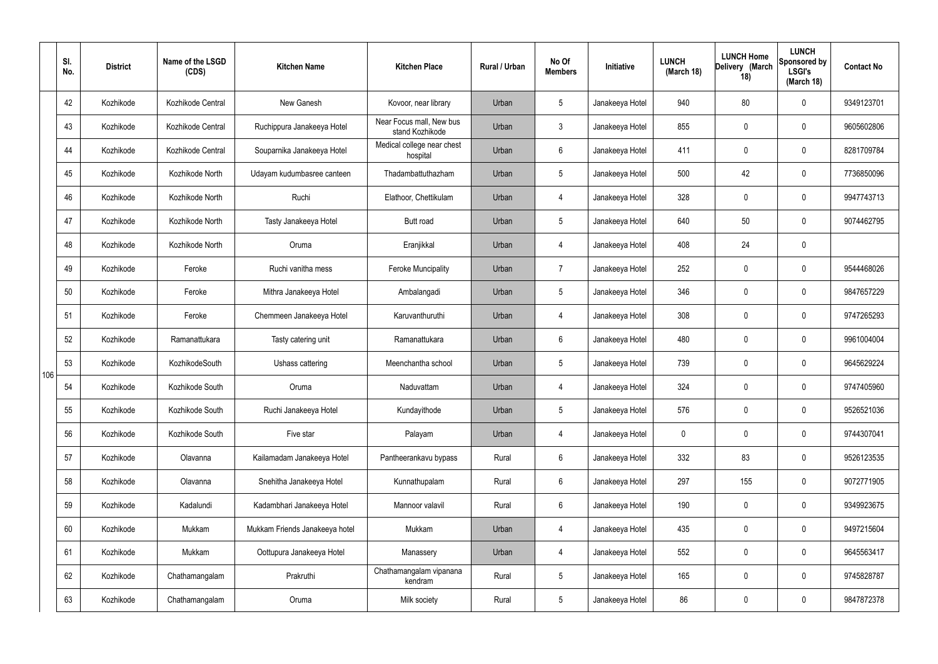|     | SI.<br>No. | <b>District</b> | Name of the LSGD<br>(CDS) | <b>Kitchen Name</b>            | <b>Kitchen Place</b>                        | <b>Rural / Urban</b> | No Of<br><b>Members</b> | Initiative      | <b>LUNCH</b><br>(March 18) | <b>LUNCH Home</b><br>Delivery (March<br>18) | <b>LUNCH</b><br>Sponsored by<br><b>LSGI's</b><br>(March 18) | <b>Contact No</b> |
|-----|------------|-----------------|---------------------------|--------------------------------|---------------------------------------------|----------------------|-------------------------|-----------------|----------------------------|---------------------------------------------|-------------------------------------------------------------|-------------------|
|     | 42         | Kozhikode       | Kozhikode Central         | New Ganesh                     | Kovoor, near library                        | Urban                | $5\phantom{.0}$         | Janakeeya Hotel | 940                        | 80                                          | $\mathbf 0$                                                 | 9349123701        |
|     | 43         | Kozhikode       | Kozhikode Central         | Ruchippura Janakeeya Hotel     | Near Focus mall, New bus<br>stand Kozhikode | Urban                | $\mathbf{3}$            | Janakeeya Hotel | 855                        | $\mathbf 0$                                 | $\mathbf 0$                                                 | 9605602806        |
|     | 44         | Kozhikode       | Kozhikode Central         | Souparnika Janakeeya Hotel     | Medical college near chest<br>hospital      | Urban                | $6\overline{6}$         | Janakeeya Hotel | 411                        | $\mathbf 0$                                 | $\mathbf 0$                                                 | 8281709784        |
|     | 45         | Kozhikode       | Kozhikode North           | Udayam kudumbasree canteen     | Thadambattuthazham                          | Urban                | $5\phantom{.0}$         | Janakeeya Hotel | 500                        | 42                                          | $\mathbf 0$                                                 | 7736850096        |
|     | 46         | Kozhikode       | Kozhikode North           | Ruchi                          | Elathoor, Chettikulam                       | Urban                | $\overline{4}$          | Janakeeya Hotel | 328                        | $\mathbf 0$                                 | $\mathbf 0$                                                 | 9947743713        |
|     | 47         | Kozhikode       | Kozhikode North           | Tasty Janakeeya Hotel          | Butt road                                   | Urban                | $5\phantom{.0}$         | Janakeeya Hotel | 640                        | 50                                          | $\mathbf 0$                                                 | 9074462795        |
|     | 48         | Kozhikode       | Kozhikode North           | Oruma                          | Eranjikkal                                  | Urban                | $\overline{4}$          | Janakeeya Hotel | 408                        | 24                                          | $\mathbf 0$                                                 |                   |
|     | 49         | Kozhikode       | Feroke                    | Ruchi vanitha mess             | <b>Feroke Muncipality</b>                   | Urban                | $\overline{7}$          | Janakeeya Hotel | 252                        | $\mathbf 0$                                 | $\mathbf 0$                                                 | 9544468026        |
|     | 50         | Kozhikode       | Feroke                    | Mithra Janakeeya Hotel         | Ambalangadi                                 | Urban                | 5 <sup>5</sup>          | Janakeeya Hotel | 346                        | $\mathbf 0$                                 | $\mathbf 0$                                                 | 9847657229        |
|     | 51         | Kozhikode       | Feroke                    | Chemmeen Janakeeya Hotel       | Karuvanthuruthi                             | Urban                | $\overline{4}$          | Janakeeya Hotel | 308                        | $\mathbf 0$                                 | $\mathbf 0$                                                 | 9747265293        |
|     | 52         | Kozhikode       | Ramanattukara             | Tasty catering unit            | Ramanattukara                               | Urban                | $6\phantom{.}6$         | Janakeeya Hotel | 480                        | $\mathbf 0$                                 | $\mathbf 0$                                                 | 9961004004        |
| 106 | 53         | Kozhikode       | KozhikodeSouth            | Ushass cattering               | Meenchantha school                          | Urban                | $5\overline{)}$         | Janakeeya Hotel | 739                        | $\mathbf 0$                                 | $\mathbf 0$                                                 | 9645629224        |
|     | 54         | Kozhikode       | Kozhikode South           | Oruma                          | Naduvattam                                  | Urban                | 4                       | Janakeeya Hotel | 324                        | $\mathbf 0$                                 | $\mathbf 0$                                                 | 9747405960        |
|     | 55         | Kozhikode       | Kozhikode South           | Ruchi Janakeeya Hotel          | Kundayithode                                | Urban                | 5 <sup>5</sup>          | Janakeeya Hotel | 576                        | $\mathbf 0$                                 | $\mathbf 0$                                                 | 9526521036        |
|     | 56         | Kozhikode       | Kozhikode South           | Five star                      | Palayam                                     | Urban                | $\overline{4}$          | Janakeeya Hotel | $\mathbf 0$                | $\pmb{0}$                                   | $\mathbf 0$                                                 | 9744307041        |
|     | 57         | Kozhikode       | Olavanna                  | Kailamadam Janakeeya Hotel     | Pantheerankavu bypass                       | Rural                | $6\overline{6}$         | Janakeeya Hotel | 332                        | 83                                          | $\mathbf 0$                                                 | 9526123535        |
|     | 58         | Kozhikode       | Olavanna                  | Snehitha Janakeeya Hotel       | Kunnathupalam                               | Rural                | $6\phantom{.}6$         | Janakeeya Hotel | 297                        | 155                                         | $\mathbf 0$                                                 | 9072771905        |
|     | 59         | Kozhikode       | Kadalundi                 | Kadambhari Janakeeya Hotel     | Mannoor valavil                             | Rural                | $6\overline{6}$         | Janakeeya Hotel | 190                        | $\pmb{0}$                                   | $\mathbf 0$                                                 | 9349923675        |
|     | 60         | Kozhikode       | Mukkam                    | Mukkam Friends Janakeeya hotel | Mukkam                                      | Urban                | $\overline{4}$          | Janakeeya Hotel | 435                        | $\pmb{0}$                                   | $\mathbf 0$                                                 | 9497215604        |
|     | 61         | Kozhikode       | Mukkam                    | Oottupura Janakeeya Hotel      | Manassery                                   | Urban                | $\overline{4}$          | Janakeeya Hotel | 552                        | $\mathbf 0$                                 | $\mathbf 0$                                                 | 9645563417        |
|     | 62         | Kozhikode       | Chathamangalam            | Prakruthi                      | Chathamangalam vipanana<br>kendram          | Rural                | $5\phantom{.0}$         | Janakeeya Hotel | 165                        | $\pmb{0}$                                   | $\mathbf 0$                                                 | 9745828787        |
|     | 63         | Kozhikode       | Chathamangalam            | Oruma                          | Milk society                                | Rural                | 5 <sub>5</sub>          | Janakeeya Hotel | 86                         | $\pmb{0}$                                   | $\boldsymbol{0}$                                            | 9847872378        |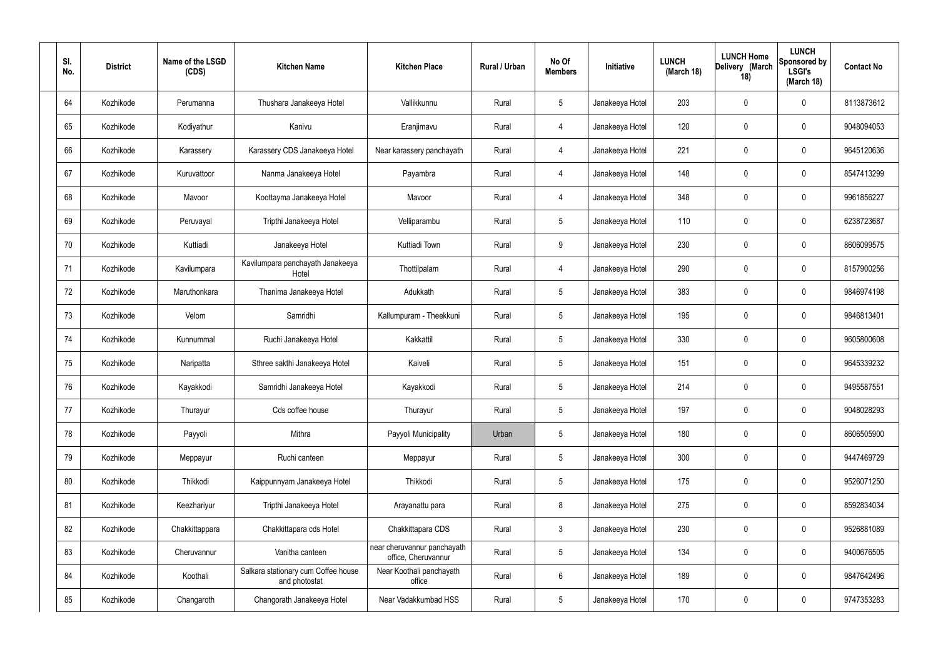| SI.<br>No. | <b>District</b> | Name of the LSGD<br>(CDS) | <b>Kitchen Name</b>                                  | <b>Kitchen Place</b>                               | Rural / Urban | No Of<br><b>Members</b> | Initiative      | <b>LUNCH</b><br>(March 18) | <b>LUNCH Home</b><br>Delivery (March<br>18) | <b>LUNCH</b><br>Sponsored by<br><b>LSGI's</b><br>(March 18) | <b>Contact No</b> |
|------------|-----------------|---------------------------|------------------------------------------------------|----------------------------------------------------|---------------|-------------------------|-----------------|----------------------------|---------------------------------------------|-------------------------------------------------------------|-------------------|
| 64         | Kozhikode       | Perumanna                 | Thushara Janakeeya Hotel                             | Vallikkunnu                                        | Rural         | $5\phantom{.0}$         | Janakeeya Hotel | 203                        | $\mathbf 0$                                 | $\mathbf 0$                                                 | 8113873612        |
| 65         | Kozhikode       | Kodiyathur                | Kanivu                                               | Eranjimavu                                         | Rural         | $\overline{4}$          | Janakeeya Hotel | 120                        | 0                                           | $\mathbf 0$                                                 | 9048094053        |
| 66         | Kozhikode       | Karassery                 | Karassery CDS Janakeeya Hotel                        | Near karassery panchayath                          | Rural         | $\overline{4}$          | Janakeeya Hotel | 221                        | 0                                           | $\mathbf 0$                                                 | 9645120636        |
| 67         | Kozhikode       | Kuruvattoor               | Nanma Janakeeya Hotel                                | Payambra                                           | Rural         | 4                       | Janakeeya Hotel | 148                        | 0                                           | $\mathbf 0$                                                 | 8547413299        |
| 68         | Kozhikode       | Mavoor                    | Koottayma Janakeeya Hotel                            | Mavoor                                             | Rural         | 4                       | Janakeeya Hotel | 348                        | 0                                           | $\mathbf 0$                                                 | 9961856227        |
| 69         | Kozhikode       | Peruvayal                 | Tripthi Janakeeya Hotel                              | Velliparambu                                       | Rural         | $5\phantom{.0}$         | Janakeeya Hotel | 110                        | 0                                           | $\mathbf 0$                                                 | 6238723687        |
| 70         | Kozhikode       | Kuttiadi                  | Janakeeya Hotel                                      | Kuttiadi Town                                      | Rural         | 9                       | Janakeeya Hotel | 230                        | 0                                           | $\mathbf 0$                                                 | 8606099575        |
| 71         | Kozhikode       | Kavilumpara               | Kavilumpara panchayath Janakeeya<br>Hotel            | Thottilpalam                                       | Rural         | 4                       | Janakeeya Hotel | 290                        | 0                                           | $\mathbf 0$                                                 | 8157900256        |
| 72         | Kozhikode       | Maruthonkara              | Thanima Janakeeya Hotel                              | Adukkath                                           | Rural         | $5\phantom{.0}$         | Janakeeya Hotel | 383                        | 0                                           | $\mathbf 0$                                                 | 9846974198        |
| 73         | Kozhikode       | Velom                     | Samridhi                                             | Kallumpuram - Theekkuni                            | Rural         | $5\phantom{.0}$         | Janakeeya Hotel | 195                        | 0                                           | $\mathbf 0$                                                 | 9846813401        |
| 74         | Kozhikode       | Kunnummal                 | Ruchi Janakeeya Hotel                                | Kakkattil                                          | Rural         | $5\phantom{.0}$         | Janakeeya Hotel | 330                        | $\mathbf 0$                                 | $\mathbf 0$                                                 | 9605800608        |
| 75         | Kozhikode       | Naripatta                 | Sthree sakthi Janakeeya Hotel                        | Kaiveli                                            | Rural         | $5\phantom{.0}$         | Janakeeya Hotel | 151                        | 0                                           | $\mathbf 0$                                                 | 9645339232        |
| 76         | Kozhikode       | Kayakkodi                 | Samridhi Janakeeya Hotel                             | Kayakkodi                                          | Rural         | $5\phantom{.0}$         | Janakeeya Hotel | 214                        | $\mathbf 0$                                 | $\mathbf 0$                                                 | 9495587551        |
| 77         | Kozhikode       | Thurayur                  | Cds coffee house                                     | Thurayur                                           | Rural         | $5\phantom{.0}$         | Janakeeya Hotel | 197                        | 0                                           | $\mathbf 0$                                                 | 9048028293        |
| 78         | Kozhikode       | Payyoli                   | Mithra                                               | Payyoli Municipality                               | Urban         | $5\phantom{.0}$         | Janakeeya Hotel | 180                        | 0                                           | $\mathbf 0$                                                 | 8606505900        |
| 79         | Kozhikode       | Meppayur                  | Ruchi canteen                                        | Meppayur                                           | Rural         | $5\phantom{.0}$         | Janakeeya Hotel | 300                        | 0                                           | $\mathbf 0$                                                 | 9447469729        |
| 80         | Kozhikode       | Thikkodi                  | Kaippunnyam Janakeeya Hotel                          | Thikkodi                                           | Rural         | $5\overline{)}$         | Janakeeya Hotel | 175                        | 0                                           | $\mathbf 0$                                                 | 9526071250        |
| 81         | Kozhikode       | Keezhariyur               | Tripthi Janakeeya Hotel                              | Arayanattu para                                    | Rural         | 8                       | Janakeeya Hotel | 275                        | 0                                           | $\mathbf 0$                                                 | 8592834034        |
| 82         | Kozhikode       | Chakkittappara            | Chakkittapara cds Hotel                              | Chakkittapara CDS                                  | Rural         | $\mathbf{3}$            | Janakeeya Hotel | 230                        | 0                                           | $\mathbf 0$                                                 | 9526881089        |
| 83         | Kozhikode       | Cheruvannur               | Vanitha canteen                                      | near cheruvannur panchayath<br>office, Cheruvannur | Rural         | $5\overline{)}$         | Janakeeya Hotel | 134                        | 0                                           | $\mathbf 0$                                                 | 9400676505        |
| 84         | Kozhikode       | Koothali                  | Salkara stationary cum Coffee house<br>and photostat | Near Koothali panchayath<br>office                 | Rural         | $6\,$                   | Janakeeya Hotel | 189                        | 0                                           | $\mathbf 0$                                                 | 9847642496        |
| 85         | Kozhikode       | Changaroth                | Changorath Janakeeya Hotel                           | Near Vadakkumbad HSS                               | Rural         | $5\phantom{.0}$         | Janakeeya Hotel | 170                        | 0                                           | $\mathbf 0$                                                 | 9747353283        |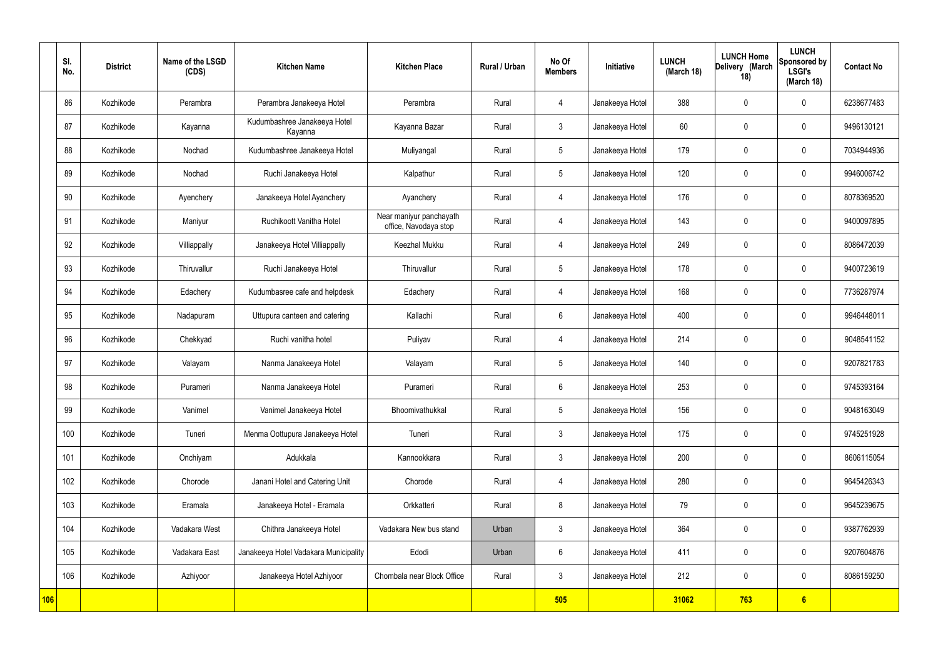|            | SI.<br>No. | <b>District</b> | Name of the LSGD<br>(CDS) | <b>Kitchen Name</b>                     | <b>Kitchen Place</b>                             | <b>Rural / Urban</b> | No Of<br><b>Members</b> | Initiative      | <b>LUNCH</b><br>(March 18) | <b>LUNCH Home</b><br>Delivery (March<br>18) | <b>LUNCH</b><br>Sponsored by<br><b>LSGI's</b><br>(March 18) | <b>Contact No</b> |
|------------|------------|-----------------|---------------------------|-----------------------------------------|--------------------------------------------------|----------------------|-------------------------|-----------------|----------------------------|---------------------------------------------|-------------------------------------------------------------|-------------------|
|            | 86         | Kozhikode       | Perambra                  | Perambra Janakeeya Hotel                | Perambra                                         | Rural                | $\overline{4}$          | Janakeeya Hotel | 388                        | $\mathbf 0$                                 | $\mathbf 0$                                                 | 6238677483        |
|            | 87         | Kozhikode       | Kayanna                   | Kudumbashree Janakeeya Hotel<br>Kayanna | Kayanna Bazar                                    | Rural                | $\mathbf{3}$            | Janakeeya Hotel | 60                         | $\mathbf 0$                                 | $\mathbf 0$                                                 | 9496130121        |
|            | 88         | Kozhikode       | Nochad                    | Kudumbashree Janakeeya Hotel            | Muliyangal                                       | Rural                | $5\phantom{.0}$         | Janakeeya Hotel | 179                        | $\mathbf 0$                                 | $\mathbf 0$                                                 | 7034944936        |
|            | 89         | Kozhikode       | Nochad                    | Ruchi Janakeeya Hotel                   | Kalpathur                                        | Rural                | $5\overline{)}$         | Janakeeya Hotel | 120                        | $\mathbf 0$                                 | $\mathbf 0$                                                 | 9946006742        |
|            | 90         | Kozhikode       | Ayenchery                 | Janakeeya Hotel Ayanchery               | Ayanchery                                        | Rural                | $\overline{4}$          | Janakeeya Hotel | 176                        | $\mathbf 0$                                 | $\mathbf 0$                                                 | 8078369520        |
|            | 91         | Kozhikode       | Maniyur                   | Ruchikoott Vanitha Hotel                | Near maniyur panchayath<br>office, Navodaya stop | Rural                | $\overline{4}$          | Janakeeya Hotel | 143                        | $\mathbf 0$                                 | $\mathbf 0$                                                 | 9400097895        |
|            | 92         | Kozhikode       | Villiappally              | Janakeeya Hotel Villiappally            | Keezhal Mukku                                    | Rural                | $\overline{4}$          | Janakeeya Hotel | 249                        | $\mathbf 0$                                 | $\mathbf 0$                                                 | 8086472039        |
|            | 93         | Kozhikode       | Thiruvallur               | Ruchi Janakeeya Hotel                   | Thiruvallur                                      | Rural                | $5\overline{)}$         | Janakeeya Hotel | 178                        | $\mathbf 0$                                 | $\mathbf 0$                                                 | 9400723619        |
|            | 94         | Kozhikode       | Edachery                  | Kudumbasree cafe and helpdesk           | Edachery                                         | Rural                | $\overline{4}$          | Janakeeya Hotel | 168                        | $\mathbf 0$                                 | $\mathbf 0$                                                 | 7736287974        |
|            | 95         | Kozhikode       | Nadapuram                 | Uttupura canteen and catering           | Kallachi                                         | Rural                | $6\phantom{.}6$         | Janakeeya Hotel | 400                        | $\mathbf 0$                                 | $\mathbf 0$                                                 | 9946448011        |
|            | 96         | Kozhikode       | Chekkyad                  | Ruchi vanitha hotel                     | Puliyav                                          | Rural                | $\overline{4}$          | Janakeeya Hotel | 214                        | $\mathbf 0$                                 | $\mathbf 0$                                                 | 9048541152        |
|            | 97         | Kozhikode       | Valayam                   | Nanma Janakeeya Hotel                   | Valayam                                          | Rural                | $5\phantom{.0}$         | Janakeeya Hotel | 140                        | $\mathbf 0$                                 | $\mathbf 0$                                                 | 9207821783        |
|            | 98         | Kozhikode       | Purameri                  | Nanma Janakeeya Hotel                   | Purameri                                         | Rural                | 6                       | Janakeeya Hotel | 253                        | $\mathbf 0$                                 | $\mathbf 0$                                                 | 9745393164        |
|            | 99         | Kozhikode       | Vanimel                   | Vanimel Janakeeya Hotel                 | Bhoomivathukkal                                  | Rural                | $5\phantom{.0}$         | Janakeeya Hotel | 156                        | $\mathbf 0$                                 | $\mathbf 0$                                                 | 9048163049        |
|            | 100        | Kozhikode       | Tuneri                    | Menma Oottupura Janakeeya Hotel         | Tuneri                                           | Rural                | $3\phantom{a}$          | Janakeeya Hotel | 175                        | $\mathbf 0$                                 | $\mathbf 0$                                                 | 9745251928        |
|            | 101        | Kozhikode       | Onchiyam                  | Adukkala                                | Kannookkara                                      | Rural                | $3\phantom{a}$          | Janakeeya Hotel | 200                        | $\mathbf 0$                                 | $\mathbf 0$                                                 | 8606115054        |
|            | 102        | Kozhikode       | Chorode                   | Janani Hotel and Catering Unit          | Chorode                                          | Rural                | $\overline{4}$          | Janakeeya Hotel | 280                        | $\mathbf 0$                                 | $\mathbf 0$                                                 | 9645426343        |
|            | 103        | Kozhikode       | Eramala                   | Janakeeya Hotel - Eramala               | Orkkatteri                                       | Rural                | 8                       | Janakeeya Hotel | 79                         | $\mathbf 0$                                 | $\mathbf 0$                                                 | 9645239675        |
|            | 104        | Kozhikode       | Vadakara West             | Chithra Janakeeya Hotel                 | Vadakara New bus stand                           | Urban                | $3\phantom{a}$          | Janakeeya Hotel | 364                        | $\mathbf 0$                                 | $\mathbf 0$                                                 | 9387762939        |
|            | 105        | Kozhikode       | Vadakara East             | Janakeeya Hotel Vadakara Municipality   | Edodi                                            | Urban                | $6\overline{6}$         | Janakeeya Hotel | 411                        | $\pmb{0}$                                   | $\mathbf 0$                                                 | 9207604876        |
|            | 106        | Kozhikode       | Azhiyoor                  | Janakeeya Hotel Azhiyoor                | Chombala near Block Office                       | Rural                | $\mathbf{3}$            | Janakeeya Hotel | 212                        | $\mathbf 0$                                 | $\mathbf 0$                                                 | 8086159250        |
| <b>106</b> |            |                 |                           |                                         |                                                  |                      | 505                     |                 | 31062                      | 763                                         | $6\phantom{a}$                                              |                   |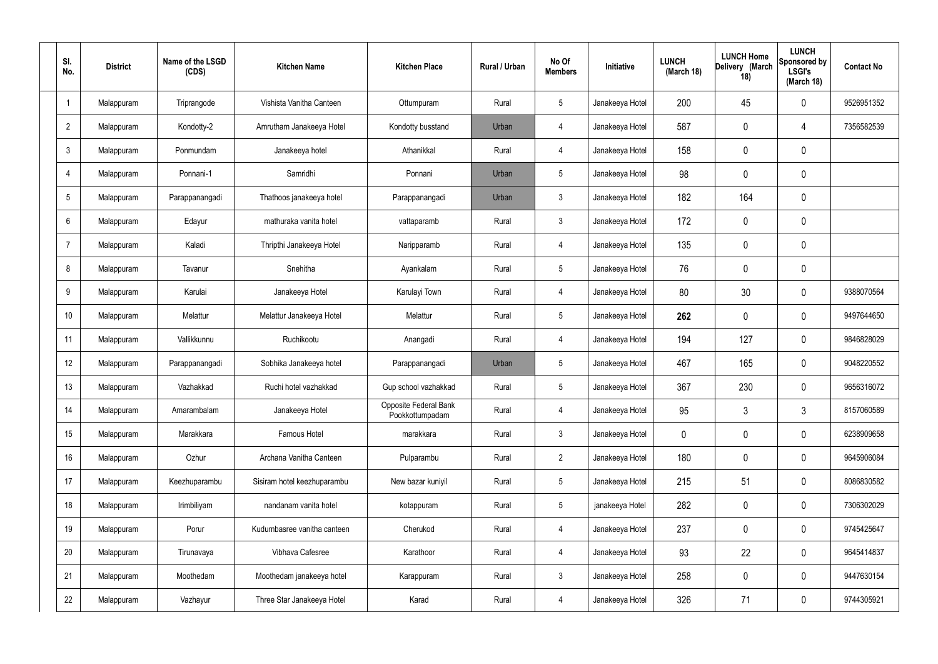| SI.<br>No.     | <b>District</b> | Name of the LSGD<br>(CDS) | <b>Kitchen Name</b>         | <b>Kitchen Place</b>                     | Rural / Urban | No Of<br><b>Members</b> | Initiative      | <b>LUNCH</b><br>(March 18) | <b>LUNCH Home</b><br>Delivery (March<br>18) | <b>LUNCH</b><br>Sponsored by<br><b>LSGI's</b><br>(March 18) | <b>Contact No</b> |
|----------------|-----------------|---------------------------|-----------------------------|------------------------------------------|---------------|-------------------------|-----------------|----------------------------|---------------------------------------------|-------------------------------------------------------------|-------------------|
|                | Malappuram      | Triprangode               | Vishista Vanitha Canteen    | Ottumpuram                               | Rural         | 5                       | Janakeeya Hotel | 200                        | 45                                          | 0                                                           | 9526951352        |
| $\overline{2}$ | Malappuram      | Kondotty-2                | Amrutham Janakeeya Hotel    | Kondotty busstand                        | Urban         | 4                       | Janakeeya Hotel | 587                        | $\overline{0}$                              | 4                                                           | 7356582539        |
| $\mathbf{3}$   | Malappuram      | Ponmundam                 | Janakeeya hotel             | Athanikkal                               | Rural         | 4                       | Janakeeya Hotel | 158                        | 0                                           | 0                                                           |                   |
| 4              | Malappuram      | Ponnani-1                 | Samridhi                    | Ponnani                                  | Urban         | 5                       | Janakeeya Hotel | 98                         | $\overline{0}$                              | 0                                                           |                   |
| 5              | Malappuram      | Parappanangadi            | Thathoos janakeeya hotel    | Parappanangadi                           | Urban         | 3                       | Janakeeya Hotel | 182                        | 164                                         | 0                                                           |                   |
| 6              | Malappuram      | Edayur                    | mathuraka vanita hotel      | vattaparamb                              | Rural         | 3                       | Janakeeya Hotel | 172                        | $\overline{0}$                              | 0                                                           |                   |
| $\overline{7}$ | Malappuram      | Kaladi                    | Thripthi Janakeeya Hotel    | Naripparamb                              | Rural         | 4                       | Janakeeya Hotel | 135                        | 0                                           | 0                                                           |                   |
| 8              | Malappuram      | Tavanur                   | Snehitha                    | Ayankalam                                | Rural         | 5                       | Janakeeya Hotel | 76                         | $\overline{0}$                              | 0                                                           |                   |
| 9              | Malappuram      | Karulai                   | Janakeeya Hotel             | Karulayi Town                            | Rural         | 4                       | Janakeeya Hotel | 80                         | 30                                          | 0                                                           | 9388070564        |
| 10             | Malappuram      | Melattur                  | Melattur Janakeeya Hotel    | Melattur                                 | Rural         | 5                       | Janakeeya Hotel | 262                        | $\overline{0}$                              | 0                                                           | 9497644650        |
| 11             | Malappuram      | Vallikkunnu               | Ruchikootu                  | Anangadi                                 | Rural         | 4                       | Janakeeya Hotel | 194                        | 127                                         | 0                                                           | 9846828029        |
| 12             | Malappuram      | Parappanangadi            | Sobhika Janakeeya hotel     | Parappanangadi                           | Urban         | 5                       | Janakeeya Hotel | 467                        | 165                                         | 0                                                           | 9048220552        |
| 13             | Malappuram      | Vazhakkad                 | Ruchi hotel vazhakkad       | Gup school vazhakkad                     | Rural         | 5                       | Janakeeya Hotel | 367                        | 230                                         | 0                                                           | 9656316072        |
| 14             | Malappuram      | Amarambalam               | Janakeeya Hotel             | Opposite Federal Bank<br>Pookkottumpadam | Rural         | 4                       | Janakeeya Hotel | 95                         | 3                                           | 3                                                           | 8157060589        |
| 15             | Malappuram      | Marakkara                 | Famous Hotel                | marakkara                                | Rural         | $\mathbf{3}$            | Janakeeya Hotel | 0                          | 0                                           | $\pmb{0}$                                                   | 6238909658        |
| 16             | Malappuram      | Ozhur                     | Archana Vanitha Canteen     | Pulparambu                               | Rural         | $2\overline{ }$         | Janakeeya Hotel | 180                        | 0                                           | 0                                                           | 9645906084        |
| 17             | Malappuram      | Keezhuparambu             | Sisiram hotel keezhuparambu | New bazar kuniyil                        | Rural         | $5\phantom{.0}$         | Janakeeya Hotel | 215                        | 51                                          | 0                                                           | 8086830582        |
| 18             | Malappuram      | Irimbiliyam               | nandanam vanita hotel       | kotappuram                               | Rural         | $\overline{5}$          | janakeeya Hotel | 282                        | $\pmb{0}$                                   | 0                                                           | 7306302029        |
| 19             | Malappuram      | Porur                     | Kudumbasree vanitha canteen | Cherukod                                 | Rural         | 4                       | Janakeeya Hotel | 237                        | 0                                           | 0                                                           | 9745425647        |
| 20             | Malappuram      | Tirunavaya                | Vibhava Cafesree            | Karathoor                                | Rural         | 4                       | Janakeeya Hotel | 93                         | 22                                          | 0                                                           | 9645414837        |
| 21             | Malappuram      | Moothedam                 | Moothedam janakeeya hotel   | Karappuram                               | Rural         | $\mathfrak{Z}$          | Janakeeya Hotel | 258                        | $\mathbf 0$                                 | 0                                                           | 9447630154        |
| 22             | Malappuram      | Vazhayur                  | Three Star Janakeeya Hotel  | Karad                                    | Rural         | 4                       | Janakeeya Hotel | 326                        | 71                                          | 0                                                           | 9744305921        |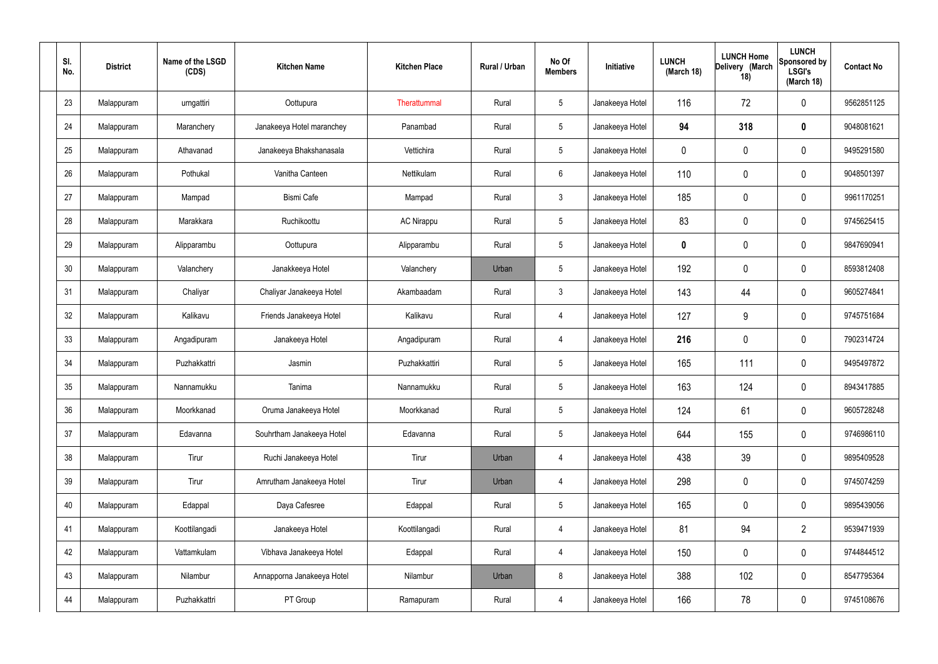| SI.<br>No. | <b>District</b> | Name of the LSGD<br>(CDS) | <b>Kitchen Name</b>        | <b>Kitchen Place</b> | Rural / Urban | No Of<br><b>Members</b> | Initiative      | <b>LUNCH</b><br>(March 18) | <b>LUNCH Home</b><br>Delivery (March<br>18) | <b>LUNCH</b><br>Sponsored by<br><b>LSGI's</b><br>(March 18) | <b>Contact No</b> |
|------------|-----------------|---------------------------|----------------------------|----------------------|---------------|-------------------------|-----------------|----------------------------|---------------------------------------------|-------------------------------------------------------------|-------------------|
| 23         | Malappuram      | urngattiri                | Oottupura                  | Therattummal         | Rural         | $5\,$                   | Janakeeya Hotel | 116                        | 72                                          | $\boldsymbol{0}$                                            | 9562851125        |
| 24         | Malappuram      | Maranchery                | Janakeeya Hotel maranchey  | Panambad             | Rural         | $5\,$                   | Janakeeya Hotel | 94                         | 318                                         | $\boldsymbol{0}$                                            | 9048081621        |
| 25         | Malappuram      | Athavanad                 | Janakeeya Bhakshanasala    | Vettichira           | Rural         | $5\phantom{.0}$         | Janakeeya Hotel | 0                          | 0                                           | $\boldsymbol{0}$                                            | 9495291580        |
| 26         | Malappuram      | Pothukal                  | Vanitha Canteen            | Nettikulam           | Rural         | $6\phantom{.}6$         | Janakeeya Hotel | 110                        | 0                                           | 0                                                           | 9048501397        |
| 27         | Malappuram      | Mampad                    | <b>Bismi Cafe</b>          | Mampad               | Rural         | $\mathbf{3}$            | Janakeeya Hotel | 185                        | 0                                           | $\boldsymbol{0}$                                            | 9961170251        |
| 28         | Malappuram      | Marakkara                 | Ruchikoottu                | AC Nirappu           | Rural         | $5\,$                   | Janakeeya Hotel | 83                         | 0                                           | 0                                                           | 9745625415        |
| 29         | Malappuram      | Alipparambu               | Oottupura                  | Alipparambu          | Rural         | $5\phantom{.0}$         | Janakeeya Hotel | 0                          | 0                                           | 0                                                           | 9847690941        |
| 30         | Malappuram      | Valanchery                | Janakkeeya Hotel           | Valanchery           | Urban         | $5\phantom{.0}$         | Janakeeya Hotel | 192                        | 0                                           | 0                                                           | 8593812408        |
| 31         | Malappuram      | Chaliyar                  | Chaliyar Janakeeya Hotel   | Akambaadam           | Rural         | $\mathbf{3}$            | Janakeeya Hotel | 143                        | 44                                          | 0                                                           | 9605274841        |
| 32         | Malappuram      | Kalikavu                  | Friends Janakeeya Hotel    | Kalikavu             | Rural         | 4                       | Janakeeya Hotel | 127                        | 9                                           | 0                                                           | 9745751684        |
| 33         | Malappuram      | Angadipuram               | Janakeeya Hotel            | Angadipuram          | Rural         | 4                       | Janakeeya Hotel | 216                        | 0                                           | $\pmb{0}$                                                   | 7902314724        |
| 34         | Malappuram      | Puzhakkattri              | Jasmin                     | Puzhakkattiri        | Rural         | $5\,$                   | Janakeeya Hotel | 165                        | 111                                         | 0                                                           | 9495497872        |
| 35         | Malappuram      | Nannamukku                | Tanima                     | Nannamukku           | Rural         | $5\phantom{.0}$         | Janakeeya Hotel | 163                        | 124                                         | 0                                                           | 8943417885        |
| 36         | Malappuram      | Moorkkanad                | Oruma Janakeeya Hotel      | Moorkkanad           | Rural         | $5\phantom{.0}$         | Janakeeya Hotel | 124                        | 61                                          | 0                                                           | 9605728248        |
| 37         | Malappuram      | Edavanna                  | Souhrtham Janakeeya Hotel  | Edavanna             | Rural         | $5\phantom{.0}$         | Janakeeya Hotel | 644                        | 155                                         | $\mathbf 0$                                                 | 9746986110        |
| 38         | Malappuram      | Tirur                     | Ruchi Janakeeya Hotel      | Tirur                | Urban         | 4                       | Janakeeya Hotel | 438                        | 39                                          | $\pmb{0}$                                                   | 9895409528        |
| 39         | Malappuram      | Tirur                     | Amrutham Janakeeya Hotel   | Tirur                | Urban         | 4                       | Janakeeya Hotel | 298                        | 0                                           | $\pmb{0}$                                                   | 9745074259        |
| 40         | Malappuram      | Edappal                   | Daya Cafesree              | Edappal              | Rural         | $5\phantom{.0}$         | Janakeeya Hotel | 165                        | 0                                           | $\pmb{0}$                                                   | 9895439056        |
| 41         | Malappuram      | Koottilangadi             | Janakeeya Hotel            | Koottilangadi        | Rural         | $\overline{4}$          | Janakeeya Hotel | 81                         | 94                                          | $\overline{2}$                                              | 9539471939        |
| 42         | Malappuram      | Vattamkulam               | Vibhava Janakeeya Hotel    | Edappal              | Rural         | $\overline{4}$          | Janakeeya Hotel | 150                        | 0                                           | $\pmb{0}$                                                   | 9744844512        |
| 43         | Malappuram      | Nilambur                  | Annapporna Janakeeya Hotel | Nilambur             | Urban         | 8                       | Janakeeya Hotel | 388                        | 102                                         | $\mathbf 0$                                                 | 8547795364        |
| 44         | Malappuram      | Puzhakkattri              | PT Group                   | Ramapuram            | Rural         | $\overline{4}$          | Janakeeya Hotel | 166                        | 78                                          | $\pmb{0}$                                                   | 9745108676        |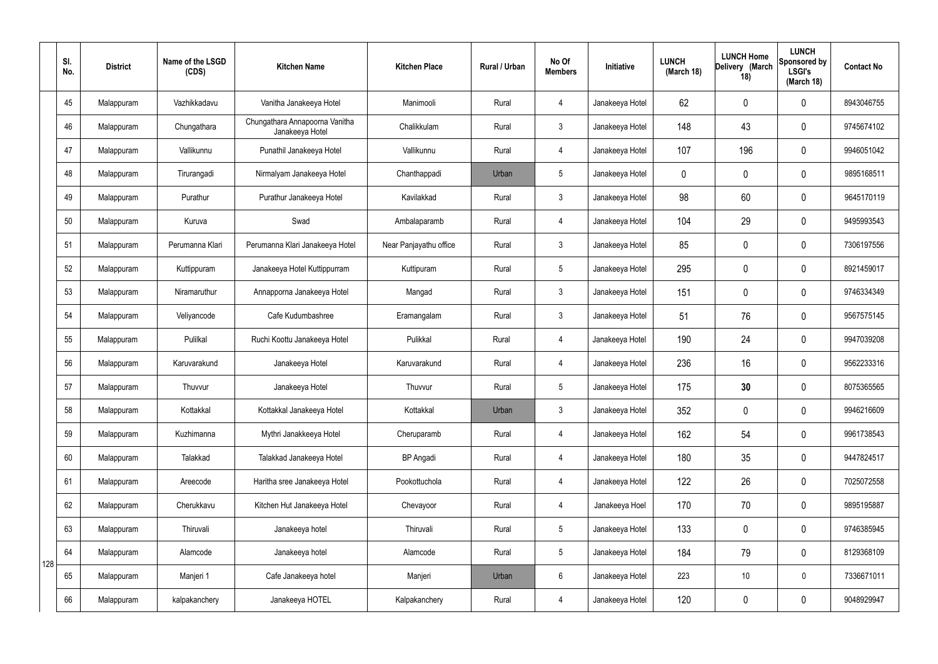|     | SI.<br>No. | <b>District</b> | Name of the LSGD<br>(CDS) | <b>Kitchen Name</b>                               | <b>Kitchen Place</b>   | Rural / Urban | No Of<br><b>Members</b> | Initiative      | <b>LUNCH</b><br>(March 18) | <b>LUNCH Home</b><br>Delivery (March<br>18) | <b>LUNCH</b><br>Sponsored by<br><b>LSGI's</b><br>(March 18) | <b>Contact No</b> |
|-----|------------|-----------------|---------------------------|---------------------------------------------------|------------------------|---------------|-------------------------|-----------------|----------------------------|---------------------------------------------|-------------------------------------------------------------|-------------------|
|     | 45         | Malappuram      | Vazhikkadavu              | Vanitha Janakeeya Hotel                           | Manimooli              | Rural         | 4                       | Janakeeya Hotel | 62                         | 0                                           | $\mathbf 0$                                                 | 8943046755        |
|     | 46         | Malappuram      | Chungathara               | Chungathara Annapoorna Vanitha<br>Janakeeya Hotel | Chalikkulam            | Rural         | $\mathbf{3}$            | Janakeeya Hotel | 148                        | 43                                          | $\pmb{0}$                                                   | 9745674102        |
|     | 47         | Malappuram      | Vallikunnu                | Punathil Janakeeya Hotel                          | Vallikunnu             | Rural         | 4                       | Janakeeya Hotel | 107                        | 196                                         | $\mathbf 0$                                                 | 9946051042        |
|     | 48         | Malappuram      | Tirurangadi               | Nirmalyam Janakeeya Hotel                         | Chanthappadi           | Urban         | $5\overline{)}$         | Janakeeya Hotel | $\mathbf 0$                | 0                                           | $\mathbf 0$                                                 | 9895168511        |
|     | 49         | Malappuram      | Purathur                  | Purathur Janakeeya Hotel                          | Kavilakkad             | Rural         | $\mathbf{3}$            | Janakeeya Hotel | 98                         | 60                                          | $\mathbf 0$                                                 | 9645170119        |
|     | 50         | Malappuram      | Kuruva                    | Swad                                              | Ambalaparamb           | Rural         | $\overline{4}$          | Janakeeya Hotel | 104                        | 29                                          | $\mathbf 0$                                                 | 9495993543        |
|     | 51         | Malappuram      | Perumanna Klari           | Perumanna Klari Janakeeya Hotel                   | Near Panjayathu office | Rural         | $\mathbf{3}$            | Janakeeya Hotel | 85                         | 0                                           | $\mathbf 0$                                                 | 7306197556        |
|     | 52         | Malappuram      | Kuttippuram               | Janakeeya Hotel Kuttippurram                      | Kuttipuram             | Rural         | 5                       | Janakeeya Hotel | 295                        | 0                                           | $\pmb{0}$                                                   | 8921459017        |
|     | 53         | Malappuram      | Niramaruthur              | Annapporna Janakeeya Hotel                        | Mangad                 | Rural         | $\mathbf{3}$            | Janakeeya Hotel | 151                        | 0                                           | $\mathbf 0$                                                 | 9746334349        |
|     | 54         | Malappuram      | Veliyancode               | Cafe Kudumbashree                                 | Eramangalam            | Rural         | $\mathbf{3}$            | Janakeeya Hotel | 51                         | 76                                          | $\pmb{0}$                                                   | 9567575145        |
|     | 55         | Malappuram      | Pulilkal                  | Ruchi Koottu Janakeeya Hotel                      | Pulikkal               | Rural         | $\overline{4}$          | Janakeeya Hotel | 190                        | 24                                          | $\mathbf 0$                                                 | 9947039208        |
|     | 56         | Malappuram      | Karuvarakund              | Janakeeya Hotel                                   | Karuvarakund           | Rural         | 4                       | Janakeeya Hotel | 236                        | 16                                          | $\pmb{0}$                                                   | 9562233316        |
|     | 57         | Malappuram      | Thuvvur                   | Janakeeya Hotel                                   | Thuvvur                | Rural         | $5\overline{)}$         | Janakeeya Hotel | 175                        | 30                                          | 0                                                           | 8075365565        |
|     | 58         | Malappuram      | Kottakkal                 | Kottakkal Janakeeya Hotel                         | Kottakkal              | Urban         | $\mathbf{3}$            | Janakeeya Hotel | 352                        | 0                                           | $\mathbf 0$                                                 | 9946216609        |
|     | 59         | Malappuram      | Kuzhimanna                | Mythri Janakkeeya Hotel                           | Cheruparamb            | Rural         | $\overline{4}$          | Janakeeya Hotel | 162                        | 54                                          | $\pmb{0}$                                                   | 9961738543        |
|     | 60         | Malappuram      | Talakkad                  | Talakkad Janakeeya Hotel                          | <b>BP</b> Angadi       | Rural         | $\overline{4}$          | Janakeeya Hotel | 180                        | 35                                          | $\pmb{0}$                                                   | 9447824517        |
|     | 61         | Malappuram      | Areecode                  | Haritha sree Janakeeya Hotel                      | Pookottuchola          | Rural         | $\overline{4}$          | Janakeeya Hotel | 122                        | 26                                          | $\pmb{0}$                                                   | 7025072558        |
|     | 62         | Malappuram      | Cherukkavu                | Kitchen Hut Janakeeya Hotel                       | Chevayoor              | Rural         | $\overline{4}$          | Janakeeya Hoel  | 170                        | 70                                          | $\pmb{0}$                                                   | 9895195887        |
|     | 63         | Malappuram      | Thiruvali                 | Janakeeya hotel                                   | Thiruvali              | Rural         | $5\phantom{.0}$         | Janakeeya Hotel | 133                        | 0                                           | $\pmb{0}$                                                   | 9746385945        |
| 128 | 64         | Malappuram      | Alamcode                  | Janakeeya hotel                                   | Alamcode               | Rural         | $5\phantom{.0}$         | Janakeeya Hotel | 184                        | 79                                          | $\pmb{0}$                                                   | 8129368109        |
|     | 65         | Malappuram      | Manjeri 1                 | Cafe Janakeeya hotel                              | Manjeri                | Urban         | $6\phantom{.}$          | Janakeeya Hotel | 223                        | 10                                          | $\mathbf 0$                                                 | 7336671011        |
|     | 66         | Malappuram      | kalpakanchery             | Janakeeya HOTEL                                   | Kalpakanchery          | Rural         | $\overline{4}$          | Janakeeya Hotel | 120                        | 0                                           | $\pmb{0}$                                                   | 9048929947        |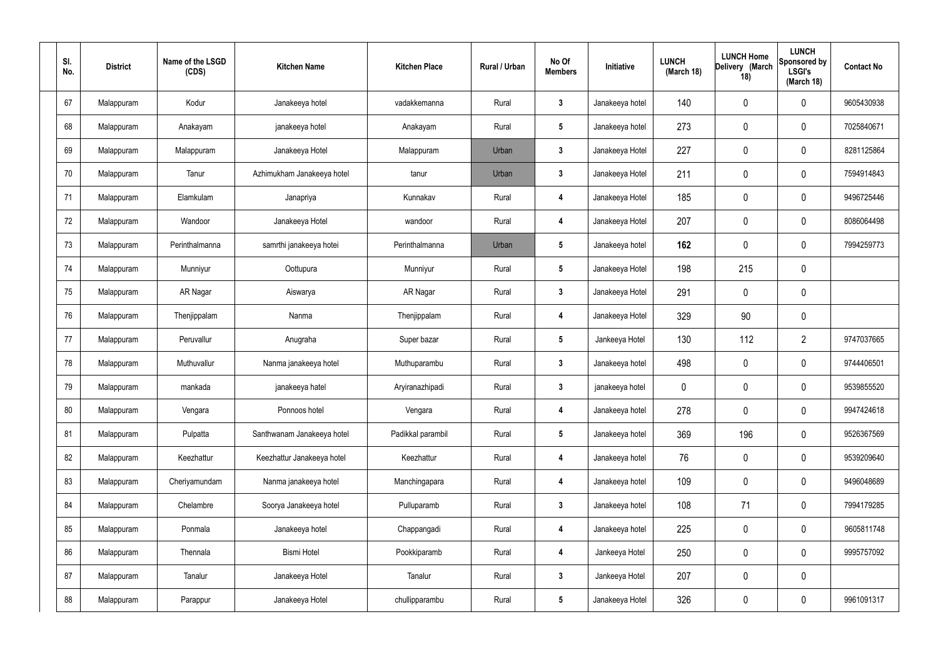| SI.<br>No. | <b>District</b> | Name of the LSGD<br>(CDS) | <b>Kitchen Name</b>        | <b>Kitchen Place</b> | Rural / Urban | No Of<br><b>Members</b> | Initiative      | <b>LUNCH</b><br>(March 18) | <b>LUNCH Home</b><br>Delivery (March<br>18) | <b>LUNCH</b><br>Sponsored by<br><b>LSGI's</b><br>(March 18) | <b>Contact No</b> |
|------------|-----------------|---------------------------|----------------------------|----------------------|---------------|-------------------------|-----------------|----------------------------|---------------------------------------------|-------------------------------------------------------------|-------------------|
| 67         | Malappuram      | Kodur                     | Janakeeya hotel            | vadakkemanna         | Rural         | $\mathbf{3}$            | Janakeeya hotel | 140                        | 0                                           | 0                                                           | 9605430938        |
| 68         | Malappuram      | Anakayam                  | janakeeya hotel            | Anakayam             | Rural         | $5\phantom{.0}$         | Janakeeya hotel | 273                        | 0                                           | $\mathbf 0$                                                 | 7025840671        |
| 69         | Malappuram      | Malappuram                | Janakeeya Hotel            | Malappuram           | Urban         | $\mathbf{3}$            | Janakeeya Hotel | 227                        | 0                                           | 0                                                           | 8281125864        |
| 70         | Malappuram      | Tanur                     | Azhimukham Janakeeya hotel | tanur                | Urban         | $\mathbf{3}$            | Janakeeya Hotel | 211                        | 0                                           | $\mathbf 0$                                                 | 7594914843        |
| 71         | Malappuram      | Elamkulam                 | Janapriya                  | Kunnakav             | Rural         | 4                       | Janakeeya Hotel | 185                        | 0                                           | 0                                                           | 9496725446        |
| 72         | Malappuram      | Wandoor                   | Janakeeya Hotel            | wandoor              | Rural         | 4                       | Janakeeya Hotel | 207                        | 0                                           | 0                                                           | 8086064498        |
| 73         | Malappuram      | Perinthalmanna            | samrthi janakeeya hotei    | Perinthalmanna       | Urban         | $5\phantom{.0}$         | Janakeeya hotel | 162                        | 0                                           | $\boldsymbol{0}$                                            | 7994259773        |
| 74         | Malappuram      | Munniyur                  | Oottupura                  | Munniyur             | Rural         | $5\phantom{.0}$         | Janakeeya Hotel | 198                        | 215                                         | $\boldsymbol{0}$                                            |                   |
| 75         | Malappuram      | AR Nagar                  | Aiswarya                   | AR Nagar             | Rural         | $3\phantom{a}$          | Janakeeya Hotel | 291                        | 0                                           | $\boldsymbol{0}$                                            |                   |
| 76         | Malappuram      | Thenjippalam              | Nanma                      | Thenjippalam         | Rural         | 4                       | Janakeeya Hotel | 329                        | 90                                          | $\boldsymbol{0}$                                            |                   |
| 77         | Malappuram      | Peruvallur                | Anugraha                   | Super bazar          | Rural         | $5\phantom{.0}$         | Jankeeya Hotel  | 130                        | 112                                         | $\overline{2}$                                              | 9747037665        |
| 78         | Malappuram      | Muthuvallur               | Nanma janakeeya hotel      | Muthuparambu         | Rural         | $\mathbf{3}$            | Janakeeya hotel | 498                        | 0                                           | 0                                                           | 9744406501        |
| 79         | Malappuram      | mankada                   | janakeeya hatel            | Aryiranazhipadi      | Rural         | $\mathbf{3}$            | janakeeya hotel | 0                          | 0                                           | 0                                                           | 9539855520        |
| 80         | Malappuram      | Vengara                   | Ponnoos hotel              | Vengara              | Rural         | 4                       | Janakeeya hotel | 278                        | 0                                           | 0                                                           | 9947424618        |
| 81         | Malappuram      | Pulpatta                  | Santhwanam Janakeeya hotel | Padikkal parambil    | Rural         | $5\phantom{.0}$         | Janakeeya hotel | 369                        | 196                                         | $\pmb{0}$                                                   | 9526367569        |
| 82         | Malappuram      | Keezhattur                | Keezhattur Janakeeya hotel | Keezhattur           | Rural         | $\overline{\mathbf{4}}$ | Janakeeya hotel | 76                         | 0                                           | 0                                                           | 9539209640        |
| 83         | Malappuram      | Cheriyamundam             | Nanma janakeeya hotel      | Manchingapara        | Rural         | 4                       | Janakeeya hotel | 109                        | 0                                           | $\pmb{0}$                                                   | 9496048689        |
| 84         | Malappuram      | Chelambre                 | Soorya Janakeeya hotel     | Pulluparamb          | Rural         | $3\phantom{a}$          | Janakeeya hotel | 108                        | 71                                          | $\pmb{0}$                                                   | 7994179285        |
| 85         | Malappuram      | Ponmala                   | Janakeeya hotel            | Chappangadi          | Rural         | 4                       | Janakeeya hotel | 225                        | 0                                           | $\pmb{0}$                                                   | 9605811748        |
| 86         | Malappuram      | Thennala                  | <b>Bismi Hotel</b>         | Pookkiparamb         | Rural         | 4                       | Jankeeya Hotel  | 250                        | 0                                           | $\pmb{0}$                                                   | 9995757092        |
| 87         | Malappuram      | Tanalur                   | Janakeeya Hotel            | Tanalur              | Rural         | $\mathbf{3}$            | Jankeeya Hotel  | 207                        | 0                                           | $\mathbf 0$                                                 |                   |
| 88         | Malappuram      | Parappur                  | Janakeeya Hotel            | chullipparambu       | Rural         | $5\phantom{.0}$         | Janakeeya Hotel | 326                        | 0                                           | $\pmb{0}$                                                   | 9961091317        |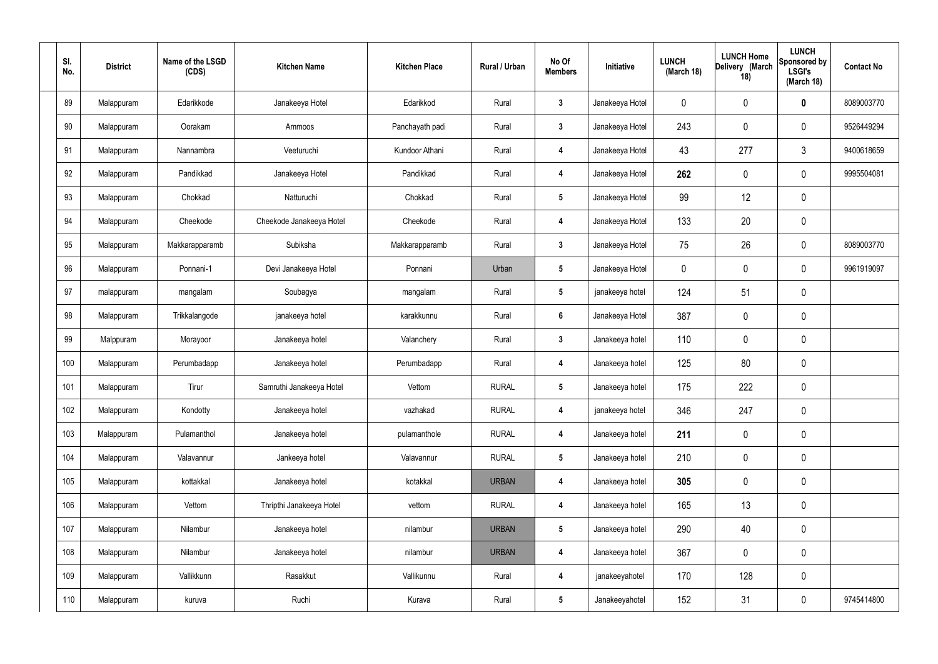| SI.<br>No. | <b>District</b> | Name of the LSGD<br>(CDS) | <b>Kitchen Name</b>      | <b>Kitchen Place</b> | Rural / Urban | No Of<br><b>Members</b> | Initiative      | <b>LUNCH</b><br>(March 18) | <b>LUNCH Home</b><br>Delivery (March<br>18) | <b>LUNCH</b><br>Sponsored by<br><b>LSGI's</b><br>(March 18) | <b>Contact No</b> |
|------------|-----------------|---------------------------|--------------------------|----------------------|---------------|-------------------------|-----------------|----------------------------|---------------------------------------------|-------------------------------------------------------------|-------------------|
| 89         | Malappuram      | Edarikkode                | Janakeeya Hotel          | Edarikkod            | Rural         | $\mathbf{3}$            | Janakeeya Hotel | 0                          | 0                                           | $\boldsymbol{0}$                                            | 8089003770        |
| 90         | Malappuram      | Oorakam                   | Ammoos                   | Panchayath padi      | Rural         | $3\phantom{a}$          | Janakeeya Hotel | 243                        | 0                                           | 0                                                           | 9526449294        |
| 91         | Malappuram      | Nannambra                 | Veeturuchi               | Kundoor Athani       | Rural         | 4                       | Janakeeya Hotel | 43                         | 277                                         | $\mathfrak{Z}$                                              | 9400618659        |
| 92         | Malappuram      | Pandikkad                 | Janakeeya Hotel          | Pandikkad            | Rural         | 4                       | Janakeeya Hotel | 262                        | 0                                           | 0                                                           | 9995504081        |
| 93         | Malappuram      | Chokkad                   | Natturuchi               | Chokkad              | Rural         | $5\phantom{.0}$         | Janakeeya Hotel | 99                         | 12                                          | $\boldsymbol{0}$                                            |                   |
| 94         | Malappuram      | Cheekode                  | Cheekode Janakeeya Hotel | Cheekode             | Rural         | 4                       | Janakeeya Hotel | 133                        | 20                                          | $\boldsymbol{0}$                                            |                   |
| 95         | Malappuram      | Makkarapparamb            | Subiksha                 | Makkarapparamb       | Rural         | $3\phantom{a}$          | Janakeeya Hotel | 75                         | 26                                          | 0                                                           | 8089003770        |
| 96         | Malappuram      | Ponnani-1                 | Devi Janakeeya Hotel     | Ponnani              | Urban         | $5\phantom{.0}$         | Janakeeya Hotel | 0                          | 0                                           | 0                                                           | 9961919097        |
| 97         | malappuram      | mangalam                  | Soubagya                 | mangalam             | Rural         | $5\phantom{.0}$         | janakeeya hotel | 124                        | 51                                          | $\boldsymbol{0}$                                            |                   |
| 98         | Malappuram      | Trikkalangode             | janakeeya hotel          | karakkunnu           | Rural         | $6\phantom{a}$          | Janakeeya Hotel | 387                        | 0                                           | $\boldsymbol{0}$                                            |                   |
| 99         | Malppuram       | Morayoor                  | Janakeeya hotel          | Valanchery           | Rural         | $3\phantom{a}$          | Janakeeya hotel | 110                        | 0                                           | $\boldsymbol{0}$                                            |                   |
| 100        | Malappuram      | Perumbadapp               | Janakeeya hotel          | Perumbadapp          | Rural         | 4                       | Janakeeya hotel | 125                        | 80                                          | $\boldsymbol{0}$                                            |                   |
| 101        | Malappuram      | Tirur                     | Samruthi Janakeeya Hotel | Vettom               | <b>RURAL</b>  | $5\phantom{.0}$         | Janakeeya hotel | 175                        | 222                                         | $\boldsymbol{0}$                                            |                   |
| 102        | Malappuram      | Kondotty                  | Janakeeya hotel          | vazhakad             | <b>RURAL</b>  | 4                       | janakeeya hotel | 346                        | 247                                         | $\pmb{0}$                                                   |                   |
| 103        | Malappuram      | Pulamanthol               | Janakeeya hotel          | pulamanthole         | <b>RURAL</b>  | $\overline{\mathbf{4}}$ | Janakeeya hotel | 211                        | 0                                           | $\mathbf 0$                                                 |                   |
| 104        | Malappuram      | Valavannur                | Jankeeya hotel           | Valavannur           | <b>RURAL</b>  | $5\phantom{.0}$         | Janakeeya hotel | 210                        | 0                                           | $\pmb{0}$                                                   |                   |
| 105        | Malappuram      | kottakkal                 | Janakeeya hotel          | kotakkal             | <b>URBAN</b>  | 4                       | Janakeeya hotel | 305                        | 0                                           | $\mathbf 0$                                                 |                   |
| 106        | Malappuram      | Vettom                    | Thripthi Janakeeya Hotel | vettom               | <b>RURAL</b>  | $\overline{\mathbf{4}}$ | Janakeeya hotel | 165                        | 13                                          | $\mathbf 0$                                                 |                   |
| 107        | Malappuram      | Nilambur                  | Janakeeya hotel          | nilambur             | <b>URBAN</b>  | $5\phantom{.0}$         | Janakeeya hotel | 290                        | 40                                          | $\mathbf 0$                                                 |                   |
| 108        | Malappuram      | Nilambur                  | Janakeeya hotel          | nilambur             | <b>URBAN</b>  | 4                       | Janakeeya hotel | 367                        | 0                                           | $\pmb{0}$                                                   |                   |
| 109        | Malappuram      | Vallikkunn                | Rasakkut                 | Vallikunnu           | Rural         | $\overline{\mathbf{4}}$ | janakeeyahotel  | 170                        | 128                                         | $\pmb{0}$                                                   |                   |
| 110        | Malappuram      | kuruva                    | Ruchi                    | Kurava               | Rural         | $5\phantom{.0}$         | Janakeeyahotel  | 152                        | 31                                          | $\pmb{0}$                                                   | 9745414800        |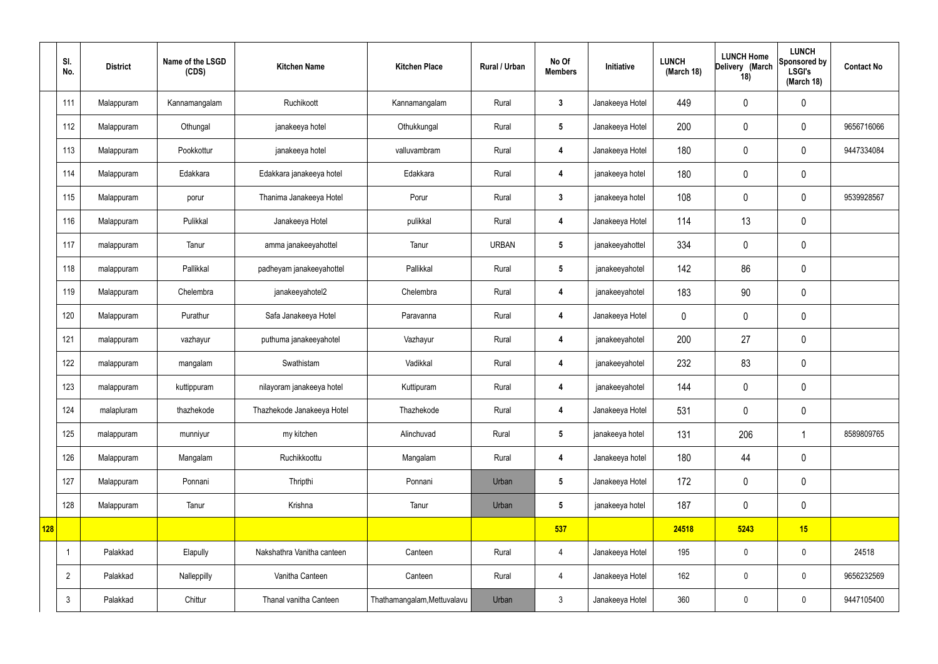|     | SI.<br>No.     | <b>District</b> | Name of the LSGD<br>(CDS) | <b>Kitchen Name</b>        | <b>Kitchen Place</b>        | Rural / Urban | No Of<br><b>Members</b> | Initiative      | <b>LUNCH</b><br>(March 18) | <b>LUNCH Home</b><br>Delivery (March<br>18) | <b>LUNCH</b><br>Sponsored by<br><b>LSGI's</b><br>(March 18) | <b>Contact No</b> |
|-----|----------------|-----------------|---------------------------|----------------------------|-----------------------------|---------------|-------------------------|-----------------|----------------------------|---------------------------------------------|-------------------------------------------------------------|-------------------|
|     | 111            | Malappuram      | Kannamangalam             | Ruchikoott                 | Kannamangalam               | Rural         | $\mathbf{3}$            | Janakeeya Hotel | 449                        | $\pmb{0}$                                   | $\pmb{0}$                                                   |                   |
|     | 112            | Malappuram      | Othungal                  | janakeeya hotel            | Othukkungal                 | Rural         | $5\phantom{.0}$         | Janakeeya Hotel | 200                        | 0                                           | $\pmb{0}$                                                   | 9656716066        |
|     | 113            | Malappuram      | Pookkottur                | janakeeya hotel            | valluvambram                | Rural         | 4                       | Janakeeya Hotel | 180                        | $\pmb{0}$                                   | $\mathbf 0$                                                 | 9447334084        |
|     | 114            | Malappuram      | Edakkara                  | Edakkara janakeeya hotel   | Edakkara                    | Rural         | $\overline{4}$          | janakeeya hotel | 180                        | $\pmb{0}$                                   | $\pmb{0}$                                                   |                   |
|     | 115            | Malappuram      | porur                     | Thanima Janakeeya Hotel    | Porur                       | Rural         | $\mathbf{3}$            | janakeeya hotel | 108                        | $\pmb{0}$                                   | $\pmb{0}$                                                   | 9539928567        |
|     | 116            | Malappuram      | Pulikkal                  | Janakeeya Hotel            | pulikkal                    | Rural         | 4                       | Janakeeya Hotel | 114                        | 13                                          | $\pmb{0}$                                                   |                   |
|     | 117            | malappuram      | Tanur                     | amma janakeeyahottel       | Tanur                       | <b>URBAN</b>  | $5\phantom{.0}$         | janakeeyahottel | 334                        | 0                                           | $\pmb{0}$                                                   |                   |
|     | 118            | malappuram      | Pallikkal                 | padheyam janakeeyahottel   | Pallikkal                   | Rural         | $5\phantom{.0}$         | janakeeyahotel  | 142                        | 86                                          | $\mathbf 0$                                                 |                   |
|     | 119            | Malappuram      | Chelembra                 | janakeeyahotel2            | Chelembra                   | Rural         | 4                       | janakeeyahotel  | 183                        | 90                                          | $\pmb{0}$                                                   |                   |
|     | 120            | Malappuram      | Purathur                  | Safa Janakeeya Hotel       | Paravanna                   | Rural         | 4                       | Janakeeya Hotel | $\mathbf 0$                | 0                                           | $\pmb{0}$                                                   |                   |
|     | 121            | malappuram      | vazhayur                  | puthuma janakeeyahotel     | Vazhayur                    | Rural         | 4                       | janakeeyahotel  | 200                        | 27                                          | $\pmb{0}$                                                   |                   |
|     | 122            | malappuram      | mangalam                  | Swathistam                 | Vadikkal                    | Rural         | 4                       | janakeeyahotel  | 232                        | 83                                          | $\pmb{0}$                                                   |                   |
|     | 123            | malappuram      | kuttippuram               | nilayoram janakeeya hotel  | Kuttipuram                  | Rural         | 4                       | janakeeyahotel  | 144                        | 0                                           | $\pmb{0}$                                                   |                   |
|     | 124            | malapluram      | thazhekode                | Thazhekode Janakeeya Hotel | Thazhekode                  | Rural         | 4                       | Janakeeya Hotel | 531                        | 0                                           | $\mathbf 0$                                                 |                   |
|     | 125            | malappuram      | munniyur                  | my kitchen                 | Alinchuvad                  | Rural         | $5\phantom{.0}$         | janakeeya hotel | 131                        | 206                                         | $\mathbf 1$                                                 | 8589809765        |
|     | 126            | Malappuram      | Mangalam                  | Ruchikkoottu               | Mangalam                    | Rural         | $\overline{\mathbf{4}}$ | Janakeeya hotel | 180                        | 44                                          | $\pmb{0}$                                                   |                   |
|     | 127            | Malappuram      | Ponnani                   | Thripthi                   | Ponnani                     | Urban         | $5\phantom{.0}$         | Janakeeya Hotel | 172                        | $\pmb{0}$                                   | $\pmb{0}$                                                   |                   |
|     | 128            | Malappuram      | Tanur                     | Krishna                    | Tanur                       | Urban         | $5\phantom{.0}$         | janakeeya hotel | 187                        | $\pmb{0}$                                   | $\pmb{0}$                                                   |                   |
| 128 |                |                 |                           |                            |                             |               | 537                     |                 | 24518                      | 5243                                        | 15                                                          |                   |
|     | $\overline{1}$ | Palakkad        | Elapully                  | Nakshathra Vanitha canteen | Canteen                     | Rural         | $\overline{4}$          | Janakeeya Hotel | 195                        | $\pmb{0}$                                   | $\mathbf 0$                                                 | 24518             |
|     | $\overline{2}$ | Palakkad        | Nalleppilly               | Vanitha Canteen            | Canteen                     | Rural         | $\overline{4}$          | Janakeeya Hotel | 162                        | $\pmb{0}$                                   | $\mathbf 0$                                                 | 9656232569        |
|     | $\mathbf{3}$   | Palakkad        | Chittur                   | Thanal vanitha Canteen     | Thathamangalam, Mettuvalavu | Urban         | $\mathbf{3}$            | Janakeeya Hotel | 360                        | $\pmb{0}$                                   | $\boldsymbol{0}$                                            | 9447105400        |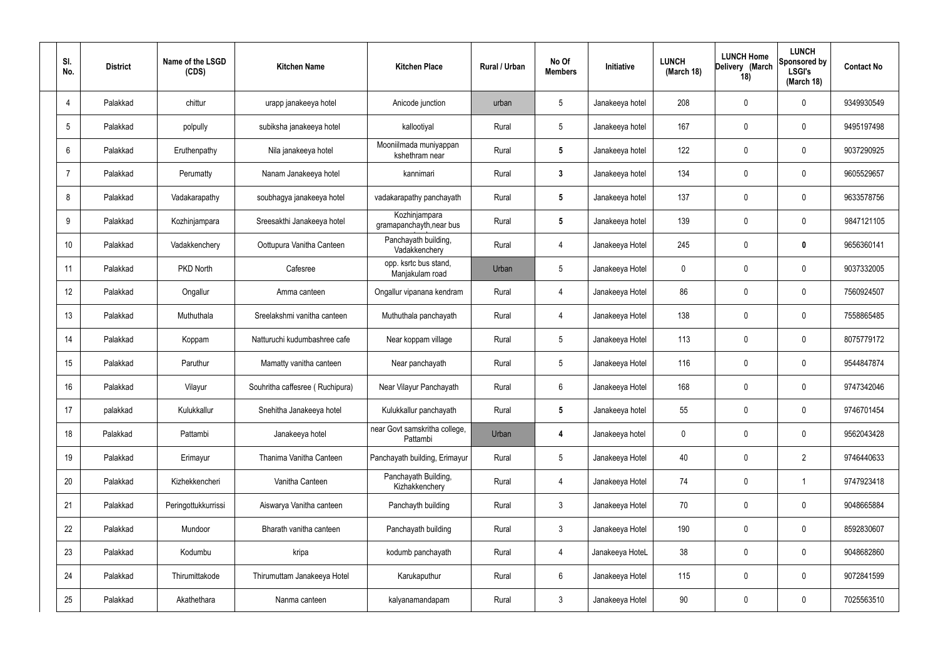| SI.<br>No. | <b>District</b> | Name of the LSGD<br>(CDS) | <b>Kitchen Name</b>             | <b>Kitchen Place</b>                      | Rural / Urban | No Of<br><b>Members</b> | Initiative      | <b>LUNCH</b><br>(March 18) | <b>LUNCH Home</b><br>Delivery (March<br>18) | <b>LUNCH</b><br>Sponsored by<br><b>LSGI's</b><br>(March 18) | <b>Contact No</b> |
|------------|-----------------|---------------------------|---------------------------------|-------------------------------------------|---------------|-------------------------|-----------------|----------------------------|---------------------------------------------|-------------------------------------------------------------|-------------------|
| 4          | Palakkad        | chittur                   | urapp janakeeya hotel           | Anicode junction                          | urban         | 5                       | Janakeeya hotel | 208                        | 0                                           | $\mathbf 0$                                                 | 9349930549        |
| 5          | Palakkad        | polpully                  | subiksha janakeeya hotel        | kallootiyal                               | Rural         | $5\phantom{.0}$         | Janakeeya hotel | 167                        | 0                                           | $\mathbf 0$                                                 | 9495197498        |
| 6          | Palakkad        | Eruthenpathy              | Nila janakeeya hotel            | Mooniilmada muniyappan<br>kshethram near  | Rural         | $5\phantom{.0}$         | Janakeeya hotel | 122                        | 0                                           | $\mathbf 0$                                                 | 9037290925        |
| 7          | Palakkad        | Perumatty                 | Nanam Janakeeya hotel           | kannimari                                 | Rural         | $\mathbf{3}$            | Janakeeya hotel | 134                        | 0                                           | $\mathbf 0$                                                 | 9605529657        |
| 8          | Palakkad        | Vadakarapathy             | soubhagya janakeeya hotel       | vadakarapathy panchayath                  | Rural         | $5\phantom{.0}$         | Janakeeya hotel | 137                        | 0                                           | $\mathbf 0$                                                 | 9633578756        |
| 9          | Palakkad        | Kozhinjampara             | Sreesakthi Janakeeya hotel      | Kozhinjampara<br>gramapanchayth, near bus | Rural         | $5\phantom{.0}$         | Janakeeya hotel | 139                        | $\mathbf{0}$                                | $\mathbf 0$                                                 | 9847121105        |
| 10         | Palakkad        | Vadakkenchery             | Oottupura Vanitha Canteen       | Panchayath building,<br>Vadakkenchery     | Rural         | $\overline{4}$          | Janakeeya Hotel | 245                        | 0                                           | $\mathbf{0}$                                                | 9656360141        |
| 11         | Palakkad        | PKD North                 | Cafesree                        | opp. ksrtc bus stand,<br>Manjakulam road  | Urban         | $5\phantom{.0}$         | Janakeeya Hotel | $\mathbf 0$                | $\mathbf{0}$                                | $\mathbf 0$                                                 | 9037332005        |
| 12         | Palakkad        | Ongallur                  | Amma canteen                    | Ongallur vipanana kendram                 | Rural         | 4                       | Janakeeya Hotel | 86                         | 0                                           | $\mathbf 0$                                                 | 7560924507        |
| 13         | Palakkad        | Muthuthala                | Sreelakshmi vanitha canteen     | Muthuthala panchayath                     | Rural         | 4                       | Janakeeya Hotel | 138                        | 0                                           | $\mathbf 0$                                                 | 7558865485        |
| 14         | Palakkad        | Koppam                    | Natturuchi kudumbashree cafe    | Near koppam village                       | Rural         | $5\phantom{.0}$         | Janakeeya Hotel | 113                        | 0                                           | 0                                                           | 8075779172        |
| 15         | Palakkad        | Paruthur                  | Mamatty vanitha canteen         | Near panchayath                           | Rural         | $5\phantom{.0}$         | Janakeeya Hotel | 116                        | 0                                           | $\boldsymbol{0}$                                            | 9544847874        |
| 16         | Palakkad        | Vilayur                   | Souhritha caffesree (Ruchipura) | Near Vilayur Panchayath                   | Rural         | 6                       | Janakeeya Hotel | 168                        | 0                                           | 0                                                           | 9747342046        |
| 17         | palakkad        | Kulukkallur               | Snehitha Janakeeya hotel        | Kulukkallur panchayath                    | Rural         | $5\phantom{.0}$         | Janakeeya hotel | 55                         | $\mathbf 0$                                 | $\mathbf 0$                                                 | 9746701454        |
| 18         | Palakkad        | Pattambi                  | Janakeeya hotel                 | near Govt samskritha college,<br>Pattambi | Urban         | 4                       | Janakeeya hotel | $\mathbf 0$                | $\mathbf 0$                                 | $\mathbf 0$                                                 | 9562043428        |
| 19         | Palakkad        | Erimayur                  | Thanima Vanitha Canteen         | Panchayath building, Erimayur             | Rural         | $5\phantom{.0}$         | Janakeeya Hotel | 40                         | 0                                           | $\overline{2}$                                              | 9746440633        |
| 20         | Palakkad        | Kizhekkencheri            | Vanitha Canteen                 | Panchayath Building,<br>Kizhakkenchery    | Rural         | $\overline{4}$          | Janakeeya Hotel | 74                         | $\mathbf 0$                                 | $\mathbf 1$                                                 | 9747923418        |
| 21         | Palakkad        | Peringottukkurrissi       | Aiswarya Vanitha canteen        | Panchayth building                        | Rural         | $\mathbf{3}$            | Janakeeya Hotel | 70                         | 0                                           | $\mathbf 0$                                                 | 9048665884        |
| 22         | Palakkad        | Mundoor                   | Bharath vanitha canteen         | Panchayath building                       | Rural         | $3\phantom{a}$          | Janakeeya Hotel | 190                        | 0                                           | $\mathbf 0$                                                 | 8592830607        |
| 23         | Palakkad        | Kodumbu                   | kripa                           | kodumb panchayath                         | Rural         | 4                       | Janakeeya HoteL | 38                         | $\boldsymbol{0}$                            | $\mathbf 0$                                                 | 9048682860        |
| 24         | Palakkad        | Thirumittakode            | Thirumuttam Janakeeya Hotel     | Karukaputhur                              | Rural         | $6\,$                   | Janakeeya Hotel | 115                        | $\mathbf 0$                                 | $\mathbf 0$                                                 | 9072841599        |
| 25         | Palakkad        | Akathethara               | Nanma canteen                   | kalyanamandapam                           | Rural         | $\mathfrak{Z}$          | Janakeeya Hotel | 90                         | 0                                           | $\boldsymbol{0}$                                            | 7025563510        |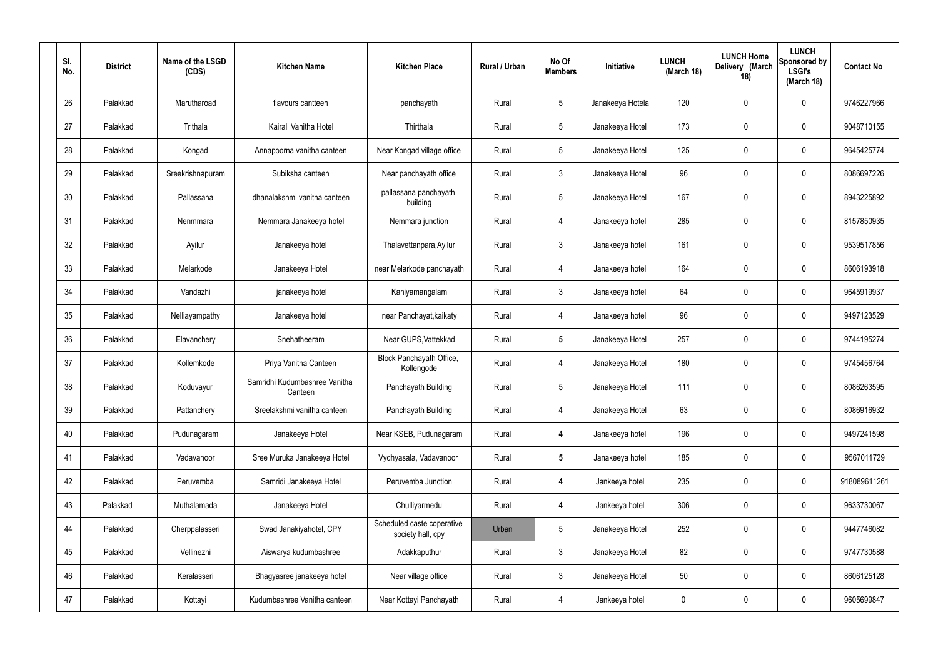| SI.<br>No. | <b>District</b> | Name of the LSGD<br>(CDS) | <b>Kitchen Name</b>                      | <b>Kitchen Place</b>                            | Rural / Urban | No Of<br><b>Members</b> | Initiative       | <b>LUNCH</b><br>(March 18) | <b>LUNCH Home</b><br>Delivery (March<br>18) | <b>LUNCH</b><br><b>Sponsored by</b><br><b>LSGI's</b><br>(March 18) | <b>Contact No</b> |
|------------|-----------------|---------------------------|------------------------------------------|-------------------------------------------------|---------------|-------------------------|------------------|----------------------------|---------------------------------------------|--------------------------------------------------------------------|-------------------|
| 26         | Palakkad        | Marutharoad               | flavours cantteen                        | panchayath                                      | Rural         | $5\phantom{.0}$         | Janakeeya Hotela | 120                        | $\mathbf 0$                                 | 0                                                                  | 9746227966        |
| 27         | Palakkad        | Trithala                  | Kairali Vanitha Hotel                    | Thirthala                                       | Rural         | $5\phantom{.0}$         | Janakeeya Hotel  | 173                        | $\mathbf 0$                                 | 0                                                                  | 9048710155        |
| 28         | Palakkad        | Kongad                    | Annapoorna vanitha canteen               | Near Kongad village office                      | Rural         | $5\phantom{.0}$         | Janakeeya Hotel  | 125                        | 0                                           | 0                                                                  | 9645425774        |
| 29         | Palakkad        | Sreekrishnapuram          | Subiksha canteen                         | Near panchayath office                          | Rural         | $\mathbf{3}$            | Janakeeya Hotel  | 96                         | $\mathbf 0$                                 | 0                                                                  | 8086697226        |
| 30         | Palakkad        | Pallassana                | dhanalakshmi vanitha canteen             | pallassana panchayath<br>building               | Rural         | $5\phantom{.0}$         | Janakeeya Hotel  | 167                        | $\mathbf 0$                                 | 0                                                                  | 8943225892        |
| 31         | Palakkad        | Nenmmara                  | Nemmara Janakeeya hotel                  | Nemmara junction                                | Rural         | $\overline{4}$          | Janakeeya hotel  | 285                        | $\mathbf 0$                                 | 0                                                                  | 8157850935        |
| 32         | Palakkad        | Ayilur                    | Janakeeya hotel                          | Thalavettanpara, Ayilur                         | Rural         | $\mathbf{3}$            | Janakeeya hotel  | 161                        | 0                                           | 0                                                                  | 9539517856        |
| 33         | Palakkad        | Melarkode                 | Janakeeya Hotel                          | near Melarkode panchayath                       | Rural         | $\overline{4}$          | Janakeeya hotel  | 164                        | $\mathbf 0$                                 | 0                                                                  | 8606193918        |
| 34         | Palakkad        | Vandazhi                  | janakeeya hotel                          | Kaniyamangalam                                  | Rural         | $\mathbf{3}$            | Janakeeya hotel  | 64                         | $\mathbf 0$                                 | 0                                                                  | 9645919937        |
| 35         | Palakkad        | Nelliayampathy            | Janakeeya hotel                          | near Panchayat, kaikaty                         | Rural         | $\overline{4}$          | Janakeeya hotel  | 96                         | $\mathbf 0$                                 | 0                                                                  | 9497123529        |
| 36         | Palakkad        | Elavanchery               | Snehatheeram                             | Near GUPS, Vattekkad                            | Rural         | $5\overline{5}$         | Janakeeya Hotel  | 257                        | 0                                           | 0                                                                  | 9744195274        |
| 37         | Palakkad        | Kollemkode                | Priya Vanitha Canteen                    | Block Panchayath Office,<br>Kollengode          | Rural         | $\overline{4}$          | Janakeeya Hotel  | 180                        | 0                                           | 0                                                                  | 9745456764        |
| 38         | Palakkad        | Koduvayur                 | Samridhi Kudumbashree Vanitha<br>Canteen | Panchayath Building                             | Rural         | 5                       | Janakeeya Hotel  | 111                        | 0                                           | 0                                                                  | 8086263595        |
| 39         | Palakkad        | Pattanchery               | Sreelakshmi vanitha canteen              | Panchayath Building                             | Rural         | $\overline{4}$          | Janakeeya Hotel  | 63                         | $\mathbf 0$                                 | 0                                                                  | 8086916932        |
| 40         | Palakkad        | Pudunagaram               | Janakeeya Hotel                          | Near KSEB, Pudunagaram                          | Rural         | $\overline{\mathbf{4}}$ | Janakeeya hotel  | 196                        | $\mathbf 0$                                 | 0                                                                  | 9497241598        |
| 41         | Palakkad        | Vadavanoor                | Sree Muruka Janakeeya Hotel              | Vydhyasala, Vadavanoor                          | Rural         | $\sqrt{5}$              | Janakeeya hotel  | 185                        | $\mathbf 0$                                 | 0                                                                  | 9567011729        |
| 42         | Palakkad        | Peruvemba                 | Samridi Janakeeya Hotel                  | Peruvemba Junction                              | Rural         | $\overline{4}$          | Jankeeya hotel   | 235                        | $\mathbf 0$                                 | 0                                                                  | 918089611261      |
| 43         | Palakkad        | Muthalamada               | Janakeeya Hotel                          | Chulliyarmedu                                   | Rural         | $\overline{4}$          | Jankeeya hotel   | 306                        | $\mathbf 0$                                 | 0                                                                  | 9633730067        |
| 44         | Palakkad        | Cherppalasseri            | Swad Janakiyahotel, CPY                  | Scheduled caste coperative<br>society hall, cpy | Urban         | $5\phantom{.0}$         | Janakeeya Hotel  | 252                        | $\mathbf 0$                                 | 0                                                                  | 9447746082        |
| 45         | Palakkad        | Vellinezhi                | Aiswarya kudumbashree                    | Adakkaputhur                                    | Rural         | $\mathbf{3}$            | Janakeeya Hotel  | 82                         | $\mathbf 0$                                 | 0                                                                  | 9747730588        |
| 46         | Palakkad        | Keralasseri               | Bhagyasree janakeeya hotel               | Near village office                             | Rural         | $\mathbf{3}$            | Janakeeya Hotel  | 50                         | $\mathbf 0$                                 | 0                                                                  | 8606125128        |
| 47         | Palakkad        | Kottayi                   | Kudumbashree Vanitha canteen             | Near Kottayi Panchayath                         | Rural         | $\overline{4}$          | Jankeeya hotel   | 0                          | $\pmb{0}$                                   | 0                                                                  | 9605699847        |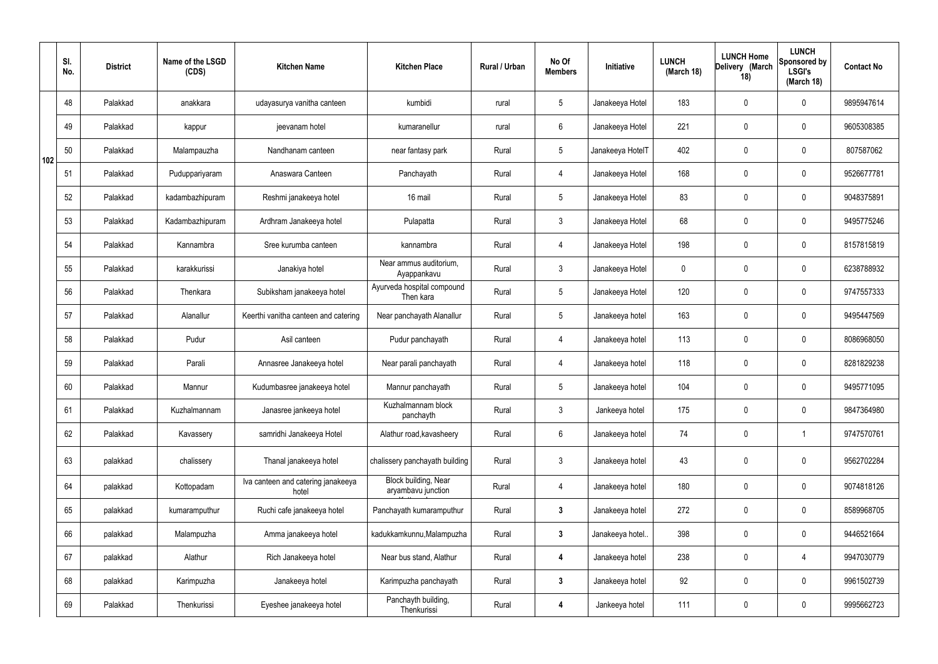|     | SI.<br>No. | <b>District</b> | Name of the LSGD<br>(CDS) | <b>Kitchen Name</b>                         | <b>Kitchen Place</b>                              | Rural / Urban | No Of<br><b>Members</b> | Initiative       | <b>LUNCH</b><br>(March 18) | <b>LUNCH Home</b><br>Delivery (March<br>18) | <b>LUNCH</b><br>Sponsored by<br><b>LSGI's</b><br>(March 18) | <b>Contact No</b> |
|-----|------------|-----------------|---------------------------|---------------------------------------------|---------------------------------------------------|---------------|-------------------------|------------------|----------------------------|---------------------------------------------|-------------------------------------------------------------|-------------------|
|     | 48         | Palakkad        | anakkara                  | udayasurya vanitha canteen                  | kumbidi                                           | rural         | $5\phantom{.0}$         | Janakeeya Hotel  | 183                        | $\mathbf 0$                                 | $\mathbf 0$                                                 | 9895947614        |
|     | 49         | Palakkad        | kappur                    | jeevanam hotel                              | kumaranellur                                      | rural         | $6\phantom{.}6$         | Janakeeya Hotel  | 221                        | $\mathbf 0$                                 | $\mathbf 0$                                                 | 9605308385        |
| 102 | 50         | Palakkad        | Malampauzha               | Nandhanam canteen                           | near fantasy park                                 | Rural         | $5\phantom{.0}$         | Janakeeya HotelT | 402                        | $\mathbf 0$                                 | $\mathbf 0$                                                 | 807587062         |
|     | 51         | Palakkad        | Puduppariyaram            | Anaswara Canteen                            | Panchayath                                        | Rural         | $\overline{4}$          | Janakeeya Hotel  | 168                        | $\mathbf 0$                                 | $\mathbf 0$                                                 | 9526677781        |
|     | 52         | Palakkad        | kadambazhipuram           | Reshmi janakeeya hotel                      | 16 mail                                           | Rural         | $5\phantom{.0}$         | Janakeeya Hotel  | 83                         | $\mathbf 0$                                 | $\mathbf 0$                                                 | 9048375891        |
|     | 53         | Palakkad        | Kadambazhipuram           | Ardhram Janakeeya hotel                     | Pulapatta                                         | Rural         | $\mathbf{3}$            | Janakeeya Hotel  | 68                         | $\mathbf 0$                                 | $\mathbf 0$                                                 | 9495775246        |
|     | 54         | Palakkad        | Kannambra                 | Sree kurumba canteen                        | kannambra                                         | Rural         | 4                       | Janakeeya Hotel  | 198                        | $\mathbf 0$                                 | $\mathbf 0$                                                 | 8157815819        |
|     | 55         | Palakkad        | karakkurissi              | Janakiya hotel                              | Near ammus auditorium,<br>Ayappankavu             | Rural         | $\mathbf{3}$            | Janakeeya Hotel  | $\mathbf 0$                | $\mathbf 0$                                 | $\mathbf 0$                                                 | 6238788932        |
|     | 56         | Palakkad        | Thenkara                  | Subiksham janakeeya hotel                   | Ayurveda hospital compound<br>Then kara           | Rural         | $5\overline{)}$         | Janakeeya Hotel  | 120                        | $\mathbf 0$                                 | $\mathbf 0$                                                 | 9747557333        |
|     | 57         | Palakkad        | Alanallur                 | Keerthi vanitha canteen and catering        | Near panchayath Alanallur                         | Rural         | $5\overline{)}$         | Janakeeya hotel  | 163                        | $\mathbf 0$                                 | $\mathbf 0$                                                 | 9495447569        |
|     | 58         | Palakkad        | Pudur                     | Asil canteen                                | Pudur panchayath                                  | Rural         | 4                       | Janakeeya hotel  | 113                        | $\mathbf 0$                                 | $\mathbf 0$                                                 | 8086968050        |
|     | 59         | Palakkad        | Parali                    | Annasree Janakeeya hotel                    | Near parali panchayath                            | Rural         | 4                       | Janakeeya hotel  | 118                        | $\mathbf 0$                                 | $\mathbf 0$                                                 | 8281829238        |
|     | 60         | Palakkad        | Mannur                    | Kudumbasree janakeeya hotel                 | Mannur panchayath                                 | Rural         | $5\overline{)}$         | Janakeeya hotel  | 104                        | $\mathbf 0$                                 | $\mathbf 0$                                                 | 9495771095        |
|     | 61         | Palakkad        | Kuzhalmannam              | Janasree jankeeya hotel                     | Kuzhalmannam block<br>panchayth                   | Rural         | $\mathbf{3}$            | Jankeeya hotel   | 175                        | $\mathbf 0$                                 | $\mathbf 0$                                                 | 9847364980        |
|     | 62         | Palakkad        | Kavassery                 | samridhi Janakeeya Hotel                    | Alathur road, kavasheery                          | Rural         | $6\overline{6}$         | Janakeeya hotel  | 74                         | $\pmb{0}$                                   | $\mathbf{1}$                                                | 9747570761        |
|     | 63         | palakkad        | chalissery                | Thanal janakeeya hotel                      | chalissery panchayath building                    | Rural         | $\mathfrak{Z}$          | Janakeeya hotel  | 43                         | $\mathbf 0$                                 | $\mathbf 0$                                                 | 9562702284        |
|     | 64         | palakkad        | Kottopadam                | Iva canteen and catering janakeeya<br>hotel | <b>Block building, Near</b><br>aryambavu junction | Rural         | 4                       | Janakeeya hotel  | 180                        | $\mathbf 0$                                 | $\mathbf 0$                                                 | 9074818126        |
|     | 65         | palakkad        | kumaramputhur             | Ruchi cafe janakeeya hotel                  | Panchayath kumaramputhur                          | Rural         | $3\phantom{a}$          | Janakeeya hotel  | 272                        | $\mathbf 0$                                 | $\mathbf 0$                                                 | 8589968705        |
|     | 66         | palakkad        | Malampuzha                | Amma janakeeya hotel                        | kadukkamkunnu, Malampuzha                         | Rural         | $\mathbf{3}$            | Janakeeya hotel. | 398                        | $\mathbf 0$                                 | $\mathbf 0$                                                 | 9446521664        |
|     | 67         | palakkad        | Alathur                   | Rich Janakeeya hotel                        | Near bus stand, Alathur                           | Rural         | 4                       | Janakeeya hotel  | 238                        | $\mathbf 0$                                 | 4                                                           | 9947030779        |
|     | 68         | palakkad        | Karimpuzha                | Janakeeya hotel                             | Karimpuzha panchayath                             | Rural         | $\mathbf{3}$            | Janakeeya hotel  | 92                         | $\mathbf 0$                                 | $\mathbf 0$                                                 | 9961502739        |
|     | 69         | Palakkad        | Thenkurissi               | Eyeshee janakeeya hotel                     | Panchayth building,<br>Thenkurissi                | Rural         | 4                       | Jankeeya hotel   | 111                        | $\pmb{0}$                                   | $\mathbf 0$                                                 | 9995662723        |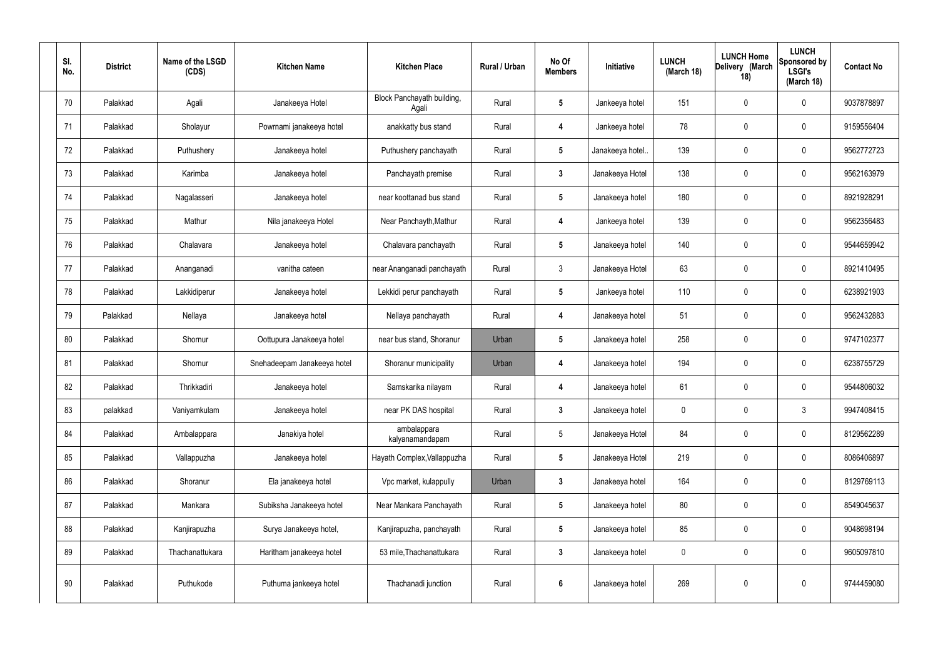| SI.<br>No. | <b>District</b> | Name of the LSGD<br>(CDS) | <b>Kitchen Name</b>         | <b>Kitchen Place</b>                | Rural / Urban | No Of<br><b>Members</b> | Initiative       | <b>LUNCH</b><br>(March 18) | <b>LUNCH Home</b><br>Delivery (March<br>18) | <b>LUNCH</b><br>Sponsored by<br><b>LSGI's</b><br>(March 18) | <b>Contact No</b> |
|------------|-----------------|---------------------------|-----------------------------|-------------------------------------|---------------|-------------------------|------------------|----------------------------|---------------------------------------------|-------------------------------------------------------------|-------------------|
| 70         | Palakkad        | Agali                     | Janakeeya Hotel             | Block Panchayath building,<br>Agali | Rural         | $5\phantom{.0}$         | Jankeeya hotel   | 151                        | 0                                           | $\mathbf 0$                                                 | 9037878897        |
| 71         | Palakkad        | Sholayur                  | Powrnami janakeeya hotel    | anakkatty bus stand                 | Rural         | 4                       | Jankeeya hotel   | 78                         | $\mathbf 0$                                 | $\mathbf 0$                                                 | 9159556404        |
| 72         | Palakkad        | Puthushery                | Janakeeya hotel             | Puthushery panchayath               | Rural         | $5\overline{)}$         | Janakeeya hotel. | 139                        | 0                                           | $\mathbf 0$                                                 | 9562772723        |
| 73         | Palakkad        | Karimba                   | Janakeeya hotel             | Panchayath premise                  | Rural         | $\mathbf{3}$            | Janakeeya Hotel  | 138                        | $\mathbf 0$                                 | $\mathbf 0$                                                 | 9562163979        |
| 74         | Palakkad        | Nagalasseri               | Janakeeya hotel             | near koottanad bus stand            | Rural         | $5\overline{)}$         | Janakeeya hotel  | 180                        | $\mathbf 0$                                 | $\mathbf 0$                                                 | 8921928291        |
| 75         | Palakkad        | Mathur                    | Nila janakeeya Hotel        | Near Panchayth, Mathur              | Rural         | 4                       | Jankeeya hotel   | 139                        | $\mathbf 0$                                 | $\mathbf 0$                                                 | 9562356483        |
| 76         | Palakkad        | Chalavara                 | Janakeeya hotel             | Chalavara panchayath                | Rural         | $5\overline{)}$         | Janakeeya hotel  | 140                        | $\mathbf 0$                                 | $\mathbf 0$                                                 | 9544659942        |
| 77         | Palakkad        | Ananganadi                | vanitha cateen              | near Ananganadi panchayath          | Rural         | $\mathbf{3}$            | Janakeeya Hotel  | 63                         | $\mathbf 0$                                 | $\mathbf 0$                                                 | 8921410495        |
| 78         | Palakkad        | Lakkidiperur              | Janakeeya hotel             | Lekkidi perur panchayath            | Rural         | $5\phantom{.0}$         | Jankeeya hotel   | 110                        | 0                                           | $\mathbf 0$                                                 | 6238921903        |
| 79         | Palakkad        | Nellaya                   | Janakeeya hotel             | Nellaya panchayath                  | Rural         | 4                       | Janakeeya hotel  | 51                         | $\mathbf 0$                                 | $\mathbf 0$                                                 | 9562432883        |
| 80         | Palakkad        | Shornur                   | Oottupura Janakeeya hotel   | near bus stand, Shoranur            | Urban         | $5\phantom{.0}$         | Janakeeya hotel  | 258                        | 0                                           | $\mathbf 0$                                                 | 9747102377        |
| 81         | Palakkad        | Shornur                   | Snehadeepam Janakeeya hotel | Shoranur municipality               | Urban         | 4                       | Janakeeya hotel  | 194                        | $\mathbf 0$                                 | $\mathbf 0$                                                 | 6238755729        |
| 82         | Palakkad        | Thrikkadiri               | Janakeeya hotel             | Samskarika nilayam                  | Rural         | 4                       | Janakeeya hotel  | 61                         | 0                                           | $\mathbf 0$                                                 | 9544806032        |
| 83         | palakkad        | Vaniyamkulam              | Janakeeya hotel             | near PK DAS hospital                | Rural         | $\mathbf{3}$            | Janakeeya hotel  | 0                          | $\mathbf 0$                                 | $\mathbf{3}$                                                | 9947408415        |
| 84         | Palakkad        | Ambalappara               | Janakiya hotel              | ambalappara<br>kalyanamandapam      | Rural         | $5\phantom{.0}$         | Janakeeya Hotel  | 84                         | $\mathbf 0$                                 | $\mathbf 0$                                                 | 8129562289        |
| 85         | Palakkad        | Vallappuzha               | Janakeeya hotel             | Hayath Complex, Vallappuzha         | Rural         | $5\phantom{.0}$         | Janakeeya Hotel  | 219                        | 0                                           | $\mathbf 0$                                                 | 8086406897        |
| 86         | Palakkad        | Shoranur                  | Ela janakeeya hotel         | Vpc market, kulappully              | Urban         | $\mathbf{3}$            | Janakeeya hotel  | 164                        | 0                                           | $\mathbf 0$                                                 | 8129769113        |
| 87         | Palakkad        | Mankara                   | Subiksha Janakeeya hotel    | Near Mankara Panchayath             | Rural         | $5\phantom{.0}$         | Janakeeya hotel  | 80                         | 0                                           | $\mathbf 0$                                                 | 8549045637        |
| 88         | Palakkad        | Kanjirapuzha              | Surya Janakeeya hotel,      | Kanjirapuzha, panchayath            | Rural         | $5\phantom{.0}$         | Janakeeya hotel  | 85                         | 0                                           | $\mathbf 0$                                                 | 9048698194        |
| 89         | Palakkad        | Thachanattukara           | Haritham janakeeya hotel    | 53 mile, Thachanattukara            | Rural         | $\mathbf{3}$            | Janakeeya hotel  | $\pmb{0}$                  | 0                                           | $\mathbf 0$                                                 | 9605097810        |
| 90         | Palakkad        | Puthukode                 | Puthuma jankeeya hotel      | Thachanadi junction                 | Rural         | $6\phantom{a}$          | Janakeeya hotel  | 269                        | 0                                           | $\pmb{0}$                                                   | 9744459080        |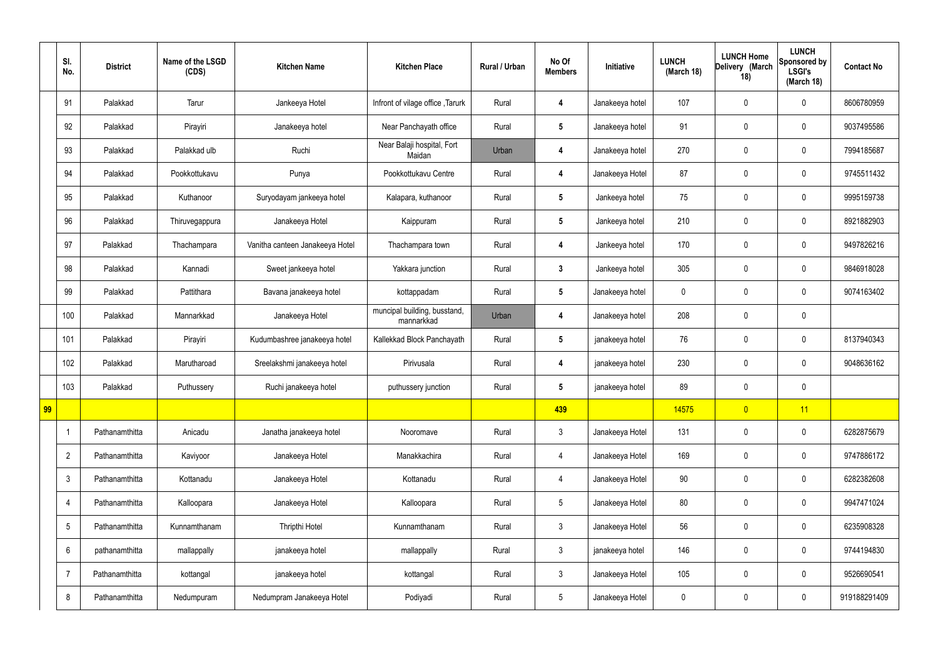|    | SI.<br>No.              | <b>District</b> | Name of the LSGD<br>(CDS) | <b>Kitchen Name</b>             | <b>Kitchen Place</b>                       | Rural / Urban | No Of<br><b>Members</b> | Initiative      | <b>LUNCH</b><br>(March 18) | <b>LUNCH Home</b><br>Delivery (March<br>18) | <b>LUNCH</b><br>Sponsored by<br><b>LSGI's</b><br>(March 18) | <b>Contact No</b> |
|----|-------------------------|-----------------|---------------------------|---------------------------------|--------------------------------------------|---------------|-------------------------|-----------------|----------------------------|---------------------------------------------|-------------------------------------------------------------|-------------------|
|    | 91                      | Palakkad        | Tarur                     | Jankeeya Hotel                  | Infront of vilage office, Tarurk           | Rural         | 4                       | Janakeeya hotel | 107                        | $\mathbf 0$                                 | $\mathbf 0$                                                 | 8606780959        |
|    | 92                      | Palakkad        | Pirayiri                  | Janakeeya hotel                 | Near Panchayath office                     | Rural         | $5\phantom{.0}$         | Janakeeya hotel | 91                         | $\mathbf 0$                                 | $\mathbf 0$                                                 | 9037495586        |
|    | 93                      | Palakkad        | Palakkad ulb              | Ruchi                           | Near Balaji hospital, Fort<br>Maidan       | Urban         | 4                       | Janakeeya hotel | 270                        | $\mathbf 0$                                 | $\mathbf 0$                                                 | 7994185687        |
|    | 94                      | Palakkad        | Pookkottukavu             | Punya                           | Pookkottukavu Centre                       | Rural         | $\overline{\mathbf{4}}$ | Janakeeya Hotel | 87                         | $\mathbf 0$                                 | $\mathbf 0$                                                 | 9745511432        |
|    | 95                      | Palakkad        | Kuthanoor                 | Suryodayam jankeeya hotel       | Kalapara, kuthanoor                        | Rural         | $5\phantom{.0}$         | Jankeeya hotel  | 75                         | $\mathbf 0$                                 | $\mathbf 0$                                                 | 9995159738        |
|    | 96                      | Palakkad        | Thiruvegappura            | Janakeeya Hotel                 | Kaippuram                                  | Rural         | $5\phantom{.0}$         | Jankeeya hotel  | 210                        | $\mathbf 0$                                 | $\mathbf 0$                                                 | 8921882903        |
|    | 97                      | Palakkad        | Thachampara               | Vanitha canteen Janakeeya Hotel | Thachampara town                           | Rural         | 4                       | Jankeeya hotel  | 170                        | $\mathbf 0$                                 | $\mathbf 0$                                                 | 9497826216        |
|    | 98                      | Palakkad        | Kannadi                   | Sweet jankeeya hotel            | Yakkara junction                           | Rural         | $\mathbf{3}$            | Jankeeya hotel  | 305                        | $\mathbf 0$                                 | $\mathbf 0$                                                 | 9846918028        |
|    | 99                      | Palakkad        | Pattithara                | Bavana janakeeya hotel          | kottappadam                                | Rural         | $5\phantom{.0}$         | Janakeeya hotel | $\mathbf 0$                | $\mathbf 0$                                 | $\mathbf 0$                                                 | 9074163402        |
|    | 100                     | Palakkad        | Mannarkkad                | Janakeeya Hotel                 | muncipal building, busstand,<br>mannarkkad | Urban         | 4                       | Janakeeya hotel | 208                        | $\mathbf 0$                                 | $\mathbf 0$                                                 |                   |
|    | 101                     | Palakkad        | Pirayiri                  | Kudumbashree janakeeya hotel    | Kallekkad Block Panchayath                 | Rural         | $5\phantom{.0}$         | janakeeya hotel | 76                         | $\mathbf 0$                                 | $\mathbf 0$                                                 | 8137940343        |
|    | 102                     | Palakkad        | Marutharoad               | Sreelakshmi janakeeya hotel     | Pirivusala                                 | Rural         | 4                       | janakeeya hotel | 230                        | $\mathbf 0$                                 | $\mathbf 0$                                                 | 9048636162        |
|    | 103                     | Palakkad        | Puthussery                | Ruchi janakeeya hotel           | puthussery junction                        | Rural         | $5\phantom{.0}$         | janakeeya hotel | 89                         | $\mathbf 0$                                 | $\mathbf 0$                                                 |                   |
| 99 |                         |                 |                           |                                 |                                            |               | 439                     |                 | 14575                      | $\overline{0}$                              | 11                                                          |                   |
|    | $\overline{\mathbf{1}}$ | Pathanamthitta  | Anicadu                   | Janatha janakeeya hotel         | Nooromave                                  | Rural         | $\mathbf{3}$            | Janakeeya Hotel | 131                        | $\pmb{0}$                                   | $\mathbf 0$                                                 | 6282875679        |
|    | $\overline{2}$          | Pathanamthitta  | Kaviyoor                  | Janakeeya Hotel                 | Manakkachira                               | Rural         | $\overline{4}$          | Janakeeya Hotel | 169                        | $\pmb{0}$                                   | $\mathbf 0$                                                 | 9747886172        |
|    | $\mathfrak{Z}$          | Pathanamthitta  | Kottanadu                 | Janakeeya Hotel                 | Kottanadu                                  | Rural         | $\overline{4}$          | Janakeeya Hotel | 90                         | $\pmb{0}$                                   | $\mathbf 0$                                                 | 6282382608        |
|    | 4                       | Pathanamthitta  | Kalloopara                | Janakeeya Hotel                 | Kalloopara                                 | Rural         | $5\overline{)}$         | Janakeeya Hotel | 80                         | $\pmb{0}$                                   | $\mathbf 0$                                                 | 9947471024        |
|    | $\sqrt{5}$              | Pathanamthitta  | Kunnamthanam              | Thripthi Hotel                  | Kunnamthanam                               | Rural         | $\mathbf{3}$            | Janakeeya Hotel | 56                         | $\pmb{0}$                                   | $\mathbf 0$                                                 | 6235908328        |
|    | $6\phantom{.}6$         | pathanamthitta  | mallappally               | janakeeya hotel                 | mallappally                                | Rural         | $\mathbf{3}$            | janakeeya hotel | 146                        | $\pmb{0}$                                   | $\mathbf 0$                                                 | 9744194830        |
|    | $\overline{7}$          | Pathanamthitta  | kottangal                 | janakeeya hotel                 | kottangal                                  | Rural         | $\mathbf{3}$            | Janakeeya Hotel | 105                        | $\pmb{0}$                                   | $\pmb{0}$                                                   | 9526690541        |
|    | 8                       | Pathanamthitta  | Nedumpuram                | Nedumpram Janakeeya Hotel       | Podiyadi                                   | Rural         | $5\phantom{.0}$         | Janakeeya Hotel | $\pmb{0}$                  | $\pmb{0}$                                   | $\boldsymbol{0}$                                            | 919188291409      |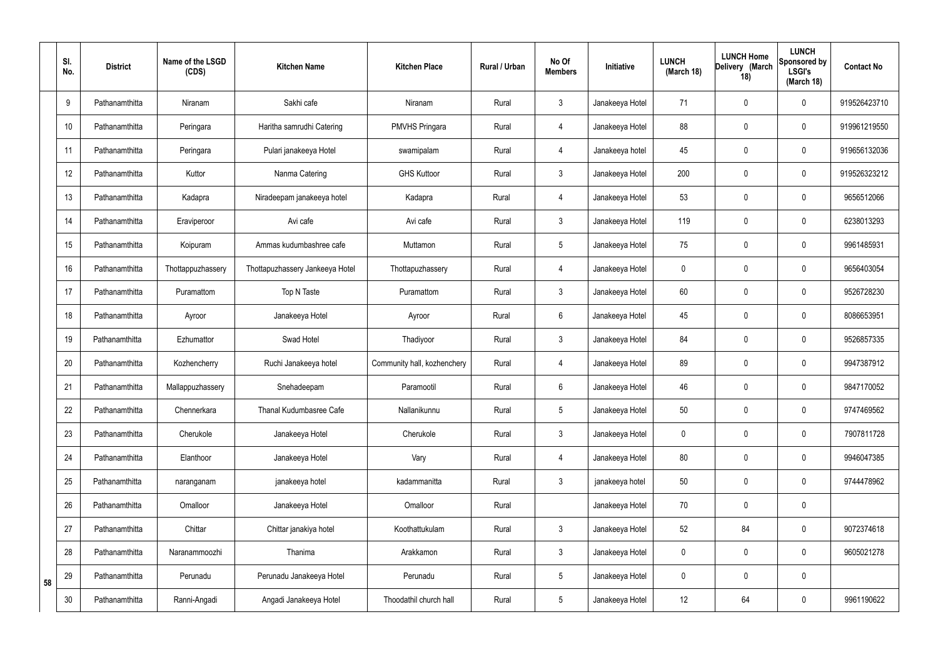|    | SI.<br>No. | <b>District</b> | Name of the LSGD<br>(CDS) | <b>Kitchen Name</b>             | <b>Kitchen Place</b>        | Rural / Urban | No Of<br><b>Members</b> | Initiative      | <b>LUNCH</b><br>(March 18) | <b>LUNCH Home</b><br>Delivery (March<br>18) | <b>LUNCH</b><br>Sponsored by<br><b>LSGI's</b><br>(March 18) | <b>Contact No</b> |
|----|------------|-----------------|---------------------------|---------------------------------|-----------------------------|---------------|-------------------------|-----------------|----------------------------|---------------------------------------------|-------------------------------------------------------------|-------------------|
|    | 9          | Pathanamthitta  | Niranam                   | Sakhi cafe                      | Niranam                     | Rural         | 3                       | Janakeeya Hotel | 71                         | $\mathbf 0$                                 | $\mathbf 0$                                                 | 919526423710      |
|    | 10         | Pathanamthitta  | Peringara                 | Haritha samrudhi Catering       | <b>PMVHS Pringara</b>       | Rural         | $\overline{4}$          | Janakeeya Hotel | 88                         | $\mathbf 0$                                 | $\mathbf 0$                                                 | 919961219550      |
|    | 11         | Pathanamthitta  | Peringara                 | Pulari janakeeya Hotel          | swamipalam                  | Rural         | $\overline{4}$          | Janakeeya hotel | 45                         | $\mathbf 0$                                 | $\mathbf 0$                                                 | 919656132036      |
|    | 12         | Pathanamthitta  | Kuttor                    | Nanma Catering                  | <b>GHS Kuttoor</b>          | Rural         | $\mathbf{3}$            | Janakeeya Hotel | 200                        | $\mathbf 0$                                 | $\mathbf 0$                                                 | 919526323212      |
|    | 13         | Pathanamthitta  | Kadapra                   | Niradeepam janakeeya hotel      | Kadapra                     | Rural         | $\overline{4}$          | Janakeeya Hotel | 53                         | $\mathbf 0$                                 | $\mathbf 0$                                                 | 9656512066        |
|    | 14         | Pathanamthitta  | Eraviperoor               | Avi cafe                        | Avi cafe                    | Rural         | $\mathbf{3}$            | Janakeeya Hotel | 119                        | $\mathbf 0$                                 | $\pmb{0}$                                                   | 6238013293        |
|    | 15         | Pathanamthitta  | Koipuram                  | Ammas kudumbashree cafe         | Muttamon                    | Rural         | 5                       | Janakeeya Hotel | 75                         | $\mathbf 0$                                 | $\mathbf 0$                                                 | 9961485931        |
|    | 16         | Pathanamthitta  | Thottappuzhassery         | Thottapuzhassery Jankeeya Hotel | Thottapuzhassery            | Rural         | 4                       | Janakeeya Hotel | 0                          | $\mathbf 0$                                 | $\mathbf 0$                                                 | 9656403054        |
|    | 17         | Pathanamthitta  | Puramattom                | Top N Taste                     | Puramattom                  | Rural         | $\mathbf{3}$            | Janakeeya Hotel | 60                         | $\mathbf 0$                                 | $\mathbf 0$                                                 | 9526728230        |
|    | 18         | Pathanamthitta  | Ayroor                    | Janakeeya Hotel                 | Ayroor                      | Rural         | $6\overline{6}$         | Janakeeya Hotel | 45                         | 0                                           | $\mathbf 0$                                                 | 8086653951        |
|    | 19         | Pathanamthitta  | Ezhumattor                | Swad Hotel                      | Thadiyoor                   | Rural         | $\mathbf{3}$            | Janakeeya Hotel | 84                         | 0                                           | $\mathbf 0$                                                 | 9526857335        |
|    | 20         | Pathanamthitta  | Kozhencherry              | Ruchi Janakeeya hotel           | Community hall, kozhenchery | Rural         | $\overline{4}$          | Janakeeya Hotel | 89                         | 0                                           | $\mathbf 0$                                                 | 9947387912        |
|    | 21         | Pathanamthitta  | Mallappuzhassery          | Snehadeepam                     | Paramootil                  | Rural         | 6                       | Janakeeya Hotel | 46                         | $\mathbf 0$                                 | $\mathbf 0$                                                 | 9847170052        |
|    | 22         | Pathanamthitta  | Chennerkara               | <b>Thanal Kudumbasree Cafe</b>  | Nallanikunnu                | Rural         | 5                       | Janakeeya Hotel | 50                         | $\mathbf 0$                                 | $\mathbf 0$                                                 | 9747469562        |
|    | 23         | Pathanamthitta  | Cherukole                 | Janakeeya Hotel                 | Cherukole                   | Rural         | $\mathbf{3}$            | Janakeeya Hotel | 0                          | $\mathbf 0$                                 | $\pmb{0}$                                                   | 7907811728        |
|    | 24         | Pathanamthitta  | Elanthoor                 | Janakeeya Hotel                 | Vary                        | Rural         | $\overline{4}$          | Janakeeya Hotel | 80                         | $\boldsymbol{0}$                            | $\pmb{0}$                                                   | 9946047385        |
|    | 25         | Pathanamthitta  | naranganam                | janakeeya hotel                 | kadammanitta                | Rural         | $\mathbf{3}$            | janakeeya hotel | 50                         | $\pmb{0}$                                   | $\mathsf{0}$                                                | 9744478962        |
|    | 26         | Pathanamthitta  | Omalloor                  | Janakeeya Hotel                 | Omalloor                    | Rural         |                         | Janakeeya Hotel | 70                         | $\pmb{0}$                                   | $\pmb{0}$                                                   |                   |
|    | 27         | Pathanamthitta  | Chittar                   | Chittar janakiya hotel          | Koothattukulam              | Rural         | $\mathbf{3}$            | Janakeeya Hotel | 52                         | 84                                          | $\pmb{0}$                                                   | 9072374618        |
|    | 28         | Pathanamthitta  | Naranammoozhi             | Thanima                         | Arakkamon                   | Rural         | $\mathbf{3}$            | Janakeeya Hotel | 0                          | $\mathbf 0$                                 | $\mathbf 0$                                                 | 9605021278        |
| 58 | 29         | Pathanamthitta  | Perunadu                  | Perunadu Janakeeya Hotel        | Perunadu                    | Rural         | 5                       | Janakeeya Hotel | 0                          | $\mathbf 0$                                 | $\pmb{0}$                                                   |                   |
|    | 30         | Pathanamthitta  | Ranni-Angadi              | Angadi Janakeeya Hotel          | Thoodathil church hall      | Rural         | 5                       | Janakeeya Hotel | 12                         | 64                                          | $\pmb{0}$                                                   | 9961190622        |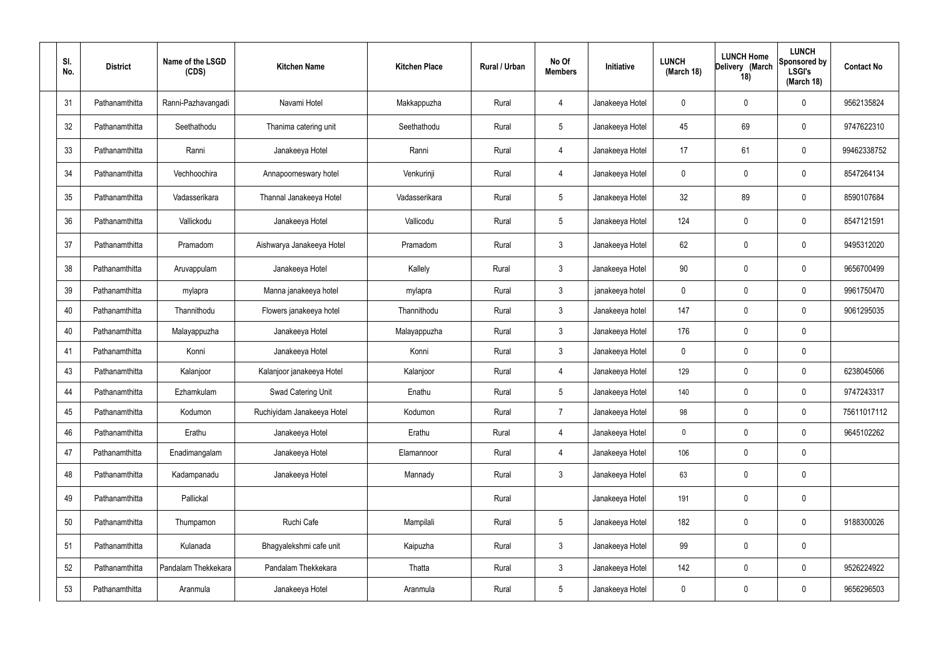| SI.<br>No. | <b>District</b> | Name of the LSGD<br>(CDS) | <b>Kitchen Name</b>        | <b>Kitchen Place</b> | Rural / Urban | No Of<br><b>Members</b> | Initiative      | <b>LUNCH</b><br>(March 18) | <b>LUNCH Home</b><br>Delivery (March<br>18) | <b>LUNCH</b><br>Sponsored by<br><b>LSGI's</b><br>(March 18) | <b>Contact No</b> |
|------------|-----------------|---------------------------|----------------------------|----------------------|---------------|-------------------------|-----------------|----------------------------|---------------------------------------------|-------------------------------------------------------------|-------------------|
| 31         | Pathanamthitta  | Ranni-Pazhavangadi        | Navami Hotel               | Makkappuzha          | Rural         | 4                       | Janakeeya Hotel | 0                          | 0                                           | $\mathbf 0$                                                 | 9562135824        |
| 32         | Pathanamthitta  | Seethathodu               | Thanima catering unit      | Seethathodu          | Rural         | $5\phantom{.0}$         | Janakeeya Hotel | 45                         | 69                                          | $\pmb{0}$                                                   | 9747622310        |
| 33         | Pathanamthitta  | Ranni                     | Janakeeya Hotel            | Ranni                | Rural         | 4                       | Janakeeya Hotel | 17                         | 61                                          | $\pmb{0}$                                                   | 99462338752       |
| 34         | Pathanamthitta  | Vechhoochira              | Annapoorneswary hotel      | Venkurinji           | Rural         | 4                       | Janakeeya Hotel | 0                          | 0                                           | $\pmb{0}$                                                   | 8547264134        |
| 35         | Pathanamthitta  | Vadasserikara             | Thannal Janakeeya Hotel    | Vadasserikara        | Rural         | $5\phantom{.0}$         | Janakeeya Hotel | 32                         | 89                                          | $\pmb{0}$                                                   | 8590107684        |
| 36         | Pathanamthitta  | Vallickodu                | Janakeeya Hotel            | Vallicodu            | Rural         | $5\phantom{.0}$         | Janakeeya Hotel | 124                        | 0                                           | $\pmb{0}$                                                   | 8547121591        |
| 37         | Pathanamthitta  | Pramadom                  | Aishwarya Janakeeya Hotel  | Pramadom             | Rural         | $\mathbf{3}$            | Janakeeya Hotel | 62                         | 0                                           | $\pmb{0}$                                                   | 9495312020        |
| 38         | Pathanamthitta  | Aruvappulam               | Janakeeya Hotel            | Kallely              | Rural         | $\mathbf{3}$            | Janakeeya Hotel | 90                         | 0                                           | $\pmb{0}$                                                   | 9656700499        |
| 39         | Pathanamthitta  | mylapra                   | Manna janakeeya hotel      | mylapra              | Rural         | $\mathbf{3}$            | janakeeya hotel | 0                          | 0                                           | $\pmb{0}$                                                   | 9961750470        |
| 40         | Pathanamthitta  | Thannithodu               | Flowers janakeeya hotel    | Thannithodu          | Rural         | $\mathbf{3}$            | Janakeeya hotel | 147                        | 0                                           | $\mathbf 0$                                                 | 9061295035        |
| 40         | Pathanamthitta  | Malayappuzha              | Janakeeya Hotel            | Malayappuzha         | Rural         | $\mathbf{3}$            | Janakeeya Hotel | 176                        | 0                                           | $\pmb{0}$                                                   |                   |
| 41         | Pathanamthitta  | Konni                     | Janakeeya Hotel            | Konni                | Rural         | $\mathbf{3}$            | Janakeeya Hotel | 0                          | 0                                           | $\pmb{0}$                                                   |                   |
| 43         | Pathanamthitta  | Kalanjoor                 | Kalanjoor janakeeya Hotel  | Kalanjoor            | Rural         | 4                       | Janakeeya Hotel | 129                        | 0                                           | $\pmb{0}$                                                   | 6238045066        |
| 44         | Pathanamthitta  | <b>Ezhamkulam</b>         | Swad Catering Unit         | Enathu               | Rural         |                         | Janakeeya Hotel | 140                        | 0                                           | $\Omega$                                                    | 9747243317        |
| 45         | Pathanamthitta  | Kodumon                   | Ruchiyidam Janakeeya Hotel | Kodumon              | Rural         | $\overline{7}$          | Janakeeya Hotel | 98                         | 0                                           | $\pmb{0}$                                                   | 75611017112       |
| 46         | Pathanamthitta  | Erathu                    | Janakeeya Hotel            | Erathu               | Rural         | $\overline{4}$          | Janakeeya Hotel | $\pmb{0}$                  | 0                                           | $\mathbf 0$                                                 | 9645102262        |
| 47         | Pathanamthitta  | Enadimangalam             | Janakeeya Hotel            | Elamannoor           | Rural         | $\overline{4}$          | Janakeeya Hotel | 106                        | 0                                           | $\mathbf 0$                                                 |                   |
| 48         | Pathanamthitta  | Kadampanadu               | Janakeeya Hotel            | Mannady              | Rural         | 3 <sup>1</sup>          | Janakeeya Hotel | 63                         | 0                                           | $\mathbf 0$                                                 |                   |
| 49         | Pathanamthitta  | Pallickal                 |                            |                      | Rural         |                         | Janakeeya Hotel | 191                        | 0                                           | $\pmb{0}$                                                   |                   |
| 50         | Pathanamthitta  | Thumpamon                 | Ruchi Cafe                 | Mampilali            | Rural         | $5\phantom{.0}$         | Janakeeya Hotel | 182                        | 0                                           | $\mathbf 0$                                                 | 9188300026        |
| 51         | Pathanamthitta  | Kulanada                  | Bhagyalekshmi cafe unit    | Kaipuzha             | Rural         | 3 <sup>1</sup>          | Janakeeya Hotel | 99                         | 0                                           | $\pmb{0}$                                                   |                   |
| 52         | Pathanamthitta  | Pandalam Thekkekara       | Pandalam Thekkekara        | Thatta               | Rural         | $\mathbf{3}$            | Janakeeya Hotel | 142                        | 0                                           | $\mathbf 0$                                                 | 9526224922        |
| 53         | Pathanamthitta  | Aranmula                  | Janakeeya Hotel            | Aranmula             | Rural         | $5\phantom{.0}$         | Janakeeya Hotel | 0                          | 0                                           | $\pmb{0}$                                                   | 9656296503        |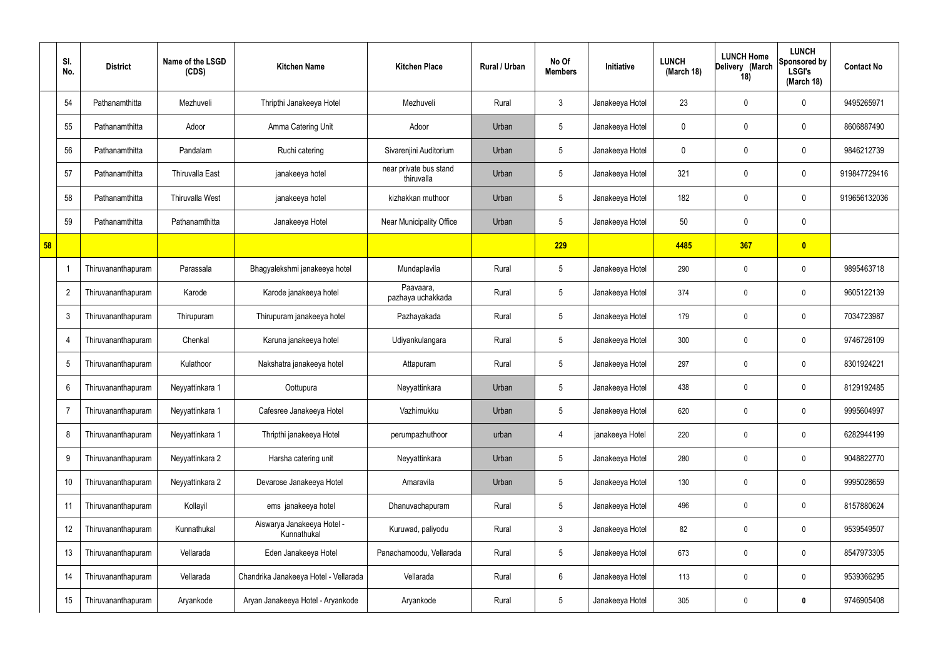|    | SI.<br>No.     | <b>District</b>    | Name of the LSGD<br>(CDS) | <b>Kitchen Name</b>                       | <b>Kitchen Place</b>                 | Rural / Urban | No Of<br><b>Members</b> | Initiative      | <b>LUNCH</b><br>(March 18) | <b>LUNCH Home</b><br>Delivery (March<br>18) | <b>LUNCH</b><br>Sponsored by<br><b>LSGI's</b><br>(March 18) | <b>Contact No</b> |
|----|----------------|--------------------|---------------------------|-------------------------------------------|--------------------------------------|---------------|-------------------------|-----------------|----------------------------|---------------------------------------------|-------------------------------------------------------------|-------------------|
|    | 54             | Pathanamthitta     | Mezhuveli                 | Thripthi Janakeeya Hotel                  | Mezhuveli                            | Rural         | $\mathbf{3}$            | Janakeeya Hotel | 23                         | $\mathbf 0$                                 | $\mathbf 0$                                                 | 9495265971        |
|    | 55             | Pathanamthitta     | Adoor                     | Amma Catering Unit                        | Adoor                                | Urban         | $5\phantom{.0}$         | Janakeeya Hotel | 0                          | 0                                           | $\mathbf 0$                                                 | 8606887490        |
|    | 56             | Pathanamthitta     | Pandalam                  | Ruchi catering                            | Sivarenjini Auditorium               | Urban         | $5\phantom{.0}$         | Janakeeya Hotel | 0                          | 0                                           | $\mathbf 0$                                                 | 9846212739        |
|    | 57             | Pathanamthitta     | <b>Thiruvalla East</b>    | janakeeya hotel                           | near private bus stand<br>thiruvalla | Urban         | $5\phantom{.0}$         | Janakeeya Hotel | 321                        | 0                                           | $\mathbf 0$                                                 | 919847729416      |
|    | 58             | Pathanamthitta     | <b>Thiruvalla West</b>    | janakeeya hotel                           | kizhakkan muthoor                    | Urban         | $5\phantom{.0}$         | Janakeeya Hotel | 182                        | 0                                           | $\mathbf 0$                                                 | 919656132036      |
|    | 59             | Pathanamthitta     | Pathanamthitta            | Janakeeya Hotel                           | Near Municipality Office             | Urban         | $5\phantom{.0}$         | Janakeeya Hotel | 50                         | 0                                           | $\mathbf 0$                                                 |                   |
| 58 |                |                    |                           |                                           |                                      |               | 229                     |                 | 4485                       | 367                                         | $\bullet$                                                   |                   |
|    |                | Thiruvananthapuram | Parassala                 | Bhagyalekshmi janakeeya hotel             | Mundaplavila                         | Rural         | 5                       | Janakeeya Hotel | 290                        | 0                                           | $\boldsymbol{0}$                                            | 9895463718        |
|    | $\overline{2}$ | Thiruvananthapuram | Karode                    | Karode janakeeya hotel                    | Paavaara,<br>pazhaya uchakkada       | Rural         | $5\phantom{.0}$         | Janakeeya Hotel | 374                        | 0                                           | $\mathbf 0$                                                 | 9605122139        |
|    | -3             | Thiruvananthapuram | Thirupuram                | Thirupuram janakeeya hotel                | Pazhayakada                          | Rural         | 5                       | Janakeeya Hotel | 179                        | 0                                           | $\mathbf 0$                                                 | 7034723987        |
|    | $\overline{4}$ | Thiruvananthapuram | Chenkal                   | Karuna janakeeya hotel                    | Udiyankulangara                      | Rural         | $5\phantom{.0}$         | Janakeeya Hotel | 300                        | 0                                           | $\mathbf 0$                                                 | 9746726109        |
|    | 5              | Thiruvananthapuram | Kulathoor                 | Nakshatra janakeeya hotel                 | Attapuram                            | Rural         | $5\phantom{.0}$         | Janakeeya Hotel | 297                        | 0                                           | $\mathbf 0$                                                 | 8301924221        |
|    | 6              | Thiruvananthapuram | Neyyattinkara 1           | Oottupura                                 | Neyyattinkara                        | Urban         | 5                       | Janakeeya Hotel | 438                        | 0                                           | $\mathbf 0$                                                 | 8129192485        |
|    | $\overline{7}$ | Thiruvananthapuram | Neyyattinkara 1           | Cafesree Janakeeya Hotel                  | Vazhimukku                           | Urban         | 5                       | Janakeeya Hotel | 620                        | $\mathbf 0$                                 | $\mathbf 0$                                                 | 9995604997        |
|    | 8              | Thiruvananthapuram | Neyyattinkara 1           | Thripthi janakeeya Hotel                  | perumpazhuthoor                      | urban         | $\overline{4}$          | janakeeya Hotel | 220                        | $\boldsymbol{0}$                            | $\mathbf 0$                                                 | 6282944199        |
|    | 9              | Thiruvananthapuram | Neyyattinkara 2           | Harsha catering unit                      | Neyyattinkara                        | Urban         | 5                       | Janakeeya Hotel | 280                        | $\boldsymbol{0}$                            | $\mathbf 0$                                                 | 9048822770        |
|    | 10             | Thiruvananthapuram | Neyyattinkara 2           | Devarose Janakeeya Hotel                  | Amaravila                            | Urban         | $5\phantom{.0}$         | Janakeeya Hotel | 130                        | $\boldsymbol{0}$                            | $\mathbf 0$                                                 | 9995028659        |
|    | 11             | Thiruvananthapuram | Kollayil                  | ems janakeeya hotel                       | Dhanuvachapuram                      | Rural         | $5\phantom{.0}$         | Janakeeya Hotel | 496                        | $\boldsymbol{0}$                            | $\mathbf 0$                                                 | 8157880624        |
|    | 12             | Thiruvananthapuram | Kunnathukal               | Aiswarya Janakeeya Hotel -<br>Kunnathukal | Kuruwad, paliyodu                    | Rural         | $\mathbf{3}$            | Janakeeya Hotel | 82                         | $\boldsymbol{0}$                            | $\mathbf 0$                                                 | 9539549507        |
|    | 13             | Thiruvananthapuram | Vellarada                 | Eden Janakeeya Hotel                      | Panachamoodu, Vellarada              | Rural         | $5\phantom{.0}$         | Janakeeya Hotel | 673                        | $\boldsymbol{0}$                            | $\mathbf 0$                                                 | 8547973305        |
|    | 14             | Thiruvananthapuram | Vellarada                 | Chandrika Janakeeya Hotel - Vellarada     | Vellarada                            | Rural         | $6\phantom{.}6$         | Janakeeya Hotel | 113                        | $\boldsymbol{0}$                            | $\mathbf 0$                                                 | 9539366295        |
|    | 15             | Thiruvananthapuram | Aryankode                 | Aryan Janakeeya Hotel - Aryankode         | Aryankode                            | Rural         | $5\phantom{.0}$         | Janakeeya Hotel | 305                        | 0                                           | $\bf{0}$                                                    | 9746905408        |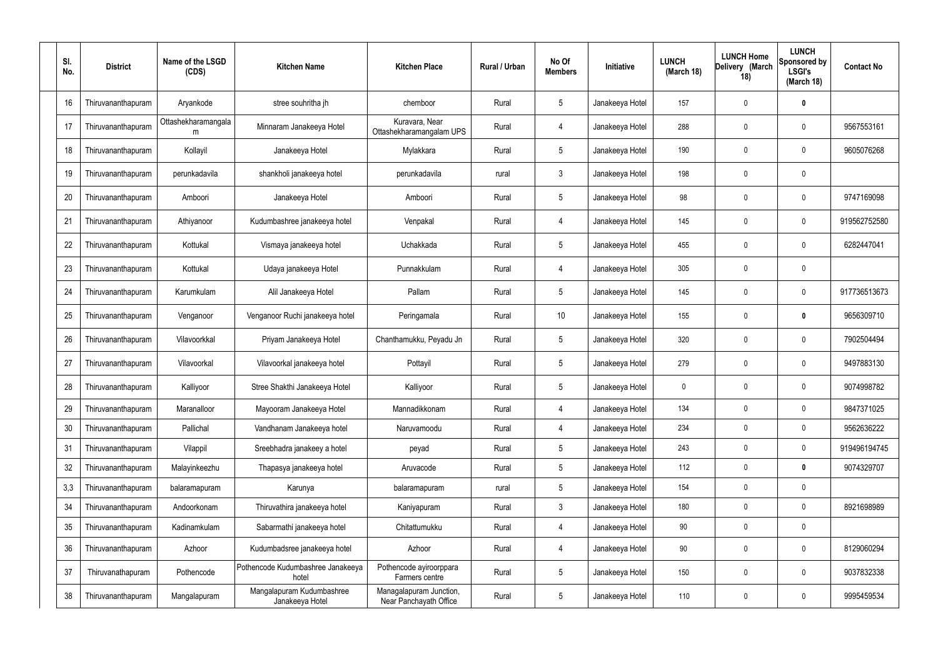| SI.<br>No. | <b>District</b>    | Name of the LSGD<br>(CDS) | <b>Kitchen Name</b>                          | <b>Kitchen Place</b>                              | Rural / Urban | No Of<br><b>Members</b> | Initiative      | <b>LUNCH</b><br>(March 18) | <b>LUNCH Home</b><br>Delivery (March<br>18) | <b>LUNCH</b><br>Sponsored by<br><b>LSGI's</b><br>(March 18) | <b>Contact No</b> |
|------------|--------------------|---------------------------|----------------------------------------------|---------------------------------------------------|---------------|-------------------------|-----------------|----------------------------|---------------------------------------------|-------------------------------------------------------------|-------------------|
| 16         | Thiruvananthapuram | Aryankode                 | stree souhritha jh                           | chemboor                                          | Rural         | 5                       | Janakeeya Hotel | 157                        | $\mathbf 0$                                 | 0                                                           |                   |
| 17         | Thiruvananthapuram | Ottashekharamangala<br>m  | Minnaram Janakeeya Hotel                     | Kuravara, Near<br>Ottashekharamangalam UPS        | Rural         | 4                       | Janakeeya Hotel | 288                        | $\boldsymbol{0}$                            | $\mathbf 0$                                                 | 9567553161        |
| 18         | Thiruvananthapuram | Kollayil                  | Janakeeya Hotel                              | Mylakkara                                         | Rural         | $5\phantom{.0}$         | Janakeeya Hotel | 190                        | $\boldsymbol{0}$                            | $\mathbf 0$                                                 | 9605076268        |
| 19         | Thiruvananthapuram | perunkadavila             | shankholi janakeeya hotel                    | perunkadavila                                     | rural         | $\mathbf{3}$            | Janakeeya Hotel | 198                        | $\mathbf 0$                                 | $\mathbf 0$                                                 |                   |
| 20         | Thiruvananthapuram | Amboori                   | Janakeeya Hotel                              | Amboori                                           | Rural         | $5\phantom{.0}$         | Janakeeya Hotel | 98                         | $\mathbf 0$                                 | $\mathbf 0$                                                 | 9747169098        |
| 21         | Thiruvananthapuram | Athiyanoor                | Kudumbashree janakeeya hotel                 | Venpakal                                          | Rural         | $\overline{4}$          | Janakeeya Hotel | 145                        | $\boldsymbol{0}$                            | $\mathbf 0$                                                 | 919562752580      |
| 22         | Thiruvananthapuram | Kottukal                  | Vismaya janakeeya hotel                      | Uchakkada                                         | Rural         | $5\phantom{.0}$         | Janakeeya Hotel | 455                        | $\mathbf 0$                                 | $\mathbf 0$                                                 | 6282447041        |
| 23         | Thiruvananthapuram | Kottukal                  | Udaya janakeeya Hotel                        | Punnakkulam                                       | Rural         | 4                       | Janakeeya Hotel | 305                        | $\boldsymbol{0}$                            | $\mathbf 0$                                                 |                   |
| 24         | Thiruvananthapuram | Karumkulam                | Alil Janakeeya Hotel                         | Pallam                                            | Rural         | $5\phantom{.0}$         | Janakeeya Hotel | 145                        | $\boldsymbol{0}$                            | $\mathbf 0$                                                 | 917736513673      |
| 25         | Thiruvananthapuram | Venganoor                 | Venganoor Ruchi janakeeya hotel              | Peringamala                                       | Rural         | 10                      | Janakeeya Hotel | 155                        | $\boldsymbol{0}$                            | $\mathbf 0$                                                 | 9656309710        |
| 26         | Thiruvananthapuram | Vilavoorkkal              | Priyam Janakeeya Hotel                       | Chanthamukku, Peyadu Jn                           | Rural         | $5\phantom{.0}$         | Janakeeya Hotel | 320                        | $\boldsymbol{0}$                            | $\mathbf 0$                                                 | 7902504494        |
| 27         | Thiruvananthapuram | Vilavoorkal               | Vilavoorkal janakeeya hotel                  | Pottayil                                          | Rural         | $5\phantom{.0}$         | Janakeeya Hotel | 279                        | $\mathbf 0$                                 | $\mathbf 0$                                                 | 9497883130        |
| 28         | Thiruvananthapuram | Kalliyoor                 | Stree Shakthi Janakeeya Hotel                | Kalliyoor                                         | Rural         | $5\phantom{.0}$         | Janakeeya Hotel | 0                          | $\mathbf 0$                                 | 0                                                           | 9074998782        |
| 29         | Thiruvananthapuram | Maranalloor               | Mayooram Janakeeya Hotel                     | Mannadikkonam                                     | Rural         |                         | Janakeeya Hotel | 134                        | $\mathbf 0$                                 | $\mathbf 0$                                                 | 9847371025        |
| 30         | Thiruvananthapuram | Pallichal                 | Vandhanam Janakeeya hotel                    | Naruvamoodu                                       | Rural         | 4                       | Janakeeya Hotel | 234                        | $\mathbf 0$                                 | $\boldsymbol{0}$                                            | 9562636222        |
| 31         | Thiruvananthapuram | Vilappil                  | Sreebhadra janakeey a hotel                  | peyad                                             | Rural         | $5\overline{)}$         | Janakeeya Hotel | 243                        | $\pmb{0}$                                   | $\mathbf 0$                                                 | 919496194745      |
| 32         | Thiruvananthapuram | Malayinkeezhu             | Thapasya janakeeya hotel                     | Aruvacode                                         | Rural         | $5\overline{)}$         | Janakeeya Hotel | 112                        | $\mathbf 0$                                 | $\mathbf 0$                                                 | 9074329707        |
| 3,3        | Thiruvananthapuram | balaramapuram             | Karunya                                      | balaramapuram                                     | rural         | $5\phantom{.0}$         | Janakeeya Hotel | 154                        | $\mathbf 0$                                 | $\mathbf 0$                                                 |                   |
| 34         | Thiruvananthapuram | Andoorkonam               | Thiruvathira janakeeya hotel                 | Kaniyapuram                                       | Rural         | $\mathbf{3}$            | Janakeeya Hotel | 180                        | $\boldsymbol{0}$                            | $\mathbf 0$                                                 | 8921698989        |
| 35         | Thiruvananthapuram | Kadinamkulam              | Sabarmathi janakeeya hotel                   | Chitattumukku                                     | Rural         | $\overline{4}$          | Janakeeya Hotel | $90\,$                     | $\mathbf 0$                                 | $\mathbf 0$                                                 |                   |
| 36         | Thiruvananthapuram | Azhoor                    | Kudumbadsree janakeeya hotel                 | Azhoor                                            | Rural         | $\overline{4}$          | Janakeeya Hotel | 90                         | $\mathbf 0$                                 | $\mathbf 0$                                                 | 8129060294        |
| 37         | Thiruvanathapuram  | Pothencode                | Pothencode Kudumbashree Janakeeya<br>hotel   | Pothencode ayiroorppara<br>Farmers centre         | Rural         | $5\phantom{.0}$         | Janakeeya Hotel | 150                        | $\boldsymbol{0}$                            | $\mathbf 0$                                                 | 9037832338        |
| 38         | Thiruvananthapuram | Mangalapuram              | Mangalapuram Kudumbashree<br>Janakeeya Hotel | Managalapuram Junction,<br>Near Panchayath Office | Rural         | $\overline{5}$          | Janakeeya Hotel | 110                        | $\boldsymbol{0}$                            | $\mathbf 0$                                                 | 9995459534        |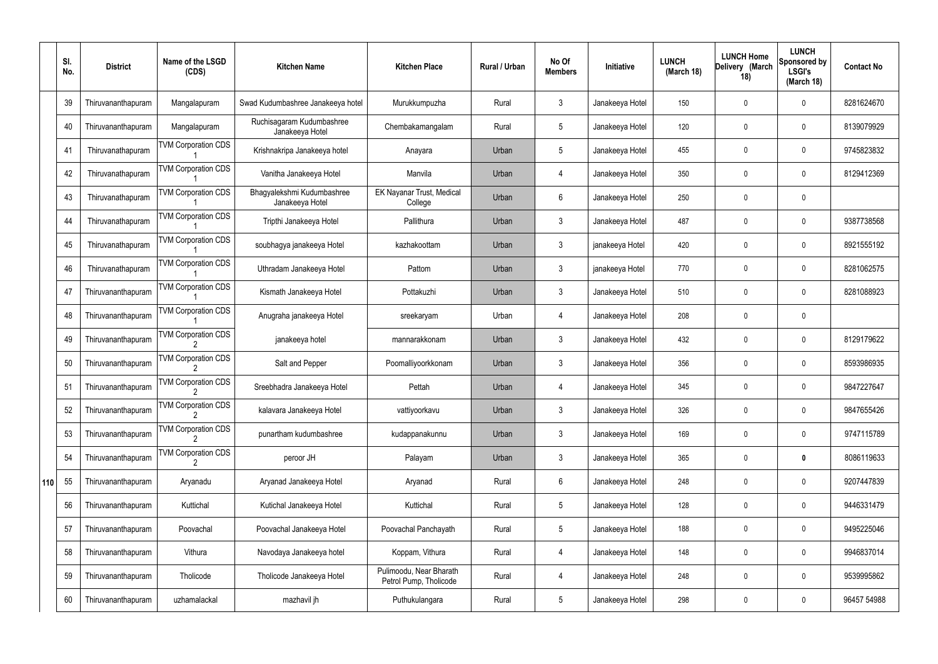|     | SI.<br>No. | <b>District</b>    | Name of the LSGD<br>(CDS)       | <b>Kitchen Name</b>                           | <b>Kitchen Place</b>                              | <b>Rural / Urban</b> | No Of<br><b>Members</b> | <b>Initiative</b> | <b>LUNCH</b><br>(March 18) | <b>LUNCH Home</b><br>Delivery (March<br>18) | <b>LUNCH</b><br><b>Sponsored by</b><br><b>LSGI's</b><br>(March 18) | <b>Contact No</b> |
|-----|------------|--------------------|---------------------------------|-----------------------------------------------|---------------------------------------------------|----------------------|-------------------------|-------------------|----------------------------|---------------------------------------------|--------------------------------------------------------------------|-------------------|
|     | 39         | Thiruvananthapuram | Mangalapuram                    | Swad Kudumbashree Janakeeya hotel             | Murukkumpuzha                                     | Rural                | 3                       | Janakeeya Hotel   | 150                        | $\boldsymbol{0}$                            | $\mathbf 0$                                                        | 8281624670        |
|     | 40         | Thiruvananthapuram | Mangalapuram                    | Ruchisagaram Kudumbashree<br>Janakeeya Hotel  | Chembakamangalam                                  | Rural                | 5                       | Janakeeya Hotel   | 120                        | $\boldsymbol{0}$                            | $\mathbf 0$                                                        | 8139079929        |
|     | 41         | Thiruvanathapuram  | <b>TVM Corporation CDS</b>      | Krishnakripa Janakeeya hotel                  | Anayara                                           | Urban                | 5                       | Janakeeya Hotel   | 455                        | 0                                           | $\mathbf 0$                                                        | 9745823832        |
|     | 42         | Thiruvanathapuram  | <b>TVM Corporation CDS</b>      | Vanitha Janakeeya Hotel                       | Manvila                                           | Urban                | 4                       | Janakeeya Hotel   | 350                        | 0                                           | $\boldsymbol{0}$                                                   | 8129412369        |
|     | 43         | Thiruvanathapuram  | <b>TVM Corporation CDS</b>      | Bhagyalekshmi Kudumbashree<br>Janakeeya Hotel | EK Nayanar Trust, Medical<br>College              | Urban                | 6                       | Janakeeya Hotel   | 250                        | $\boldsymbol{0}$                            | $\mathbf 0$                                                        |                   |
|     | 44         | Thiruvanathapuram  | <b>TVM Corporation CDS</b>      | Tripthi Janakeeya Hotel                       | Pallithura                                        | Urban                | $\mathfrak{Z}$          | Janakeeya Hotel   | 487                        | 0                                           | $\mathbf 0$                                                        | 9387738568        |
|     | 45         | Thiruvanathapuram  | <b>TVM Corporation CDS</b>      | soubhagya janakeeya Hotel                     | kazhakoottam                                      | Urban                | $\mathbf{3}$            | janakeeya Hotel   | 420                        | 0                                           | $\mathbf 0$                                                        | 8921555192        |
|     | 46         | Thiruvanathapuram  | <b>TVM Corporation CDS</b>      | Uthradam Janakeeya Hotel                      | Pattom                                            | Urban                | $\mathfrak{Z}$          | janakeeya Hotel   | 770                        | 0                                           | $\mathbf 0$                                                        | 8281062575        |
|     | 47         | Thiruvananthapuram | <b>TVM Corporation CDS</b>      | Kismath Janakeeya Hotel                       | Pottakuzhi                                        | Urban                | $\mathbf{3}$            | Janakeeya Hotel   | 510                        | 0                                           | $\mathbf 0$                                                        | 8281088923        |
|     | 48         | Thiruvananthapuram | <b>TVM Corporation CDS</b>      | Anugraha janakeeya Hotel                      | sreekaryam                                        | Urban                | 4                       | Janakeeya Hotel   | 208                        | 0                                           | $\mathbf 0$                                                        |                   |
|     | 49         | Thiruvananthapuram | <b>TVM Corporation CDS</b>      | janakeeya hotel                               | mannarakkonam                                     | Urban                | 3                       | Janakeeya Hotel   | 432                        | 0                                           | $\mathbf 0$                                                        | 8129179622        |
|     | 50         | Thiruvananthapuram | <b>TVM Corporation CDS</b>      | Salt and Pepper                               | Poomalliyoorkkonam                                | Urban                | $\mathfrak{Z}$          | Janakeeya Hotel   | 356                        | 0                                           | $\mathbf 0$                                                        | 8593986935        |
|     | 51         | Thiruvananthapuram | <b>TVM Corporation CDS</b>      | Sreebhadra Janakeeya Hotel                    | Pettah                                            | Urban                | 4                       | Janakeeya Hotel   | 345                        | 0                                           | 0                                                                  | 9847227647        |
|     | 52         | Thiruvananthapuram | <b>TVM Corporation CDS</b>      | kalavara Janakeeya Hotel                      | vattiyoorkavu                                     | Urban                | $\mathfrak{Z}$          | Janakeeya Hotel   | 326                        | $\boldsymbol{0}$                            | $\pmb{0}$                                                          | 9847655426        |
|     | 53         | Thiruvananthapuram | <b>TVM Corporation CDS</b>      | punartham kudumbashree                        | kudappanakunnu                                    | Urban                | $\mathfrak{Z}$          | Janakeeya Hotel   | 169                        | $\mathbf 0$                                 | $\pmb{0}$                                                          | 9747115789        |
|     | 54         | Thiruvananthapuram | <b>TVM Corporation CDS</b><br>2 | peroor JH                                     | Palayam                                           | Urban                | $\mathfrak{Z}$          | Janakeeya Hotel   | 365                        | $\boldsymbol{0}$                            | $\mathbf 0$                                                        | 8086119633        |
| 110 | 55         | Thiruvananthapuram | Aryanadu                        | Aryanad Janakeeya Hotel                       | Aryanad                                           | Rural                | $6\phantom{.}$          | Janakeeya Hotel   | 248                        | $\mathbf 0$                                 | $\pmb{0}$                                                          | 9207447839        |
|     | 56         | Thiruvananthapuram | Kuttichal                       | Kutichal Janakeeya Hotel                      | Kuttichal                                         | Rural                | 5                       | Janakeeya Hotel   | 128                        | 0                                           | $\pmb{0}$                                                          | 9446331479        |
|     | 57         | Thiruvananthapuram | Poovachal                       | Poovachal Janakeeya Hotel                     | Poovachal Panchayath                              | Rural                | $5\phantom{.0}$         | Janakeeya Hotel   | 188                        | $\mathbf 0$                                 | $\pmb{0}$                                                          | 9495225046        |
|     | 58         | Thiruvananthapuram | Vithura                         | Navodaya Janakeeya hotel                      | Koppam, Vithura                                   | Rural                | 4                       | Janakeeya Hotel   | 148                        | 0                                           | $\boldsymbol{0}$                                                   | 9946837014        |
|     | 59         | Thiruvananthapuram | Tholicode                       | Tholicode Janakeeya Hotel                     | Pulimoodu, Near Bharath<br>Petrol Pump, Tholicode | Rural                | 4                       | Janakeeya Hotel   | 248                        | $\mathbf 0$                                 | $\boldsymbol{0}$                                                   | 9539995862        |
|     | 60         | Thiruvananthapuram | uzhamalackal                    | mazhavil jh                                   | Puthukulangara                                    | Rural                | $5\phantom{.0}$         | Janakeeya Hotel   | 298                        | 0                                           | $\pmb{0}$                                                          | 96457 54988       |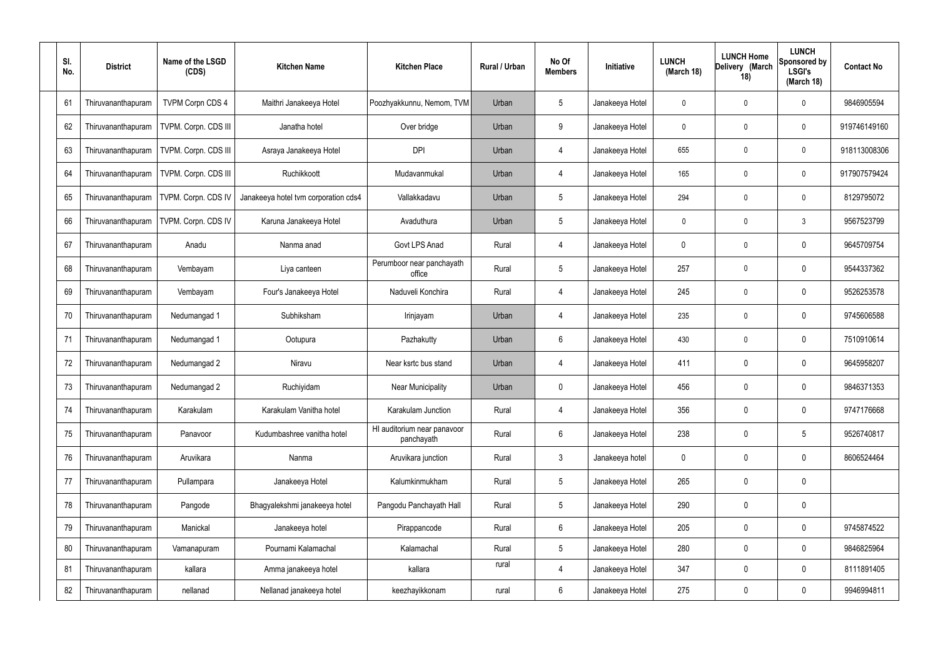| SI.<br>No. | <b>District</b>    | Name of the LSGD<br>(CDS) | <b>Kitchen Name</b>                  | <b>Kitchen Place</b>                      | Rural / Urban | No Of<br><b>Members</b> | Initiative      | <b>LUNCH</b><br>(March 18) | <b>LUNCH Home</b><br>Delivery (March<br>18) | <b>LUNCH</b><br>Sponsored by<br><b>LSGI's</b><br>(March 18) | <b>Contact No</b> |
|------------|--------------------|---------------------------|--------------------------------------|-------------------------------------------|---------------|-------------------------|-----------------|----------------------------|---------------------------------------------|-------------------------------------------------------------|-------------------|
| 61         | Thiruvananthapuram | <b>TVPM Corpn CDS 4</b>   | Maithri Janakeeya Hotel              | Poozhyakkunnu, Nemom, TVM                 | Urban         | $5\phantom{.0}$         | Janakeeya Hotel | 0                          | $\mathbf{0}$                                | 0                                                           | 9846905594        |
| 62         | Thiruvananthapuram | TVPM. Corpn. CDS III      | Janatha hotel                        | Over bridge                               | Urban         | 9                       | Janakeeya Hotel | $\mathbf 0$                | $\mathbf{0}$                                | $\boldsymbol{0}$                                            | 919746149160      |
| 63         | Thiruvananthapuram | TVPM. Corpn. CDS III      | Asraya Janakeeya Hotel               | <b>DPI</b>                                | Urban         | $\overline{4}$          | Janakeeya Hotel | 655                        | 0                                           | $\mathbf 0$                                                 | 918113008306      |
| 64         | Thiruvananthapuram | TVPM. Corpn. CDS III      | Ruchikkoott                          | Mudavanmukal                              | Urban         | $\overline{4}$          | Janakeeya Hotel | 165                        | $\mathbf{0}$                                | $\boldsymbol{0}$                                            | 917907579424      |
| 65         | Thiruvananthapuram | TVPM. Corpn. CDS IV       | Janakeeya hotel tvm corporation cds4 | Vallakkadavu                              | Urban         | $5\phantom{.0}$         | Janakeeya Hotel | 294                        | 0                                           | $\mathbf 0$                                                 | 8129795072        |
| 66         | Thiruvananthapuram | TVPM. Corpn. CDS IV       | Karuna Janakeeya Hotel               | Avaduthura                                | Urban         | $5\phantom{.0}$         | Janakeeya Hotel | $\mathbf 0$                | $\mathbf{0}$                                | $\mathfrak{Z}$                                              | 9567523799        |
| 67         | Thiruvananthapuram | Anadu                     | Nanma anad                           | Govt LPS Anad                             | Rural         | $\overline{4}$          | Janakeeya Hotel | 0                          | 0                                           | $\mathbf 0$                                                 | 9645709754        |
| 68         | Thiruvananthapuram | Vembayam                  | Liya canteen                         | Perumboor near panchayath<br>office       | Rural         | $5\phantom{.0}$         | Janakeeya Hotel | 257                        | 0                                           | $\mathbf 0$                                                 | 9544337362        |
| 69         | Thiruvananthapuram | Vembayam                  | Four's Janakeeya Hotel               | Naduveli Konchira                         | Rural         | $\overline{4}$          | Janakeeya Hotel | 245                        | 0                                           | $\mathbf 0$                                                 | 9526253578        |
| 70         | Thiruvananthapuram | Nedumangad 1              | Subhiksham                           | Irinjayam                                 | Urban         | 4                       | Janakeeya Hotel | 235                        | 0                                           | $\boldsymbol{0}$                                            | 9745606588        |
| 71         | Thiruvananthapuram | Nedumangad 1              | Ootupura                             | Pazhakutty                                | Urban         | $6\phantom{.}$          | Janakeeya Hotel | 430                        | 0                                           | $\boldsymbol{0}$                                            | 7510910614        |
| 72         | Thiruvananthapuram | Nedumangad 2              | Niravu                               | Near ksrtc bus stand                      | Urban         | 4                       | Janakeeya Hotel | 411                        | 0                                           | $\boldsymbol{0}$                                            | 9645958207        |
| 73         | Thiruvananthapuram | Nedumangad 2              | Ruchiyidam                           | <b>Near Municipality</b>                  | Urban         | $\mathbf 0$             | Janakeeya Hotel | 456                        | 0                                           | 0                                                           | 9846371353        |
| 74         | Thiruvananthapuram | Karakulam                 | Karakulam Vanitha hotel              | Karakulam Junction                        | Rural         | $\overline{4}$          | Janakeeya Hotel | 356                        | 0                                           | $\mathbf 0$                                                 | 9747176668        |
| 75         | Thiruvananthapuram | Panavoor                  | Kudumbashree vanitha hotel           | HI auditorium near panavoor<br>panchayath | Rural         | $6\phantom{.}$          | Janakeeya Hotel | 238                        | 0                                           | $\sqrt{5}$                                                  | 9526740817        |
| 76         | Thiruvananthapuram | Aruvikara                 | Nanma                                | Aruvikara junction                        | Rural         | $\mathfrak{Z}$          | Janakeeya hotel | $\mathbf 0$                | 0                                           | $\boldsymbol{0}$                                            | 8606524464        |
| 77         | Thiruvananthapuram | Pullampara                | Janakeeya Hotel                      | Kalumkinmukham                            | Rural         | $5\phantom{.0}$         | Janakeeya Hotel | 265                        | 0                                           | $\mathbf 0$                                                 |                   |
| 78         | Thiruvananthapuram | Pangode                   | Bhagyalekshmi janakeeya hotel        | Pangodu Panchayath Hall                   | Rural         | $5\phantom{.0}$         | Janakeeya Hotel | 290                        | 0                                           | $\mathbf 0$                                                 |                   |
| 79         | Thiruvananthapuram | Manickal                  | Janakeeya hotel                      | Pirappancode                              | Rural         | $6\phantom{.}$          | Janakeeya Hotel | 205                        | 0                                           | $\pmb{0}$                                                   | 9745874522        |
| 80         | Thiruvananthapuram | Vamanapuram               | Pournami Kalamachal                  | Kalamachal                                | Rural         | $5\phantom{.0}$         | Janakeeya Hotel | 280                        | 0                                           | $\pmb{0}$                                                   | 9846825964        |
| 81         | Thiruvananthapuram | kallara                   | Amma janakeeya hotel                 | kallara                                   | rural         | $\overline{4}$          | Janakeeya Hotel | 347                        | $\boldsymbol{0}$                            | $\boldsymbol{0}$                                            | 8111891405        |
| 82         | Thiruvananthapuram | nellanad                  | Nellanad janakeeya hotel             | keezhayikkonam                            | rural         | $6\,$                   | Janakeeya Hotel | 275                        | 0                                           | $\mathbf 0$                                                 | 9946994811        |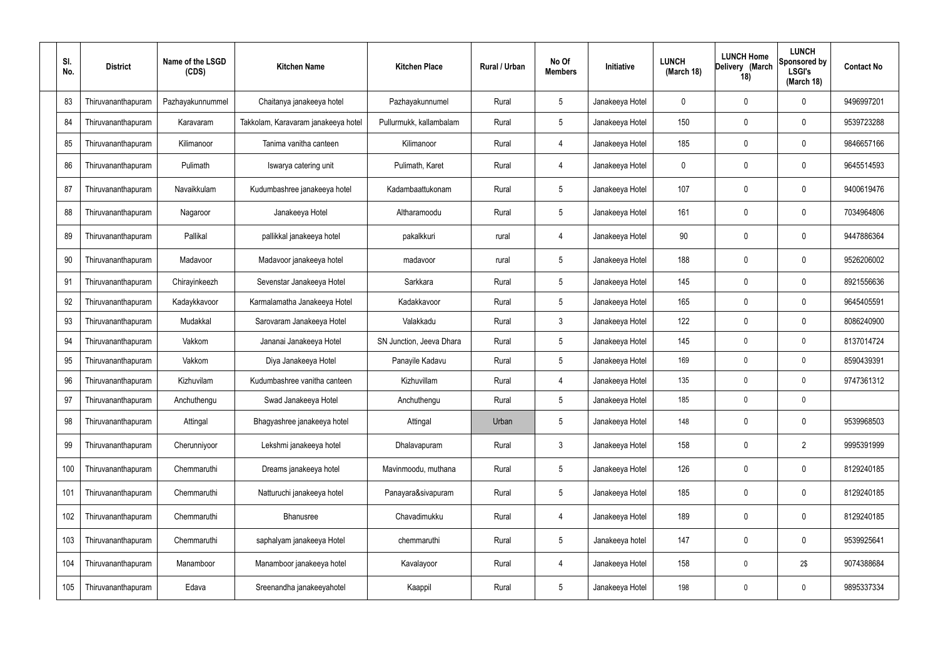| SI.<br>No. | <b>District</b>    | Name of the LSGD<br>(CDS) | <b>Kitchen Name</b>                 | <b>Kitchen Place</b>     | Rural / Urban | No Of<br><b>Members</b> | Initiative      | <b>LUNCH</b><br>(March 18) | <b>LUNCH Home</b><br>Delivery (March<br>18) | <b>LUNCH</b><br>Sponsored by<br><b>LSGI's</b><br>(March 18) | <b>Contact No</b> |
|------------|--------------------|---------------------------|-------------------------------------|--------------------------|---------------|-------------------------|-----------------|----------------------------|---------------------------------------------|-------------------------------------------------------------|-------------------|
| 83         | Thiruvananthapuram | Pazhayakunnummel          | Chaitanya janakeeya hotel           | Pazhayakunnumel          | Rural         | $5\phantom{.0}$         | Janakeeya Hotel | 0                          | 0                                           | 0                                                           | 9496997201        |
| 84         | Thiruvananthapuram | Karavaram                 | Takkolam, Karavaram janakeeya hotel | Pullurmukk, kallambalam  | Rural         | $5\phantom{.0}$         | Janakeeya Hotel | 150                        | 0                                           | 0                                                           | 9539723288        |
| 85         | Thiruvananthapuram | Kilimanoor                | Tanima vanitha canteen              | Kilimanoor               | Rural         | $\overline{4}$          | Janakeeya Hotel | 185                        | 0                                           | 0                                                           | 9846657166        |
| 86         | Thiruvananthapuram | Pulimath                  | Iswarya catering unit               | Pulimath, Karet          | Rural         | $\overline{4}$          | Janakeeya Hotel | 0                          | 0                                           | 0                                                           | 9645514593        |
| 87         | Thiruvananthapuram | Navaikkulam               | Kudumbashree janakeeya hotel        | Kadambaattukonam         | Rural         | $5\phantom{.0}$         | Janakeeya Hotel | 107                        | 0                                           | 0                                                           | 9400619476        |
| 88         | Thiruvananthapuram | Nagaroor                  | Janakeeya Hotel                     | Altharamoodu             | Rural         | $5\phantom{.0}$         | Janakeeya Hotel | 161                        | 0                                           | 0                                                           | 7034964806        |
| 89         | Thiruvananthapuram | Pallikal                  | pallikkal janakeeya hotel           | pakalkkuri               | rural         | $\overline{4}$          | Janakeeya Hotel | 90                         | 0                                           | 0                                                           | 9447886364        |
| 90         | Thiruvananthapuram | Madavoor                  | Madavoor janakeeya hotel            | madavoor                 | rural         | $5\phantom{.0}$         | Janakeeya Hotel | 188                        | 0                                           | 0                                                           | 9526206002        |
| 91         | Thiruvananthapuram | Chirayinkeezh             | Sevenstar Janakeeya Hotel           | Sarkkara                 | Rural         | $5\phantom{.0}$         | Janakeeya Hotel | 145                        | 0                                           | $\mathbf 0$                                                 | 8921556636        |
| 92         | Thiruvananthapuram | Kadaykkavoor              | Karmalamatha Janakeeya Hotel        | Kadakkavoor              | Rural         | $5\phantom{.0}$         | Janakeeya Hotel | 165                        | 0                                           | 0                                                           | 9645405591        |
| 93         | Thiruvananthapuram | Mudakkal                  | Sarovaram Janakeeya Hotel           | Valakkadu                | Rural         | 3                       | Janakeeya Hotel | 122                        | 0                                           | 0                                                           | 8086240900        |
| 94         | Thiruvananthapuram | Vakkom                    | Jananai Janakeeya Hotel             | SN Junction, Jeeva Dhara | Rural         | $5\phantom{.0}$         | Janakeeya Hotel | 145                        | $\mathbf{0}$                                | 0                                                           | 8137014724        |
| 95         | Thiruvananthapuram | Vakkom                    | Diya Janakeeya Hotel                | Panayile Kadavu          | Rural         | $5\phantom{.0}$         | Janakeeya Hotel | 169                        | 0                                           | 0                                                           | 8590439391        |
| 96         | Thiruvananthapuram | Kizhuvilam                | Kudumbashree vanitha canteen        | Kizhuvillam              | Rural         | 4                       | Janakeeya Hotel | 135                        | 0                                           | 0                                                           | 9747361312        |
| 97         | Thiruvananthapuram | Anchuthengu               | Swad Janakeeya Hotel                | Anchuthengu              | Rural         | $5\phantom{.0}$         | Janakeeya Hotel | 185                        | 0                                           | $\mathbf 0$                                                 |                   |
| 98         | Thiruvananthapuram | Attingal                  | Bhagyashree janakeeya hotel         | Attingal                 | Urban         | $5\phantom{.0}$         | Janakeeya Hotel | 148                        | 0                                           | $\pmb{0}$                                                   | 9539968503        |
| 99         | Thiruvananthapuram | Cherunniyoor              | Lekshmi janakeeya hotel             | Dhalavapuram             | Rural         | $\mathfrak{Z}$          | Janakeeya Hotel | 158                        | 0                                           | $\overline{2}$                                              | 9995391999        |
| 100        | Thiruvananthapuram | Chemmaruthi               | Dreams janakeeya hotel              | Mavinmoodu, muthana      | Rural         | $5\phantom{.0}$         | Janakeeya Hotel | 126                        | 0                                           | $\pmb{0}$                                                   | 8129240185        |
| 101        | Thiruvananthapuram | Chemmaruthi               | Natturuchi janakeeya hotel          | Panayara&sivapuram       | Rural         | $5\phantom{.0}$         | Janakeeya Hotel | 185                        | 0                                           | $\pmb{0}$                                                   | 8129240185        |
| 102        | Thiruvananthapuram | Chemmaruthi               | Bhanusree                           | Chavadimukku             | Rural         | 4                       | Janakeeya Hotel | 189                        | 0                                           | $\pmb{0}$                                                   | 8129240185        |
| 103        | Thiruvananthapuram | Chemmaruthi               | saphalyam janakeeya Hotel           | chemmaruthi              | Rural         | $5\phantom{.0}$         | Janakeeya hotel | 147                        | 0                                           | $\boldsymbol{0}$                                            | 9539925641        |
| 104        | Thiruvananthapuram | Manamboor                 | Manamboor janakeeya hotel           | Kavalayoor               | Rural         | 4                       | Janakeeya Hotel | 158                        | 0                                           | 2\$                                                         | 9074388684        |
| 105        | Thiruvananthapuram | Edava                     | Sreenandha janakeeyahotel           | Kaappil                  | Rural         | $\sqrt{5}$              | Janakeeya Hotel | 198                        | 0                                           | $\pmb{0}$                                                   | 9895337334        |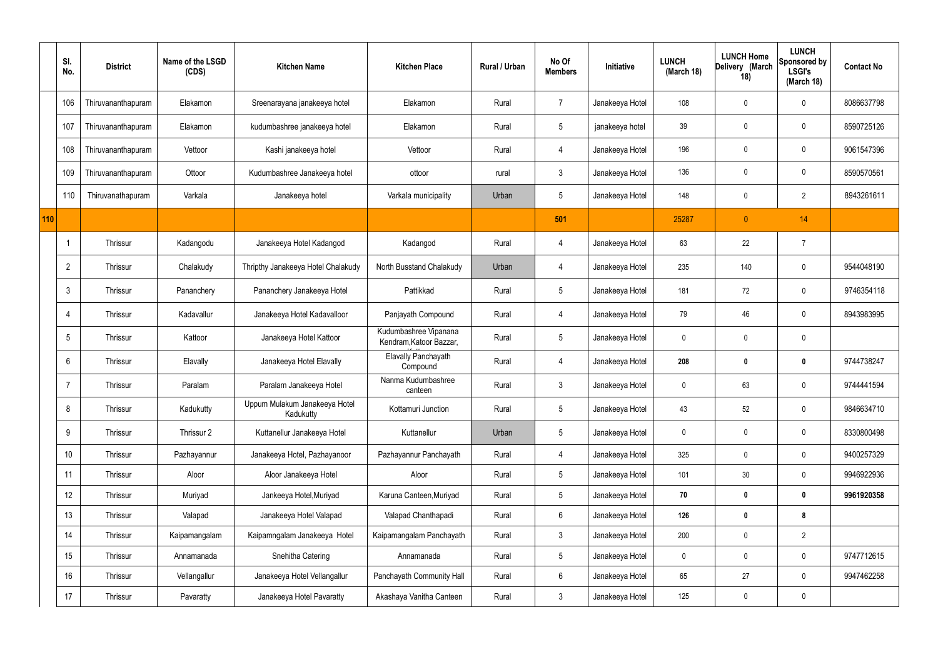|     | SI.<br>No.      | <b>District</b>    | Name of the LSGD<br>(CDS) | <b>Kitchen Name</b>                        | <b>Kitchen Place</b>                             | <b>Rural / Urban</b> | No Of<br><b>Members</b> | Initiative      | <b>LUNCH</b><br>(March 18) | <b>LUNCH Home</b><br>Delivery (March<br>18) | <b>LUNCH</b><br>Sponsored by<br><b>LSGI's</b><br>(March 18) | <b>Contact No</b> |
|-----|-----------------|--------------------|---------------------------|--------------------------------------------|--------------------------------------------------|----------------------|-------------------------|-----------------|----------------------------|---------------------------------------------|-------------------------------------------------------------|-------------------|
|     | 106             | Thiruvananthapuram | Elakamon                  | Sreenarayana janakeeya hotel               | Elakamon                                         | Rural                | $\overline{7}$          | Janakeeya Hotel | 108                        | 0                                           | 0                                                           | 8086637798        |
|     | 107             | Thiruvananthapuram | Elakamon                  | kudumbashree janakeeya hotel               | Elakamon                                         | Rural                | $5\phantom{.0}$         | janakeeya hotel | 39                         | $\mathbf 0$                                 | $\boldsymbol{0}$                                            | 8590725126        |
|     | 108             | Thiruvananthapuram | Vettoor                   | Kashi janakeeya hotel                      | Vettoor                                          | Rural                | 4                       | Janakeeya Hotel | 196                        | 0                                           | $\mathbf 0$                                                 | 9061547396        |
|     | 109             | Thiruvananthapuram | Ottoor                    | Kudumbashree Janakeeya hotel               | ottoor                                           | rural                | $\mathbf{3}$            | Janakeeya Hotel | 136                        | $\mathbf 0$                                 | $\mathbf 0$                                                 | 8590570561        |
|     | 110             | Thiruvanathapuram  | Varkala                   | Janakeeya hotel                            | Varkala municipality                             | Urban                | $5\phantom{.0}$         | Janakeeya Hotel | 148                        | 0                                           | $\overline{2}$                                              | 8943261611        |
| 110 |                 |                    |                           |                                            |                                                  |                      | 501                     |                 | 25287                      | $\mathbf{0}$                                | 14                                                          |                   |
|     |                 | Thrissur           | Kadangodu                 | Janakeeya Hotel Kadangod                   | Kadangod                                         | Rural                | 4                       | Janakeeya Hotel | 63                         | 22                                          | $\overline{7}$                                              |                   |
|     | $\overline{2}$  | Thrissur           | Chalakudy                 | Thripthy Janakeeya Hotel Chalakudy         | North Busstand Chalakudy                         | Urban                | $\overline{4}$          | Janakeeya Hotel | 235                        | 140                                         | $\boldsymbol{0}$                                            | 9544048190        |
|     | 3               | Thrissur           | Pananchery                | Pananchery Janakeeya Hotel                 | Pattikkad                                        | Rural                | $5\overline{)}$         | Janakeeya Hotel | 181                        | 72                                          | $\mathbf 0$                                                 | 9746354118        |
|     | 4               | Thrissur           | Kadavallur                | Janakeeya Hotel Kadavalloor                | Panjayath Compound                               | Rural                | $\overline{4}$          | Janakeeya Hotel | 79                         | 46                                          | $\mathbf 0$                                                 | 8943983995        |
|     | $5\overline{)}$ | Thrissur           | Kattoor                   | Janakeeya Hotel Kattoor                    | Kudumbashree Vipanana<br>Kendram, Katoor Bazzar, | Rural                | $5\overline{)}$         | Janakeeya Hotel | $\mathbf 0$                | 0                                           | $\mathbf 0$                                                 |                   |
|     | 6               | Thrissur           | Elavally                  | Janakeeya Hotel Elavally                   | Elavally Panchayath<br>Compound                  | Rural                | $\overline{4}$          | Janakeeya Hotel | 208                        | 0                                           | $\bm{0}$                                                    | 9744738247        |
|     | -7              | Thrissur           | Paralam                   | Paralam Janakeeya Hotel                    | Nanma Kudumbashree<br>canteen                    | Rural                | $\mathbf{3}$            | Janakeeya Hotel | $\mathbf 0$                | 63                                          | $\mathbf 0$                                                 | 9744441594        |
|     | 8               | Thrissur           | Kadukutty                 | Uppum Mulakum Janakeeya Hotel<br>Kadukutty | Kottamuri Junction                               | Rural                | $5\overline{)}$         | Janakeeya Hotel | 43                         | 52                                          | $\mathbf 0$                                                 | 9846634710        |
|     | 9               | Thrissur           | Thrissur 2                | Kuttanellur Janakeeya Hotel                | Kuttanellur                                      | Urban                | $5\phantom{.0}$         | Janakeeya Hotel | $\pmb{0}$                  | 0                                           | $\mathbf 0$                                                 | 8330800498        |
|     | 10              | Thrissur           | Pazhayannur               | Janakeeya Hotel, Pazhayanoor               | Pazhayannur Panchayath                           | Rural                | $\overline{4}$          | Janakeeya Hotel | 325                        | 0                                           | $\mathbf 0$                                                 | 9400257329        |
|     | 11              | Thrissur           | Aloor                     | Aloor Janakeeya Hotel                      | Aloor                                            | Rural                | $5\phantom{.0}$         | Janakeeya Hotel | 101                        | 30                                          | $\mathbf 0$                                                 | 9946922936        |
|     | 12              | Thrissur           | Muriyad                   | Jankeeya Hotel, Muriyad                    | Karuna Canteen, Muriyad                          | Rural                | $5\phantom{.0}$         | Janakeeya Hotel | 70                         | 0                                           | $\mathbf 0$                                                 | 9961920358        |
|     | 13              | Thrissur           | Valapad                   | Janakeeya Hotel Valapad                    | Valapad Chanthapadi                              | Rural                | $6\overline{6}$         | Janakeeya Hotel | 126                        | 0                                           | 8                                                           |                   |
|     | 14              | Thrissur           | Kaipamangalam             | Kaipamngalam Janakeeya Hotel               | Kaipamangalam Panchayath                         | Rural                | 3 <sup>1</sup>          | Janakeeya Hotel | 200                        | $\mathbf 0$                                 | $\overline{2}$                                              |                   |
|     | 15              | Thrissur           | Annamanada                | Snehitha Catering                          | Annamanada                                       | Rural                | $5\phantom{.0}$         | Janakeeya Hotel | $\pmb{0}$                  | 0                                           | $\mathbf 0$                                                 | 9747712615        |
|     | 16              | Thrissur           | Vellangallur              | Janakeeya Hotel Vellangallur               | Panchayath Community Hall                        | Rural                | $6\overline{6}$         | Janakeeya Hotel | 65                         | 27                                          | $\mathbf 0$                                                 | 9947462258        |
|     | 17              | Thrissur           | Pavaratty                 | Janakeeya Hotel Pavaratty                  | Akashaya Vanitha Canteen                         | Rural                | $\mathbf{3}$            | Janakeeya Hotel | 125                        | 0                                           | $\bf{0}$                                                    |                   |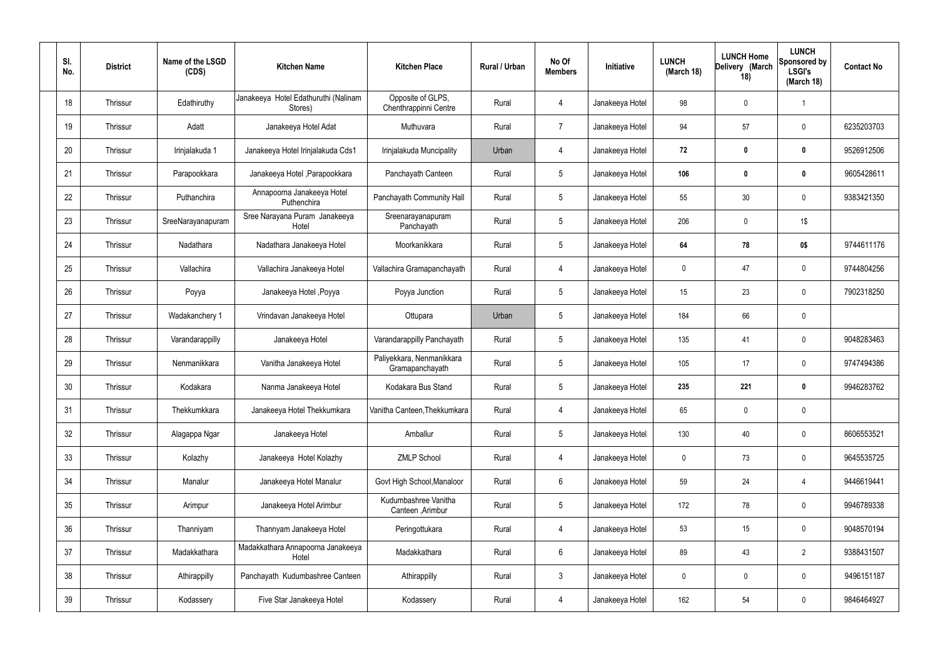| SI.<br>No. | <b>District</b> | Name of the LSGD<br>(CDS) | <b>Kitchen Name</b>                             | <b>Kitchen Place</b>                         | Rural / Urban | No Of<br><b>Members</b> | <b>Initiative</b> | <b>LUNCH</b><br>(March 18) | <b>LUNCH Home</b><br>Delivery (March<br>18) | <b>LUNCH</b><br>Sponsored by<br><b>LSGI's</b><br>(March 18) | <b>Contact No</b> |
|------------|-----------------|---------------------------|-------------------------------------------------|----------------------------------------------|---------------|-------------------------|-------------------|----------------------------|---------------------------------------------|-------------------------------------------------------------|-------------------|
| 18         | Thrissur        | Edathiruthy               | Janakeeya Hotel Edathuruthi (Nalinam<br>Stores) | Opposite of GLPS,<br>Chenthrappinni Centre   | Rural         | $\overline{4}$          | Janakeeya Hotel   | 98                         | 0                                           | -1                                                          |                   |
| 19         | Thrissur        | Adatt                     | Janakeeya Hotel Adat                            | Muthuvara                                    | Rural         | $\overline{7}$          | Janakeeya Hotel   | 94                         | 57                                          | $\mathbf 0$                                                 | 6235203703        |
| 20         | Thrissur        | Irinjalakuda 1            | Janakeeya Hotel Irinjalakuda Cds1               | Irinjalakuda Muncipality                     | Urban         | 4                       | Janakeeya Hotel   | 72                         | 0                                           | $\mathbf 0$                                                 | 9526912506        |
| 21         | Thrissur        | Parapookkara              | Janakeeya Hotel, Parapookkara                   | Panchayath Canteen                           | Rural         | $5\phantom{.0}$         | Janakeeya Hotel   | 106                        | 0                                           | $\bm{0}$                                                    | 9605428611        |
| 22         | Thrissur        | Puthanchira               | Annapoorna Janakeeya Hotel<br>Puthenchira       | Panchayath Community Hall                    | Rural         | $5\phantom{.0}$         | Janakeeya Hotel   | 55                         | 30                                          | 0                                                           | 9383421350        |
| 23         | Thrissur        | SreeNarayanapuram         | Sree Narayana Puram Janakeeya<br>Hotel          | Sreenarayanapuram<br>Panchayath              | Rural         | $5\phantom{.0}$         | Janakeeya Hotel   | 206                        | 0                                           | $1\$                                                        |                   |
| 24         | Thrissur        | Nadathara                 | Nadathara Janakeeya Hotel                       | Moorkanikkara                                | Rural         | $5\phantom{.0}$         | Janakeeya Hotel   | 64                         | 78                                          | 0\$                                                         | 9744611176        |
| 25         | Thrissur        | Vallachira                | Vallachira Janakeeya Hotel                      | Vallachira Gramapanchayath                   | Rural         | 4                       | Janakeeya Hotel   | $\mathbf 0$                | 47                                          | $\mathbf 0$                                                 | 9744804256        |
| 26         | Thrissur        | Poyya                     | Janakeeya Hotel , Poyya                         | Poyya Junction                               | Rural         | $5\phantom{.0}$         | Janakeeya Hotel   | 15 <sub>15</sub>           | 23                                          | $\mathbf 0$                                                 | 7902318250        |
| 27         | Thrissur        | Wadakanchery 1            | Vrindavan Janakeeya Hotel                       | Ottupara                                     | Urban         | $5\phantom{.0}$         | Janakeeya Hotel   | 184                        | 66                                          | $\mathbf 0$                                                 |                   |
| 28         | Thrissur        | Varandarappilly           | Janakeeya Hotel                                 | Varandarappilly Panchayath                   | Rural         | $5\phantom{.0}$         | Janakeeya Hotel   | 135                        | 41                                          | $\mathbf 0$                                                 | 9048283463        |
| 29         | Thrissur        | Nenmanikkara              | Vanitha Janakeeya Hotel                         | Paliyekkara, Nenmanikkara<br>Gramapanchayath | Rural         | $5\phantom{.0}$         | Janakeeya Hotel   | 105                        | 17                                          | $\mathbf 0$                                                 | 9747494386        |
| 30         | Thrissur        | Kodakara                  | Nanma Janakeeya Hotel                           | Kodakara Bus Stand                           | Rural         | $5\phantom{.0}$         | Janakeeya Hotel   | 235                        | 221                                         | 0                                                           | 9946283762        |
| 31         | Thrissur        | Thekkumkkara              | Janakeeya Hotel Thekkumkara                     | Vanitha Canteen, Thekkumkara                 | Rural         | $\overline{4}$          | Janakeeya Hotel   | 65                         | $\mathbf 0$                                 | $\overline{0}$                                              |                   |
| 32         | Thrissur        | Alagappa Ngar             | Janakeeya Hotel                                 | Amballur                                     | Rural         | $5\overline{)}$         | Janakeeya Hotel   | 130                        | 40                                          | $\mathbf 0$                                                 | 8606553521        |
| 33         | Thrissur        | Kolazhy                   | Janakeeya Hotel Kolazhy                         | <b>ZMLP School</b>                           | Rural         | $\overline{4}$          | Janakeeya Hotel   | $\mathbf 0$                | 73                                          | $\mathbf 0$                                                 | 9645535725        |
| 34         | Thrissur        | Manalur                   | Janakeeya Hotel Manalur                         | Govt High School, Manaloor                   | Rural         | $6\overline{6}$         | Janakeeya Hotel   | 59                         | 24                                          | $\overline{4}$                                              | 9446619441        |
| 35         | Thrissur        | Arimpur                   | Janakeeya Hotel Arimbur                         | Kudumbashree Vanitha<br>Canteen, Arimbur     | Rural         | $5\phantom{.0}$         | Janakeeya Hotel   | 172                        | 78                                          | $\mathbf 0$                                                 | 9946789338        |
| 36         | Thrissur        | Thanniyam                 | Thannyam Janakeeya Hotel                        | Peringottukara                               | Rural         | $\overline{4}$          | Janakeeya Hotel   | 53                         | 15                                          | $\mathbf 0$                                                 | 9048570194        |
| 37         | Thrissur        | Madakkathara              | Madakkathara Annapoorna Janakeeya<br>Hotel      | Madakkathara                                 | Rural         | $6\overline{6}$         | Janakeeya Hotel   | 89                         | 43                                          | $\overline{2}$                                              | 9388431507        |
| 38         | Thrissur        | Athirappilly              | Panchayath Kudumbashree Canteen                 | Athirappilly                                 | Rural         | $\mathfrak{Z}$          | Janakeeya Hotel   | $\mathbf 0$                | 0                                           | $\mathbf 0$                                                 | 9496151187        |
| 39         | Thrissur        | Kodassery                 | Five Star Janakeeya Hotel                       | Kodassery                                    | Rural         | 4                       | Janakeeya Hotel   | 162                        | 54                                          | $\mathbf 0$                                                 | 9846464927        |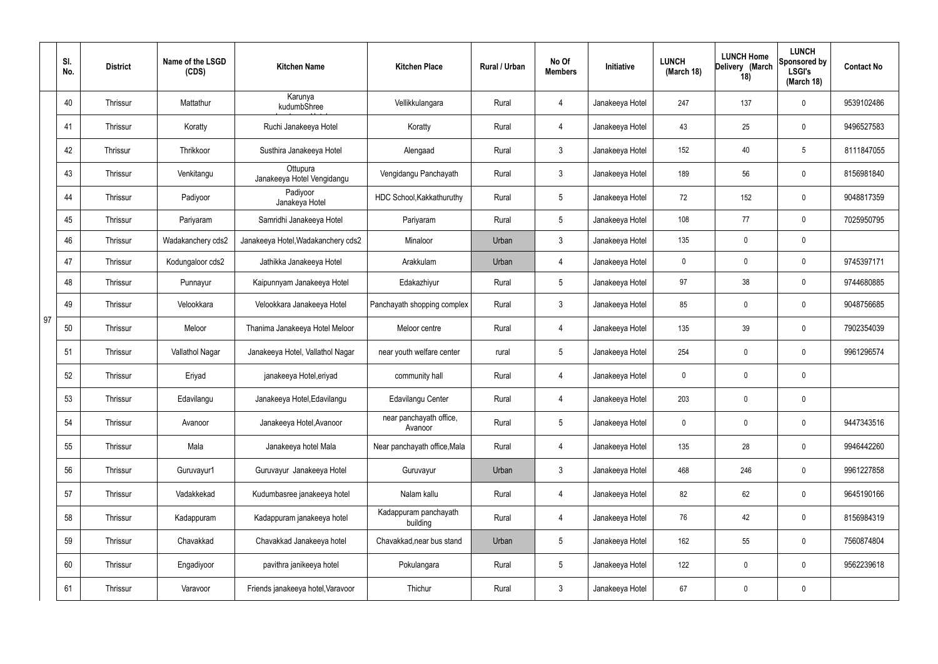|    | SI.<br>No. | <b>District</b> | Name of the LSGD<br>(CDS) | <b>Kitchen Name</b>                    | <b>Kitchen Place</b>               | Rural / Urban | No Of<br><b>Members</b> | Initiative      | <b>LUNCH</b><br>(March 18) | <b>LUNCH Home</b><br>Delivery (March<br>18) | <b>LUNCH</b><br>Sponsored by<br><b>LSGI's</b><br>(March $18$ ) | <b>Contact No</b> |
|----|------------|-----------------|---------------------------|----------------------------------------|------------------------------------|---------------|-------------------------|-----------------|----------------------------|---------------------------------------------|----------------------------------------------------------------|-------------------|
|    | 40         | Thrissur        | Mattathur                 | Karunya<br>kudumbShree                 | Vellikkulangara                    | Rural         | 4                       | Janakeeya Hotel | 247                        | 137                                         | 0                                                              | 9539102486        |
|    | 41         | Thrissur        | Koratty                   | Ruchi Janakeeya Hotel                  | Koratty                            | Rural         | $\overline{4}$          | Janakeeya Hotel | 43                         | 25                                          | 0                                                              | 9496527583        |
|    | 42         | Thrissur        | Thrikkoor                 | Susthira Janakeeya Hotel               | Alengaad                           | Rural         | $\mathbf{3}$            | Janakeeya Hotel | 152                        | 40                                          | 5                                                              | 8111847055        |
|    | 43         | Thrissur        | Venkitangu                | Ottupura<br>Janakeeya Hotel Vengidangu | Vengidangu Panchayath              | Rural         | $\mathbf{3}$            | Janakeeya Hotel | 189                        | 56                                          | $\mathbf 0$                                                    | 8156981840        |
|    | 44         | Thrissur        | Padiyoor                  | Padiyoor<br>Janakeya Hotel             | HDC School, Kakkathuruthy          | Rural         | $5\phantom{.0}$         | Janakeeya Hotel | 72                         | 152                                         | $\mathbf 0$                                                    | 9048817359        |
|    | 45         | Thrissur        | Pariyaram                 | Samridhi Janakeeya Hotel               | Pariyaram                          | Rural         | $5\overline{)}$         | Janakeeya Hotel | 108                        | 77                                          | $\mathbf 0$                                                    | 7025950795        |
|    | 46         | Thrissur        | Wadakanchery cds2         | Janakeeya Hotel, Wadakanchery cds2     | Minaloor                           | Urban         | $\mathbf{3}$            | Janakeeya Hotel | 135                        | $\mathbf 0$                                 | $\mathbf 0$                                                    |                   |
|    | 47         | Thrissur        | Kodungaloor cds2          | Jathikka Janakeeya Hotel               | Arakkulam                          | Urban         | $\overline{4}$          | Janakeeya Hotel | $\mathbf 0$                | 0                                           | $\mathbf 0$                                                    | 9745397171        |
|    | 48         | Thrissur        | Punnayur                  | Kaipunnyam Janakeeya Hotel             | Edakazhiyur                        | Rural         | $5\phantom{.0}$         | Janakeeya Hotel | 97                         | 38                                          | $\mathbf 0$                                                    | 9744680885        |
|    | 49         | Thrissur        | Velookkara                | Velookkara Janakeeya Hotel             | Panchayath shopping complex        | Rural         | $\mathbf{3}$            | Janakeeya Hotel | 85                         | $\mathbf 0$                                 | $\mathbf 0$                                                    | 9048756685        |
| 97 | 50         | Thrissur        | Meloor                    | Thanima Janakeeya Hotel Meloor         | Meloor centre                      | Rural         | 4                       | Janakeeya Hotel | 135                        | 39                                          | $\mathbf 0$                                                    | 7902354039        |
|    | 51         | Thrissur        | Vallathol Nagar           | Janakeeya Hotel, Vallathol Nagar       | near youth welfare center          | rural         | $5\phantom{.0}$         | Janakeeya Hotel | 254                        | $\boldsymbol{0}$                            | $\mathbf 0$                                                    | 9961296574        |
|    | 52         | Thrissur        | Eriyad                    | janakeeya Hotel, eriyad                | community hall                     | Rural         | 4                       | Janakeeya Hotel | $\mathbf 0$                | 0                                           | $\mathbf 0$                                                    |                   |
|    | 53         | Thrissur        | Edavilangu                | Janakeeya Hotel, Edavilangu            | Edavilangu Center                  | Rural         | 4                       | Janakeeya Hotel | 203                        | $\mathbf 0$                                 | $\mathbf 0$                                                    |                   |
|    | 54         | Thrissur        | Avanoor                   | Janakeeya Hotel, Avanoor               | near panchayath office,<br>Avanoor | Rural         | $5\phantom{.0}$         | Janakeeya Hotel | $\boldsymbol{0}$           | 0                                           | $\mathbf 0$                                                    | 9447343516        |
|    | 55         | Thrissur        | Mala                      | Janakeeya hotel Mala                   | Near panchayath office, Mala       | Rural         | 4                       | Janakeeya Hotel | 135                        | 28                                          | $\mathbf 0$                                                    | 9946442260        |
|    | 56         | Thrissur        | Guruvayur1                | Guruvayur Janakeeya Hotel              | Guruvayur                          | Urban         | 3 <sup>1</sup>          | Janakeeya Hotel | 468                        | 246                                         | $\mathbf 0$                                                    | 9961227858        |
|    | 57         | Thrissur        | Vadakkekad                | Kudumbasree janakeeya hotel            | Nalam kallu                        | Rural         | $\overline{4}$          | Janakeeya Hotel | 82                         | 62                                          | $\mathbf 0$                                                    | 9645190166        |
|    | 58         | Thrissur        | Kadappuram                | Kadappuram janakeeya hotel             | Kadappuram panchayath<br>building  | Rural         | $\overline{4}$          | Janakeeya Hotel | 76                         | 42                                          | $\mathbf 0$                                                    | 8156984319        |
|    | 59         | Thrissur        | Chavakkad                 | Chavakkad Janakeeya hotel              | Chavakkad, near bus stand          | Urban         | $5\,$                   | Janakeeya Hotel | 162                        | 55                                          | $\mathbf 0$                                                    | 7560874804        |
|    | 60         | Thrissur        | Engadiyoor                | pavithra janikeeya hotel               | Pokulangara                        | Rural         | $5\phantom{.0}$         | Janakeeya Hotel | 122                        | $\pmb{0}$                                   | $\mathbf 0$                                                    | 9562239618        |
|    | 61         | Thrissur        | Varavoor                  | Friends janakeeya hotel, Varavoor      | Thichur                            | Rural         | $\mathbf{3}$            | Janakeeya Hotel | 67                         | $\pmb{0}$                                   | $\pmb{0}$                                                      |                   |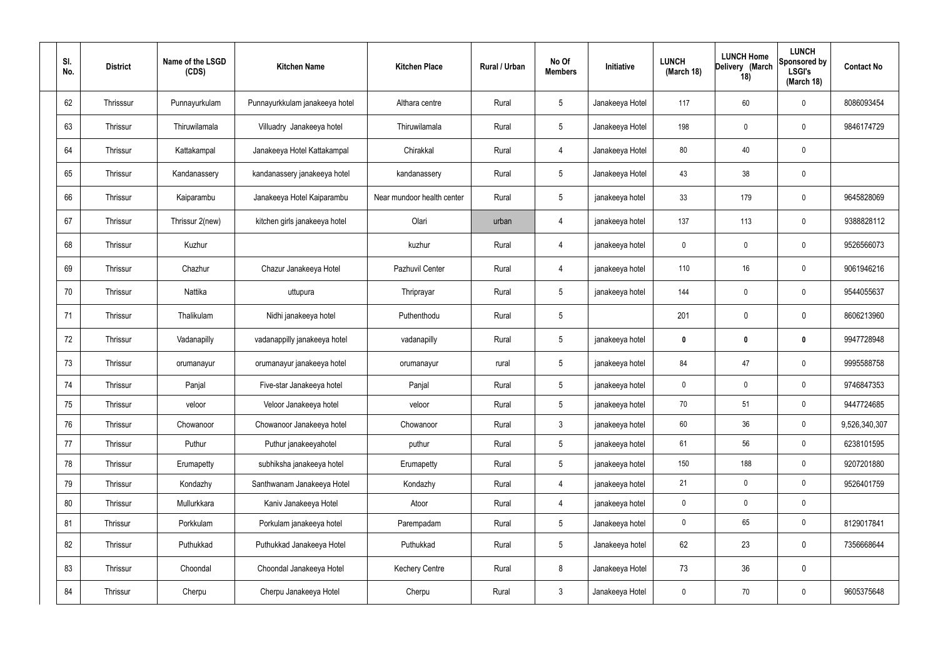| SI.<br>No. | <b>District</b> | Name of the LSGD<br>(CDS) | <b>Kitchen Name</b>            | <b>Kitchen Place</b>       | Rural / Urban | No Of<br><b>Members</b> | Initiative      | <b>LUNCH</b><br>(March 18) | <b>LUNCH Home</b><br>Delivery (March<br>18) | <b>LUNCH</b><br>Sponsored by<br><b>LSGI's</b><br>(March 18) | <b>Contact No</b> |
|------------|-----------------|---------------------------|--------------------------------|----------------------------|---------------|-------------------------|-----------------|----------------------------|---------------------------------------------|-------------------------------------------------------------|-------------------|
| 62         | Thrisssur       | Punnayurkulam             | Punnayurkkulam janakeeya hotel | Althara centre             | Rural         | $5\phantom{.0}$         | Janakeeya Hotel | 117                        | 60                                          | $\mathbf 0$                                                 | 8086093454        |
| 63         | Thrissur        | Thiruwilamala             | Villuadry Janakeeya hotel      | Thiruwilamala              | Rural         | $5\overline{)}$         | Janakeeya Hotel | 198                        | 0                                           | $\mathbf 0$                                                 | 9846174729        |
| 64         | Thrissur        | Kattakampal               | Janakeeya Hotel Kattakampal    | Chirakkal                  | Rural         | $\overline{4}$          | Janakeeya Hotel | 80                         | 40                                          | $\mathbf 0$                                                 |                   |
| 65         | Thrissur        | Kandanassery              | kandanassery janakeeya hotel   | kandanassery               | Rural         | $5\overline{)}$         | Janakeeya Hotel | 43                         | 38                                          | $\boldsymbol{0}$                                            |                   |
| 66         | Thrissur        | Kaiparambu                | Janakeeya Hotel Kaiparambu     | Near mundoor health center | Rural         | $5\overline{)}$         | janakeeya hotel | 33                         | 179                                         | $\mathbf 0$                                                 | 9645828069        |
| 67         | Thrissur        | Thrissur 2(new)           | kitchen girls janakeeya hotel  | Olari                      | urban         | $\overline{4}$          | janakeeya hotel | 137                        | 113                                         | $\mathbf 0$                                                 | 9388828112        |
| 68         | Thrissur        | Kuzhur                    |                                | kuzhur                     | Rural         | $\overline{4}$          | janakeeya hotel | $\mathbf 0$                | 0                                           | $\mathbf 0$                                                 | 9526566073        |
| 69         | Thrissur        | Chazhur                   | Chazur Janakeeya Hotel         | Pazhuvil Center            | Rural         | $\overline{4}$          | janakeeya hotel | 110                        | 16                                          | $\mathbf 0$                                                 | 9061946216        |
| 70         | Thrissur        | Nattika                   | uttupura                       | Thriprayar                 | Rural         | $5\overline{)}$         | janakeeya hotel | 144                        | 0                                           | $\mathbf 0$                                                 | 9544055637        |
| 71         | Thrissur        | Thalikulam                | Nidhi janakeeya hotel          | Puthenthodu                | Rural         | $5\phantom{.0}$         |                 | 201                        | $\mathbf 0$                                 | $\mathbf 0$                                                 | 8606213960        |
| 72         | Thrissur        | Vadanapilly               | vadanappilly janakeeya hotel   | vadanapilly                | Rural         | $5\phantom{.0}$         | janakeeya hotel | $\mathbf 0$                | 0                                           | $\bm{0}$                                                    | 9947728948        |
| 73         | Thrissur        | orumanayur                | orumanayur janakeeya hotel     | orumanayur                 | rural         | $5\phantom{.0}$         | janakeeya hotel | 84                         | 47                                          | $\mathbf 0$                                                 | 9995588758        |
| 74         | Thrissur        | Panjal                    | Five-star Janakeeya hotel      | Panjal                     | Rural         | $5\phantom{.0}$         | janakeeya hotel | $\mathbf 0$                | $\mathbf 0$                                 | $\mathbf 0$                                                 | 9746847353        |
| 75         | Thrissur        | veloor                    | Veloor Janakeeya hotel         | veloor                     | Rural         | $5\overline{)}$         | janakeeya hotel | 70                         | 51                                          | $\mathbf 0$                                                 | 9447724685        |
| 76         | Thrissur        | Chowanoor                 | Chowanoor Janakeeya hotel      | Chowanoor                  | Rural         | $\mathbf{3}$            | janakeeya hotel | 60                         | 36                                          | $\mathbf 0$                                                 | 9,526,340,307     |
| 77         | Thrissur        | Puthur                    | Puthur janakeeyahotel          | puthur                     | Rural         | $5\overline{)}$         | janakeeya hotel | 61                         | 56                                          | $\mathbf 0$                                                 | 6238101595        |
| 78         | Thrissur        | Erumapetty                | subhiksha janakeeya hotel      | Erumapetty                 | Rural         | $5\phantom{.0}$         | janakeeya hotel | 150                        | 188                                         | $\mathbf 0$                                                 | 9207201880        |
| 79         | Thrissur        | Kondazhy                  | Santhwanam Janakeeya Hotel     | Kondazhy                   | Rural         | 4                       | janakeeya hotel | 21                         | $\mathbf 0$                                 | $\mathbf 0$                                                 | 9526401759        |
| 80         | Thrissur        | Mullurkkara               | Kaniv Janakeeya Hotel          | Atoor                      | Rural         | 4                       | janakeeya hotel | $\mathbf 0$                | 0                                           | $\mathbf 0$                                                 |                   |
| 81         | Thrissur        | Porkkulam                 | Porkulam janakeeya hotel       | Parempadam                 | Rural         | $5\overline{)}$         | Janakeeya hotel | $\mathbf 0$                | 65                                          | $\mathbf 0$                                                 | 8129017841        |
| 82         | Thrissur        | Puthukkad                 | Puthukkad Janakeeya Hotel      | Puthukkad                  | Rural         | $5\overline{)}$         | Janakeeya hotel | 62                         | 23                                          | $\mathbf 0$                                                 | 7356668644        |
| 83         | Thrissur        | Choondal                  | Choondal Janakeeya Hotel       | <b>Kechery Centre</b>      | Rural         | 8                       | Janakeeya Hotel | 73                         | 36                                          | $\mathbf 0$                                                 |                   |
| 84         | Thrissur        | Cherpu                    | Cherpu Janakeeya Hotel         | Cherpu                     | Rural         | $\mathbf{3}$            | Janakeeya Hotel | $\pmb{0}$                  | 70                                          | $\mathbf 0$                                                 | 9605375648        |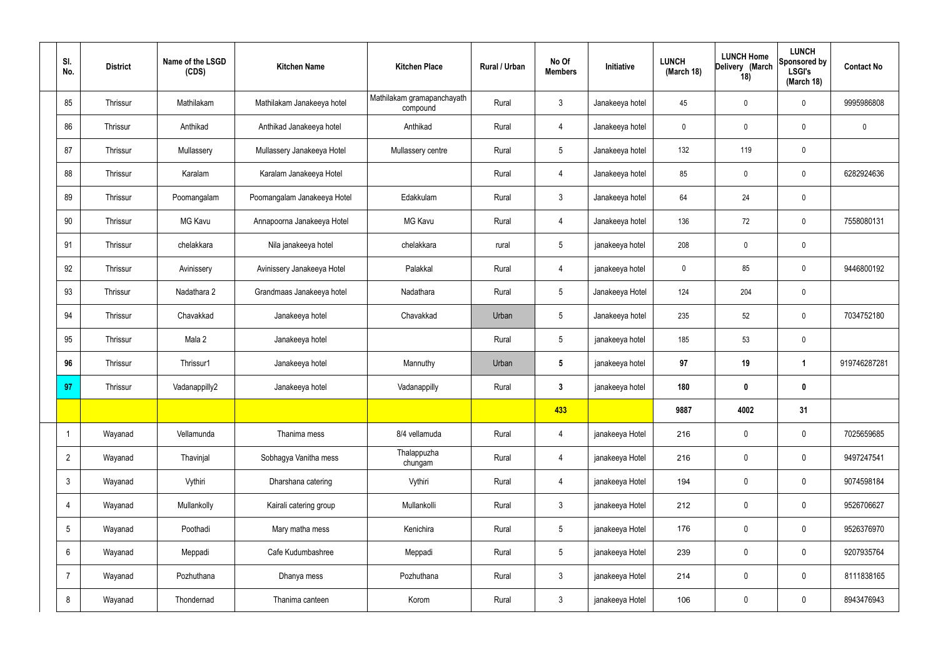| SI.<br>No.      | <b>District</b> | Name of the LSGD<br>(CDS) | <b>Kitchen Name</b>         | <b>Kitchen Place</b>                   | Rural / Urban | No Of<br><b>Members</b> | Initiative      | <b>LUNCH</b><br>(March 18) | <b>LUNCH Home</b><br>Delivery (March<br>18) | <b>LUNCH</b><br>Sponsored by<br><b>LSGI's</b><br>(March 18) | <b>Contact No</b> |
|-----------------|-----------------|---------------------------|-----------------------------|----------------------------------------|---------------|-------------------------|-----------------|----------------------------|---------------------------------------------|-------------------------------------------------------------|-------------------|
| 85              | Thrissur        | Mathilakam                | Mathilakam Janakeeya hotel  | Mathilakam gramapanchayath<br>compound | Rural         | 3                       | Janakeeya hotel | 45                         | 0                                           | $\mathbf 0$                                                 | 9995986808        |
| 86              | Thrissur        | Anthikad                  | Anthikad Janakeeya hotel    | Anthikad                               | Rural         | $\overline{4}$          | Janakeeya hotel | $\mathbf 0$                | $\mathbf 0$                                 | $\mathbf 0$                                                 | $\mathbf 0$       |
| 87              | Thrissur        | Mullassery                | Mullassery Janakeeya Hotel  | Mullassery centre                      | Rural         | 5 <sup>5</sup>          | Janakeeya hotel | 132                        | 119                                         | $\mathbf 0$                                                 |                   |
| 88              | Thrissur        | Karalam                   | Karalam Janakeeya Hotel     |                                        | Rural         | $\overline{4}$          | Janakeeya hotel | 85                         | 0                                           | $\mathbf 0$                                                 | 6282924636        |
| 89              | Thrissur        | Poomangalam               | Poomangalam Janakeeya Hotel | Edakkulam                              | Rural         | 3                       | Janakeeya hotel | 64                         | 24                                          | $\mathbf 0$                                                 |                   |
| 90              | Thrissur        | MG Kavu                   | Annapoorna Janakeeya Hotel  | <b>MG Kavu</b>                         | Rural         | $\overline{4}$          | Janakeeya hotel | 136                        | 72                                          | $\mathbf 0$                                                 | 7558080131        |
| 91              | Thrissur        | chelakkara                | Nila janakeeya hotel        | chelakkara                             | rural         | $5\overline{)}$         | janakeeya hotel | 208                        | $\mathbf 0$                                 | $\mathbf 0$                                                 |                   |
| 92              | Thrissur        | Avinissery                | Avinissery Janakeeya Hotel  | Palakkal                               | Rural         | $\overline{4}$          | janakeeya hotel | $\mathbf 0$                | 85                                          | $\mathbf 0$                                                 | 9446800192        |
| 93              | Thrissur        | Nadathara 2               | Grandmaas Janakeeya hotel   | Nadathara                              | Rural         | 5 <sup>5</sup>          | Janakeeya Hotel | 124                        | 204                                         | $\mathbf 0$                                                 |                   |
| 94              | Thrissur        | Chavakkad                 | Janakeeya hotel             | Chavakkad                              | Urban         | $5\phantom{.0}$         | Janakeeya hotel | 235                        | 52                                          | $\mathbf 0$                                                 | 7034752180        |
| 95              | Thrissur        | Mala 2                    | Janakeeya hotel             |                                        | Rural         | 5 <sup>5</sup>          | janakeeya hotel | 185                        | 53                                          | $\mathbf 0$                                                 |                   |
| 96              | Thrissur        | Thrissur1                 | Janakeeya hotel             | Mannuthy                               | Urban         | $5\overline{)}$         | janakeeya hotel | 97                         | 19                                          | $\overline{\mathbf{1}}$                                     | 919746287281      |
| 97              | Thrissur        | Vadanappilly2             | Janakeeya hotel             | Vadanappilly                           | Rural         | 3 <sup>1</sup>          | janakeeya hotel | 180                        | $\bf{0}$                                    | $\boldsymbol{0}$                                            |                   |
|                 |                 |                           |                             |                                        |               | 433                     |                 | 9887                       | 4002                                        | 31                                                          |                   |
| $\mathbf 1$     | Wayanad         | Vellamunda                | Thanima mess                | 8/4 vellamuda                          | Rural         | $\overline{4}$          | janakeeya Hotel | 216                        | $\pmb{0}$                                   | $\mathbf 0$                                                 | 7025659685        |
| $\overline{2}$  | Wayanad         | Thavinjal                 | Sobhagya Vanitha mess       | Thalappuzha<br>chungam                 | Rural         | $\overline{4}$          | janakeeya Hotel | 216                        | $\pmb{0}$                                   | $\mathbf 0$                                                 | 9497247541        |
| $3\phantom{.0}$ | Wayanad         | Vythiri                   | Dharshana catering          | Vythiri                                | Rural         | $\overline{4}$          | janakeeya Hotel | 194                        | $\pmb{0}$                                   | $\mathbf 0$                                                 | 9074598184        |
| 4               | Wayanad         | Mullankolly               | Kairali catering group      | Mullankolli                            | Rural         | $\mathbf{3}$            | janakeeya Hotel | 212                        | $\pmb{0}$                                   | $\mathbf 0$                                                 | 9526706627        |
| 5               | Wayanad         | Poothadi                  | Mary matha mess             | Kenichira                              | Rural         | $5\overline{)}$         | janakeeya Hotel | 176                        | $\pmb{0}$                                   | $\mathbf 0$                                                 | 9526376970        |
| 6               | Wayanad         | Meppadi                   | Cafe Kudumbashree           | Meppadi                                | Rural         | $5\overline{)}$         | janakeeya Hotel | 239                        | $\pmb{0}$                                   | $\mathbf 0$                                                 | 9207935764        |
| 7               | Wayanad         | Pozhuthana                | Dhanya mess                 | Pozhuthana                             | Rural         | $\mathbf{3}$            | janakeeya Hotel | 214                        | $\pmb{0}$                                   | $\mathbf 0$                                                 | 8111838165        |
| 8               | Wayanad         | Thondernad                | Thanima canteen             | Korom                                  | Rural         | 3 <sup>1</sup>          | janakeeya Hotel | 106                        | $\pmb{0}$                                   | $\boldsymbol{0}$                                            | 8943476943        |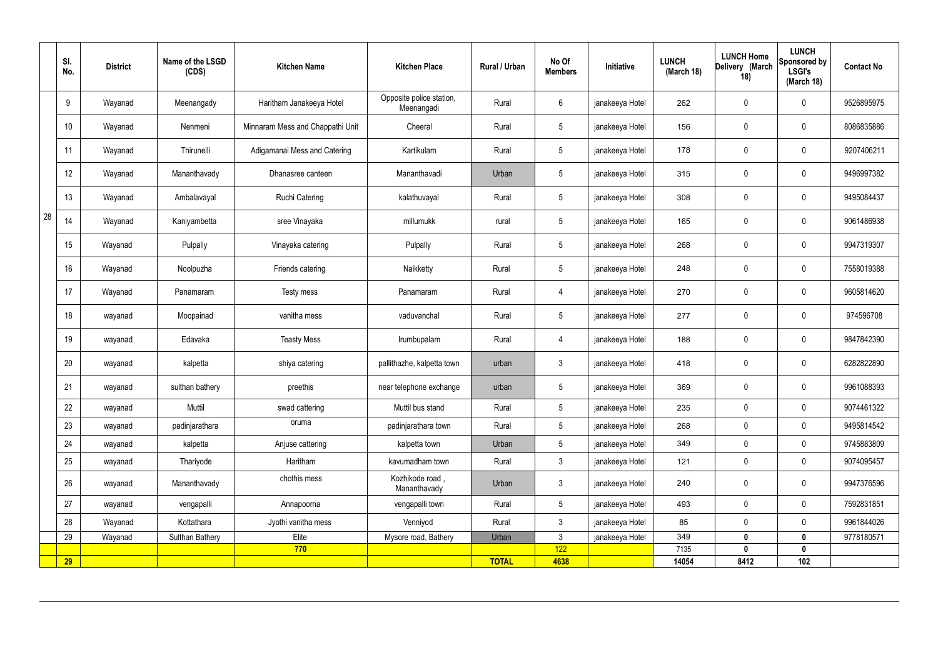|    | SI.<br>No.      | <b>District</b> | Name of the LSGD<br>(CDS) | <b>Kitchen Name</b>              | <b>Kitchen Place</b>                   | <b>Rural / Urban</b> | No Of<br><b>Members</b> | Initiative      | <b>LUNCH</b><br>(March 18) | <b>LUNCH Home</b><br>Delivery (March<br>18) | <b>LUNCH</b><br>Sponsored by<br><b>LSGI's</b><br>(March 18) | <b>Contact No</b> |
|----|-----------------|-----------------|---------------------------|----------------------------------|----------------------------------------|----------------------|-------------------------|-----------------|----------------------------|---------------------------------------------|-------------------------------------------------------------|-------------------|
|    | 9               | Wayanad         | Meenangady                | Haritham Janakeeya Hotel         | Opposite police station,<br>Meenangadi | Rural                | 6                       | janakeeya Hotel | 262                        | $\mathbf 0$                                 | $\mathbf 0$                                                 | 9526895975        |
|    | 10 <sup>°</sup> | Wayanad         | Nenmeni                   | Minnaram Mess and Chappathi Unit | Cheeral                                | Rural                | $5\overline{)}$         | janakeeya Hotel | 156                        | $\mathbf 0$                                 | $\mathbf 0$                                                 | 8086835886        |
|    | 11              | Wayanad         | Thirunelli                | Adigamanai Mess and Catering     | Kartikulam                             | Rural                | $5\overline{)}$         | janakeeya Hotel | 178                        | $\mathbf 0$                                 | $\mathbf 0$                                                 | 9207406211        |
|    | 12              | Wayanad         | Mananthavady              | Dhanasree canteen                | Mananthavadi                           | Urban                | $5\phantom{.0}$         | janakeeya Hotel | 315                        | $\mathbf 0$                                 | $\mathbf 0$                                                 | 9496997382        |
|    | 13              | Wayanad         | Ambalavayal               | <b>Ruchi Catering</b>            | kalathuvayal                           | Rural                | $5\phantom{.0}$         | janakeeya Hotel | 308                        | $\mathbf 0$                                 | $\mathbf 0$                                                 | 9495084437        |
| 28 | 14              | Wayanad         | Kaniyambetta              | sree Vinayaka                    | millumukk                              | rural                | $5\phantom{.0}$         | janakeeya Hotel | 165                        | $\mathbf 0$                                 | $\mathbf 0$                                                 | 9061486938        |
|    | 15              | Wayanad         | Pulpally                  | Vinayaka catering                | Pulpally                               | Rural                | $5\phantom{.0}$         | janakeeya Hotel | 268                        | $\mathbf 0$                                 | $\mathbf 0$                                                 | 9947319307        |
|    | 16              | Wayanad         | Noolpuzha                 | Friends catering                 | Naikketty                              | Rural                | $5\phantom{.0}$         | janakeeya Hotel | 248                        | $\mathbf 0$                                 | $\mathbf 0$                                                 | 7558019388        |
|    | 17              | Wayanad         | Panamaram                 | Testy mess                       | Panamaram                              | Rural                | $\overline{4}$          | janakeeya Hotel | 270                        | $\mathbf 0$                                 | $\mathbf 0$                                                 | 9605814620        |
|    | 18              | wayanad         | Moopainad                 | vanitha mess                     | vaduvanchal                            | Rural                | $5\phantom{.0}$         | janakeeya Hotel | 277                        | $\mathbf 0$                                 | $\mathbf 0$                                                 | 974596708         |
|    | 19              | wayanad         | Edavaka                   | <b>Teasty Mess</b>               | Irumbupalam                            | Rural                | 4                       | janakeeya Hotel | 188                        | $\mathbf 0$                                 | $\mathbf 0$                                                 | 9847842390        |
|    | 20              | wayanad         | kalpetta                  | shiya catering                   | pallithazhe, kalpetta town             | urban                | 3                       | janakeeya Hotel | 418                        | $\mathbf 0$                                 | $\mathbf 0$                                                 | 6282822890        |
|    | 21              | wayanad         | sulthan bathery           | preethis                         | near telephone exchange                | urban                | $5\overline{)}$         | janakeeya Hotel | 369                        | $\mathbf 0$                                 | $\mathbf 0$                                                 | 9961088393        |
|    | 22              | wayanad         | Muttil                    | swad cattering                   | Muttil bus stand                       | Rural                | $5\overline{)}$         | janakeeya Hotel | 235                        | $\mathbf 0$                                 | $\mathbf 0$                                                 | 9074461322        |
|    | 23              | wayanad         | padinjarathara            | oruma                            | padinjarathara town                    | Rural                | 5 <sup>5</sup>          | janakeeya Hotel | 268                        | $\mathbf 0$                                 | $\mathbf 0$                                                 | 9495814542        |
|    | 24              | wayanad         | kalpetta                  | Anjuse cattering                 | kalpetta town                          | Urban                | 5 <sup>5</sup>          | janakeeya Hotel | 349                        | $\mathbf 0$                                 | $\mathbf 0$                                                 | 9745883809        |
|    | 25              | wayanad         | Thariyode                 | Haritham                         | kavumadham town                        | Rural                | $\mathbf{3}$            | janakeeya Hotel | 121                        | $\mathbf 0$                                 | $\mathbf 0$                                                 | 9074095457        |
|    | 26              | wayanad         | Mananthavady              | chothis mess                     | Kozhikode road,<br>Mananthavady        | Urban                | $\mathbf{3}$            | janakeeya Hotel | 240                        | $\mathbf 0$                                 | $\mathbf 0$                                                 | 9947376596        |
|    | 27              | wayanad         | vengapalli                | Annapoorna                       | vengapalli town                        | Rural                | $5\overline{)}$         | janakeeya Hotel | 493                        | $\pmb{0}$                                   | $\mathbf 0$                                                 | 7592831851        |
|    | 28              | Wayanad         | Kottathara                | Jyothi vanitha mess              | Venniyod                               | Rural                | $\mathbf{3}$            | janakeeya Hotel | 85                         | $\pmb{0}$                                   | $\mathbf 0$                                                 | 9961844026        |
|    | 29              | Wayanad         | Sulthan Bathery           | Elite                            | Mysore road, Bathery                   | Urban                | $\mathbf{3}$            | janakeeya Hotel | 349                        | $\mathbf 0$                                 | $\mathbf 0$                                                 | 9778180571        |
|    |                 |                 |                           | 770                              |                                        |                      | 122                     |                 | 7135                       | 0                                           | $\mathbf 0$                                                 |                   |
|    | <b>29</b>       |                 |                           |                                  |                                        | <b>TOTAL</b>         | 4638                    |                 | 14054                      | 8412                                        | 102                                                         |                   |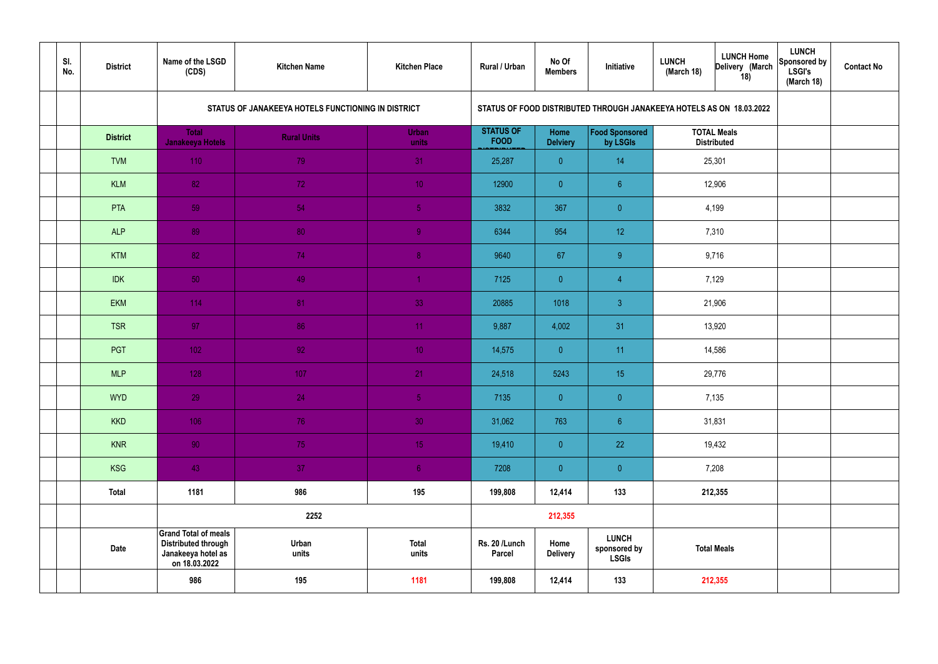| SI.<br>No. | <b>District</b> | Name of the LSGD<br>(CDS)                                                                        | <b>Kitchen Name</b>                                | <b>Kitchen Place</b>  | <b>Rural / Urban</b>            | No Of<br><b>Members</b> | Initiative                                                           | <b>LUNCH</b><br>(March 18) | <b>LUNCH Home</b><br>Delivery (March<br>18) | <b>LUNCH</b><br>Sponsored by<br><b>LSGI's</b><br>(March 18) | <b>Contact No</b> |
|------------|-----------------|--------------------------------------------------------------------------------------------------|----------------------------------------------------|-----------------------|---------------------------------|-------------------------|----------------------------------------------------------------------|----------------------------|---------------------------------------------|-------------------------------------------------------------|-------------------|
|            |                 |                                                                                                  | STATUS OF JANAKEEYA HOTELS FUNCTIONING IN DISTRICT |                       |                                 |                         | STATUS OF FOOD DISTRIBUTED THROUGH JANAKEEYA HOTELS AS ON 18.03.2022 |                            |                                             |                                                             |                   |
|            | <b>District</b> | <b>Total</b><br><b>Janakeeya Hotels</b>                                                          | <b>Rural Units</b>                                 | <b>Urban</b><br>units | <b>STATUS OF</b><br><b>FOOD</b> | Home<br><b>Delviery</b> | Food Sponsored<br>by LSGIs                                           |                            | <b>TOTAL Meals</b><br><b>Distributed</b>    |                                                             |                   |
|            | <b>TVM</b>      | 110                                                                                              | 79                                                 | 31                    | 25,287                          | $\overline{0}$          | 14                                                                   | 25,301                     |                                             |                                                             |                   |
|            | <b>KLM</b>      | 82                                                                                               | 72                                                 | 10 <sup>°</sup>       | 12900                           | $\overline{0}$          | $6^{\circ}$                                                          |                            | 12,906                                      |                                                             |                   |
|            | PTA             | 59                                                                                               | 54                                                 | $\sqrt{5}$            | 3832                            | 367                     | $\overline{0}$                                                       |                            | 4,199                                       |                                                             |                   |
|            | <b>ALP</b>      | 89                                                                                               | 80                                                 | 9                     | 6344                            | 954                     | 12 <sup>°</sup>                                                      |                            | 7,310                                       |                                                             |                   |
|            | <b>KTM</b>      | 82                                                                                               | 74                                                 | 8 <sup>°</sup>        | 9640                            | 67                      | 9                                                                    | 9,716                      |                                             |                                                             |                   |
|            | <b>IDK</b>      | 50                                                                                               | 49                                                 | $\blacktriangleleft$  | 7125                            | $\overline{0}$          | $\overline{4}$                                                       | 7,129                      |                                             |                                                             |                   |
|            | <b>EKM</b>      | 114                                                                                              | 81                                                 | 33                    | 20885                           | 1018                    | $\mathbf{3}$                                                         | 21,906                     |                                             |                                                             |                   |
|            | <b>TSR</b>      | 97                                                                                               | 86                                                 | 11                    | 9,887                           | 4,002                   | 31                                                                   |                            | 13,920                                      |                                                             |                   |
|            | <b>PGT</b>      | $102$                                                                                            | 92                                                 | 10 <sup>°</sup>       | 14,575                          | $\overline{0}$          | 11                                                                   |                            | 14,586                                      |                                                             |                   |
|            | <b>MLP</b>      | 128                                                                                              | 107                                                | 21                    | 24,518                          | 5243                    | 15                                                                   |                            | 29,776                                      |                                                             |                   |
|            | <b>WYD</b>      | 29                                                                                               | 24                                                 | 5 <sub>5</sub>        | 7135                            | $\overline{0}$          | $\overline{0}$                                                       |                            | 7,135                                       |                                                             |                   |
|            | <b>KKD</b>      | 106                                                                                              | 76                                                 | 30 <sup>°</sup>       | 31,062                          | 763                     | $\sqrt{6}$                                                           |                            | 31,831                                      |                                                             |                   |
|            | <b>KNR</b>      | 90 <sub>1</sub>                                                                                  | 75                                                 | 15 <sub>1</sub>       | 19,410                          | $\overline{0}$          | 22                                                                   |                            | 19,432                                      |                                                             |                   |
|            | <b>KSG</b>      | 43                                                                                               | 37                                                 | 6 <sup>1</sup>        | 7208                            | $\overline{0}$          | $\pmb{0}$                                                            | 7,208                      |                                             |                                                             |                   |
|            | <b>Total</b>    | 1181                                                                                             | 986                                                | 195                   | 199,808                         | 12,414                  | 133                                                                  | 212,355                    |                                             |                                                             |                   |
|            |                 |                                                                                                  | 2252                                               |                       |                                 | 212,355                 |                                                                      |                            |                                             |                                                             |                   |
|            | <b>Date</b>     | <b>Grand Total of meals</b><br><b>Distributed through</b><br>Janakeeya hotel as<br>on 18.03.2022 | Urban<br>units                                     | <b>Total</b><br>units | Rs. 20 /Lunch<br><b>Parcel</b>  | Home<br><b>Delivery</b> | <b>LUNCH</b><br>sponsored by<br><b>LSGIs</b>                         | <b>Total Meals</b>         |                                             |                                                             |                   |
|            |                 | 986                                                                                              | 195                                                | 1181                  | 199,808                         | 12,414                  | 133                                                                  |                            | 212,355                                     |                                                             |                   |